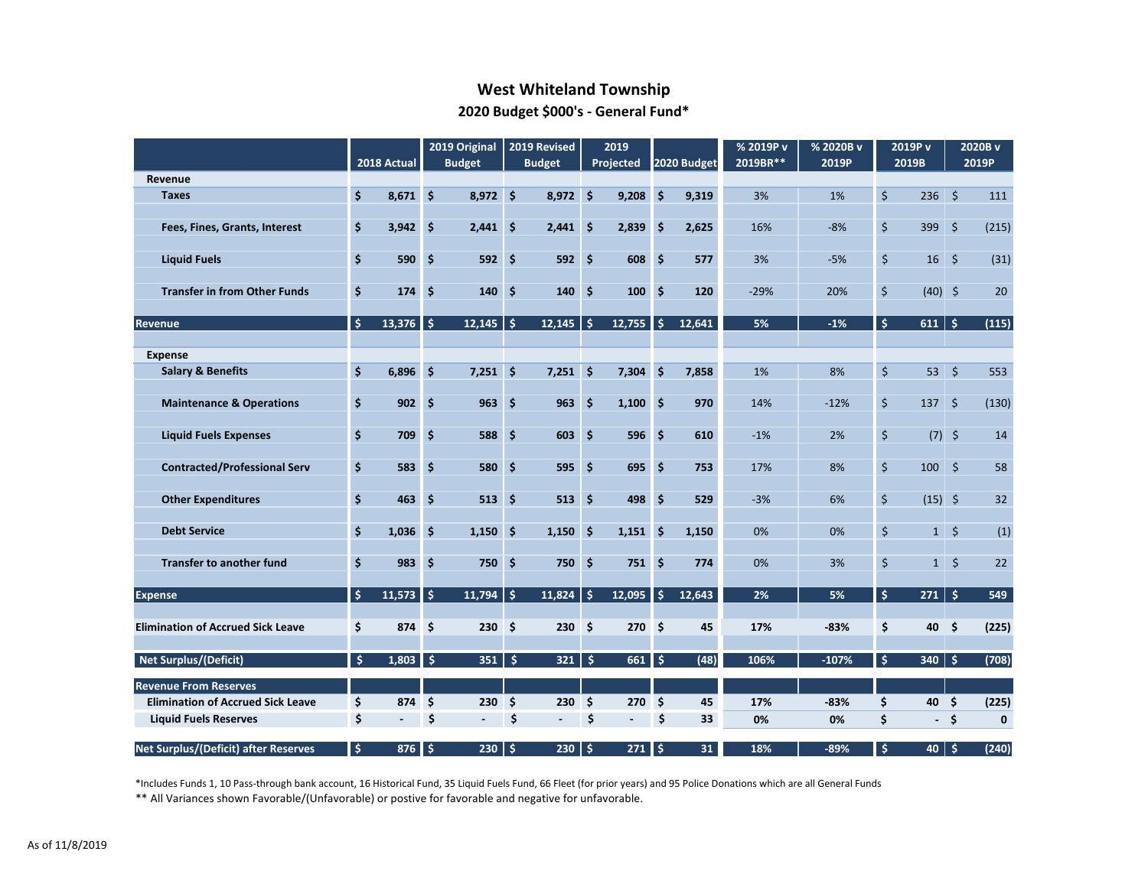# **West Whiteland Township 2020 Budget \$000's - General Fund\***

|                                          |                         |             |      | 2019 Original  |     | 2019 Revised      |                    | 2019             |                     |             | % 2019P v | % 2020B v |                         | 2019P v                    |                     | 2020B v     |
|------------------------------------------|-------------------------|-------------|------|----------------|-----|-------------------|--------------------|------------------|---------------------|-------------|-----------|-----------|-------------------------|----------------------------|---------------------|-------------|
|                                          |                         | 2018 Actual |      | <b>Budget</b>  |     | <b>Budget</b>     |                    | Projected        |                     | 2020 Budget | 2019BR**  | 2019P     |                         | 2019B                      |                     | 2019P       |
| Revenue                                  |                         |             |      |                |     |                   |                    |                  |                     |             |           |           |                         |                            |                     |             |
| <b>Taxes</b>                             | \$                      | $8,671$ \$  |      | $8,972$ \$     |     | $8,972$ \$        |                    | 9,208            | $\ddot{\mathsf{s}}$ | 9,319       | 3%        | 1%        | $\ddot{\mathsf{S}}$     | $236$ \$                   |                     | 111         |
| Fees, Fines, Grants, Interest            | $\dot{\mathsf{s}}$      | 3,942       | -\$  | $2,441$ \$     |     | $2,441$ \$        |                    | 2,839            | 5                   | 2,625       | 16%       | $-8%$     | \$                      | 399                        | $\ddot{\mathsf{s}}$ | (215)       |
| <b>Liquid Fuels</b>                      | $\dot{\mathsf{s}}$      | 590         | -Ś   | $592 \quad $$  |     | 592S              |                    | 608 \$           |                     | 577         | 3%        | $-5%$     | $\zeta$                 | 16                         | -\$                 | (31)        |
| <b>Transfer in from Other Funds</b>      | $\dot{\mathsf{s}}$      | 174         | Ŝ.   | 140            | \$  | $140 \pm 5$       |                    | 100 <sub>5</sub> |                     | 120         | $-29%$    | 20%       | $\mathsf{\dot{S}}$      | $(40)$ \$                  |                     | 20          |
| Revenue                                  | \$                      | 13,376      | ا \$ | $12,145$ \$    |     | 12,145            | $\frac{1}{2}$      | 12,755           | \$                  | 12,641      | 5%        | $-1%$     | \$                      | 611                        | $\mathsf{S}$        | (115)       |
|                                          |                         |             |      |                |     |                   |                    |                  |                     |             |           |           |                         |                            |                     |             |
| <b>Expense</b>                           |                         |             |      |                |     |                   |                    |                  |                     |             |           |           |                         |                            |                     |             |
| <b>Salary &amp; Benefits</b>             | $\overline{\mathsf{S}}$ | 6,896       | Ŝ.   | $7,251$ \$     |     | $7,251$ \$        |                    | 7,304            | <b>S</b>            | 7,858       | 1%        | 8%        | $\overline{\mathsf{S}}$ | $53 \mid 5$                |                     | 553         |
| <b>Maintenance &amp; Operations</b>      | \$                      | 902         | Ŝ.   | $963 \quad $$  |     | 963               | $\dot{\mathsf{s}}$ | $1,100$ \$       |                     | 970         | 14%       | $-12%$    | \$                      | 137S                       |                     | (130)       |
| <b>Liquid Fuels Expenses</b>             | \$                      | 709         | Ŝ.   | 588            | \$  | $603 \quad $5$    |                    | 596              | $\dot{\mathsf{s}}$  | 610         | $-1%$     | 2%        | $\zeta$                 | $(7)$ \$                   |                     | 14          |
|                                          |                         |             |      |                |     |                   |                    |                  |                     |             |           |           |                         |                            |                     |             |
| <b>Contracted/Professional Serv</b>      | \$                      | 583         | \$   | <b>580</b>     | -\$ | $595 \quad $$     |                    | 695 \$           |                     | 753         | 17%       | 8%        | \$                      | $100 \div$                 |                     | 58          |
| <b>Other Expenditures</b>                | \$                      | 463         | \$   | 513            | \$  | $513 \quad $$     |                    | 498 \$           |                     | 529         | $-3%$     | 6%        | \$                      | $(15)$ \$                  |                     | 32          |
|                                          |                         |             |      |                |     |                   |                    |                  |                     |             |           |           |                         |                            |                     |             |
| <b>Debt Service</b>                      | \$                      | 1,036       | -\$  | $1,150$ \$     |     | 1,150             | Ŝ.                 | $1,151$ \$       |                     | 1,150       | 0%        | 0%        | $\zeta$                 | $1 \mid \zeta$             |                     | (1)         |
| <b>Transfer to another fund</b>          | \$                      | 983         | \$   | 750%           |     | 750%              |                    | $751 \quad $5$   |                     | 774         | 0%        | 3%        | $\zeta$                 | $1 \overline{\phantom{0}}$ |                     | 22          |
|                                          |                         |             |      |                |     |                   |                    |                  |                     |             |           |           |                         |                            |                     |             |
| <b>Expense</b>                           | $\frac{1}{2}$           | $11,573$ \$ |      | $11,794$ \$    |     | 11,824            | Ŝ.                 | 12,095           | $\frac{1}{2}$       | 12,643      | 2%        | 5%        | \$                      | 271                        | $\mathsf{S}$        | 549         |
| <b>Elimination of Accrued Sick Leave</b> | \$                      | 874 \$      |      | $230 \quad $5$ |     | 230S              |                    | 270S             |                     | 45          | 17%       | $-83%$    | \$                      | 40 \$                      |                     | (225)       |
|                                          |                         |             |      |                |     |                   |                    |                  |                     |             |           |           |                         |                            |                     |             |
| Net Surplus/(Deficit)                    | $\mathsf{\hat{S}}$      | $1,803$ \$  |      | 351            | -\$ | 321               | \$                 | $661$ \$         |                     | (48)        | 106%      | $-107%$   | $\frac{1}{2}$           | 340                        | \$                  | (708)       |
| <b>Revenue From Reserves</b>             |                         |             |      |                |     |                   |                    |                  |                     |             |           |           |                         |                            |                     |             |
| <b>Elimination of Accrued Sick Leave</b> | \$                      | 874 \$      |      | $230 \quad $5$ |     | $230 \div$        |                    | $270 \div$       |                     | 45          | 17%       | $-83%$    | \$                      | 40                         | - \$                | (225)       |
| <b>Liquid Fuels Reserves</b>             | \$                      | $\sim 100$  | \$   | $\sim$         | \$  | $\sim 100$        | \$                 | $\sim 10^{-1}$   | \$                  | 33          | 0%        | 0%        | \$                      | $-$ \$                     |                     | $\mathbf 0$ |
| Net Surplus/(Deficit) after Reserves     | $\frac{1}{2}$           | $876$ \$    |      | $230 \div$     |     | $230 \, \text{S}$ |                    | $271 \,$ \$      |                     | 31          | 18%       | $-89%$    | -\$                     | 40   \$                    |                     | (240)       |

\*Includes Funds 1, 10 Pass-through bank account, 16 Historical Fund, 35 Liquid Fuels Fund, 66 Fleet (for prior years) and 95 Police Donations which are all General Funds

\*\* All Variances shown Favorable/(Unfavorable) or postive for favorable and negative for unfavorable.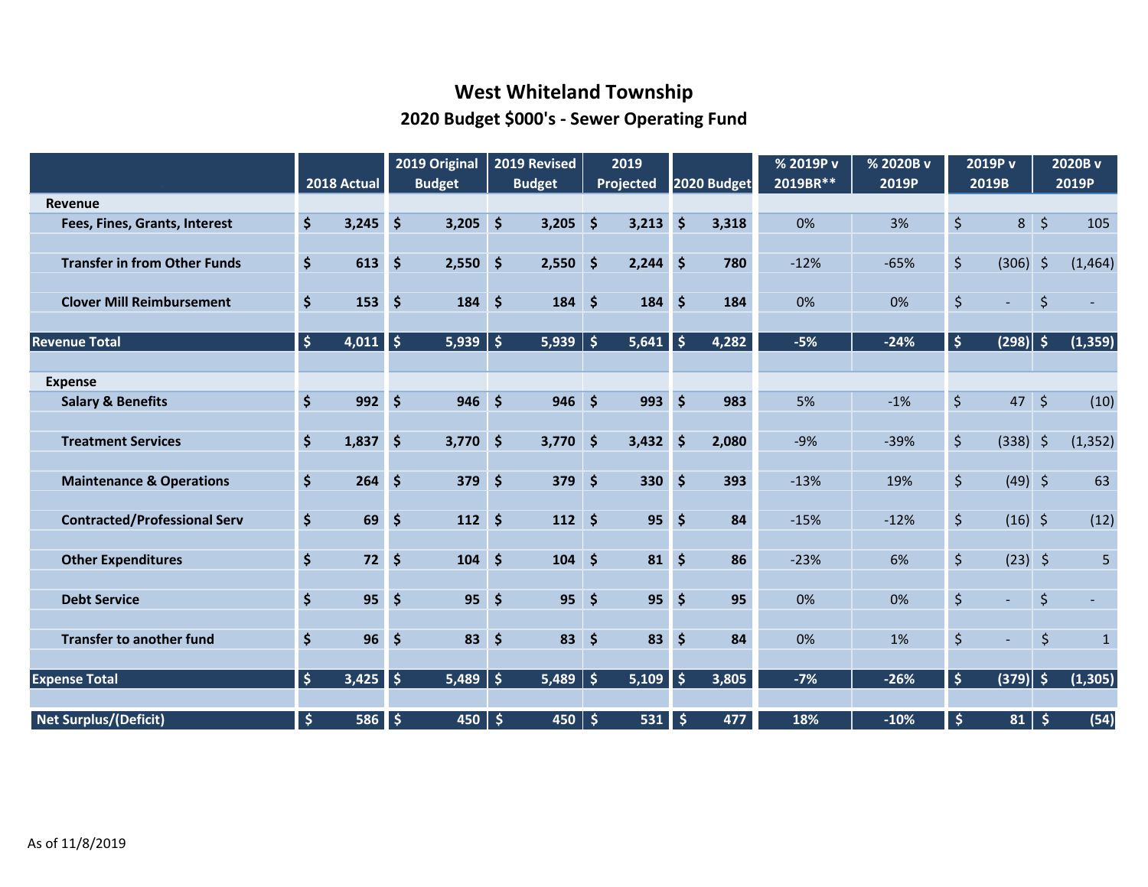# **West Whiteland Township 2020 Budget \$000's - Sewer Operating Fund**

|                                     |                                | 2018 Actual |                     | 2019 Original | 2019 Revised<br><b>Budget</b> |                |                      | 2019        |                     |             | % 2019P v<br>2019BR** | % 2020B v<br>2019P |                                | 2019P v<br>2019B |                      | 2020B v<br>2019P |
|-------------------------------------|--------------------------------|-------------|---------------------|---------------|-------------------------------|----------------|----------------------|-------------|---------------------|-------------|-----------------------|--------------------|--------------------------------|------------------|----------------------|------------------|
| Revenue                             |                                |             |                     | <b>Budget</b> |                               |                |                      | Projected   |                     | 2020 Budget |                       |                    |                                |                  |                      |                  |
| Fees, Fines, Grants, Interest       | \$                             | 3,245       | $\ddot{\bm{\zeta}}$ | $3,205$ \$    |                               | 3,205          | $\ddot{\bm{\zeta}}$  | 3,213       | $\zeta$             | 3,318       | 0%                    | 3%                 | $\zeta$                        | 8                | $\zeta$              | 105              |
| <b>Transfer in from Other Funds</b> | \$                             | 613         | $\dot{\mathsf{S}}$  | $2,550$ \$    |                               | 2,550          | $\ddot{\bm{\zeta}}$  | 2,244       | $\ddot{\bm{\zeta}}$ | 780         | $-12%$                | $-65%$             | \$                             | (306)            | $\zeta$              | (1,464)          |
| <b>Clover Mill Reimbursement</b>    | $\dot{\mathsf{S}}$             | 153         | $\ddot{\bm{\zeta}}$ | $184 \;$ \$   |                               | $184 \;$ \$    |                      | $184 \,$ \$ |                     | 184         | 0%                    | 0%                 | \$                             | $\sim$           | $\zeta$              |                  |
| <b>Revenue Total</b>                | $\boldsymbol{\dot{\varsigma}}$ | $4,011$ \$  |                     | $5,939$ \$    |                               | 5,939          | $\dot{\mathsf{S}}$   | $5,641$ \$  |                     | 4,282       | $-5%$                 | $-24%$             | $\boldsymbol{\dot{\varsigma}}$ | (298)  \$        |                      | (1, 359)         |
| <b>Expense</b>                      |                                |             |                     |               |                               |                |                      |             |                     |             |                       |                    |                                |                  |                      |                  |
| <b>Salary &amp; Benefits</b>        | $\dot{\boldsymbol{\varsigma}}$ | 992         | $\ddot{\bm{\zeta}}$ | $946$ \$      |                               | 946            | $\dot{\mathsf{s}}$   | 993         | $\zeta$             | 983         | 5%                    | $-1%$              | $\boldsymbol{\zeta}$           | $47 \;$ \$       |                      | (10)             |
|                                     |                                |             |                     |               |                               |                |                      |             |                     |             |                       |                    |                                |                  |                      |                  |
| <b>Treatment Services</b>           | \$                             | 1,837       | $\ddot{\bm{\zeta}}$ | $3,770$ \$    |                               | $3,770$ \$     |                      | 3,432       | $\ddot{\bm{\zeta}}$ | 2,080       | $-9%$                 | $-39%$             | $\zeta$                        | $(338)$ \$       |                      | (1, 352)         |
| <b>Maintenance &amp; Operations</b> | $\dot{\mathsf{S}}$             | 264         | $\zeta$             | $379$ \$      |                               | 379            | $\ddot{\bm{\zeta}}$  | 330 \$      |                     | 393         | $-13%$                | 19%                | $\zeta$                        | $(49)$ \$        |                      | 63               |
| <b>Contracted/Professional Serv</b> | $\ddot{\bm{\zeta}}$            | 69          | $\dot{\mathsf{S}}$  | $112 \,$ \$   |                               | $112 \quad$ \$ |                      | 95          | $\mathsf{S}$        | 84          | $-15%$                | $-12%$             | \$                             | $(16)$ \$        |                      | (12)             |
| <b>Other Expenditures</b>           | \$                             | $72$        | $\ddot{\bm{\zeta}}$ | $104 \div$    |                               | $104 \,$ \$    |                      | $81 \;$ \$  |                     | 86          | $-23%$                | 6%                 | \$                             | $(23)$ \$        |                      | 5                |
| <b>Debt Service</b>                 | \$                             | 95          | $\ddot{\bm{\zeta}}$ | $95 \quad$ \$ |                               | 95             | $\dot{\mathsf{s}}$   | 95          | $\dot{\mathsf{S}}$  | 95          | 0%                    | 0%                 | \$                             | $\blacksquare$   | $\ddot{\varsigma}$   |                  |
|                                     |                                |             |                     |               |                               |                |                      |             |                     |             |                       |                    |                                |                  |                      |                  |
| <b>Transfer to another fund</b>     | \$                             | 96          | $\zeta$             | $83 \quad 5$  |                               | 83             | $\zeta$              | 83          | \$                  | 84          | 0%                    | 1%                 | \$                             | $\blacksquare$   | $\boldsymbol{\zeta}$ | $\mathbf{1}$     |
| <b>Expense Total</b>                | $\frac{1}{2}$                  | $3,425$ \$  |                     | $5,489$ \$    |                               | 5,489          | $\boldsymbol{\zeta}$ | $5,109$ \$  |                     | 3,805       | $-7%$                 | $-26%$             | $\vert \mathsf{S} \vert$       | $(379)$ \$       |                      | (1, 305)         |
| <b>Net Surplus/(Deficit)</b>        | $\ddot{\bm{\zeta}}$            | 586         | \$                  | 450           | $\frac{1}{2}$                 | 450            | $\ddot{\bm{\zeta}}$  | 531         | $\frac{1}{2}$       | 477         | 18%                   | $-10%$             | $\ddot{\bm{\zeta}}$            | $81 \mid 5$      |                      | (54)             |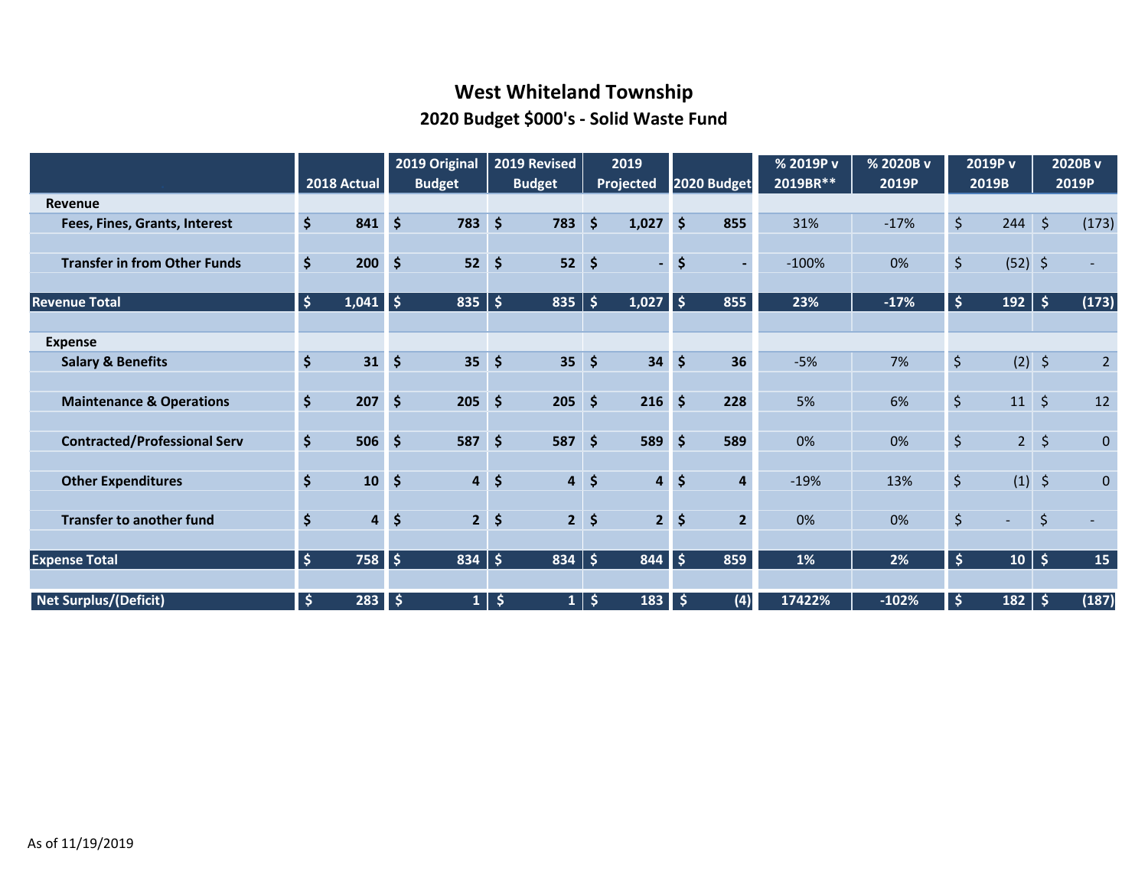# **West Whiteland Township 2020 Budget \$000's - Solid Waste Fund**

|                                     |                      | 2018 Actual    |                     | 2019 Original<br><b>Budget</b> |                     | 2019 Revised<br><b>Budget</b> |                     | 2019<br>Projected       |                     | 2020 Budget    | % 2019P v<br>2019BR** | % 2020B v<br>2019P |                    | 2019P v<br>2019B |                     | 2020B v<br>2019P |
|-------------------------------------|----------------------|----------------|---------------------|--------------------------------|---------------------|-------------------------------|---------------------|-------------------------|---------------------|----------------|-----------------------|--------------------|--------------------|------------------|---------------------|------------------|
| <b>Revenue</b>                      |                      |                |                     |                                |                     |                               |                     |                         |                     |                |                       |                    |                    |                  |                     |                  |
| Fees, Fines, Grants, Interest       | $\dot{\mathsf{S}}$   | 841            | $\ddot{\bm{\zeta}}$ | 783                            | $\dot{\mathsf{S}}$  | 783                           | $\dot{\mathsf{S}}$  | 1,027                   | $\mathsf{S}$        | 855            | 31%                   | $-17%$             | $\zeta$            | 244              | $\ddot{\varsigma}$  | (173)            |
|                                     |                      |                |                     |                                |                     |                               |                     |                         |                     |                |                       |                    |                    |                  |                     |                  |
| <b>Transfer in from Other Funds</b> | $\dot{\mathsf{S}}$   | 200            | $\zeta$             | 52                             | $\ddot{\bm{\zeta}}$ | 52                            | \$                  | $\blacksquare$          | \$                  |                | $-100%$               | 0%                 | \$                 | $(52)$ \$        |                     | $\sim$           |
|                                     |                      |                |                     |                                |                     |                               |                     |                         |                     |                |                       |                    |                    |                  |                     |                  |
| <b>Revenue Total</b>                | $\boldsymbol{\zeta}$ | 1,041          | l\$                 | 835                            | \$                  | 835                           | $\mathsf{S}$        | 1,027                   | l \$                | 855            | 23%                   | $-17%$             | $\ddot{\varsigma}$ | 192              | $\ddot{\mathsf{s}}$ | (173)            |
|                                     |                      |                |                     |                                |                     |                               |                     |                         |                     |                |                       |                    |                    |                  |                     |                  |
| <b>Expense</b>                      |                      |                |                     |                                |                     |                               |                     |                         |                     |                |                       |                    |                    |                  |                     |                  |
| <b>Salary &amp; Benefits</b>        | $\zeta$              | 31             | $\ddot{\bm{\zeta}}$ | 35 <sub>1</sub>                | $\ddot{\bm{\zeta}}$ | 35                            | \$                  | 34                      | $\dot{\mathsf{S}}$  | 36             | $-5%$                 | 7%                 | \$                 | $(2)$ \$         |                     | $\overline{2}$   |
|                                     |                      |                |                     |                                |                     |                               |                     |                         |                     |                |                       |                    |                    |                  |                     |                  |
| <b>Maintenance &amp; Operations</b> | $\dot{\mathsf{S}}$   | 207            | $\ddot{\bm{\zeta}}$ | 205                            | $\dot{\mathsf{S}}$  | 205                           | $\dot{\mathsf{S}}$  | 216                     | $\ddot{\bm{\zeta}}$ | 228            | 5%                    | 6%                 | \$                 | $11 \mid \zeta$  |                     | 12               |
|                                     |                      |                |                     |                                |                     |                               |                     |                         |                     |                |                       |                    |                    |                  |                     |                  |
| <b>Contracted/Professional Serv</b> | $\dot{\mathsf{S}}$   | 506            | $\ddot{\bm{\zeta}}$ | 587                            | \$                  | 587                           | \$                  | 589                     | \$                  | 589            | 0%                    | 0%                 | \$                 | 2                | $\zeta$             | $\overline{0}$   |
|                                     |                      |                |                     |                                |                     |                               |                     |                         |                     |                |                       |                    |                    |                  |                     |                  |
| <b>Other Expenditures</b>           | $\ddot{\bm{\zeta}}$  | 10             | $\ddot{\bm{\zeta}}$ | $\overline{\mathbf{4}}$        | $\frac{1}{2}$       | $\overline{\mathbf{4}}$       | \$                  | $\overline{\mathbf{4}}$ | $\dot{\mathsf{S}}$  | $\overline{4}$ | $-19%$                | 13%                | \$                 | $(1)$ \$         |                     | $\overline{0}$   |
|                                     |                      |                |                     |                                |                     |                               |                     |                         |                     |                |                       |                    |                    |                  |                     |                  |
| <b>Transfer to another fund</b>     | \$                   | $\overline{4}$ | $\ddot{\bm{\zeta}}$ | 2 <sup>1</sup>                 | $\ddot{\bm{\zeta}}$ | 2 <sup>1</sup>                | \$                  | $\overline{2}$          | $\dot{\mathsf{S}}$  | 2 <sup>1</sup> | 0%                    | 0%                 | $\zeta$            | $\sim$           | $\zeta$             |                  |
|                                     |                      |                |                     |                                |                     |                               |                     |                         |                     |                |                       |                    |                    |                  |                     |                  |
| <b>Expense Total</b>                | $\ddot{\varsigma}$   | 758            | ا \$                | 834                            | $\frac{1}{2}$       | 834                           | $\sqrt{5}$          | 844                     | l \$                | 859            | 1%                    | 2%                 | \$                 | 10               | $\ddot{\bm{\zeta}}$ | 15               |
|                                     |                      |                |                     |                                |                     |                               |                     |                         |                     |                |                       |                    |                    |                  |                     |                  |
| Net Surplus/(Deficit)               | \$                   | 283            | ∥ \$                | 1 <sup>1</sup>                 | $\ddot{\bm{\zeta}}$ | $\mathbf{1}$                  | $\ddot{\bm{\zeta}}$ | 183                     | \$                  | (4)            | 17422%                | $-102%$            | $\frac{1}{2}$      | $182 \mid 5$     |                     | (187)            |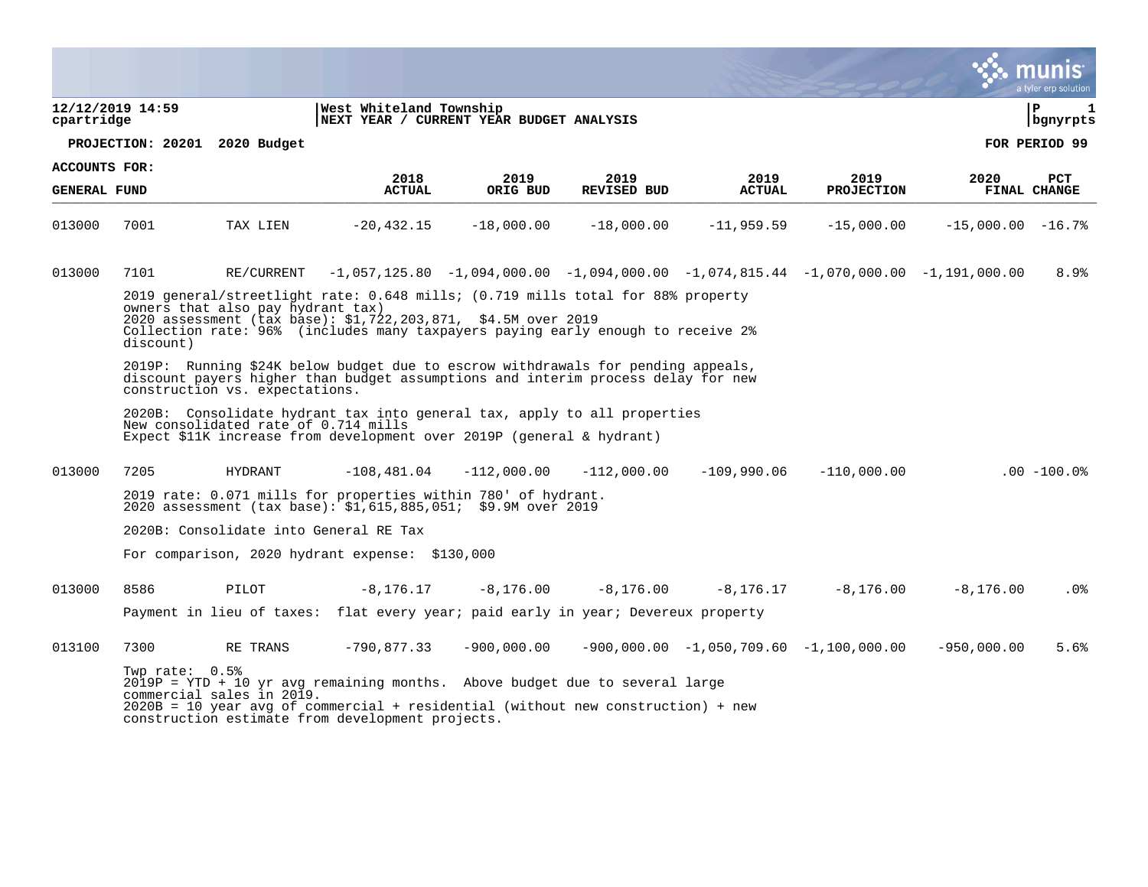|                      |                  |                                      |                                                                                                                                                                                                                                     |               |                    |               |                                               |                      | ः munis<br>a tyler erp solution |
|----------------------|------------------|--------------------------------------|-------------------------------------------------------------------------------------------------------------------------------------------------------------------------------------------------------------------------------------|---------------|--------------------|---------------|-----------------------------------------------|----------------------|---------------------------------|
| cpartridge           | 12/12/2019 14:59 |                                      | West Whiteland Township<br>NEXT YEAR / CURRENT YEAR BUDGET ANALYSIS                                                                                                                                                                 |               |                    |               |                                               |                      | lР<br>$\mathbf 1$<br>  bgnyrpts |
|                      |                  | PROJECTION: 20201 2020 Budget        |                                                                                                                                                                                                                                     |               |                    |               |                                               |                      | FOR PERIOD 99                   |
| <b>ACCOUNTS FOR:</b> |                  |                                      | 2018                                                                                                                                                                                                                                | 2019          | 2019               | 2019          | 2019                                          | 2020                 | <b>PCT</b>                      |
| <b>GENERAL FUND</b>  |                  |                                      | <b>ACTUAL</b>                                                                                                                                                                                                                       | ORIG BUD      | <b>REVISED BUD</b> | <b>ACTUAL</b> | <b>PROJECTION</b>                             |                      | FINAL CHANGE                    |
| 013000               | 7001             | TAX LIEN                             | $-20, 432.15$                                                                                                                                                                                                                       | $-18,000.00$  | $-18,000.00$       | $-11, 959.59$ | $-15,000.00$                                  | $-15,000.00 -16.7$ % |                                 |
| 013000               | 7101             | RE/CURRENT                           | $-1,057,125.80$ $-1,094,000.00$ $-1,094,000.00$ $-1,074,815.44$ $-1,070,000.00$ $-1,191,000.00$                                                                                                                                     |               |                    |               |                                               |                      | 8.9%                            |
|                      | discount)        | owners that also pay hydrant tax)    | 2019 general/streetlight rate: 0.648 mills; (0.719 mills total for 88% property<br>2020 assessment (tax base): \$1,722,203,871, \$4.5M over 2019<br>Collection rate: 96% (includes many taxpayers paying early enough to receive 2% |               |                    |               |                                               |                      |                                 |
|                      |                  | construction vs. expectations.       | 2019P: Running \$24K below budget due to escrow withdrawals for pending appeals,<br>discount payers higher than budget assumptions and interim process delay for new                                                                |               |                    |               |                                               |                      |                                 |
|                      |                  | New consolidated rate of 0.714 mills | 2020B: Consolidate hydrant tax into general tax, apply to all properties<br>Expect \$11K increase from development over 2019P (general & hydrant)                                                                                   |               |                    |               |                                               |                      |                                 |
| 013000               | 7205             | <b>HYDRANT</b>                       | $-108, 481.04$                                                                                                                                                                                                                      | $-112,000.00$ | $-112,000.00$      | $-109.990.06$ | $-110,000.00$                                 |                      | $.00 - 100.0$                   |
|                      |                  |                                      | 2019 rate: 0.071 mills for properties within 780' of hydrant.<br>2020 assessment $(tax base) : 51,615,885,051; 59.9M over 2019$                                                                                                     |               |                    |               |                                               |                      |                                 |
|                      |                  |                                      | 2020B: Consolidate into General RE Tax                                                                                                                                                                                              |               |                    |               |                                               |                      |                                 |
|                      |                  |                                      | For comparison, 2020 hydrant expense: \$130,000                                                                                                                                                                                     |               |                    |               |                                               |                      |                                 |
| 013000               | 8586             | PILOT                                | $-8, 176, 17$                                                                                                                                                                                                                       | $-8,176.00$   | $-8,176.00$        | $-8, 176, 17$ | $-8,176.00$                                   | $-8, 176, 00$        | .0%                             |
|                      |                  |                                      | Payment in lieu of taxes: flat every year; paid early in year; Devereux property                                                                                                                                                    |               |                    |               |                                               |                      |                                 |
| 013100               | 7300             | RE TRANS                             | $-790, 877.33$                                                                                                                                                                                                                      | $-900,000.00$ |                    |               | $-900,000.00$ $-1,050,709.60$ $-1,100,000.00$ | $-950,000.00$        | 5.6%                            |
|                      | Twp rate: 0.5%   | commercial sales in 2019.            | $2019P = YTD + 10 yr$ avg remaining months. Above budget due to several large<br>$2020B = 10$ year avg of commercial + residential (without new construction) + new<br>construction estimate from development projects.             |               |                    |               |                                               |                      |                                 |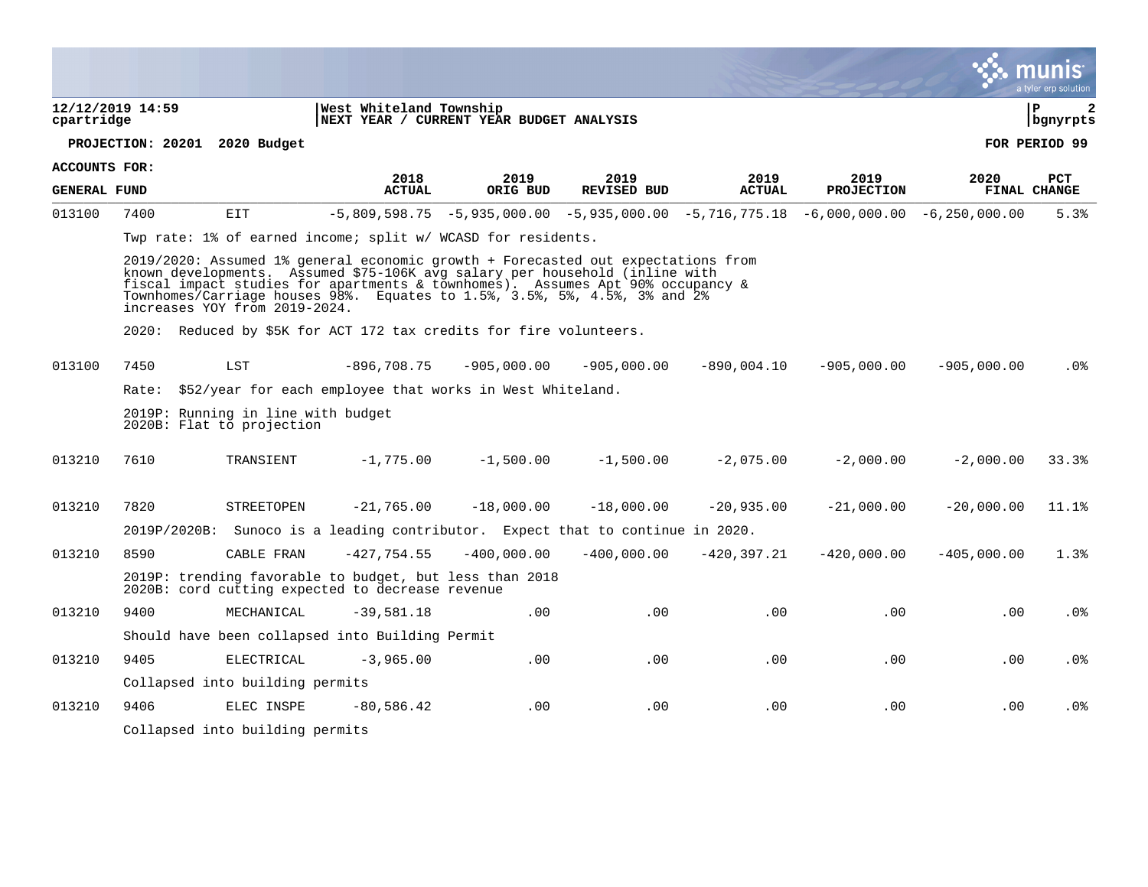|                     |                  |                                                                 |                                                                                                                                                                                                                                                                                                                                |               |                    |               |                   |               | a tyler erp solution   |
|---------------------|------------------|-----------------------------------------------------------------|--------------------------------------------------------------------------------------------------------------------------------------------------------------------------------------------------------------------------------------------------------------------------------------------------------------------------------|---------------|--------------------|---------------|-------------------|---------------|------------------------|
| cpartridge          | 12/12/2019 14:59 |                                                                 | West Whiteland Township<br>NEXT YEAR / CURRENT YEAR BUDGET ANALYSIS                                                                                                                                                                                                                                                            |               |                    |               |                   |               | l P<br>2<br>  bgnyrpts |
|                     |                  | PROJECTION: 20201 2020 Budget                                   |                                                                                                                                                                                                                                                                                                                                |               |                    |               |                   |               | FOR PERIOD 99          |
| ACCOUNTS FOR:       |                  |                                                                 | 2018                                                                                                                                                                                                                                                                                                                           | 2019          | 2019               | 2019          | 2019              | 2020          | <b>PCT</b>             |
| <b>GENERAL FUND</b> |                  |                                                                 | <b>ACTUAL</b>                                                                                                                                                                                                                                                                                                                  | ORIG BUD      | <b>REVISED BUD</b> | <b>ACTUAL</b> | <b>PROJECTION</b> |               | FINAL CHANGE           |
| 013100              | 7400             | EIT                                                             | $-5,809,598.75$ $-5,935,000.00$ $-5,935,000.00$ $-5,716,775.18$ $-6,000,000.00$ $-6,250,000.00$                                                                                                                                                                                                                                |               |                    |               |                   |               | 5.3%                   |
|                     |                  |                                                                 | Twp rate: 1% of earned income; split w/ WCASD for residents.                                                                                                                                                                                                                                                                   |               |                    |               |                   |               |                        |
|                     |                  | increases YOY from 2019-2024.                                   | 2019/2020: Assumed 1% general economic growth + Forecasted out expectations from<br>known developments. Assumed \$75-106K avg salary per household (inline with<br>fiscal impact studies for apartments & townhomes). Assumes Apt 90% occupancy &<br>Townhomes/Carriage houses 98%. Equates to 1.5%, 3.5%, 5%, 4.5%, 3% and 2% |               |                    |               |                   |               |                        |
|                     |                  |                                                                 | 2020: Reduced by \$5K for ACT 172 tax credits for fire volunteers.                                                                                                                                                                                                                                                             |               |                    |               |                   |               |                        |
| 013100              | 7450             | LST                                                             | $-896,708.75$                                                                                                                                                                                                                                                                                                                  | $-905,000.00$ | $-905,000.00$      | $-890,004.10$ | $-905,000.00$     | $-905,000.00$ | $.0\%$                 |
|                     | Rate:            |                                                                 | \$52/year for each employee that works in West Whiteland.                                                                                                                                                                                                                                                                      |               |                    |               |                   |               |                        |
|                     |                  | 2019P: Running in line with budget<br>2020B: Flat to projection |                                                                                                                                                                                                                                                                                                                                |               |                    |               |                   |               |                        |
| 013210              | 7610             | TRANSIENT                                                       | $-1,775.00$                                                                                                                                                                                                                                                                                                                    | $-1,500.00$   | $-1,500.00$        | $-2,075.00$   | $-2,000.00$       | $-2,000.00$   | 33.3%                  |
| 013210              | 7820             | STREETOPEN                                                      | $-21,765.00$                                                                                                                                                                                                                                                                                                                   | $-18,000.00$  | $-18,000.00$       | $-20,935.00$  | $-21,000.00$      | $-20,000.00$  | 11.1%                  |
|                     |                  |                                                                 | 2019P/2020B: Sunoco is a leading contributor. Expect that to continue in 2020.                                                                                                                                                                                                                                                 |               |                    |               |                   |               |                        |
| 013210              | 8590             | CABLE FRAN                                                      | $-427,754.55$                                                                                                                                                                                                                                                                                                                  | $-400,000.00$ | $-400,000.00$      | $-420,397.21$ | $-420,000.00$     | $-405,000.00$ | 1.3%                   |
|                     |                  |                                                                 | 2019P: trending favorable to budget, but less than 2018<br>2020B: cord cutting expected to decrease revenue                                                                                                                                                                                                                    |               |                    |               |                   |               |                        |
| 013210              | 9400             | MECHANICAL                                                      | $-39,581.18$                                                                                                                                                                                                                                                                                                                   | .00           | .00                | .00           | .00               | .00           | .0%                    |
|                     |                  |                                                                 | Should have been collapsed into Building Permit                                                                                                                                                                                                                                                                                |               |                    |               |                   |               |                        |
| 013210              | 9405             | ELECTRICAL                                                      | $-3,965.00$                                                                                                                                                                                                                                                                                                                    | .00           | .00                | .00           | .00               | .00           | $.0\%$                 |
|                     |                  | Collapsed into building permits                                 |                                                                                                                                                                                                                                                                                                                                |               |                    |               |                   |               |                        |
| 013210              | 9406             | ELEC INSPE                                                      | $-80,586.42$                                                                                                                                                                                                                                                                                                                   | .00           | .00                | .00           | .00               | $.00 \,$      | .0 <sub>8</sub>        |
|                     |                  | Collapsed into building permits                                 |                                                                                                                                                                                                                                                                                                                                |               |                    |               |                   |               |                        |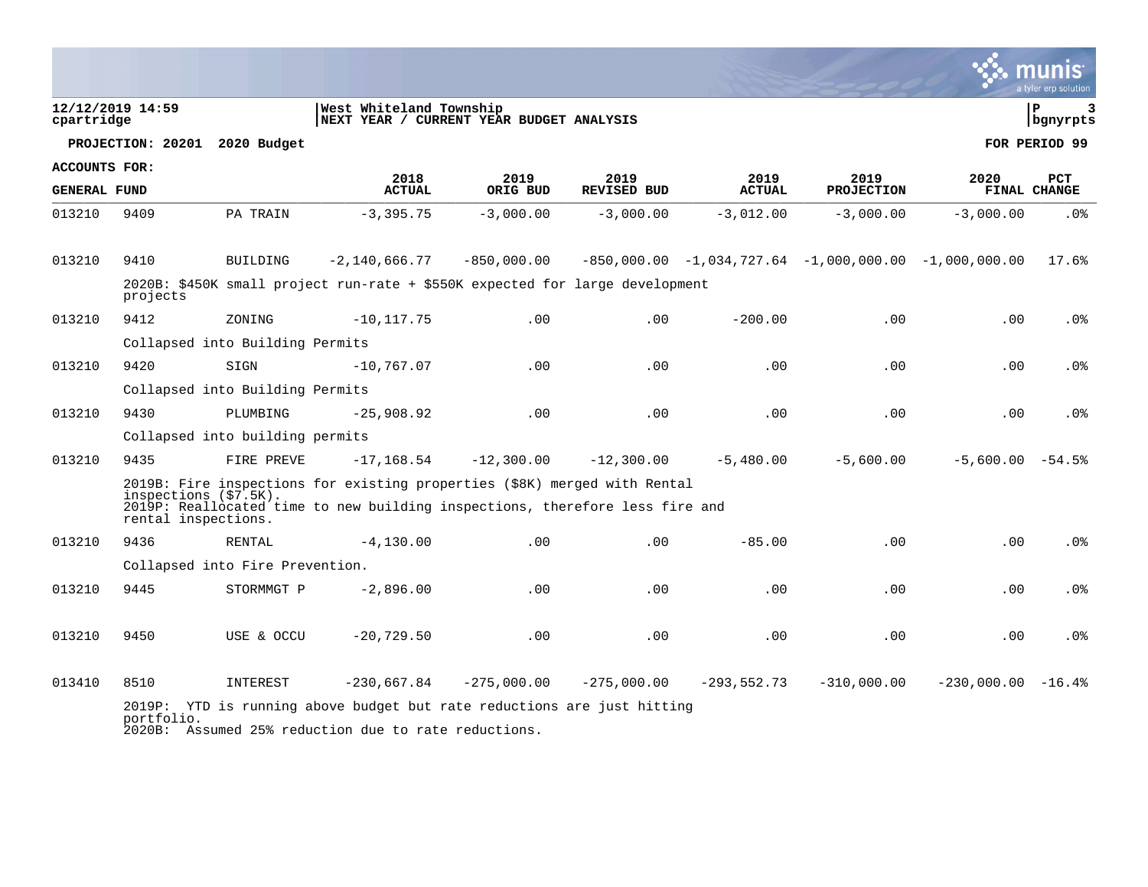|                      |                       |                                 |                                                                                                                                 |                  |                            |                                                         |                           |                     | mu<br>a tyler erp solution |
|----------------------|-----------------------|---------------------------------|---------------------------------------------------------------------------------------------------------------------------------|------------------|----------------------------|---------------------------------------------------------|---------------------------|---------------------|----------------------------|
| cpartridge           | 12/12/2019 14:59      |                                 | West Whiteland Township<br> NEXT YEAR / CURRENT YEAR BUDGET ANALYSIS                                                            |                  |                            |                                                         |                           |                     | l P<br>3<br>bgnyrpts       |
|                      |                       | PROJECTION: 20201 2020 Budget   |                                                                                                                                 |                  |                            |                                                         |                           |                     | FOR PERIOD 99              |
| <b>ACCOUNTS FOR:</b> |                       |                                 |                                                                                                                                 |                  |                            |                                                         |                           |                     |                            |
| <b>GENERAL FUND</b>  |                       |                                 | 2018<br><b>ACTUAL</b>                                                                                                           | 2019<br>ORIG BUD | 2019<br><b>REVISED BUD</b> | 2019<br><b>ACTUAL</b>                                   | 2019<br><b>PROJECTION</b> | 2020                | <b>PCT</b><br>FINAL CHANGE |
| 013210               | 9409                  | PA TRAIN                        | $-3, 395.75$                                                                                                                    | $-3,000.00$      | $-3,000.00$                | $-3,012.00$                                             | $-3,000.00$               | $-3,000.00$         | .0%                        |
| 013210               | 9410                  | <b>BUILDING</b>                 | $-2,140,666.77$                                                                                                                 | $-850,000.00$    |                            | $-850,000.00 -1,034,727.64 -1,000,000.00 -1,000,000.00$ |                           |                     | 17.6%                      |
|                      | projects              |                                 | 2020B: \$450K small project run-rate + \$550K expected for large development                                                    |                  |                            |                                                         |                           |                     |                            |
| 013210               | 9412                  | ZONING                          | $-10, 117.75$                                                                                                                   | .00              | .00                        | $-200.00$                                               | .00                       | .00                 | .0%                        |
|                      |                       | Collapsed into Building Permits |                                                                                                                                 |                  |                            |                                                         |                           |                     |                            |
| 013210               | 9420                  | SIGN                            | $-10,767.07$                                                                                                                    | .00              | .00                        | .00                                                     | .00                       | .00                 | .0 <sub>8</sub>            |
|                      |                       | Collapsed into Building Permits |                                                                                                                                 |                  |                            |                                                         |                           |                     |                            |
| 013210               | 9430                  | PLUMBING                        | $-25,908.92$                                                                                                                    | .00              | .00                        | .00                                                     | .00                       | .00                 | .0%                        |
|                      |                       | Collapsed into building permits |                                                                                                                                 |                  |                            |                                                         |                           |                     |                            |
| 013210               | 9435                  | FIRE PREVE                      | $-17, 168.54$                                                                                                                   | $-12,300.00$     | $-12,300.00$               | $-5,480.00$                                             | $-5.600.00$               | $-5,600.00 - 54.5$  |                            |
|                      | inspections (\$7.5K). |                                 | 2019B: Fire inspections for existing properties (\$8K) merged with Rental                                                       |                  |                            |                                                         |                           |                     |                            |
|                      | rental inspections.   |                                 | 2019P: Reallocated time to new building inspections, therefore less fire and                                                    |                  |                            |                                                         |                           |                     |                            |
| 013210               | 9436                  | RENTAL                          | $-4, 130.00$                                                                                                                    | .00              | .00                        | $-85.00$                                                | .00                       | .00                 | .0%                        |
|                      |                       | Collapsed into Fire Prevention. |                                                                                                                                 |                  |                            |                                                         |                           |                     |                            |
| 013210               | 9445                  | STORMMGT P                      | $-2,896.00$                                                                                                                     | .00              | .00                        | .00                                                     | .00                       | .00                 | .0 <sub>8</sub>            |
| 013210               | 9450                  | USE & OCCU                      | $-20,729.50$                                                                                                                    | .00              | .00                        | .00                                                     | .00                       | .00                 | .0%                        |
| 013410               | 8510                  | INTEREST                        | $-230,667.84$                                                                                                                   | $-275,000.00$    | $-275,000.00$              | $-293,552.73$                                           | $-310,000.00$             | $-230,000.00 -16.4$ |                            |
|                      | portfolio.            |                                 | 2019P: YTD is running above budget but rate reductions are just hitting<br>2020B: Assumed 25% reduction due to rate reductions. |                  |                            |                                                         |                           |                     |                            |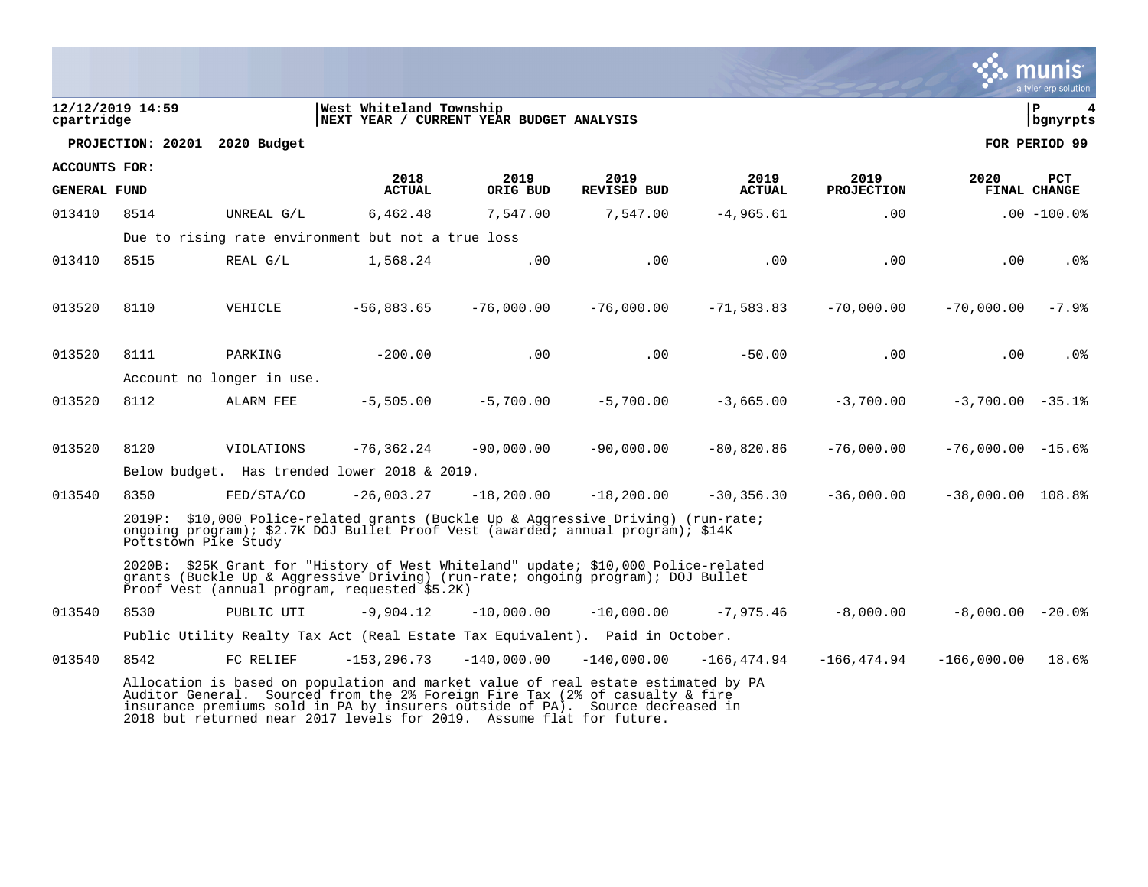|                                |                               |                           |                                                                                                                                                                                                                                                                                                                            |               |                    |                |                   |                     | a tyler erp solution |
|--------------------------------|-------------------------------|---------------------------|----------------------------------------------------------------------------------------------------------------------------------------------------------------------------------------------------------------------------------------------------------------------------------------------------------------------------|---------------|--------------------|----------------|-------------------|---------------------|----------------------|
| 12/12/2019 14:59<br>cpartridge |                               |                           | West Whiteland Township<br>NEXT YEAR / CURRENT YEAR BUDGET ANALYSIS                                                                                                                                                                                                                                                        |               |                    |                |                   |                     | P<br>4<br>bgnyrpts   |
|                                | PROJECTION: 20201 2020 Budget |                           |                                                                                                                                                                                                                                                                                                                            |               |                    |                |                   |                     | FOR PERIOD 99        |
| <b>ACCOUNTS FOR:</b>           |                               |                           | 2018                                                                                                                                                                                                                                                                                                                       | 2019          | 2019               | 2019           | 2019              | 2020                | <b>PCT</b>           |
| <b>GENERAL FUND</b>            |                               |                           | <b>ACTUAL</b>                                                                                                                                                                                                                                                                                                              | ORIG BUD      | <b>REVISED BUD</b> | <b>ACTUAL</b>  | <b>PROJECTION</b> |                     | <b>FINAL CHANGE</b>  |
| 013410                         | 8514                          | UNREAL G/L                | 6,462.48                                                                                                                                                                                                                                                                                                                   | 7,547.00      | 7,547.00           | $-4,965.61$    | .00               |                     | $.00 - 100.08$       |
|                                |                               |                           | Due to rising rate environment but not a true loss                                                                                                                                                                                                                                                                         |               |                    |                |                   |                     |                      |
| 013410                         | 8515                          | REAL G/L                  | 1,568.24                                                                                                                                                                                                                                                                                                                   | .00           | .00                | .00            | .00               | .00                 | .0%                  |
| 013520                         | 8110                          | VEHICLE                   | $-56,883.65$                                                                                                                                                                                                                                                                                                               | $-76,000.00$  | $-76,000.00$       | $-71,583.83$   | $-70,000.00$      | $-70,000.00$        | $-7.9%$              |
| 013520                         | 8111                          | PARKING                   | $-200.00$                                                                                                                                                                                                                                                                                                                  | .00           | .00                | $-50.00$       | .00               | .00                 | .0%                  |
|                                |                               | Account no longer in use. |                                                                                                                                                                                                                                                                                                                            |               |                    |                |                   |                     |                      |
| 013520                         | 8112                          | ALARM FEE                 | $-5,505.00$                                                                                                                                                                                                                                                                                                                | $-5,700,00$   | $-5,700.00$        | $-3,665.00$    | $-3,700,00$       | $-3,700.00 - 35.1$  |                      |
| 013520                         | 8120                          | VIOLATIONS                | $-76, 362.24$                                                                                                                                                                                                                                                                                                              | $-90,000.00$  | $-90,000.00$       | $-80,820.86$   | $-76,000.00$      | $-76,000.00 - 15.6$ |                      |
|                                |                               |                           | Below budget. Has trended lower 2018 & 2019.                                                                                                                                                                                                                                                                               |               |                    |                |                   |                     |                      |
| 013540                         | 8350                          | FED/STA/CO                | $-26.003.27$                                                                                                                                                                                                                                                                                                               | $-18,200,00$  | $-18,200.00$       | $-30, 356, 30$ | $-36,000.00$      | $-38,000.00$ 108.8% |                      |
|                                | Pottstown Pike Study          |                           | 2019P: \$10,000 Police-related grants (Buckle Up & Aggressive Driving) (run-rate;<br>ongoing program); \$2.7K DOJ Bullet Proof Vest (awarded; annual program); \$14K                                                                                                                                                       |               |                    |                |                   |                     |                      |
|                                |                               |                           | 2020B: \$25K Grant for "History of West Whiteland" update; \$10,000 Police-related<br>grants (Buckle Up & Aggressive Driving) (run-rate; ongoing program); DOJ Bullet<br>Proof Vest (annual program, requested \$5.2K)                                                                                                     |               |                    |                |                   |                     |                      |
| 013540                         | 8530                          | PUBLIC UTI                | $-9,904.12$                                                                                                                                                                                                                                                                                                                | $-10,000.00$  | $-10,000.00$       | $-7,975.46$    | $-8,000.00$       | $-8,000.00 - 20.0$  |                      |
|                                |                               |                           | Public Utility Realty Tax Act (Real Estate Tax Equivalent). Paid in October.                                                                                                                                                                                                                                               |               |                    |                |                   |                     |                      |
| 013540                         | 8542                          | FC RELIEF                 | $-153, 296.73$                                                                                                                                                                                                                                                                                                             | $-140,000.00$ | $-140,000.00$      | -166,474.94    | $-166,474.94$     | $-166,000.00$       | 18.6%                |
|                                |                               |                           | Allocation is based on population and market value of real estate estimated by PA<br>Auditor General. Sourced from the 2% Foreign Fire Tax (2% of casualty & fire<br>insurance premiums sold in PA by insurers outside of PA). Source decreased in<br>2018 but returned near 2017 levels for 2019. Assume flat for future. |               |                    |                |                   |                     |                      |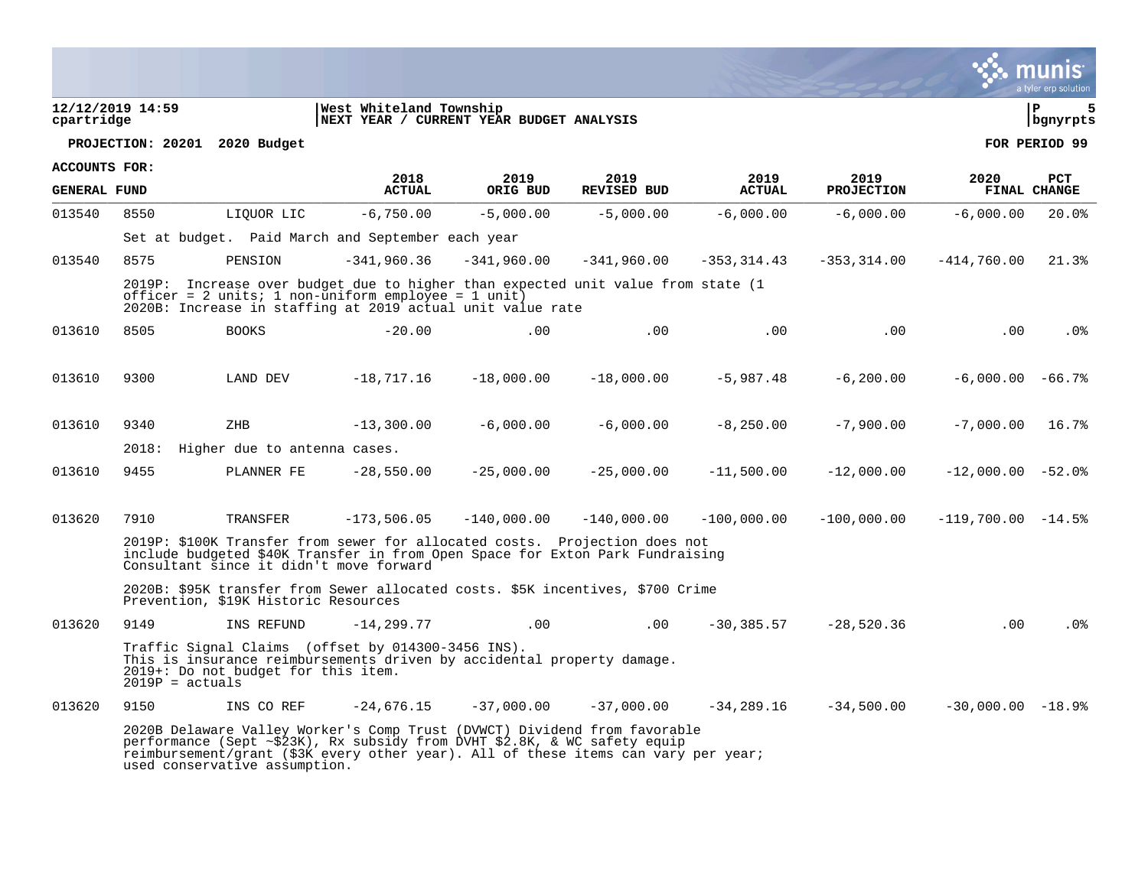|                      |                   |                                                                                                                                                                                                                                              |                                                                     |                  |                            |                       |                           |                     | munis<br>a tyler erp solution |
|----------------------|-------------------|----------------------------------------------------------------------------------------------------------------------------------------------------------------------------------------------------------------------------------------------|---------------------------------------------------------------------|------------------|----------------------------|-----------------------|---------------------------|---------------------|-------------------------------|
| cpartridge           | 12/12/2019 14:59  |                                                                                                                                                                                                                                              | West Whiteland Township<br>NEXT YEAR / CURRENT YEAR BUDGET ANALYSIS |                  |                            |                       |                           |                     | l P<br>5<br>  bgnyrpts        |
|                      |                   | PROJECTION: 20201 2020 Budget                                                                                                                                                                                                                |                                                                     |                  |                            |                       |                           |                     | FOR PERIOD 99                 |
| <b>ACCOUNTS FOR:</b> |                   |                                                                                                                                                                                                                                              |                                                                     |                  |                            |                       |                           |                     |                               |
| <b>GENERAL FUND</b>  |                   |                                                                                                                                                                                                                                              | 2018<br><b>ACTUAL</b>                                               | 2019<br>ORIG BUD | 2019<br><b>REVISED BUD</b> | 2019<br><b>ACTUAL</b> | 2019<br><b>PROJECTION</b> | 2020                | PCT<br>FINAL CHANGE           |
| 013540               | 8550              | LIOUOR LIC                                                                                                                                                                                                                                   | $-6,750.00$                                                         | $-5,000.00$      | $-5,000.00$                | $-6,000.00$           | $-6,000.00$               | $-6,000.00$         | 20.0%                         |
|                      |                   | Set at budget. Paid March and September each year                                                                                                                                                                                            |                                                                     |                  |                            |                       |                           |                     |                               |
| 013540               | 8575              | PENSION                                                                                                                                                                                                                                      | $-341,960.36$                                                       | $-341,960.00$    | $-341,960.00$              | $-353, 314.43$        | $-353, 314.00$            | $-414,760.00$       | 21.3%                         |
|                      |                   | 2019P: Increase over budget due to higher than expected unit value from state (1<br>officer = $2$ units; $1$ non-uniform employee = $1$ unit)<br>2020B: Increase in staffing at 2019 actual unit value rate                                  |                                                                     |                  |                            |                       |                           |                     |                               |
| 013610               | 8505              | <b>BOOKS</b>                                                                                                                                                                                                                                 | $-20.00$                                                            | .00              | .00                        | .00                   | .00                       | .00                 | $.0\%$                        |
|                      |                   |                                                                                                                                                                                                                                              |                                                                     |                  |                            |                       |                           |                     |                               |
| 013610               | 9300              | LAND DEV                                                                                                                                                                                                                                     | $-18,717.16$                                                        | $-18,000.00$     | $-18,000.00$               | $-5,987.48$           | $-6, 200.00$              | $-6,000.00 - 66.7$  |                               |
|                      |                   |                                                                                                                                                                                                                                              |                                                                     |                  |                            |                       |                           |                     |                               |
| 013610               | 9340              | ZHB                                                                                                                                                                                                                                          | $-13,300.00$                                                        | $-6,000.00$      | $-6,000.00$                | $-8,250.00$           | $-7,900.00$               | $-7,000.00$         | 16.7%                         |
|                      | 2018:             | Higher due to antenna cases.                                                                                                                                                                                                                 |                                                                     |                  |                            |                       |                           |                     |                               |
| 013610               | 9455              | PLANNER FE                                                                                                                                                                                                                                   | $-28,550.00$                                                        | $-25,000.00$     | $-25,000.00$               | $-11,500.00$          | $-12,000.00$              | $-12,000.00 -52.0$  |                               |
|                      |                   |                                                                                                                                                                                                                                              |                                                                     |                  |                            |                       |                           |                     |                               |
| 013620               | 7910              | TRANSFER                                                                                                                                                                                                                                     | $-173,506.05$                                                       | $-140,000.00$    | $-140,000.00$              | $-100,000.00$         | $-100,000.00$             | $-119,700.00 -14.5$ |                               |
|                      |                   | 2019P: \$100K Transfer from sewer for allocated costs. Projection does not<br>include budgeted \$40K Transfer in from Open Space for Exton Park Fundraising<br>Consultant since it didn't move forward                                       |                                                                     |                  |                            |                       |                           |                     |                               |
|                      |                   | 2020B: \$95K transfer from Sewer allocated costs. \$5K incentives, \$700 Crime<br>Prevention, \$19K Historic Resources                                                                                                                       |                                                                     |                  |                            |                       |                           |                     |                               |
| 013620               | 9149              | INS REFUND                                                                                                                                                                                                                                   | $-14.299.77$                                                        | .00              | .00                        | $-30.385.57$          | $-28.520.36$              | .00                 | $.0\%$                        |
|                      | $2019P = actuals$ | Traffic Signal Claims (offset by 014300-3456 INS).<br>This is insurance reimbursements driven by accidental property damage.<br>2019+: Do not budget for this item.                                                                          |                                                                     |                  |                            |                       |                           |                     |                               |
| 013620               | 9150              | INS CO REF                                                                                                                                                                                                                                   | $-24,676.15$                                                        | $-37,000.00$     | $-37,000.00$               | $-34, 289.16$         | $-34,500.00$              | $-30,000.00 -18.9$  |                               |
|                      |                   | 2020B Delaware Valley Worker's Comp Trust (DVWCT) Dividend from favorable<br>performance (Sept ~\$23K), Rx subsidy from DVHT \$2.8K, & WC safety equip<br>reimbursement/grant (\$3K every other year). All of these items can vary per year; |                                                                     |                  |                            |                       |                           |                     |                               |

used conservative assumption.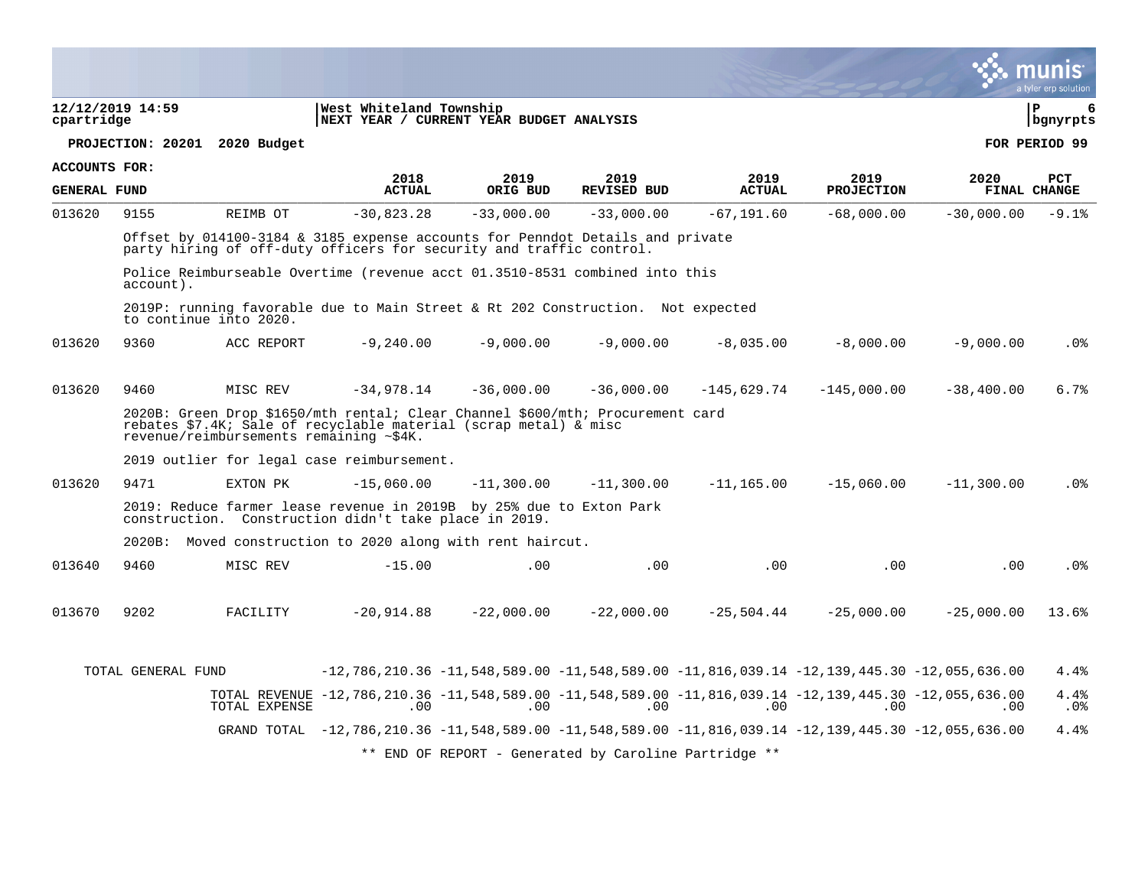|                      |                    |                                         |                                                                                                                                                        |              |                                                       |               |                   |              | a tyler erp solution   |
|----------------------|--------------------|-----------------------------------------|--------------------------------------------------------------------------------------------------------------------------------------------------------|--------------|-------------------------------------------------------|---------------|-------------------|--------------|------------------------|
| cpartridge           | 12/12/2019 14:59   |                                         | West Whiteland Township<br>NEXT YEAR / CURRENT YEAR BUDGET ANALYSIS                                                                                    |              |                                                       |               |                   |              | l P<br>6<br>  bgnyrpts |
|                      |                    | PROJECTION: 20201 2020 Budget           |                                                                                                                                                        |              |                                                       |               |                   |              | FOR PERIOD 99          |
| <b>ACCOUNTS FOR:</b> |                    |                                         | 2018                                                                                                                                                   | 2019         | 2019                                                  | 2019          | 2019              | 2020         | <b>PCT</b>             |
| <b>GENERAL FUND</b>  |                    |                                         | <b>ACTUAL</b>                                                                                                                                          | ORIG BUD     | <b>REVISED BUD</b>                                    | <b>ACTUAL</b> | <b>PROJECTION</b> |              | FINAL CHANGE           |
| 013620               | 9155               | REIMB OT                                | $-30,823.28$                                                                                                                                           | $-33,000.00$ | $-33,000.00$                                          | $-67, 191.60$ | $-68,000.00$      | $-30,000.00$ | $-9.1%$                |
|                      |                    |                                         | Offset by $014100-3184$ & 3185 expense accounts for Penndot Details and private<br>party hiring of off-duty officers for security and traffic control. |              |                                                       |               |                   |              |                        |
|                      | account).          |                                         | Police Reimburseable Overtime (revenue acct 01.3510-8531 combined into this                                                                            |              |                                                       |               |                   |              |                        |
|                      |                    | to continue into 2020.                  | 2019P: running favorable due to Main Street & Rt 202 Construction. Not expected                                                                        |              |                                                       |               |                   |              |                        |
| 013620               | 9360               | ACC REPORT                              | $-9,240.00$                                                                                                                                            | $-9,000.00$  | $-9,000.00$                                           | $-8,035.00$   | $-8,000.00$       | $-9,000.00$  | .0%                    |
| 013620               | 9460               | MISC REV                                | $-34,978.14$                                                                                                                                           | $-36,000.00$ | $-36,000.00$                                          | $-145,629.74$ | $-145,000.00$     | $-38,400.00$ | 6.7%                   |
|                      |                    | revenue/reimbursements remaining ~\$4K. | 2020B: Green Drop \$1650/mth rental; Clear Channel \$600/mth; Procurement card<br>rebates \$7.4K; Sale of recyclable material (scrap metal) & misc     |              |                                                       |               |                   |              |                        |
|                      |                    |                                         | 2019 outlier for legal case reimbursement.                                                                                                             |              |                                                       |               |                   |              |                        |
| 013620               | 9471               | EXTON PK                                | $-15,060.00$                                                                                                                                           | $-11,300.00$ | $-11,300.00$                                          | $-11, 165.00$ | $-15,060.00$      | $-11,300.00$ | .0%                    |
|                      |                    |                                         | 2019: Reduce farmer lease revenue in 2019B by 25% due to Exton Park<br>construction. Construction didn't take place in 2019.                           |              |                                                       |               |                   |              |                        |
|                      |                    |                                         | 2020B: Moved construction to 2020 along with rent haircut.                                                                                             |              |                                                       |               |                   |              |                        |
| 013640               | 9460               | MISC REV                                | $-15.00$                                                                                                                                               | .00          | .00                                                   | .00           | .00               | .00          | $.0\%$                 |
| 013670               | 9202               | FACILITY                                | $-20,914.88$                                                                                                                                           | $-22,000.00$ | $-22,000.00$                                          | $-25,504.44$  | $-25,000.00$      | $-25,000.00$ | 13.6%                  |
|                      | TOTAL GENERAL FUND |                                         | $-12, 786, 210.36$ $-11, 548, 589.00$ $-11, 548, 589.00$ $-11, 816, 039.14$ $-12, 139, 445.30$ $-12, 055, 636.00$                                      |              |                                                       |               |                   |              | 4.4%                   |
|                      |                    | TOTAL EXPENSE                           | 10.135,135,635,636,100 −11,548,589.00 −11,548,589.00 −11,816,039.14 −12,139,445.30 −12,055,636.00<br>.00                                               | .00          | .00                                                   | .00           | .00               | .00.         | 4.4%<br>$.0\%$         |
|                      |                    |                                         | 00.636,636,10 −12,186,210.36 −11,548,589.00 −11,548,589.00 −11,816,039.14 −12,139,445.30 −12,055,636                                                   |              |                                                       |               |                   |              | 4.4%                   |
|                      |                    |                                         |                                                                                                                                                        |              | ** END OF REPORT - Generated by Caroline Partridge ** |               |                   |              |                        |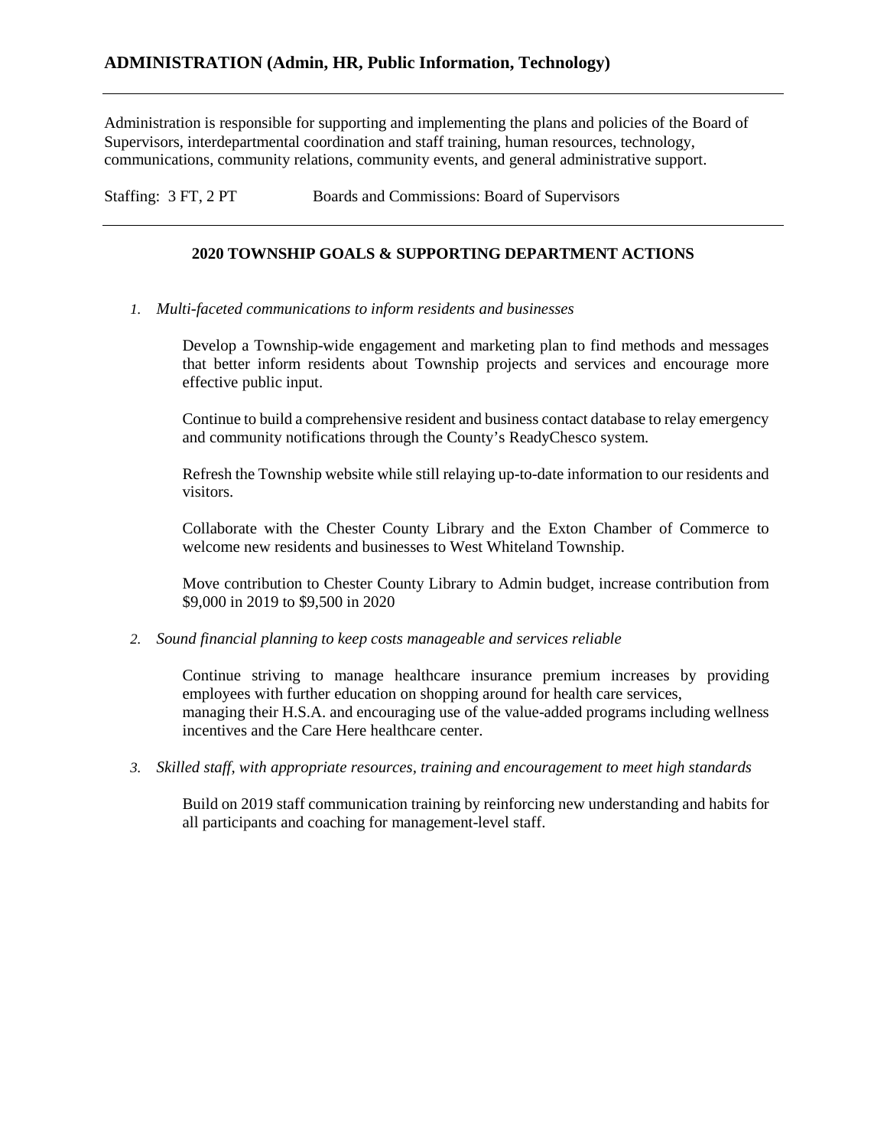Administration is responsible for supporting and implementing the plans and policies of the Board of Supervisors, interdepartmental coordination and staff training, human resources, technology, communications, community relations, community events, and general administrative support.

Staffing: 3 FT, 2 PT Boards and Commissions: Board of Supervisors

#### **2020 TOWNSHIP GOALS & SUPPORTING DEPARTMENT ACTIONS**

*1. Multi-faceted communications to inform residents and businesses*

Develop a Township-wide engagement and marketing plan to find methods and messages that better inform residents about Township projects and services and encourage more effective public input.

Continue to build a comprehensive resident and business contact database to relay emergency and community notifications through the County's ReadyChesco system.

Refresh the Township website while still relaying up-to-date information to our residents and visitors.

Collaborate with the Chester County Library and the Exton Chamber of Commerce to welcome new residents and businesses to West Whiteland Township.

Move contribution to Chester County Library to Admin budget, increase contribution from \$9,000 in 2019 to \$9,500 in 2020

*2. Sound financial planning to keep costs manageable and services reliable*

Continue striving to manage healthcare insurance premium increases by providing employees with further education on shopping around for health care services, managing their H.S.A. and encouraging use of the value-added programs including wellness incentives and the Care Here healthcare center.

*3. Skilled staff, with appropriate resources, training and encouragement to meet high standards* 

Build on 2019 staff communication training by reinforcing new understanding and habits for all participants and coaching for management-level staff.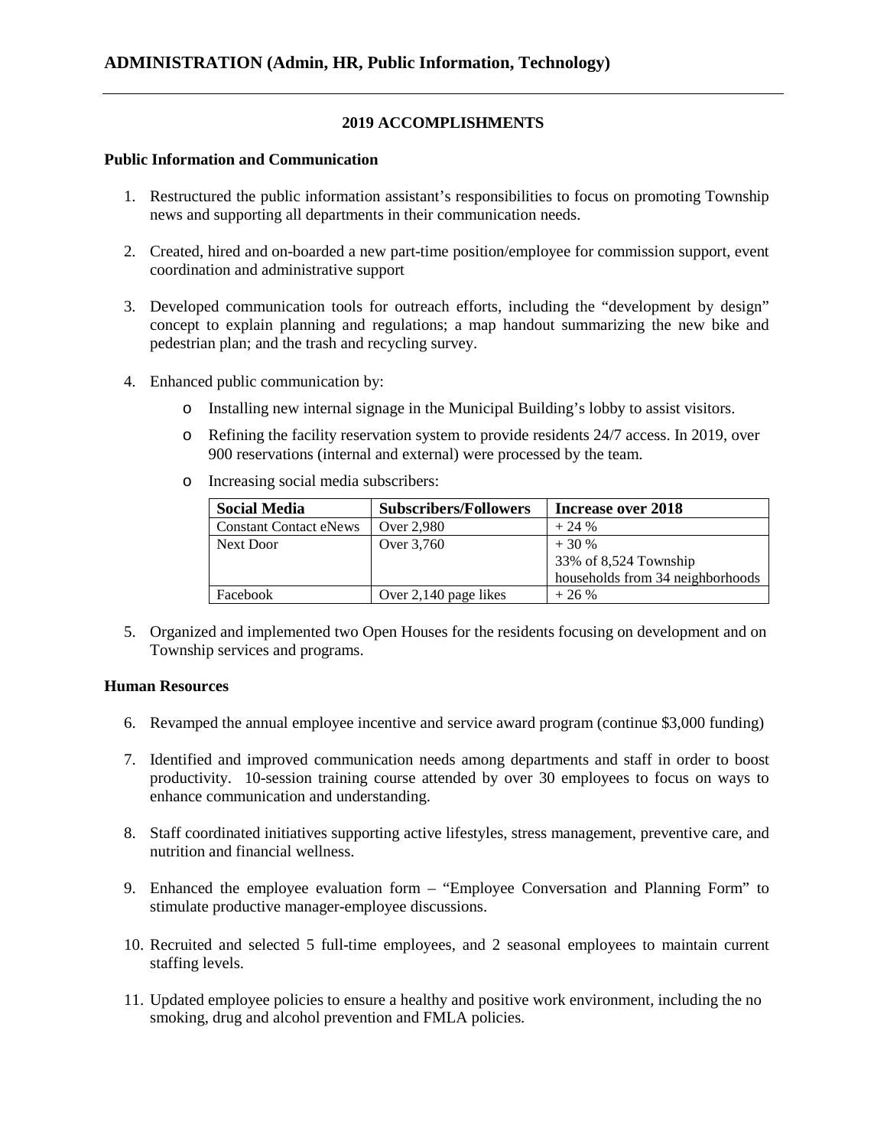### **2019 ACCOMPLISHMENTS**

#### **Public Information and Communication**

- 1. Restructured the public information assistant's responsibilities to focus on promoting Township news and supporting all departments in their communication needs.
- 2. Created, hired and on-boarded a new part-time position/employee for commission support, event coordination and administrative support
- 3. Developed communication tools for outreach efforts, including the "development by design" concept to explain planning and regulations; a map handout summarizing the new bike and pedestrian plan; and the trash and recycling survey.
- 4. Enhanced public communication by:
	- o Installing new internal signage in the Municipal Building's lobby to assist visitors.
	- o Refining the facility reservation system to provide residents 24/7 access. In 2019, over 900 reservations (internal and external) were processed by the team.
	- o Increasing social media subscribers:

| <b>Social Media</b>           | <b>Subscribers/Followers</b> | Increase over 2018               |
|-------------------------------|------------------------------|----------------------------------|
| <b>Constant Contact eNews</b> | Over 2,980                   | $+24%$                           |
| Next Door                     | Over 3,760                   | $+30%$                           |
|                               |                              | 33% of 8,524 Township            |
|                               |                              | households from 34 neighborhoods |
| Facebook                      | Over 2,140 page likes        | $+26%$                           |

5. Organized and implemented two Open Houses for the residents focusing on development and on Township services and programs.

#### **Human Resources**

- 6. Revamped the annual employee incentive and service award program (continue \$3,000 funding)
- 7. Identified and improved communication needs among departments and staff in order to boost productivity. 10-session training course attended by over 30 employees to focus on ways to enhance communication and understanding.
- 8. Staff coordinated initiatives supporting active lifestyles, stress management, preventive care, and nutrition and financial wellness.
- 9. Enhanced the employee evaluation form "Employee Conversation and Planning Form" to stimulate productive manager-employee discussions.
- 10. Recruited and selected 5 full-time employees, and 2 seasonal employees to maintain current staffing levels.
- 11. Updated employee policies to ensure a healthy and positive work environment, including the no smoking, drug and alcohol prevention and FMLA policies.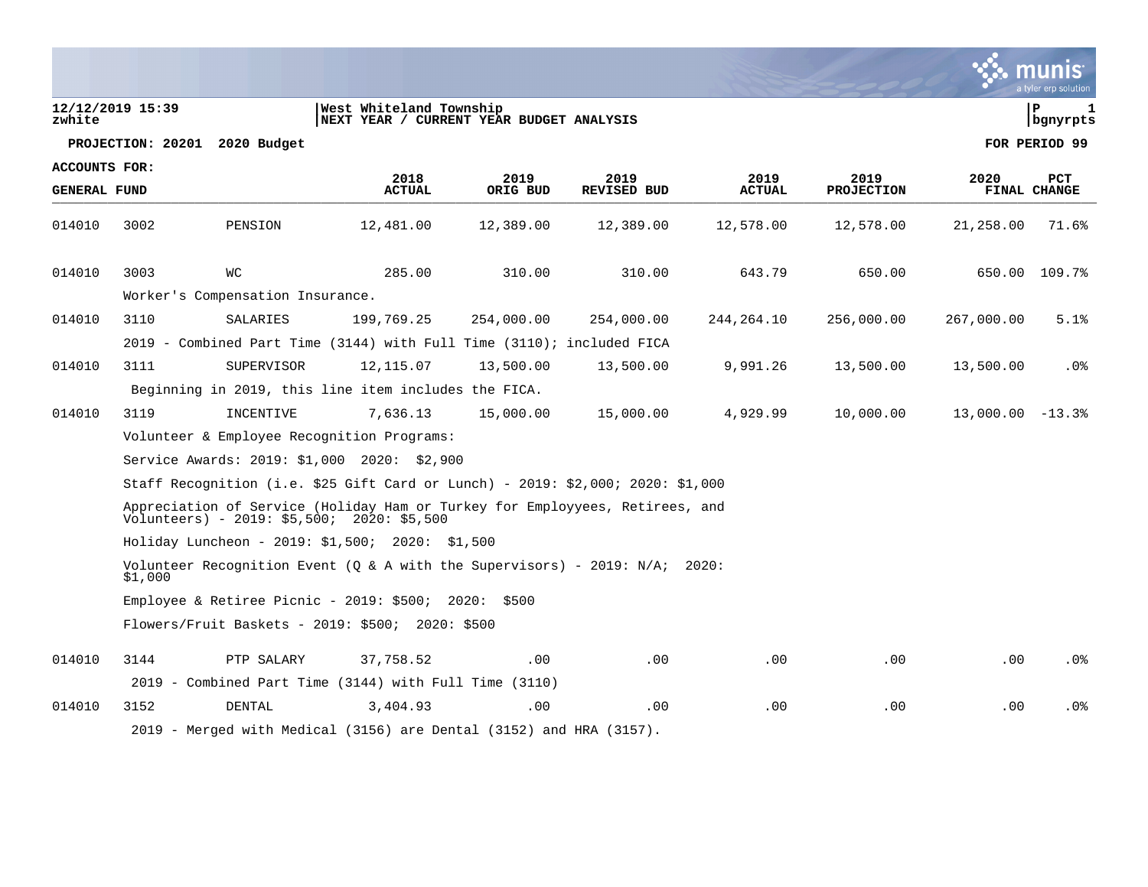| zwhite                               | 12/12/2019 15:39 |                                                                                                                                          | West Whiteland Township<br>NEXT YEAR / CURRENT YEAR BUDGET ANALYSIS |                  |                            |                       |                           |                    | l P<br>1<br>  bgnyrpts     |
|--------------------------------------|------------------|------------------------------------------------------------------------------------------------------------------------------------------|---------------------------------------------------------------------|------------------|----------------------------|-----------------------|---------------------------|--------------------|----------------------------|
|                                      |                  | PROJECTION: 20201 2020 Budget                                                                                                            |                                                                     |                  |                            |                       |                           |                    | FOR PERIOD 99              |
| ACCOUNTS FOR:<br><b>GENERAL FUND</b> |                  |                                                                                                                                          | 2018<br><b>ACTUAL</b>                                               | 2019<br>ORIG BUD | 2019<br><b>REVISED BUD</b> | 2019<br><b>ACTUAL</b> | 2019<br><b>PROJECTION</b> | 2020               | <b>PCT</b><br>FINAL CHANGE |
| 014010                               | 3002             | PENSION                                                                                                                                  | 12,481.00                                                           | 12,389.00        | 12,389.00                  | 12,578.00             | 12,578.00                 | 21,258.00          | 71.6%                      |
| 014010                               | 3003             | WС                                                                                                                                       | 285.00                                                              | 310.00           | 310.00                     | 643.79                | 650.00                    | 650.00             | 109.7%                     |
|                                      |                  | Worker's Compensation Insurance.                                                                                                         |                                                                     |                  |                            |                       |                           |                    |                            |
| 014010                               | 3110             | SALARIES                                                                                                                                 | 199,769.25                                                          | 254,000.00       | 254,000.00                 | 244,264.10            | 256,000.00                | 267,000.00         | 5.1%                       |
|                                      |                  | 2019 - Combined Part Time (3144) with Full Time (3110); included FICA                                                                    |                                                                     |                  |                            |                       |                           |                    |                            |
| 014010                               | 3111             | SUPERVISOR                                                                                                                               | 12, 115.07                                                          | 13,500.00        | 13,500.00                  | 9,991.26              | 13,500.00                 | 13,500.00          | $.0\%$                     |
|                                      |                  | Beginning in 2019, this line item includes the FICA.                                                                                     |                                                                     |                  |                            |                       |                           |                    |                            |
| 014010                               | 3119             | INCENTIVE                                                                                                                                | 7,636.13                                                            | 15,000.00        | 15,000.00                  | 4,929.99              | 10,000.00                 | $13,000.00 - 13.3$ |                            |
|                                      |                  | Volunteer & Employee Recognition Programs:                                                                                               |                                                                     |                  |                            |                       |                           |                    |                            |
|                                      |                  | Service Awards: 2019: \$1,000 2020: \$2,900                                                                                              |                                                                     |                  |                            |                       |                           |                    |                            |
|                                      |                  | Staff Recognition (i.e. \$25 Gift Card or Lunch) - 2019: \$2,000; 2020: \$1,000                                                          |                                                                     |                  |                            |                       |                           |                    |                            |
|                                      |                  | Appreciation of Service (Holiday Ham or Turkey for Employyees, Retirees, and<br>$V\overline{o}$ lunteers) - 2019: \$5,500; 2020: \$5,500 |                                                                     |                  |                            |                       |                           |                    |                            |
|                                      |                  | Holiday Luncheon - 2019: \$1,500; 2020: \$1,500                                                                                          |                                                                     |                  |                            |                       |                           |                    |                            |
|                                      | \$1,000          | Volunteer Recognition Event (Q & A with the Supervisors) - 2019: $N/A$ ; 2020:                                                           |                                                                     |                  |                            |                       |                           |                    |                            |
|                                      |                  | Employee & Retiree Picnic - 2019: \$500; 2020: \$500                                                                                     |                                                                     |                  |                            |                       |                           |                    |                            |
|                                      |                  | Flowers/Fruit Baskets - 2019: \$500;  2020: \$500                                                                                        |                                                                     |                  |                            |                       |                           |                    |                            |
| 014010                               | 3144             | PTP SALARY                                                                                                                               | 37,758.52                                                           | $.00 \,$         | .00                        | .00                   | .00                       | .00.               | . 0%                       |
|                                      |                  | 2019 - Combined Part Time (3144) with Full Time (3110)                                                                                   |                                                                     |                  |                            |                       |                           |                    |                            |
| 014010                               | 3152             | DENTAL                                                                                                                                   | 3,404.93                                                            | .00              | .00                        | .00                   | .00                       | .00                | .0 <sub>8</sub>            |
|                                      |                  | 2019 - Merged with Medical (3156) are Dental (3152) and HRA (3157).                                                                      |                                                                     |                  |                            |                       |                           |                    |                            |



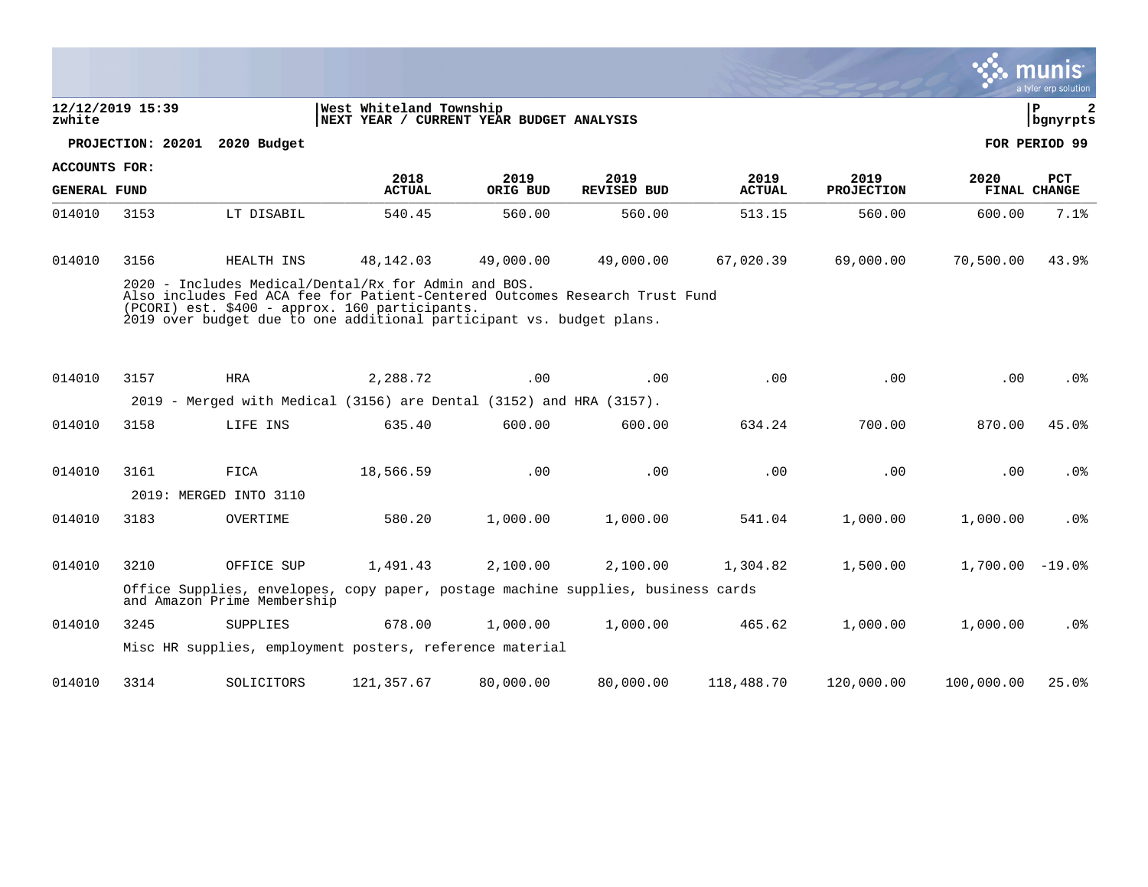|                      |                  |                                                                                                                                                                                                                                                               |                                                                     |           |                    |               |                   |                   | a tyler erp solution |
|----------------------|------------------|---------------------------------------------------------------------------------------------------------------------------------------------------------------------------------------------------------------------------------------------------------------|---------------------------------------------------------------------|-----------|--------------------|---------------|-------------------|-------------------|----------------------|
| zwhite               | 12/12/2019 15:39 |                                                                                                                                                                                                                                                               | West Whiteland Township<br>NEXT YEAR / CURRENT YEAR BUDGET ANALYSIS |           |                    |               |                   |                   | lР<br>2<br>bgnyrpts  |
|                      |                  | PROJECTION: 20201 2020 Budget                                                                                                                                                                                                                                 |                                                                     |           |                    |               |                   |                   | FOR PERIOD 99        |
| <b>ACCOUNTS FOR:</b> |                  |                                                                                                                                                                                                                                                               | 2018                                                                | 2019      | 2019               | 2019          | 2019              | 2020              | <b>PCT</b>           |
| <b>GENERAL FUND</b>  |                  |                                                                                                                                                                                                                                                               | <b>ACTUAL</b>                                                       | ORIG BUD  | <b>REVISED BUD</b> | <b>ACTUAL</b> | <b>PROJECTION</b> |                   | <b>FINAL CHANGE</b>  |
| 014010               | 3153             | LT DISABIL                                                                                                                                                                                                                                                    | 540.45                                                              | 560.00    | 560.00             | 513.15        | 560.00            | 600.00            | 7.1%                 |
| 014010               | 3156             | HEALTH INS                                                                                                                                                                                                                                                    | 48,142.03                                                           | 49,000.00 | 49,000.00          | 67,020.39     | 69,000.00         | 70,500.00         | 43.9%                |
|                      |                  | 2020 - Includes Medical/Dental/Rx for Admin and BOS.<br>Also includes Fed ACA fee for Patient-Centered Outcomes Research Trust Fund<br>(PCORI) est. \$400 - approx. 160 participants.<br>2019 over budget due to one additional participant vs. budget plans. |                                                                     |           |                    |               |                   |                   |                      |
| 014010               | 3157             | <b>HRA</b>                                                                                                                                                                                                                                                    | 2,288.72                                                            | .00       | .00                | .00           | .00               | .00               | .0 <sub>8</sub>      |
|                      |                  | 2019 - Merged with Medical (3156) are Dental (3152) and HRA (3157).                                                                                                                                                                                           |                                                                     |           |                    |               |                   |                   |                      |
| 014010               | 3158             | LIFE INS                                                                                                                                                                                                                                                      | 635.40                                                              | 600.00    | 600.00             | 634.24        | 700.00            | 870.00            | 45.0%                |
|                      |                  |                                                                                                                                                                                                                                                               |                                                                     |           |                    |               |                   |                   |                      |
| 014010               | 3161             | FICA                                                                                                                                                                                                                                                          | 18,566.59                                                           | .00       | .00                | .00           | .00               | .00               | .0%                  |
|                      |                  | 2019: MERGED INTO 3110                                                                                                                                                                                                                                        |                                                                     |           |                    |               |                   |                   |                      |
| 014010               | 3183             | OVERTIME                                                                                                                                                                                                                                                      | 580.20                                                              | 1,000.00  | 1,000.00           | 541.04        | 1,000.00          | 1,000.00          | .0%                  |
| 014010               | 3210             | OFFICE SUP                                                                                                                                                                                                                                                    | 1,491.43                                                            | 2,100.00  | 2,100.00           | 1,304.82      | 1,500.00          | $1.700.00 - 19.0$ |                      |
|                      |                  | Office Supplies, envelopes, copy paper, postage machine supplies, business cards<br>and Amazon Prime Membership                                                                                                                                               |                                                                     |           |                    |               |                   |                   |                      |
| 014010               | 3245             | <b>SUPPLIES</b>                                                                                                                                                                                                                                               | 678.00                                                              | 1,000.00  | 1,000.00           | 465.62        | 1,000.00          | 1,000.00          | $.0\%$               |
|                      |                  | Misc HR supplies, employment posters, reference material                                                                                                                                                                                                      |                                                                     |           |                    |               |                   |                   |                      |
| 014010               | 3314             | SOLICITORS                                                                                                                                                                                                                                                    | 121,357.67                                                          | 80,000.00 | 80,000.00          | 118,488.70    | 120,000.00        | 100,000.00        | 25.0%                |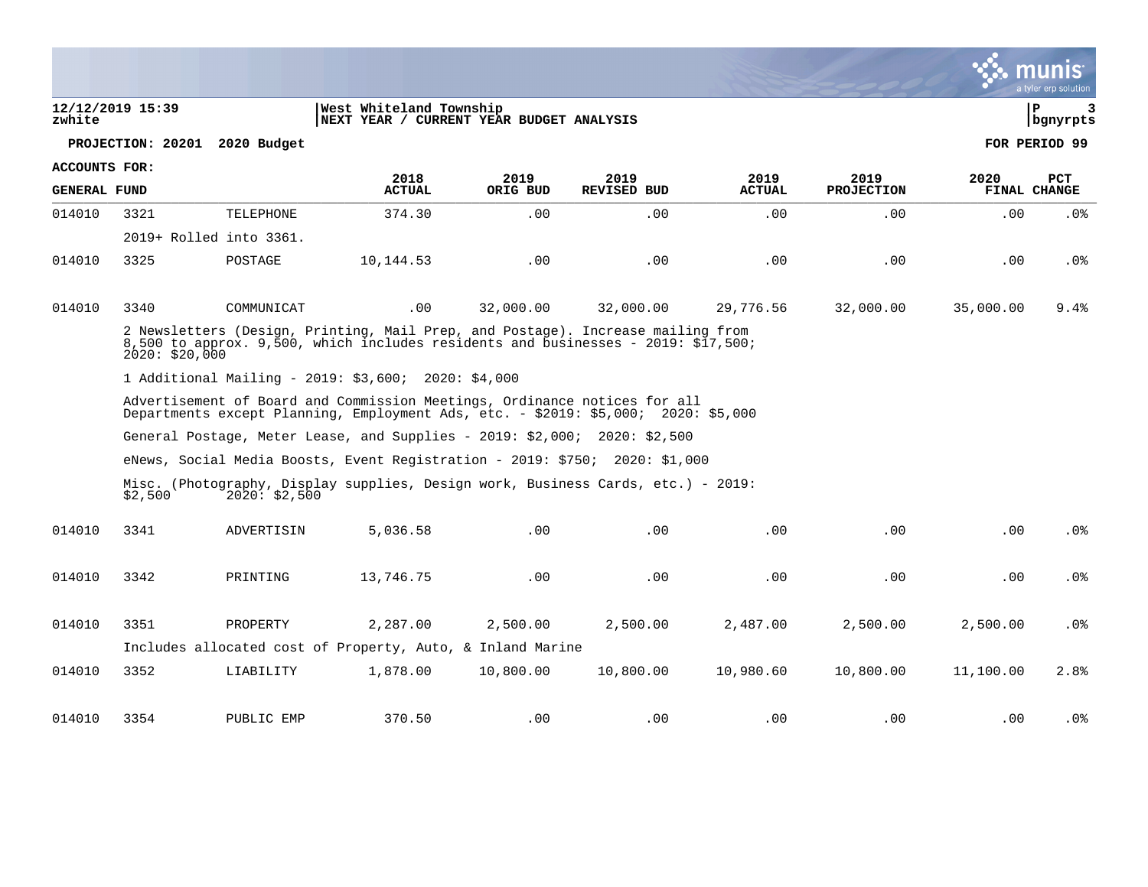$\begin{array}{c|c|c|c|c} 12/12/2019 & 15:39 \end{array}$   $\begin{array}{c|c|c} \text{P} & 3 \\ \text{Nexr} & \text{Nexr} & \text{F} \\ \text{Nexr} & \text{Yexr} & \text{V} & \text{CURER} \\ \text{Nexr} & \text{Yexr} & \text{Vexr} & \text{SUDGET} & \text{NALYSIS} \\ \end{array}$ **zwhite |NEXT YEAR / CURRENT YEAR BUDGET ANALYSIS |bgnyrpts PROJECTION: 20201 2020 Budget FOR PERIOD 99 ACCOUNTS FOR: 2018 2019 2019 2019 2019 2020 PCT GENERAL FUND ACTUAL ORIG BUD REVISED BUD ACTUAL PROJECTION FINAL CHANGE**  ARIENALI FOND PULLUAL ONIG BOD NEVISED BOD NEVISED ALIOAL FRODECIION FINAL CIRAGE 014010 3321 TELEPHONE 374.30 .00 .00 .00 .00 .00 .0% 2019+ Rolled into 3361. 014010 3325 POSTAGE 10,144.53 .00 .00 .00 .00 .00 .0% 014010 3340 COMMUNICAT .00 32,000.00 32,000.00 29,776.56 32,000.00 35,000.00 9.4% 2 Newsletters (Design, Printing, Mail Prep, and Postage). Increase mailing from 8,500 to approx. 9,500, which includes residents and businesses - 2019: \$17,500;  $2020: $20,000$ 1 Additional Mailing - 2019: \$3,600; 2020: \$4,000 Advertisement of Board and Commission Meetings, Ordinance notices for all Departments except Planning, Employment Ads, etc. - \$2019: \$5,000; 2020: \$5,000 General Postage, Meter Lease, and Supplies - 2019: \$2,000; 2020: \$2,500 eNews, Social Media Boosts, Event Registration - 2019: \$750; 2020: \$1,000 Misc. (Photography, Display supplies, Design work, Business Cards, etc.) - 2019:<br>\$2,500 2020: \$2,500  $120^{\frac{1}{2}}$  \$2,500 014010 3341 ADVERTISIN 5,036.58 .00 .00 .00 .00 .00 .00 .00 .00 .00 014010 3342 PRINTING 13,746.75 .00 .00 .00 .00 .00 .0% 014010 3351 PROPERTY 2,287.00 2,500.00 2,500.00 2,487.00 2,500.00 2,500.00 .0% Includes allocated cost of Property, Auto, & Inland Marine 014010 3352 LIABILITY 1,878.00 10,800.00 10,800.00 10,980.60 10,800.00 11,100.00 2.8% 014010 3354 PUBLIC EMP 370.50 .00 .00 .00 .00 .00 .0%

munis a tyler erp solutior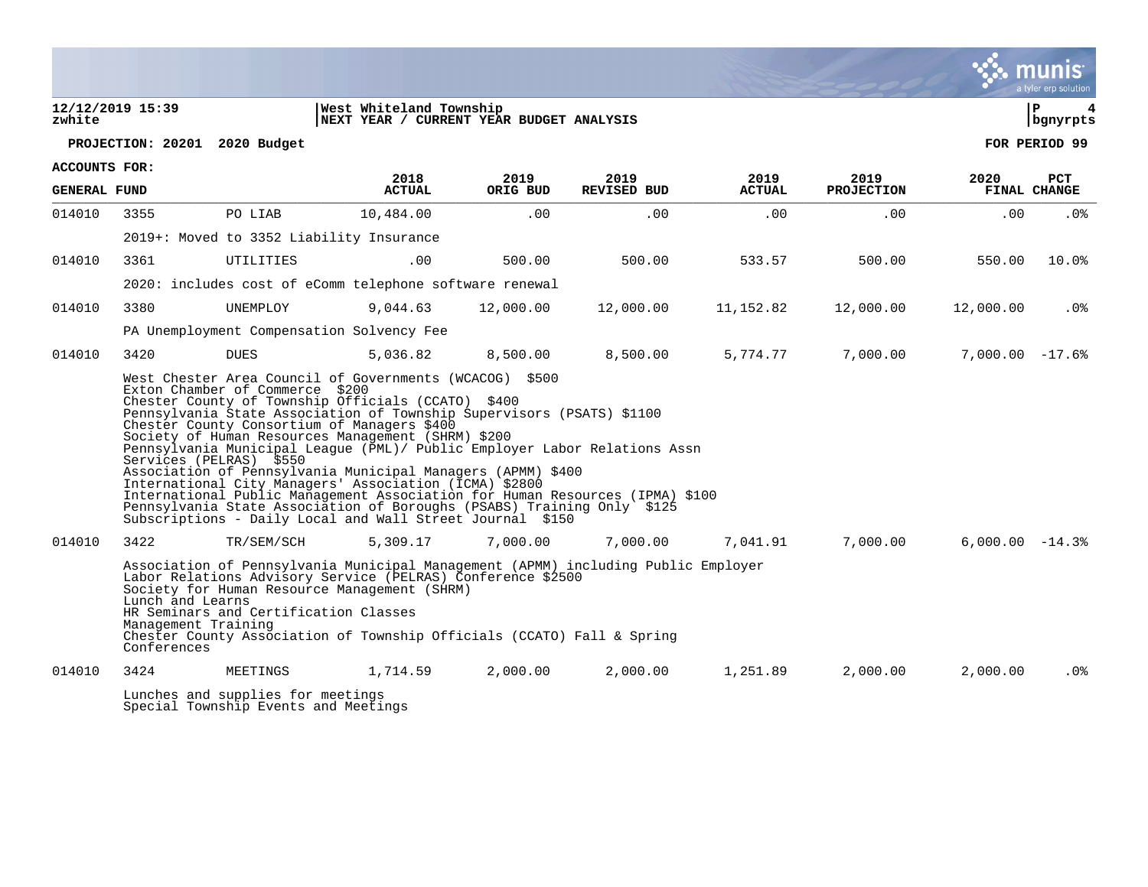#### **12/12/2019 15:39 |West Whiteland Township |P 4 zwhite |NEXT YEAR / CURRENT YEAR BUDGET ANALYSIS |bgnyrpts**



**PROJECTION: 20201 2020 Budget FOR PERIOD 99**

| <b>ACCOUNTS FOR:</b> |                                                                                                                                                                                                                                                                                                                                                                                                    |                                                                           |                                                                                                                                                                                                                                                                                                                                                                                                                                                                                                                                                                                                                                                               |                  |                     |                       |                           |                   |                            |  |  |
|----------------------|----------------------------------------------------------------------------------------------------------------------------------------------------------------------------------------------------------------------------------------------------------------------------------------------------------------------------------------------------------------------------------------------------|---------------------------------------------------------------------------|---------------------------------------------------------------------------------------------------------------------------------------------------------------------------------------------------------------------------------------------------------------------------------------------------------------------------------------------------------------------------------------------------------------------------------------------------------------------------------------------------------------------------------------------------------------------------------------------------------------------------------------------------------------|------------------|---------------------|-----------------------|---------------------------|-------------------|----------------------------|--|--|
| <b>GENERAL FUND</b>  |                                                                                                                                                                                                                                                                                                                                                                                                    |                                                                           | 2018<br><b>ACTUAL</b>                                                                                                                                                                                                                                                                                                                                                                                                                                                                                                                                                                                                                                         | 2019<br>ORIG BUD | 2019<br>REVISED BUD | 2019<br><b>ACTUAL</b> | 2019<br><b>PROJECTION</b> | 2020              | <b>PCT</b><br>FINAL CHANGE |  |  |
| 014010               | 3355                                                                                                                                                                                                                                                                                                                                                                                               | PO LIAB                                                                   | 10,484.00                                                                                                                                                                                                                                                                                                                                                                                                                                                                                                                                                                                                                                                     | .00              | .00                 | .00                   | .00                       | .00               | $.0\%$                     |  |  |
|                      |                                                                                                                                                                                                                                                                                                                                                                                                    | 2019+: Moved to 3352 Liability Insurance                                  |                                                                                                                                                                                                                                                                                                                                                                                                                                                                                                                                                                                                                                                               |                  |                     |                       |                           |                   |                            |  |  |
| 014010               | 3361                                                                                                                                                                                                                                                                                                                                                                                               | UTILITIES                                                                 | .00                                                                                                                                                                                                                                                                                                                                                                                                                                                                                                                                                                                                                                                           | 500.00           | 500.00              | 533.57                | 500.00                    | 550.00            | 10.0%                      |  |  |
|                      |                                                                                                                                                                                                                                                                                                                                                                                                    |                                                                           | 2020: includes cost of eComm telephone software renewal                                                                                                                                                                                                                                                                                                                                                                                                                                                                                                                                                                                                       |                  |                     |                       |                           |                   |                            |  |  |
| 014010               | 3380                                                                                                                                                                                                                                                                                                                                                                                               | UNEMPLOY                                                                  | 9,044.63                                                                                                                                                                                                                                                                                                                                                                                                                                                                                                                                                                                                                                                      | 12,000.00        | 12,000.00           | 11,152.82             | 12,000.00                 | 12,000.00         | $.0\%$                     |  |  |
|                      |                                                                                                                                                                                                                                                                                                                                                                                                    | PA Unemployment Compensation Solvency Fee                                 |                                                                                                                                                                                                                                                                                                                                                                                                                                                                                                                                                                                                                                                               |                  |                     |                       |                           |                   |                            |  |  |
| 014010               | 3420                                                                                                                                                                                                                                                                                                                                                                                               | <b>DUES</b>                                                               | 5,036.82                                                                                                                                                                                                                                                                                                                                                                                                                                                                                                                                                                                                                                                      | 8,500.00         | 8,500.00            | 5,774.77              | 7,000.00                  | $7,000.00 - 17.6$ |                            |  |  |
|                      | Services (PELRAS) \$550                                                                                                                                                                                                                                                                                                                                                                            | Exton Chamber of Commerce \$200                                           | Chester County of Township Officials (CCATO) \$400<br>Pennsylvania State Association of Township Supervisors (PSATS) \$1100<br>Chester County Consortium of Managers \$400<br>Society of Human Resources Management (SHRM) \$200<br>Pennsylvania Municipal League (PML)/ Public Employer Labor Relations Assn<br>Association of Pennsylvania Municipal Managers (APMM) \$400<br>International City Managers' Association (ICMA) \$2800<br>International Public Management Association for Human Resources (IPMA) \$100<br>Pennsylvania State Association of Boroughs (PSABS) Training Only \$125<br>Subscriptions - Daily Local and Wall Street Journal \$150 |                  |                     |                       |                           |                   |                            |  |  |
| 014010               | 3422                                                                                                                                                                                                                                                                                                                                                                                               | TR/SEM/SCH                                                                | 5,309.17                                                                                                                                                                                                                                                                                                                                                                                                                                                                                                                                                                                                                                                      | 7,000.00         | 7,000.00            | 7,041.91              | 7,000.00                  |                   |                            |  |  |
|                      | $6.000.00 - 14.3$<br>Association of Pennsylvania Municipal Management (APMM) including Public Employer<br>Labor Relations Advisory Service (PELRAS) Conference \$2500<br>Society for Human Resource Management (SHRM)<br>Lunch and Learns<br>HR Seminars and Certification Classes<br>Management Training<br>Chester County Association of Township Officials (CCATO) Fall & Spring<br>Conferences |                                                                           |                                                                                                                                                                                                                                                                                                                                                                                                                                                                                                                                                                                                                                                               |                  |                     |                       |                           |                   |                            |  |  |
| 014010               | 3424                                                                                                                                                                                                                                                                                                                                                                                               | MEETINGS                                                                  | 1,714.59                                                                                                                                                                                                                                                                                                                                                                                                                                                                                                                                                                                                                                                      | 2,000.00         | 2,000.00            | 1,251.89              | 2,000.00                  | 2,000.00          | .0%                        |  |  |
|                      |                                                                                                                                                                                                                                                                                                                                                                                                    | Lunches and supplies for meetings<br>Special Township Events and Meetings |                                                                                                                                                                                                                                                                                                                                                                                                                                                                                                                                                                                                                                                               |                  |                     |                       |                           |                   |                            |  |  |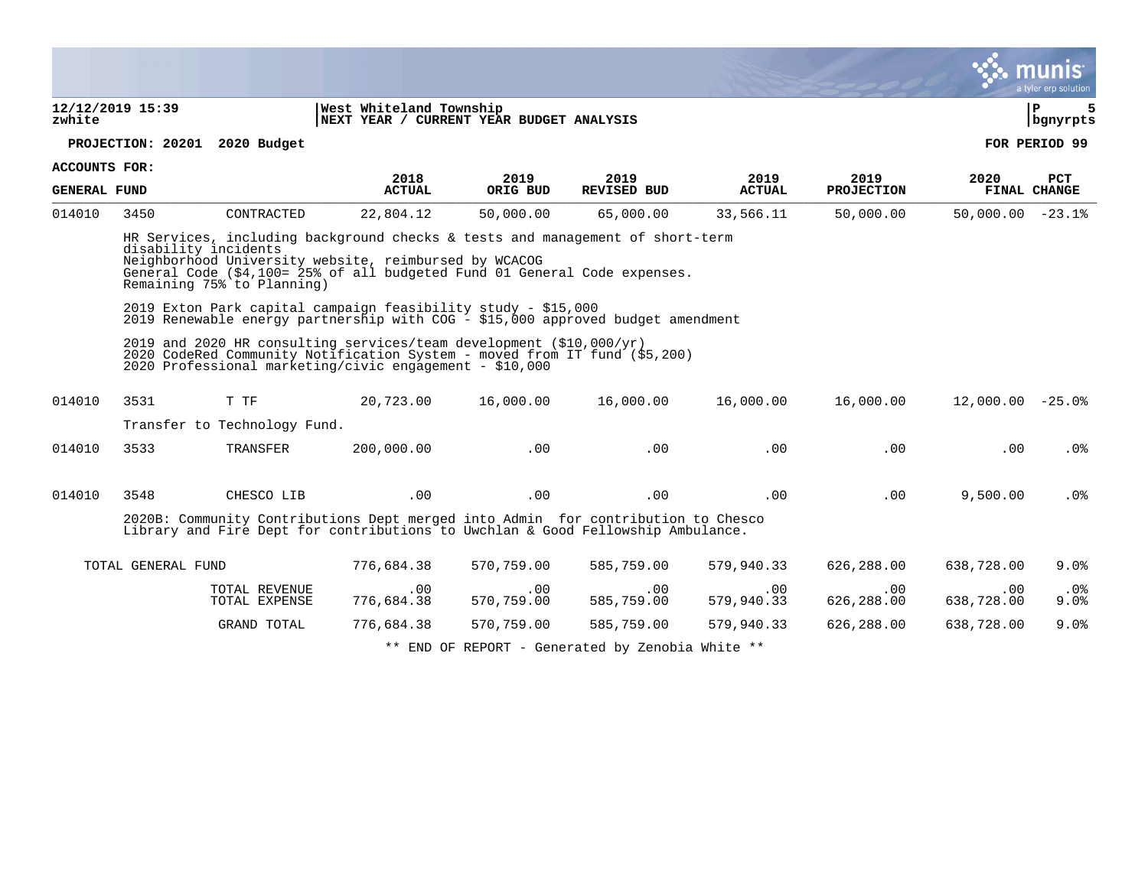|                     |                                                                                                                                                  |                                                    |                                                                                                                                                                                                                     |            |                                                                     |                   |                       |                                  | a tyler erp solution  |
|---------------------|--------------------------------------------------------------------------------------------------------------------------------------------------|----------------------------------------------------|---------------------------------------------------------------------------------------------------------------------------------------------------------------------------------------------------------------------|------------|---------------------------------------------------------------------|-------------------|-----------------------|----------------------------------|-----------------------|
| zwhite              | 12/12/2019 15:39                                                                                                                                 |                                                    | West Whiteland Township<br>NEXT YEAR / CURRENT YEAR BUDGET ANALYSIS                                                                                                                                                 |            |                                                                     |                   |                       |                                  | ΙP<br>5<br>  bgnyrpts |
|                     |                                                                                                                                                  | PROJECTION: 20201 2020 Budget                      |                                                                                                                                                                                                                     |            |                                                                     |                   |                       |                                  | FOR PERIOD 99         |
| ACCOUNTS FOR:       |                                                                                                                                                  |                                                    | 2018                                                                                                                                                                                                                | 2019       | 2019                                                                | 2019              | 2019                  | 2020                             | <b>PCT</b>            |
| <b>GENERAL FUND</b> |                                                                                                                                                  |                                                    | <b>ACTUAL</b>                                                                                                                                                                                                       | ORIG BUD   | REVISED BUD                                                         | <b>ACTUAL</b>     | <b>PROJECTION</b>     |                                  | FINAL CHANGE          |
| 014010              | 3450                                                                                                                                             | CONTRACTED                                         | 22,804.12                                                                                                                                                                                                           |            | 50,000.00 65,000.00                                                 | 33,566.11         | 50,000.00             | $50,000.00 - 23.1$               |                       |
|                     |                                                                                                                                                  | disability incidents<br>Remaining 75% to Planning) | HR Services, including background checks & tests and management of short-term<br>Neighborhood University website, reimbursed by WCACOG<br>General Code (\$4,100= 25% of all budgeted Fund 01 General Code expenses. |            |                                                                     |                   |                       |                                  |                       |
|                     | 2019 Exton Park capital campaign feasibility study - \$15,000<br>2019 Renewable energy partnership with COG - \$15,000 approved budget amendment |                                                    |                                                                                                                                                                                                                     |            |                                                                     |                   |                       |                                  |                       |
|                     |                                                                                                                                                  |                                                    | 2019 and 2020 HR consulting services/team development (\$10,000/yr)<br>2020 CodeRed Community Notification System - moved from IT fund (\$5,200)<br>2020 Professional marketing/civic engagement - \$10,000         |            |                                                                     |                   |                       |                                  |                       |
| 014010              | 3531                                                                                                                                             |                                                    | T TF $20,723.00$ $16,000.00$ $16,000.00$ $16,000.00$                                                                                                                                                                |            |                                                                     |                   |                       | 16,000.00    12,000.00    -25.0% |                       |
|                     |                                                                                                                                                  | Transfer to Technology Fund.                       |                                                                                                                                                                                                                     |            |                                                                     |                   |                       |                                  |                       |
| 014010              | 3533                                                                                                                                             |                                                    | TRANSFER 200,000.00                                                                                                                                                                                                 |            | $\sim 00$ . $00$                                                    | .00               | .00                   | .00                              | .0%                   |
| 014010              | 3548                                                                                                                                             | CHESCO LIB                                         | $\sim$ 00                                                                                                                                                                                                           | .00        | $\sim$ 00                                                           | .00               | .00                   | 9,500.00                         | .0%                   |
|                     |                                                                                                                                                  |                                                    | 2020B: Community Contributions Dept merged into Admin for contribution to Chesco<br>Library and Fire Dept for contributions to Uwchlan & Good Fellowship Ambulance.                                                 |            |                                                                     |                   |                       |                                  |                       |
|                     | TOTAL GENERAL FUND                                                                                                                               |                                                    | 776,684.38                                                                                                                                                                                                          | 570,759.00 | 585,759.00                                                          | 579,940.33        | 626,288.00            | 638,728.00                       | 9.0%                  |
|                     |                                                                                                                                                  | TOTAL REVENUE<br>TOTAL EXPENSE                     | $\begin{array}{c} \text{{\small .00}} \ \text{{\small 776,684.38}} \end{array}$                                                                                                                                     | $.00 \,$   | $.00\,$<br>$570, 759.00$ $585, 759.00$                              | .00<br>579,940.33 | $.00\,$<br>626,288.00 | $.00 \,$<br>638,728.00           | $.0\%$<br>9.0%        |
|                     |                                                                                                                                                  | GRAND TOTAL                                        | 776,684.38                                                                                                                                                                                                          | 570,759.00 | 585,759.00                                                          | 579,940.33        | 626,288.00            | 638,728.00                       | 9.0%                  |
|                     |                                                                                                                                                  |                                                    |                                                                                                                                                                                                                     |            | $+ +$ TNP OF PEROPE $A = 1$ , $B = 1$ , $B = 1$ , $B = 1$ , $B = 1$ |                   |                       |                                  |                       |

 $END$  OF REPORT - Generated by Zenobia White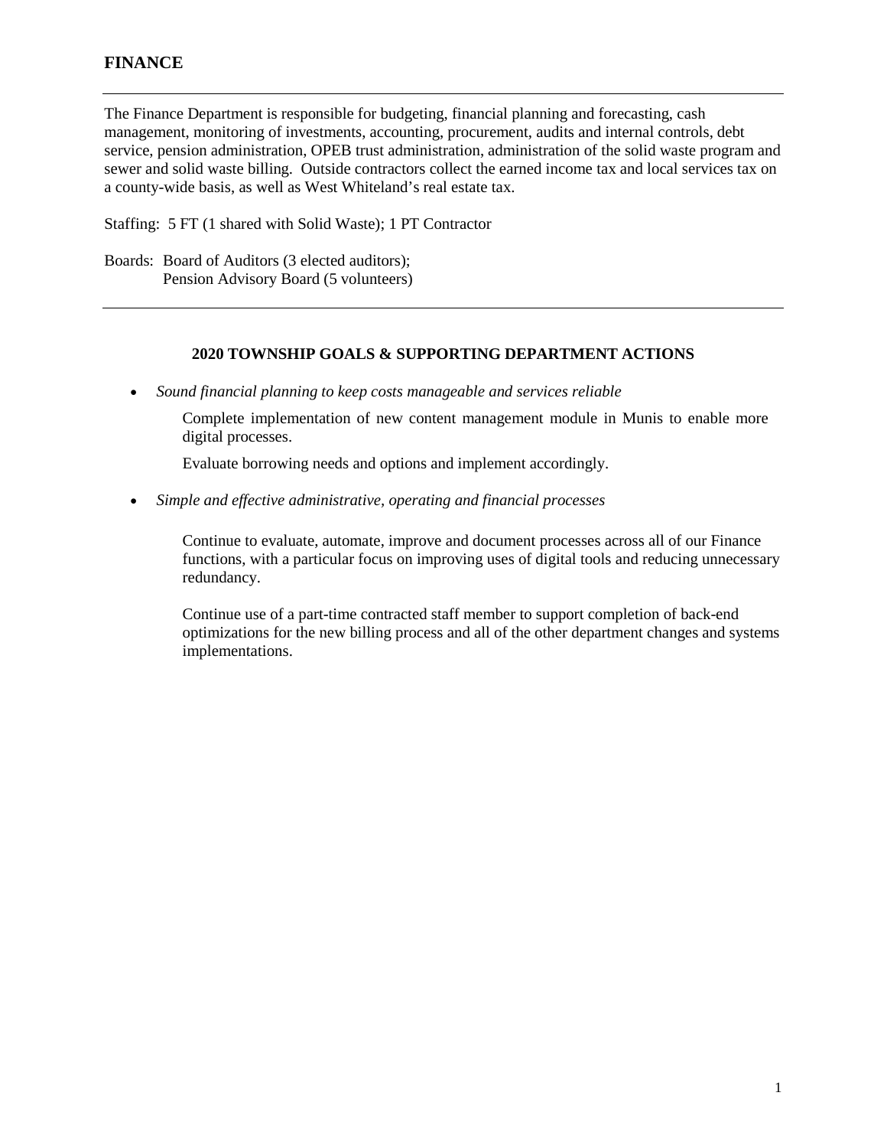The Finance Department is responsible for budgeting, financial planning and forecasting, cash management, monitoring of investments, accounting, procurement, audits and internal controls, debt service, pension administration, OPEB trust administration, administration of the solid waste program and sewer and solid waste billing. Outside contractors collect the earned income tax and local services tax on a county-wide basis, as well as West Whiteland's real estate tax.

Staffing: 5 FT (1 shared with Solid Waste); 1 PT Contractor

Boards: Board of Auditors (3 elected auditors); Pension Advisory Board (5 volunteers)

#### **2020 TOWNSHIP GOALS & SUPPORTING DEPARTMENT ACTIONS**

• *Sound financial planning to keep costs manageable and services reliable*

Complete implementation of new content management module in Munis to enable more digital processes.

Evaluate borrowing needs and options and implement accordingly.

• *Simple and effective administrative, operating and financial processes*

Continue to evaluate, automate, improve and document processes across all of our Finance functions, with a particular focus on improving uses of digital tools and reducing unnecessary redundancy.

Continue use of a part-time contracted staff member to support completion of back-end optimizations for the new billing process and all of the other department changes and systems implementations.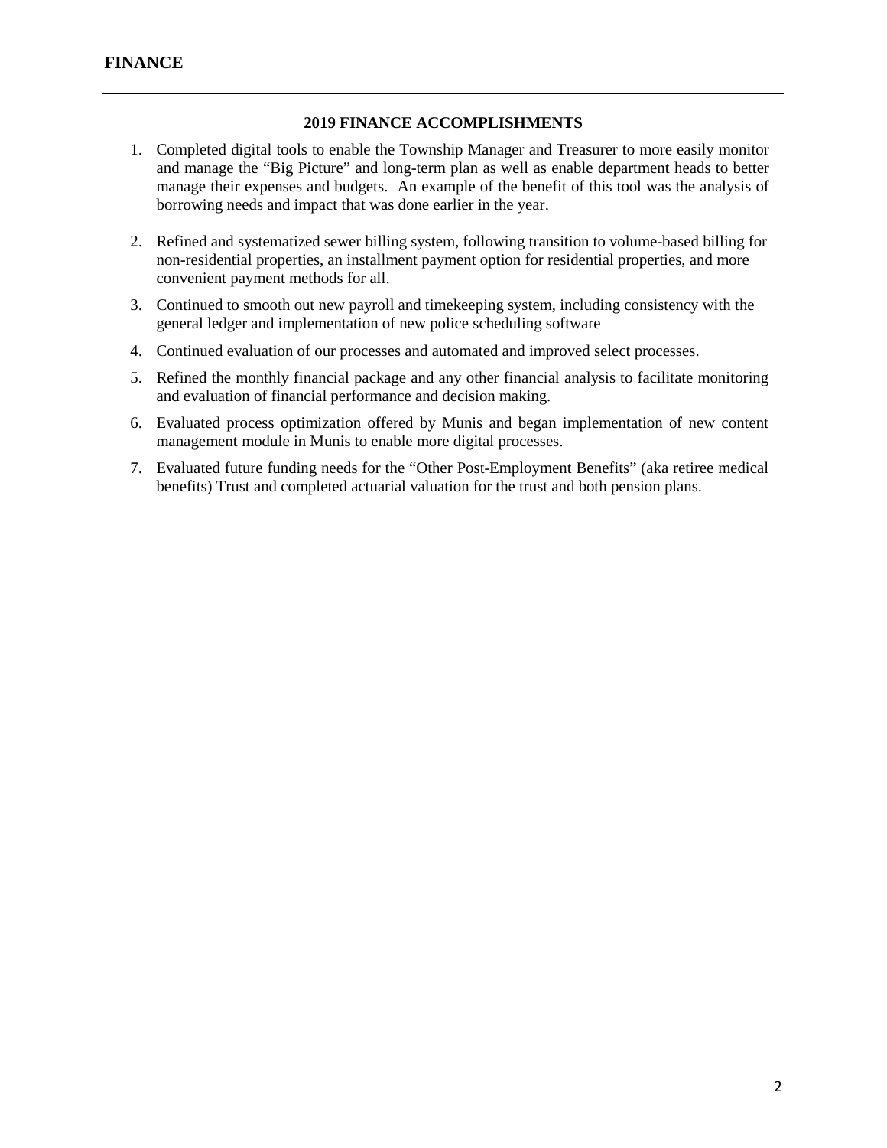### **2019 FINANCE ACCOMPLISHMENTS**

- 1. Completed digital tools to enable the Township Manager and Treasurer to more easily monitor and manage the "Big Picture" and long-term plan as well as enable department heads to better manage their expenses and budgets. An example of the benefit of this tool was the analysis of borrowing needs and impact that was done earlier in the year.
- 2. Refined and systematized sewer billing system, following transition to volume-based billing for non-residential properties, an installment payment option for residential properties, and more convenient payment methods for all.
- 3. Continued to smooth out new payroll and timekeeping system, including consistency with the general ledger and implementation of new police scheduling software
- 4. Continued evaluation of our processes and automated and improved select processes.
- 5. Refined the monthly financial package and any other financial analysis to facilitate monitoring and evaluation of financial performance and decision making.
- 6. Evaluated process optimization offered by Munis and began implementation of new content management module in Munis to enable more digital processes.
- 7. Evaluated future funding needs for the "Other Post-Employment Benefits" (aka retiree medical benefits) Trust and completed actuarial valuation for the trust and both pension plans.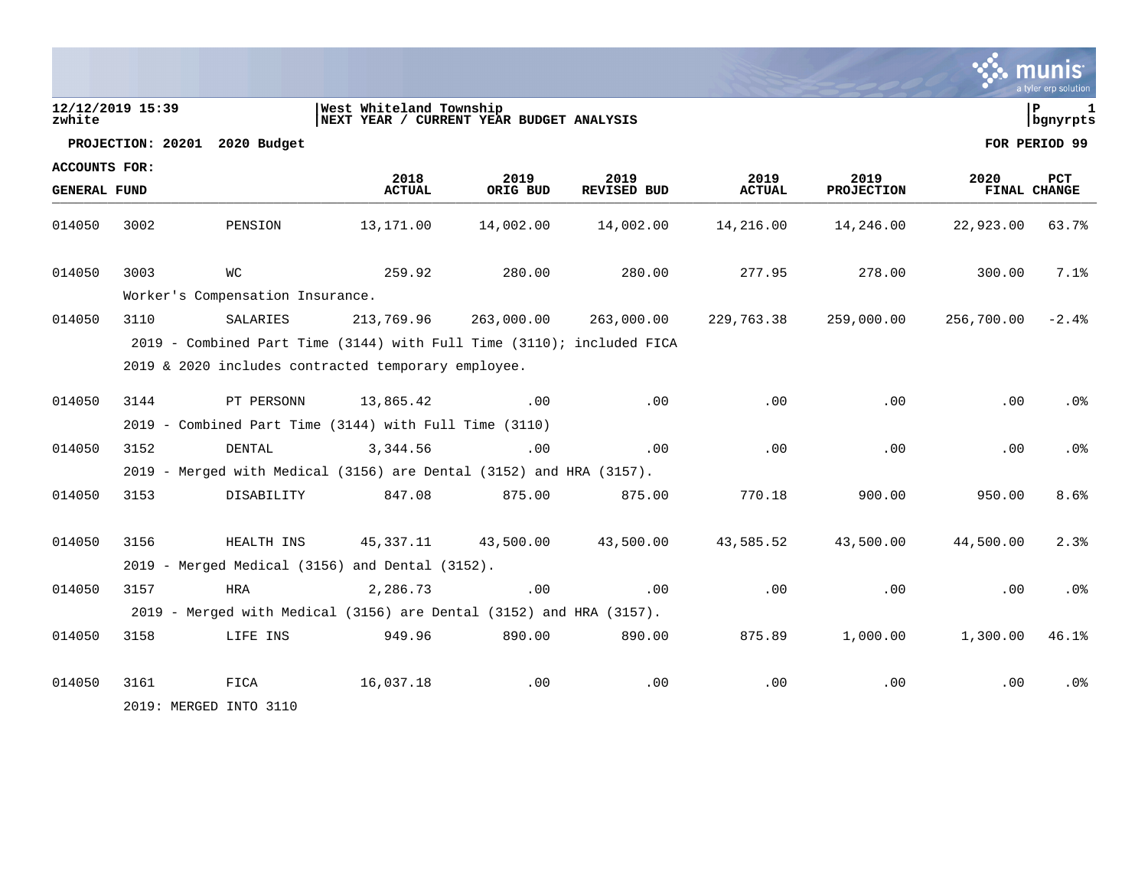|                      |                  |                                                                       |                                                                     |                  |                     |                       |                           |                      | mu<br>a tyler erp solution |
|----------------------|------------------|-----------------------------------------------------------------------|---------------------------------------------------------------------|------------------|---------------------|-----------------------|---------------------------|----------------------|----------------------------|
| zwhite               | 12/12/2019 15:39 |                                                                       | West Whiteland Township<br>NEXT YEAR / CURRENT YEAR BUDGET ANALYSIS |                  |                     |                       |                           |                      | lР<br>  bgnyrpts           |
|                      |                  | PROJECTION: 20201 2020 Budget                                         |                                                                     |                  |                     |                       |                           |                      | FOR PERIOD 99              |
| <b>ACCOUNTS FOR:</b> |                  |                                                                       |                                                                     |                  |                     |                       |                           |                      |                            |
| <b>GENERAL FUND</b>  |                  |                                                                       | 2018<br><b>ACTUAL</b>                                               | 2019<br>ORIG BUD | 2019<br>REVISED BUD | 2019<br><b>ACTUAL</b> | 2019<br><b>PROJECTION</b> | 2020<br>FINAL CHANGE | <b>PCT</b>                 |
| 014050               | 3002             | PENSION                                                               | 13,171.00                                                           | 14,002.00        | 14,002.00           | 14,216.00             | 14,246.00                 | 22,923.00            | 63.7%                      |
| 014050               | 3003             | <b>WC</b>                                                             | 259.92                                                              | 280.00           | 280.00              | 277.95                | 278.00                    | 300.00               | 7.1%                       |
|                      |                  | Worker's Compensation Insurance.                                      |                                                                     |                  |                     |                       |                           |                      |                            |
| 014050               | 3110             | SALARIES                                                              | 213,769.96                                                          | 263,000.00       | 263,000.00          | 229,763.38            | 259,000.00                | 256,700.00           | $-2.4%$                    |
|                      |                  | 2019 - Combined Part Time (3144) with Full Time (3110); included FICA |                                                                     |                  |                     |                       |                           |                      |                            |
|                      |                  | 2019 & 2020 includes contracted temporary employee.                   |                                                                     |                  |                     |                       |                           |                      |                            |
| 014050               | 3144             | PT PERSONN                                                            | 13,865.42                                                           | .00              | .00                 | .00                   | .00                       | .00                  | $.0\%$                     |
|                      |                  | 2019 - Combined Part Time (3144) with Full Time (3110)                |                                                                     |                  |                     |                       |                           |                      |                            |
| 014050               | 3152             | DENTAL                                                                | 3,344.56                                                            | $.00 \,$         | .00                 | .00                   | .00                       | .00                  | .0 <sub>8</sub>            |
|                      |                  | 2019 - Merged with Medical (3156) are Dental (3152) and HRA (3157).   |                                                                     |                  |                     |                       |                           |                      |                            |
| 014050               | 3153             | DISABILITY                                                            | 847.08                                                              | 875.00           | 875.00              | 770.18                | 900.00                    | 950.00               | 8.6%                       |
|                      |                  |                                                                       |                                                                     |                  |                     |                       |                           |                      |                            |
| 014050               | 3156             | HEALTH INS                                                            | 45,337.11                                                           | 43,500.00        | 43,500.00           | 43,585.52             | 43,500.00                 | 44,500.00            | 2.3%                       |
|                      |                  | $2019$ - Merged Medical (3156) and Dental (3152).                     |                                                                     |                  |                     |                       |                           |                      |                            |
| 014050               | 3157             | <b>HRA</b>                                                            | 2,286.73                                                            | .00              | .00                 | .00                   | .00                       | .00                  | .0%                        |
|                      |                  | 2019 - Merged with Medical (3156) are Dental (3152) and HRA (3157).   |                                                                     |                  |                     |                       |                           |                      |                            |
| 014050               | 3158             | LIFE INS                                                              | 949.96                                                              | 890.00           | 890.00              | 875.89                | 1,000.00                  | 1,300.00             | 46.1%                      |
| 014050               | 3161             | FICA                                                                  | 16,037.18                                                           | $.00 \,$         | .00                 | .00                   | .00                       | $.00 \,$             | . 0 %                      |
|                      |                  | 2019: MERGED INTO 3110                                                |                                                                     |                  |                     |                       |                           |                      |                            |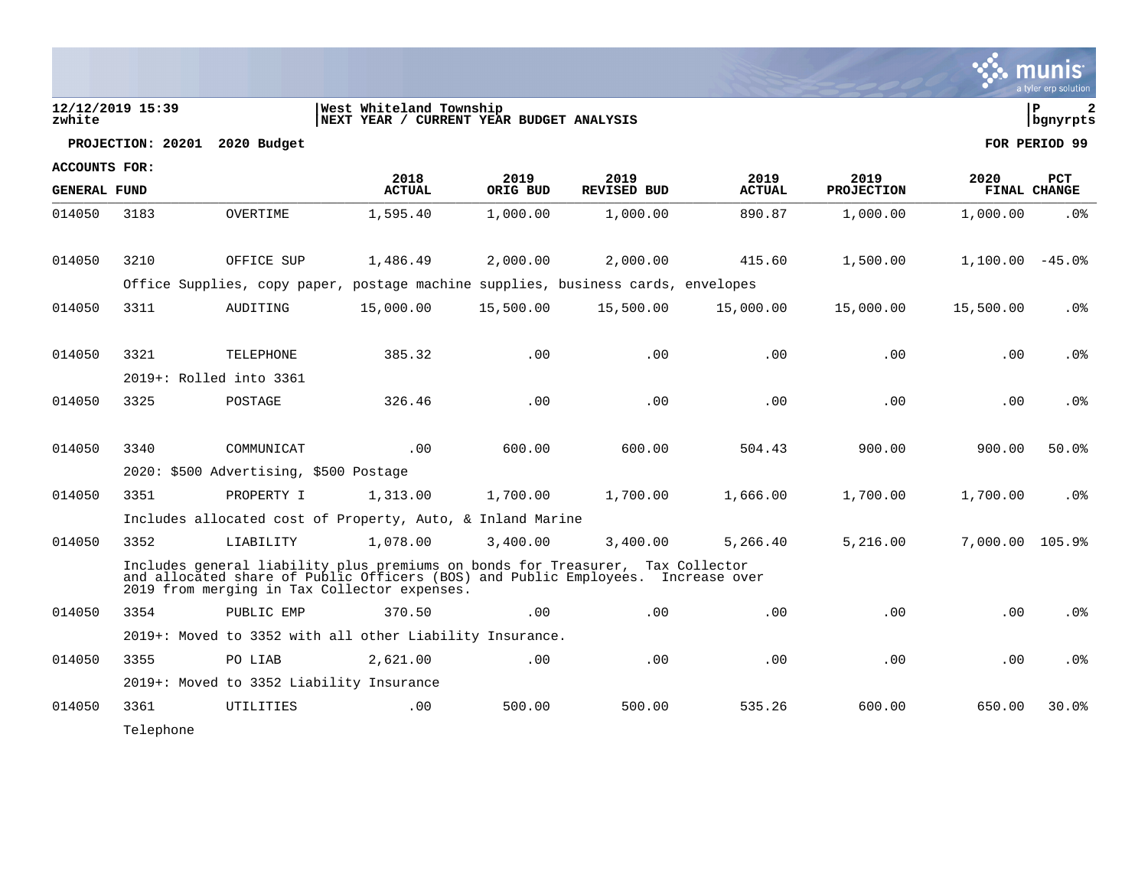|                      |                   |                                          |                                                                                                                                                                                                                    |           |                    |               |                   |                   | a tyler erp solution |
|----------------------|-------------------|------------------------------------------|--------------------------------------------------------------------------------------------------------------------------------------------------------------------------------------------------------------------|-----------|--------------------|---------------|-------------------|-------------------|----------------------|
| zwhite               | 12/12/2019 15:39  |                                          | West Whiteland Township<br>NEXT YEAR / CURRENT YEAR BUDGET ANALYSIS                                                                                                                                                |           |                    |               |                   |                   | l P<br>  bgnyrpts    |
|                      | PROJECTION: 20201 | 2020 Budget                              |                                                                                                                                                                                                                    |           |                    |               |                   |                   | FOR PERIOD 99        |
| <b>ACCOUNTS FOR:</b> |                   |                                          | 2018                                                                                                                                                                                                               | 2019      | 2019               | 2019          | 2019              | 2020              | <b>PCT</b>           |
| <b>GENERAL FUND</b>  |                   |                                          | <b>ACTUAL</b>                                                                                                                                                                                                      | ORIG BUD  | <b>REVISED BUD</b> | <b>ACTUAL</b> | <b>PROJECTION</b> |                   | FINAL CHANGE         |
| 014050               | 3183              | OVERTIME                                 | 1,595.40                                                                                                                                                                                                           | 1,000.00  | 1,000.00           | 890.87        | 1,000.00          | 1,000.00          | .0 <sub>8</sub>      |
| 014050               | 3210              | OFFICE SUP                               | 1,486.49                                                                                                                                                                                                           | 2,000.00  | 2,000.00           | 415.60        | 1,500.00          | $1,100.00 - 45.0$ |                      |
|                      |                   |                                          | Office Supplies, copy paper, postage machine supplies, business cards, envelopes                                                                                                                                   |           |                    |               |                   |                   |                      |
|                      |                   |                                          |                                                                                                                                                                                                                    |           |                    |               |                   |                   |                      |
| 014050               | 3311              | AUDITING                                 | 15,000.00                                                                                                                                                                                                          | 15,500.00 | 15,500.00          | 15,000.00     | 15,000.00         | 15,500.00         | .0%                  |
| 014050               | 3321              | TELEPHONE                                | 385.32                                                                                                                                                                                                             | .00       | .00                | .00           | .00               | .00               | .0 <sub>8</sub>      |
|                      |                   | 2019+: Rolled into 3361                  |                                                                                                                                                                                                                    |           |                    |               |                   |                   |                      |
| 014050               | 3325              | POSTAGE                                  | 326.46                                                                                                                                                                                                             | .00       | .00                | .00           | .00               | .00               | .0 <sub>8</sub>      |
|                      |                   |                                          |                                                                                                                                                                                                                    |           |                    |               |                   |                   |                      |
| 014050               | 3340              | COMMUNICAT                               | .00                                                                                                                                                                                                                | 600.00    | 600.00             | 504.43        | 900.00            | 900.00            | 50.0%                |
|                      |                   | 2020: \$500 Advertising, \$500 Postage   |                                                                                                                                                                                                                    |           |                    |               |                   |                   |                      |
| 014050               | 3351              | PROPERTY I                               | 1,313.00                                                                                                                                                                                                           | 1,700.00  | 1,700.00           | 1,666.00      | 1,700.00          | 1,700.00          | $.0\%$               |
|                      |                   |                                          | Includes allocated cost of Property, Auto, & Inland Marine                                                                                                                                                         |           |                    |               |                   |                   |                      |
| 014050               | 3352              | LIABILITY                                | 1,078.00                                                                                                                                                                                                           | 3,400.00  | 3,400.00           | 5,266.40      | 5.216.00          | 7,000.00 105.9%   |                      |
|                      |                   |                                          | Includes general liability plus premiums on bonds for Treasurer, Tax Collector<br>and allocated share of Public Officers (BOS) and Public Employees. Increase over<br>2019 from merging in Tax Collector expenses. |           |                    |               |                   |                   |                      |
| 014050               | 3354              | PUBLIC EMP                               | 370.50                                                                                                                                                                                                             | .00       | .00                | .00           | .00               | .00               | .0 <sub>8</sub>      |
|                      |                   |                                          | 2019+: Moved to 3352 with all other Liability Insurance.                                                                                                                                                           |           |                    |               |                   |                   |                      |
| 014050               | 3355              | PO LIAB                                  | 2,621.00                                                                                                                                                                                                           | .00       | .00                | .00           | .00               | .00               | .0%                  |
|                      |                   | 2019+: Moved to 3352 Liability Insurance |                                                                                                                                                                                                                    |           |                    |               |                   |                   |                      |
| 014050               | 3361              | UTILITIES                                | .00                                                                                                                                                                                                                | 500.00    | 500.00             | 535.26        | 600.00            | 650.00            | 30.0%                |
|                      | Telephone         |                                          |                                                                                                                                                                                                                    |           |                    |               |                   |                   |                      |

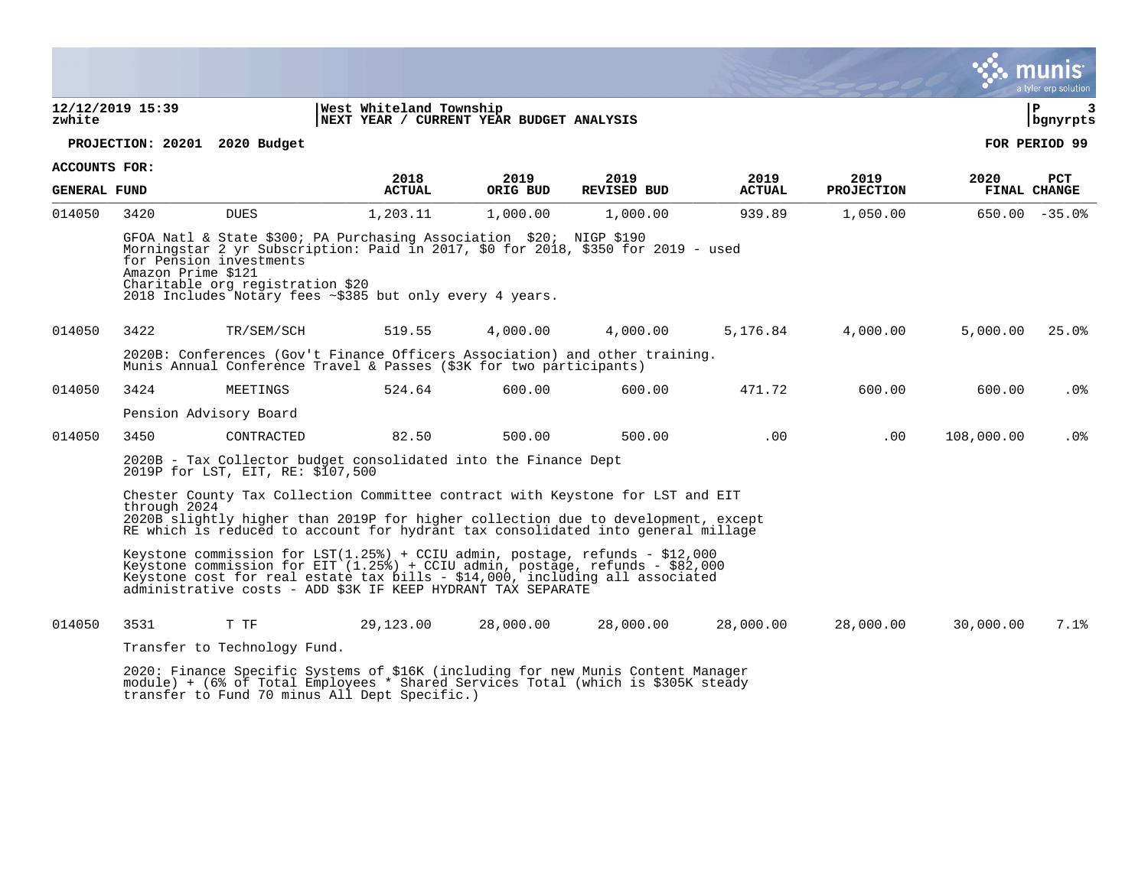|                      |                    |                                                                                                                                                    |                                                                                                                                                                                                                                                                                                                   |           |                    |               |                   |            | a tyler erp solution |
|----------------------|--------------------|----------------------------------------------------------------------------------------------------------------------------------------------------|-------------------------------------------------------------------------------------------------------------------------------------------------------------------------------------------------------------------------------------------------------------------------------------------------------------------|-----------|--------------------|---------------|-------------------|------------|----------------------|
| zwhite               | 12/12/2019 15:39   |                                                                                                                                                    | West Whiteland Township<br>NEXT YEAR / CURRENT YEAR BUDGET ANALYSIS                                                                                                                                                                                                                                               |           |                    |               |                   |            | l P<br>3<br>bgnyrpts |
|                      |                    | PROJECTION: 20201 2020 Budget                                                                                                                      |                                                                                                                                                                                                                                                                                                                   |           |                    |               |                   |            | FOR PERIOD 99        |
| <b>ACCOUNTS FOR:</b> |                    |                                                                                                                                                    | 2018                                                                                                                                                                                                                                                                                                              | 2019      | 2019               | 2019          | 2019              | 2020       | <b>PCT</b>           |
| <b>GENERAL FUND</b>  |                    |                                                                                                                                                    | <b>ACTUAL</b>                                                                                                                                                                                                                                                                                                     | ORIG BUD  | <b>REVISED BUD</b> | <b>ACTUAL</b> | <b>PROJECTION</b> |            | FINAL CHANGE         |
| 014050               | 3420               | <b>DUES</b>                                                                                                                                        | 1,203.11                                                                                                                                                                                                                                                                                                          | 1,000.00  | 1,000.00           | 939.89        | 1,050.00          |            | $650.00 - 35.0$      |
|                      | Amazon Prime \$121 | for Pension investments<br>Charitable org registration \$20                                                                                        | GFOA Natl & State \$300; PA Purchasing Association \$20; NIGP \$190<br>Morningstar 2 yr Subscription: Paid in 2017, \$0 for 2018, \$350 for 2019 - used<br>2018 Includes Notary fees ~\$385 but only every 4 years.                                                                                               |           |                    |               |                   |            |                      |
| 014050               | 3422               | TR/SEM/SCH                                                                                                                                         | 519.55                                                                                                                                                                                                                                                                                                            | 4,000.00  | 4,000.00           | 5,176.84      | 4,000.00          | 5,000.00   | 25.0%                |
|                      |                    | 2020B: Conferences (Gov't Finance Officers Association) and other training.<br>Munis Annual Conference Travel & Passes (\$3K for two participants) |                                                                                                                                                                                                                                                                                                                   |           |                    |               |                   |            |                      |
| 014050               | 3424               | MEETINGS                                                                                                                                           | 524.64                                                                                                                                                                                                                                                                                                            | 600.00    | 600.00             | 471.72        | 600.00            | 600.00     | .0%                  |
|                      |                    | Pension Advisory Board                                                                                                                             |                                                                                                                                                                                                                                                                                                                   |           |                    |               |                   |            |                      |
| 014050               | 3450               | CONTRACTED                                                                                                                                         | 82.50                                                                                                                                                                                                                                                                                                             | 500.00    | 500.00             | .00           | $.00 \,$          | 108,000.00 | .0%                  |
|                      |                    | 2019P for LST, EIT, RE: \$107,500                                                                                                                  | 2020B - Tax Collector budget consolidated into the Finance Dept                                                                                                                                                                                                                                                   |           |                    |               |                   |            |                      |
|                      | through 2024       |                                                                                                                                                    | Chester County Tax Collection Committee contract with Keystone for LST and EIT                                                                                                                                                                                                                                    |           |                    |               |                   |            |                      |
|                      |                    |                                                                                                                                                    | 2020B slightly higher than 2019P for higher collection due to development, except<br>RE which is reduced to account for hydrant tax consolidated into general millage                                                                                                                                             |           |                    |               |                   |            |                      |
|                      |                    |                                                                                                                                                    | Keystone commission for $LST(1.25*)$ + CCIU admin, postage, refunds - \$12,000<br>Keystone commission for EIT (1.25%) + CCIU admin, postage, refunds - \$82,000<br>Keystone cost for real estate tax bills - $$14,000$ , including all associated<br>administrative costs - ADD \$3K IF KEEP HYDRANT TAX SEPARATE |           |                    |               |                   |            |                      |
| 014050               | 3531               | T TF                                                                                                                                               | 29,123.00                                                                                                                                                                                                                                                                                                         | 28,000.00 | 28,000.00          | 28,000.00     | 28,000.00         | 30,000.00  | 7.1%                 |
|                      |                    | Transfer to Technology Fund.                                                                                                                       |                                                                                                                                                                                                                                                                                                                   |           |                    |               |                   |            |                      |
|                      |                    |                                                                                                                                                    | 2020: Finance Specific Systems of \$16K (including for new Munis Content Manager                                                                                                                                                                                                                                  |           |                    |               |                   |            |                      |

module) + (6% of Total Employees \* Shared Services Total (which is \$305K steady transfer to Fund 70 minus All Dept Specific.)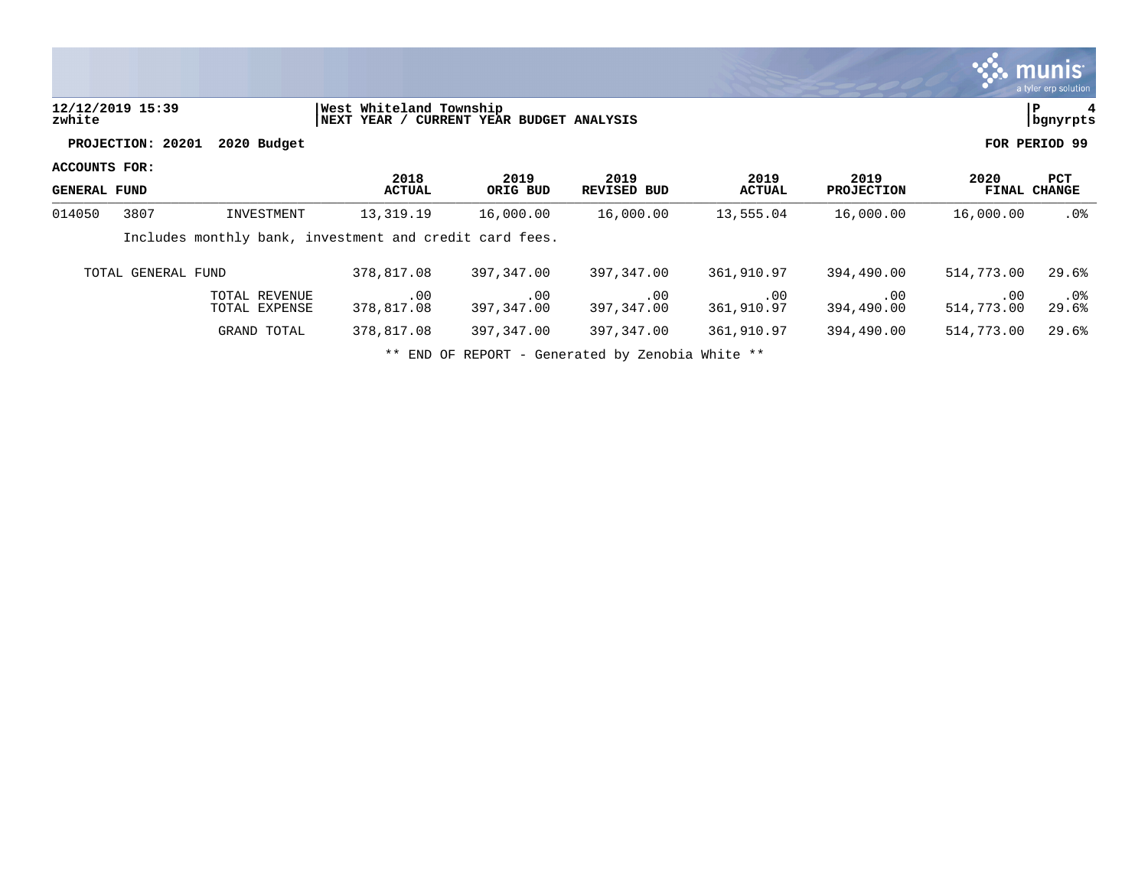|                                      |                    |                                |                                                         |                              |                            |                       |                           |                   | munis '<br>a tyler erp solution |
|--------------------------------------|--------------------|--------------------------------|---------------------------------------------------------|------------------------------|----------------------------|-----------------------|---------------------------|-------------------|---------------------------------|
| zwhite                               | 12/12/2019 15:39   |                                | West Whiteland Township<br> NEXT YEAR /                 | CURRENT YEAR BUDGET ANALYSIS |                            |                       |                           |                   | P<br>bgnyrpts                   |
|                                      | PROJECTION: 20201  | 2020 Budget                    |                                                         |                              |                            |                       |                           |                   | FOR PERIOD 99                   |
| ACCOUNTS FOR:<br><b>GENERAL FUND</b> |                    |                                | 2018<br><b>ACTUAL</b>                                   | 2019<br>ORIG BUD             | 2019<br><b>REVISED BUD</b> | 2019<br><b>ACTUAL</b> | 2019<br><b>PROJECTION</b> | 2020              | PCT<br><b>FINAL CHANGE</b>      |
| 014050                               | 3807               | INVESTMENT                     | 13,319.19                                               | 16,000.00                    | 16,000.00                  | 13,555.04             | 16,000.00                 | 16,000.00         | $.0\%$                          |
|                                      |                    |                                | Includes monthly bank, investment and credit card fees. |                              |                            |                       |                           |                   |                                 |
|                                      | TOTAL GENERAL FUND |                                | 378,817.08                                              | 397,347.00                   | 397,347.00                 | 361,910.97            | 394,490.00                | 514,773.00        | 29.6%                           |
|                                      |                    | TOTAL REVENUE<br>TOTAL EXPENSE | .00<br>378,817.08                                       | .00<br>397,347.00            | .00<br>397,347.00          | .00<br>361,910.97     | .00<br>394,490.00         | .00<br>514,773.00 | $.0\%$<br>29.6%                 |
|                                      |                    | GRAND TOTAL                    | 378,817.08                                              | 397,347.00                   | 397,347.00                 | 361,910.97            | 394,490.00                | 514,773.00        | 29.6%                           |
|                                      |                    |                                |                                                         |                              |                            |                       |                           |                   |                                 |

\*\* END OF REPORT - Generated by Zenobia White \*\*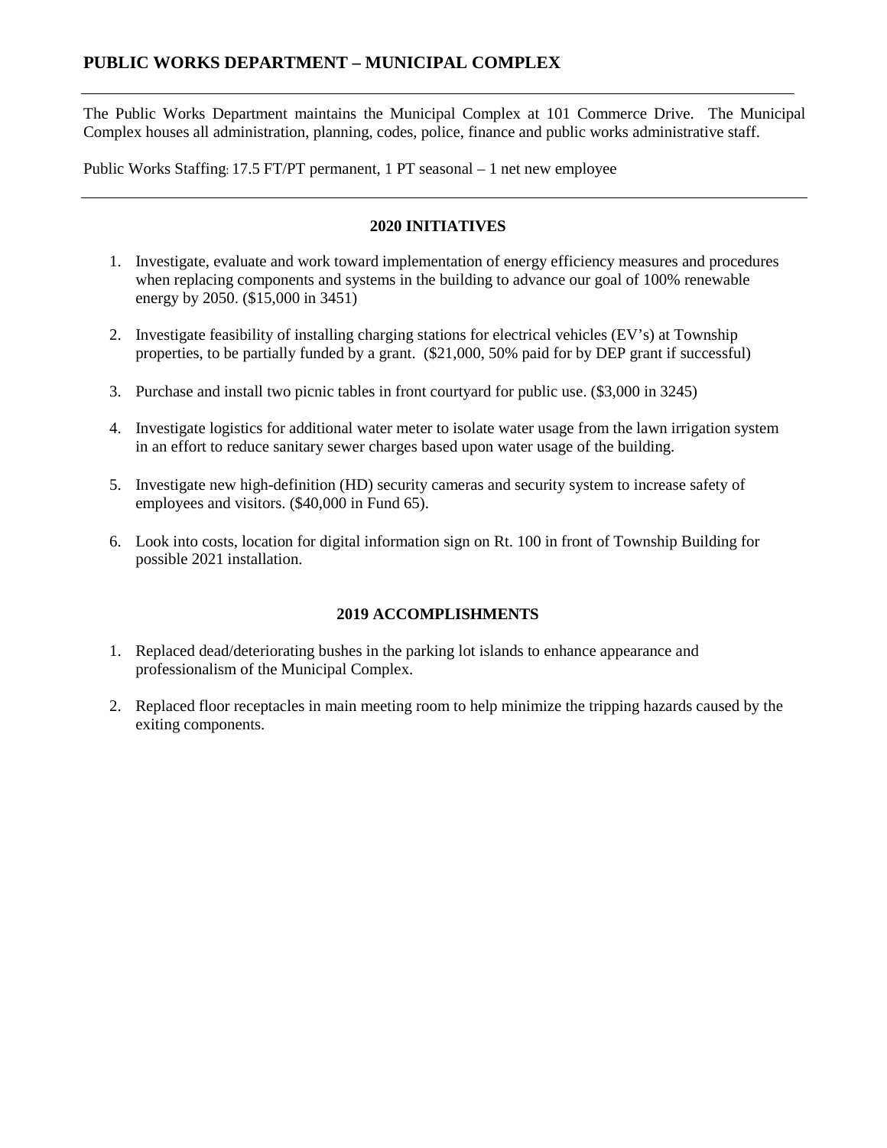The Public Works Department maintains the Municipal Complex at 101 Commerce Drive. The Municipal Complex houses all administration, planning, codes, police, finance and public works administrative staff.

Public Works Staffing: 17.5 FT/PT permanent, 1 PT seasonal – 1 net new employee

# **2020 INITIATIVES**

- 1. Investigate, evaluate and work toward implementation of energy efficiency measures and procedures when replacing components and systems in the building to advance our goal of 100% renewable energy by 2050. (\$15,000 in 3451)
- 2. Investigate feasibility of installing charging stations for electrical vehicles (EV's) at Township properties, to be partially funded by a grant. (\$21,000, 50% paid for by DEP grant if successful)
- 3. Purchase and install two picnic tables in front courtyard for public use. (\$3,000 in 3245)
- 4. Investigate logistics for additional water meter to isolate water usage from the lawn irrigation system in an effort to reduce sanitary sewer charges based upon water usage of the building.
- 5. Investigate new high-definition (HD) security cameras and security system to increase safety of employees and visitors. (\$40,000 in Fund 65).
- 6. Look into costs, location for digital information sign on Rt. 100 in front of Township Building for possible 2021 installation.

# **2019 ACCOMPLISHMENTS**

- 1. Replaced dead/deteriorating bushes in the parking lot islands to enhance appearance and professionalism of the Municipal Complex.
- 2. Replaced floor receptacles in main meeting room to help minimize the tripping hazards caused by the exiting components.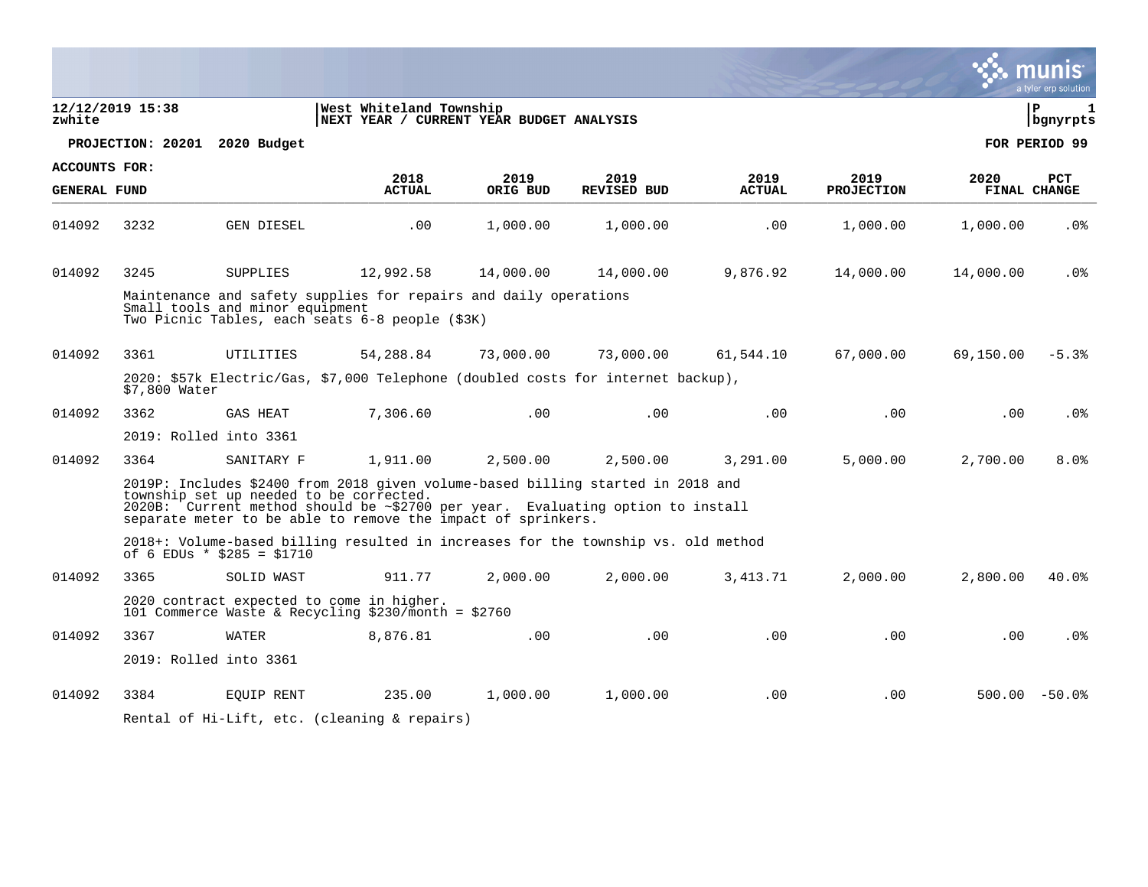|                      |                  |                                                                                                                                                                                                                                                                                    |                                                                     |           |                    |               |                   |           | a tyler erp solution              |
|----------------------|------------------|------------------------------------------------------------------------------------------------------------------------------------------------------------------------------------------------------------------------------------------------------------------------------------|---------------------------------------------------------------------|-----------|--------------------|---------------|-------------------|-----------|-----------------------------------|
| zwhite               | 12/12/2019 15:38 |                                                                                                                                                                                                                                                                                    | West Whiteland Township<br>NEXT YEAR / CURRENT YEAR BUDGET ANALYSIS |           |                    |               |                   |           | l P<br>$\mathbf{1}$<br>  bgnyrpts |
|                      |                  | PROJECTION: 20201 2020 Budget                                                                                                                                                                                                                                                      |                                                                     |           |                    |               |                   |           | FOR PERIOD 99                     |
| <b>ACCOUNTS FOR:</b> |                  |                                                                                                                                                                                                                                                                                    | 2018                                                                | 2019      | 2019               | 2019          | 2019              | 2020      | PCT                               |
| <b>GENERAL FUND</b>  |                  |                                                                                                                                                                                                                                                                                    | <b>ACTUAL</b>                                                       | ORIG BUD  | <b>REVISED BUD</b> | <b>ACTUAL</b> | <b>PROJECTION</b> |           | FINAL CHANGE                      |
| 014092               | 3232             | GEN DIESEL                                                                                                                                                                                                                                                                         | .00                                                                 | 1,000.00  | 1,000.00           | .00           | 1,000.00          | 1,000.00  | .0 <sub>8</sub>                   |
| 014092               | 3245             | SUPPLIES                                                                                                                                                                                                                                                                           | 12,992.58                                                           | 14,000.00 | 14,000.00          | 9,876.92      | 14,000.00         | 14,000.00 | $.0\%$                            |
|                      |                  | Maintenance and safety supplies for repairs and daily operations<br>Small tools and minor equipment<br>Two Picnic Tables, each seats 6-8 people (\$3K)                                                                                                                             |                                                                     |           |                    |               |                   |           |                                   |
| 014092               | 3361             | UTILITIES                                                                                                                                                                                                                                                                          | 54,288.84                                                           | 73,000.00 | 73,000.00          | 61,544.10     | 67,000.00         | 69,150.00 | $-5.3%$                           |
|                      | \$7,800 Water    | 2020: \$57k Electric/Gas, \$7,000 Telephone (doubled costs for internet backup),                                                                                                                                                                                                   |                                                                     |           |                    |               |                   |           |                                   |
| 014092               | 3362             | GAS HEAT                                                                                                                                                                                                                                                                           | 7,306.60                                                            | .00       | .00                | .00           | .00               | .00       | .0 <sub>8</sub>                   |
|                      |                  | 2019: Rolled into 3361                                                                                                                                                                                                                                                             |                                                                     |           |                    |               |                   |           |                                   |
| 014092               | 3364             | SANITARY F                                                                                                                                                                                                                                                                         | 1,911.00                                                            | 2,500.00  | 2,500.00           | 3,291.00      | 5,000.00          | 2,700.00  | 8.0%                              |
|                      |                  | 2019P: Includes \$2400 from 2018 given volume-based billing started in 2018 and<br>township set up needed to be corrected.<br>$2020B$ : Current method should be $\sim$ \$2700 per year. Evaluating option to install separate meter to be able to remove the impact of sprinkers. |                                                                     |           |                    |               |                   |           |                                   |
|                      |                  | 2018+: Volume-based billing resulted in increases for the township vs. old method<br>of 6 EDUs * $$285 = $1710$                                                                                                                                                                    |                                                                     |           |                    |               |                   |           |                                   |
| 014092               | 3365             | SOLID WAST                                                                                                                                                                                                                                                                         | 911.77                                                              | 2,000.00  | 2,000.00           | 3,413.71      | 2,000.00          | 2,800.00  | 40.0%                             |
|                      |                  | 2020 contract expected to come in higher.<br>101 Commerce Waste & Recycling \$230/month = \$2760                                                                                                                                                                                   |                                                                     |           |                    |               |                   |           |                                   |
| 014092               | 3367             | WATER                                                                                                                                                                                                                                                                              | 8,876.81                                                            | .00       | .00                | .00           | .00               | .00       | .0 <sub>8</sub>                   |
|                      |                  | 2019: Rolled into 3361                                                                                                                                                                                                                                                             |                                                                     |           |                    |               |                   |           |                                   |
| 014092               | 3384             | EOUIP RENT                                                                                                                                                                                                                                                                         | 235.00                                                              | 1,000.00  | 1,000.00           | .00           | .00               |           | $500.00 - 50.0$                   |
|                      |                  | Rental of Hi-Lift, etc. (cleaning & repairs)                                                                                                                                                                                                                                       |                                                                     |           |                    |               |                   |           |                                   |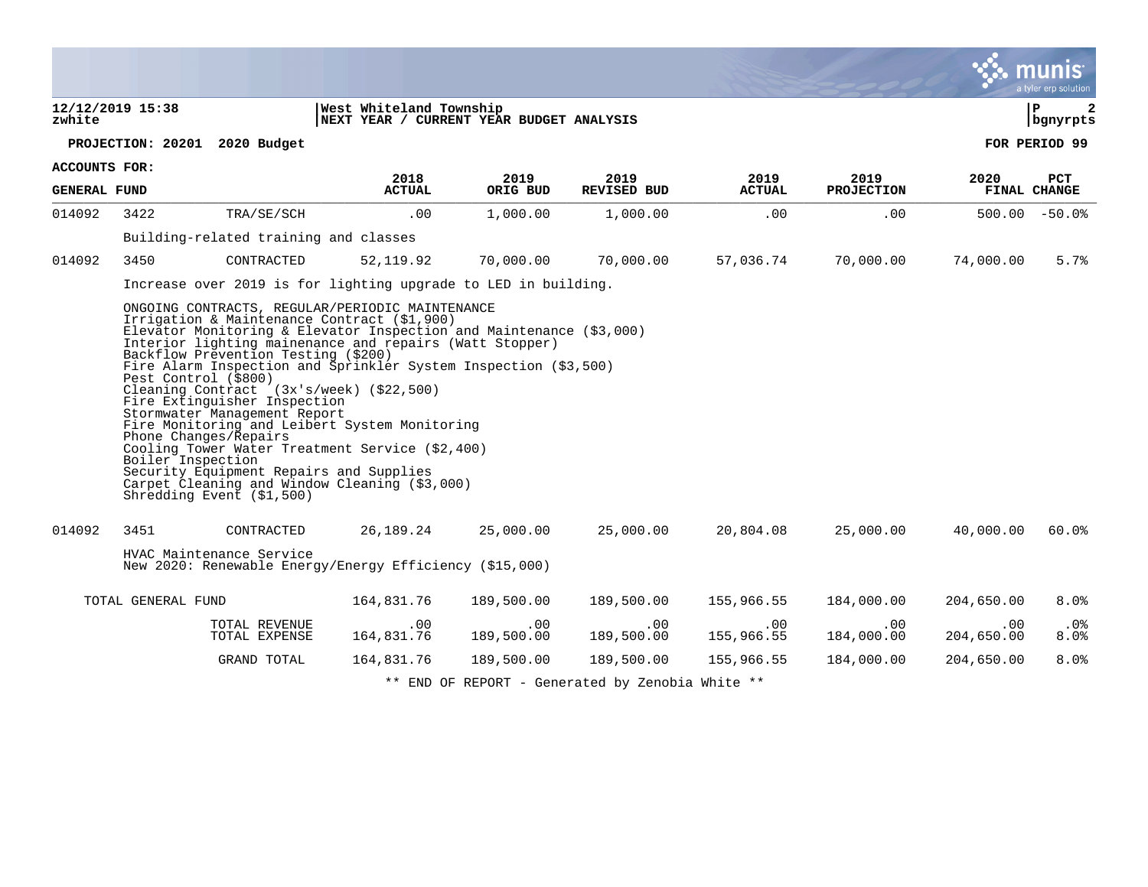|                     |                    |                                                                                                                                                                                                                                                                                                                                                                                                                                                                                                                                                                                                                                                                                                                                      |                                                                     |                        |                                                  |                        |                        |                   | a tyler erp solution |
|---------------------|--------------------|--------------------------------------------------------------------------------------------------------------------------------------------------------------------------------------------------------------------------------------------------------------------------------------------------------------------------------------------------------------------------------------------------------------------------------------------------------------------------------------------------------------------------------------------------------------------------------------------------------------------------------------------------------------------------------------------------------------------------------------|---------------------------------------------------------------------|------------------------|--------------------------------------------------|------------------------|------------------------|-------------------|----------------------|
| zwhite              | 12/12/2019 15:38   |                                                                                                                                                                                                                                                                                                                                                                                                                                                                                                                                                                                                                                                                                                                                      | West Whiteland Township<br>NEXT YEAR / CURRENT YEAR BUDGET ANALYSIS |                        |                                                  |                        |                        |                   | l P<br>  bgnyrpts    |
|                     |                    | PROJECTION: 20201 2020 Budget                                                                                                                                                                                                                                                                                                                                                                                                                                                                                                                                                                                                                                                                                                        |                                                                     |                        |                                                  |                        |                        |                   | FOR PERIOD 99        |
| ACCOUNTS FOR:       |                    |                                                                                                                                                                                                                                                                                                                                                                                                                                                                                                                                                                                                                                                                                                                                      | 2018                                                                | 2019                   | 2019                                             | 2019                   | 2019                   | 2020              | PCT                  |
| <b>GENERAL FUND</b> |                    |                                                                                                                                                                                                                                                                                                                                                                                                                                                                                                                                                                                                                                                                                                                                      | <b>ACTUAL</b>                                                       | ORIG BUD               | REVISED BUD                                      | <b>ACTUAL</b>          | <b>PROJECTION</b>      |                   | FINAL CHANGE         |
| 014092              | 3422               | TRA/SE/SCH                                                                                                                                                                                                                                                                                                                                                                                                                                                                                                                                                                                                                                                                                                                           | .00                                                                 | 1,000.00               | 1,000.00                                         | .00                    | .00                    |                   | $500.00 - 50.0$      |
|                     |                    | Building-related training and classes                                                                                                                                                                                                                                                                                                                                                                                                                                                                                                                                                                                                                                                                                                |                                                                     |                        |                                                  |                        |                        |                   |                      |
| 014092              | 3450               | CONTRACTED                                                                                                                                                                                                                                                                                                                                                                                                                                                                                                                                                                                                                                                                                                                           | 52, 119.92                                                          | 70,000.00              | 70,000.00                                        | 57,036.74              | 70,000.00              | 74,000.00         | 5.7%                 |
|                     |                    | Increase over 2019 is for lighting upgrade to LED in building.                                                                                                                                                                                                                                                                                                                                                                                                                                                                                                                                                                                                                                                                       |                                                                     |                        |                                                  |                        |                        |                   |                      |
|                     | Boiler Inspection  | ONGOING CONTRACTS, REGULAR/PERIODIC MAINTENANCE<br>Irrigation & Maintenance Contract (\$1,900)<br>Elevator Monitoring & Elevator Inspection and Maintenance (\$3,000)<br>Interior lighting mainenance and repairs (Watt Stopper)<br>Backflow Prevention Testing (\$200)<br>Fire Alarm Inspection and Sprinkler System Inspection (\$3,500)<br>Pest Control (\$800)<br>Cleaning Contract (3x's/week) (\$22,500)<br>Fire Extinguisher Inspection<br>Stormwater Management Report<br>Fire Monitoring and Leibert System Monitoring<br>Phone Changes/Repairs<br>Cooling Tower Water Treatment Service (\$2,400)<br>Security Equipment Repairs and Supplies<br>Carpet Cleaning and Window Cleaning (\$3,000)<br>Shredding Event (\$1,500) |                                                                     |                        |                                                  |                        |                        |                   |                      |
| 014092              | 3451               | CONTRACTED                                                                                                                                                                                                                                                                                                                                                                                                                                                                                                                                                                                                                                                                                                                           |                                                                     | 26,189.24 25,000.00    | 25,000.00                                        | 20,804.08              | 25,000.00              | 40,000.00         | 60.0%                |
|                     |                    | HVAC Maintenance Service<br>New 2020: Renewable Energy/Energy Efficiency (\$15,000)                                                                                                                                                                                                                                                                                                                                                                                                                                                                                                                                                                                                                                                  |                                                                     |                        |                                                  |                        |                        |                   |                      |
|                     | TOTAL GENERAL FUND |                                                                                                                                                                                                                                                                                                                                                                                                                                                                                                                                                                                                                                                                                                                                      | 164,831.76                                                          | 189,500.00             | 189,500.00                                       | 155,966.55             | 184,000.00             | 204,650.00        | 8.0%                 |
|                     |                    | TOTAL REVENUE<br>TOTAL EXPENSE                                                                                                                                                                                                                                                                                                                                                                                                                                                                                                                                                                                                                                                                                                       | .00<br>164,831.76                                                   | $.00 \,$<br>189,500.00 | .00<br>189,500.00                                | $.00 \,$<br>155,966.55 | $.00 \,$<br>184,000.00 | .00<br>204,650.00 | $.0\%$<br>$8.0\%$    |
|                     |                    | GRAND TOTAL                                                                                                                                                                                                                                                                                                                                                                                                                                                                                                                                                                                                                                                                                                                          | 164,831.76                                                          | 189,500.00             | 189,500.00                                       | 155,966.55             | 184,000.00             | 204,650.00        | 8.0%                 |
|                     |                    |                                                                                                                                                                                                                                                                                                                                                                                                                                                                                                                                                                                                                                                                                                                                      |                                                                     |                        | ** END OF REPORT - Generated by Zenobia White ** |                        |                        |                   |                      |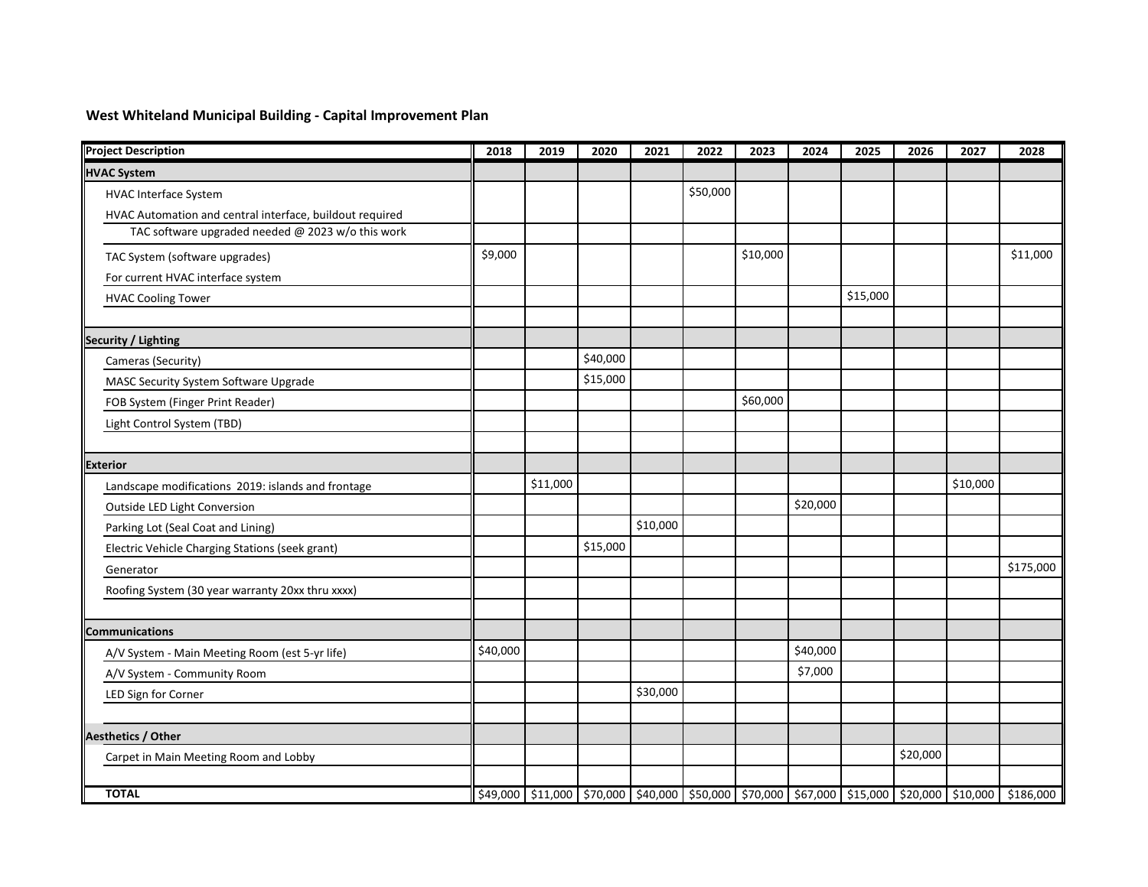# **West Whiteland Municipal Building - Capital Improvement Plan**

| <b>Project Description</b>                               | 2018     | 2019     | 2020     | 2021     | 2022     | 2023     | 2024     | 2025     | 2026     | 2027     | 2028                                                                                                |
|----------------------------------------------------------|----------|----------|----------|----------|----------|----------|----------|----------|----------|----------|-----------------------------------------------------------------------------------------------------|
| <b>HVAC System</b>                                       |          |          |          |          |          |          |          |          |          |          |                                                                                                     |
| <b>HVAC Interface System</b>                             |          |          |          |          | \$50,000 |          |          |          |          |          |                                                                                                     |
| HVAC Automation and central interface, buildout required |          |          |          |          |          |          |          |          |          |          |                                                                                                     |
| TAC software upgraded needed @ 2023 w/o this work        |          |          |          |          |          |          |          |          |          |          |                                                                                                     |
| TAC System (software upgrades)                           | \$9,000  |          |          |          |          | \$10,000 |          |          |          |          | \$11,000                                                                                            |
| For current HVAC interface system                        |          |          |          |          |          |          |          |          |          |          |                                                                                                     |
| <b>HVAC Cooling Tower</b>                                |          |          |          |          |          |          |          | \$15,000 |          |          |                                                                                                     |
| Security / Lighting                                      |          |          |          |          |          |          |          |          |          |          |                                                                                                     |
| Cameras (Security)                                       |          |          | \$40,000 |          |          |          |          |          |          |          |                                                                                                     |
| MASC Security System Software Upgrade                    |          |          | \$15,000 |          |          |          |          |          |          |          |                                                                                                     |
| FOB System (Finger Print Reader)                         |          |          |          |          |          | \$60,000 |          |          |          |          |                                                                                                     |
| Light Control System (TBD)                               |          |          |          |          |          |          |          |          |          |          |                                                                                                     |
|                                                          |          |          |          |          |          |          |          |          |          |          |                                                                                                     |
| <b>Exterior</b>                                          |          |          |          |          |          |          |          |          |          |          |                                                                                                     |
| Landscape modifications 2019: islands and frontage       |          | \$11,000 |          |          |          |          |          |          |          | \$10,000 |                                                                                                     |
| Outside LED Light Conversion                             |          |          |          |          |          |          | \$20,000 |          |          |          |                                                                                                     |
| Parking Lot (Seal Coat and Lining)                       |          |          |          | \$10,000 |          |          |          |          |          |          |                                                                                                     |
| Electric Vehicle Charging Stations (seek grant)          |          |          | \$15,000 |          |          |          |          |          |          |          |                                                                                                     |
| Generator                                                |          |          |          |          |          |          |          |          |          |          | \$175,000                                                                                           |
| Roofing System (30 year warranty 20xx thru xxxx)         |          |          |          |          |          |          |          |          |          |          |                                                                                                     |
|                                                          |          |          |          |          |          |          |          |          |          |          |                                                                                                     |
| Communications                                           |          |          |          |          |          |          |          |          |          |          |                                                                                                     |
| A/V System - Main Meeting Room (est 5-yr life)           | \$40,000 |          |          |          |          |          | \$40,000 |          |          |          |                                                                                                     |
| A/V System - Community Room                              |          |          |          |          |          |          | \$7,000  |          |          |          |                                                                                                     |
| LED Sign for Corner                                      |          |          |          | \$30,000 |          |          |          |          |          |          |                                                                                                     |
|                                                          |          |          |          |          |          |          |          |          |          |          |                                                                                                     |
| Aesthetics / Other                                       |          |          |          |          |          |          |          |          |          |          |                                                                                                     |
| Carpet in Main Meeting Room and Lobby                    |          |          |          |          |          |          |          |          | \$20,000 |          |                                                                                                     |
| <b>TOTAL</b>                                             |          |          |          |          |          |          |          |          |          |          | \$49,000 \$11,000 \$70,000 \$40,000 \$50,000 \$70,000 \$67,000 \$15,000 \$20,000 \$10,000 \$186,000 |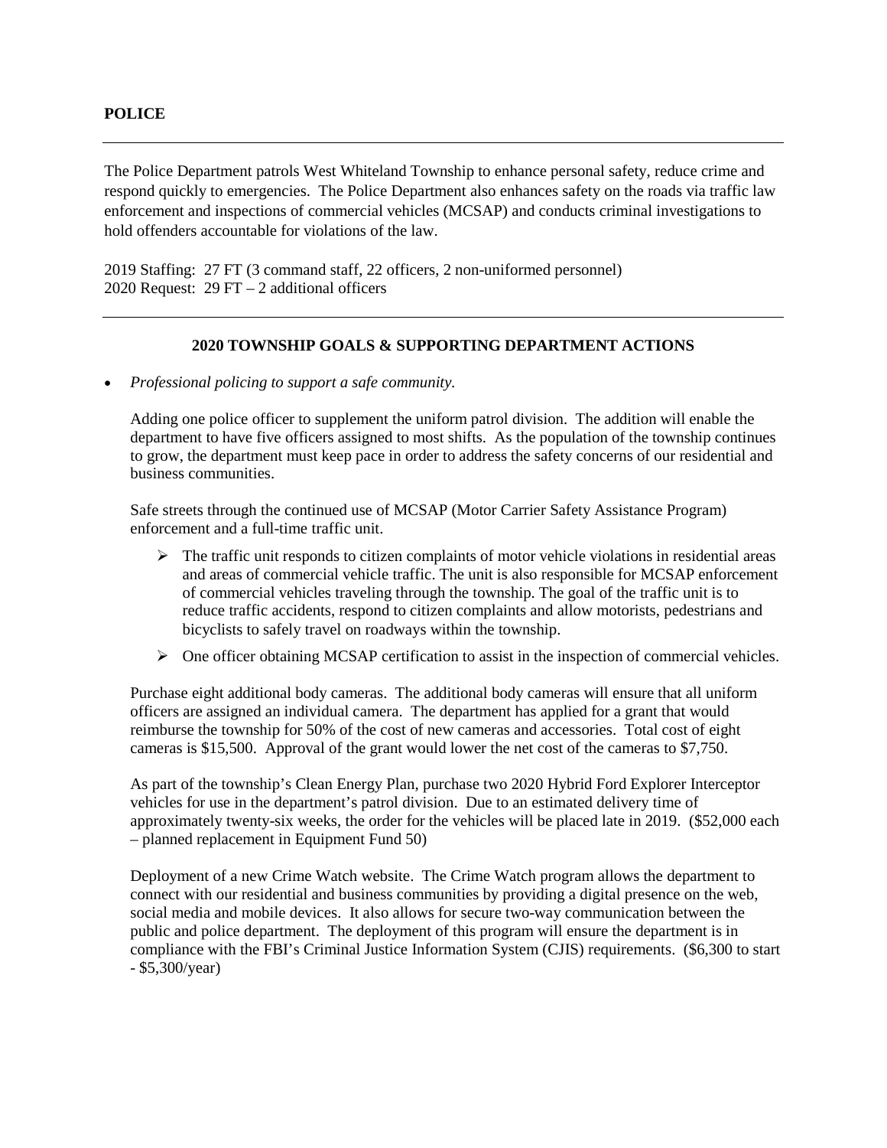The Police Department patrols West Whiteland Township to enhance personal safety, reduce crime and respond quickly to emergencies. The Police Department also enhances safety on the roads via traffic law enforcement and inspections of commercial vehicles (MCSAP) and conducts criminal investigations to hold offenders accountable for violations of the law.

2019 Staffing: 27 FT (3 command staff, 22 officers, 2 non-uniformed personnel) 2020 Request: 29 FT – 2 additional officers

#### **2020 TOWNSHIP GOALS & SUPPORTING DEPARTMENT ACTIONS**

• *Professional policing to support a safe community.*

Adding one police officer to supplement the uniform patrol division. The addition will enable the department to have five officers assigned to most shifts. As the population of the township continues to grow, the department must keep pace in order to address the safety concerns of our residential and business communities.

Safe streets through the continued use of MCSAP (Motor Carrier Safety Assistance Program) enforcement and a full-time traffic unit.

- $\triangleright$  The traffic unit responds to citizen complaints of motor vehicle violations in residential areas and areas of commercial vehicle traffic. The unit is also responsible for MCSAP enforcement of commercial vehicles traveling through the township. The goal of the traffic unit is to reduce traffic accidents, respond to citizen complaints and allow motorists, pedestrians and bicyclists to safely travel on roadways within the township.
- $\triangleright$  One officer obtaining MCSAP certification to assist in the inspection of commercial vehicles.

Purchase eight additional body cameras. The additional body cameras will ensure that all uniform officers are assigned an individual camera. The department has applied for a grant that would reimburse the township for 50% of the cost of new cameras and accessories. Total cost of eight cameras is \$15,500. Approval of the grant would lower the net cost of the cameras to \$7,750.

As part of the township's Clean Energy Plan, purchase two 2020 Hybrid Ford Explorer Interceptor vehicles for use in the department's patrol division. Due to an estimated delivery time of approximately twenty-six weeks, the order for the vehicles will be placed late in 2019. (\$52,000 each – planned replacement in Equipment Fund 50)

Deployment of a new Crime Watch website. The Crime Watch program allows the department to connect with our residential and business communities by providing a digital presence on the web, social media and mobile devices. It also allows for secure two-way communication between the public and police department. The deployment of this program will ensure the department is in compliance with the FBI's Criminal Justice Information System (CJIS) requirements. (\$6,300 to start - \$5,300/year)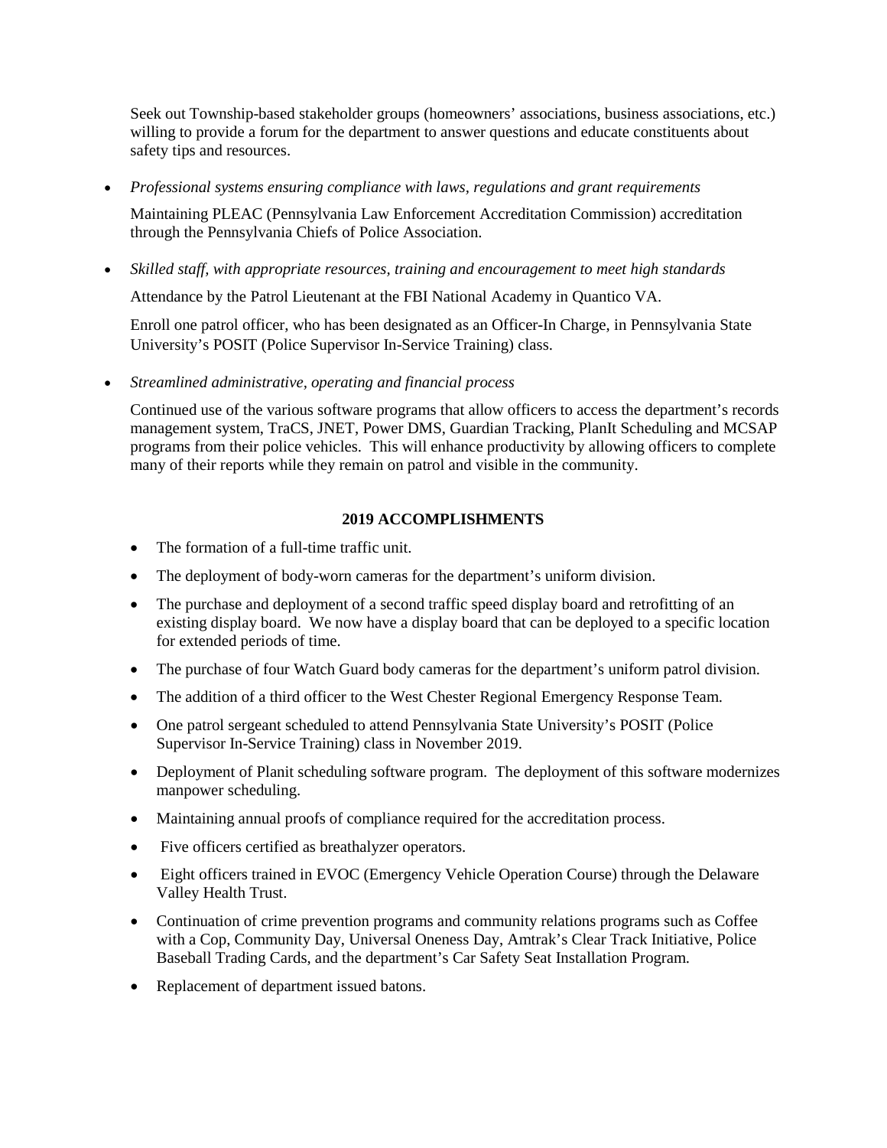Seek out Township-based stakeholder groups (homeowners' associations, business associations, etc.) willing to provide a forum for the department to answer questions and educate constituents about safety tips and resources.

• *Professional systems ensuring compliance with laws, regulations and grant requirements*

Maintaining PLEAC (Pennsylvania Law Enforcement Accreditation Commission) accreditation through the Pennsylvania Chiefs of Police Association.

• *Skilled staff, with appropriate resources, training and encouragement to meet high standards*

Attendance by the Patrol Lieutenant at the FBI National Academy in Quantico VA.

Enroll one patrol officer, who has been designated as an Officer-In Charge, in Pennsylvania State University's POSIT (Police Supervisor In-Service Training) class.

• *Streamlined administrative, operating and financial process*

Continued use of the various software programs that allow officers to access the department's records management system, TraCS, JNET, Power DMS, Guardian Tracking, PlanIt Scheduling and MCSAP programs from their police vehicles. This will enhance productivity by allowing officers to complete many of their reports while they remain on patrol and visible in the community.

#### **2019 ACCOMPLISHMENTS**

- The formation of a full-time traffic unit.
- The deployment of body-worn cameras for the department's uniform division.
- The purchase and deployment of a second traffic speed display board and retrofitting of an existing display board. We now have a display board that can be deployed to a specific location for extended periods of time.
- The purchase of four Watch Guard body cameras for the department's uniform patrol division.
- The addition of a third officer to the West Chester Regional Emergency Response Team.
- One patrol sergeant scheduled to attend Pennsylvania State University's POSIT (Police Supervisor In-Service Training) class in November 2019.
- Deployment of Planit scheduling software program. The deployment of this software modernizes manpower scheduling.
- Maintaining annual proofs of compliance required for the accreditation process.
- Five officers certified as breathalyzer operators.
- Eight officers trained in EVOC (Emergency Vehicle Operation Course) through the Delaware Valley Health Trust.
- Continuation of crime prevention programs and community relations programs such as Coffee with a Cop, Community Day, Universal Oneness Day, Amtrak's Clear Track Initiative, Police Baseball Trading Cards, and the department's Car Safety Seat Installation Program.
- Replacement of department issued batons.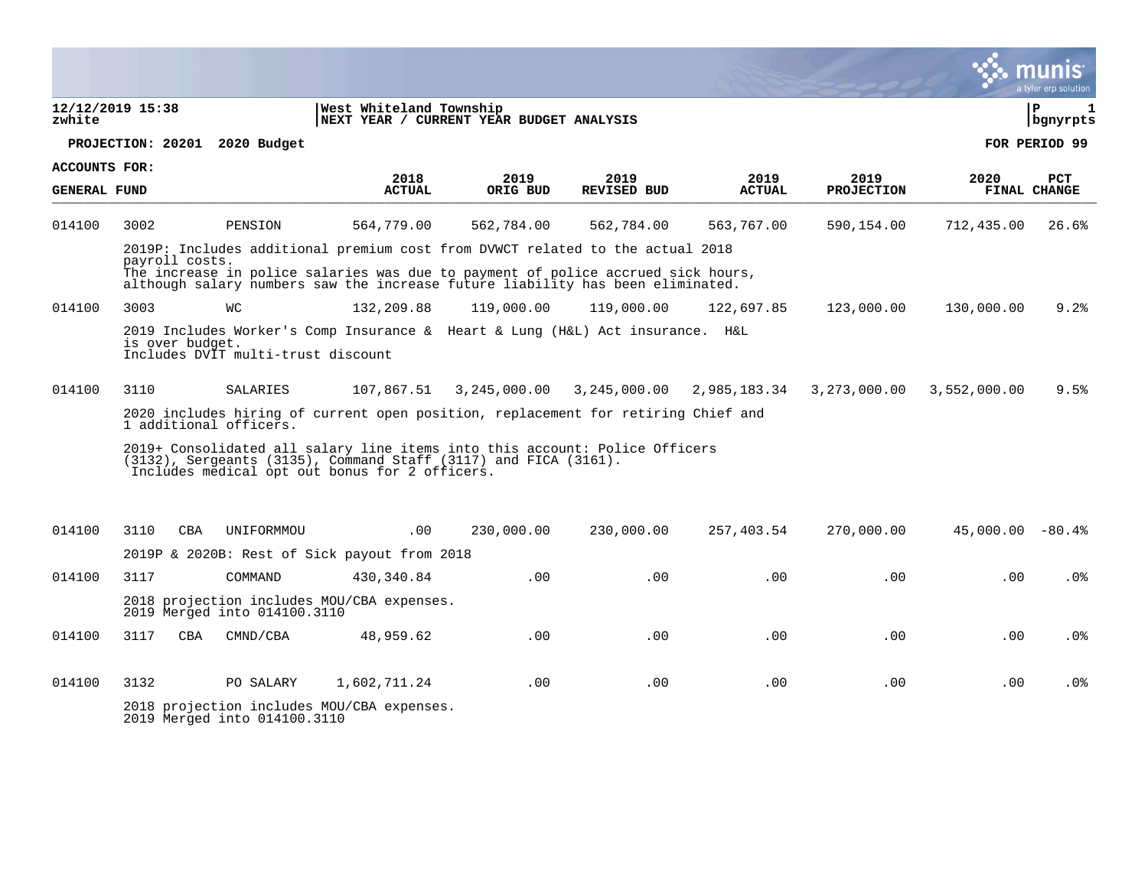|                      |                  |                                    |                                                                                                                                                                                                  |              |              |               |                   |                    | a tyler erp solution           |
|----------------------|------------------|------------------------------------|--------------------------------------------------------------------------------------------------------------------------------------------------------------------------------------------------|--------------|--------------|---------------|-------------------|--------------------|--------------------------------|
| zwhite               | 12/12/2019 15:38 |                                    | West Whiteland Township<br>NEXT YEAR / CURRENT YEAR BUDGET ANALYSIS                                                                                                                              |              |              |               |                   |                    | l P<br>$\mathbf 1$<br>bgnyrpts |
|                      |                  | PROJECTION: 20201 2020 Budget      |                                                                                                                                                                                                  |              |              |               |                   |                    | FOR PERIOD 99                  |
| <b>ACCOUNTS FOR:</b> |                  |                                    | 2018                                                                                                                                                                                             | 2019         | 2019         | 2019          | 2019              | 2020               | <b>PCT</b>                     |
| <b>GENERAL FUND</b>  |                  |                                    | <b>ACTUAL</b>                                                                                                                                                                                    | ORIG BUD     | REVISED BUD  | <b>ACTUAL</b> | <b>PROJECTION</b> |                    | FINAL CHANGE                   |
| 014100               | 3002             | PENSION                            | 564,779.00                                                                                                                                                                                       | 562,784.00   | 562,784.00   | 563,767.00    | 590,154.00        | 712,435.00         | 26.6%                          |
|                      |                  |                                    | 2019P: Includes additional premium cost from DVWCT related to the actual 2018                                                                                                                    |              |              |               |                   |                    |                                |
|                      | payroll costs.   |                                    | The increase in police salaries was due to payment of police accrued sick hours,<br>although salary numbers saw the increase future liability has been eliminated.                               |              |              |               |                   |                    |                                |
| 014100               | 3003             | WС                                 | 132,209.88                                                                                                                                                                                       | 119,000.00   | 119,000.00   | 122,697.85    | 123,000.00        | 130,000.00         | 9.2%                           |
|                      | is over budget.  | Includes DVIT multi-trust discount | 2019 Includes Worker's Comp Insurance & Heart & Lung (H&L) Act insurance. H&L                                                                                                                    |              |              |               |                   |                    |                                |
| 014100               | 3110             | SALARIES                           | 107,867.51                                                                                                                                                                                       | 3,245,000.00 | 3,245,000.00 | 2,985,183.34  | 3,273,000.00      | 3,552,000.00       | 9.5%                           |
|                      |                  | 1 additional officers.             | 2020 includes hiring of current open position, replacement for retiring Chief and                                                                                                                |              |              |               |                   |                    |                                |
|                      |                  |                                    | 2019+ Consolidated all salary line items into this account: Police Officers<br>(3132), Sergeants (3135), Command Staff (3117) and FICA (3161).<br>Includes medical opt out bonus for 2 officers. |              |              |               |                   |                    |                                |
| 014100               | 3110             | <b>CBA</b><br>UNIFORMMOU           | .00                                                                                                                                                                                              | 230,000.00   | 230,000.00   | 257,403.54    | 270,000.00        | $45,000.00 - 80.4$ |                                |
|                      |                  |                                    | 2019P & 2020B: Rest of Sick payout from 2018                                                                                                                                                     |              |              |               |                   |                    |                                |
| 014100               | 3117             | COMMAND                            | 430, 340.84                                                                                                                                                                                      | .00          | .00          | .00           | .00               | .00                | $.0\%$                         |
|                      |                  | 2019 Merged into 014100.3110       | 2018 projection includes MOU/CBA expenses.                                                                                                                                                       |              |              |               |                   |                    |                                |
| 014100               | 3117             | <b>CBA</b><br>CMND/CBA             | 48,959.62                                                                                                                                                                                        | .00.         | .00          | .00           | .00               | .00                | .0 <sub>8</sub>                |
| 014100               | 3132             | PO SALARY                          | 1,602,711.24                                                                                                                                                                                     | .00          | .00          | .00           | .00               | .00.               | .0%                            |
|                      |                  | 2019 Merged into 014100.3110       | 2018 projection includes MOU/CBA expenses.                                                                                                                                                       |              |              |               |                   |                    |                                |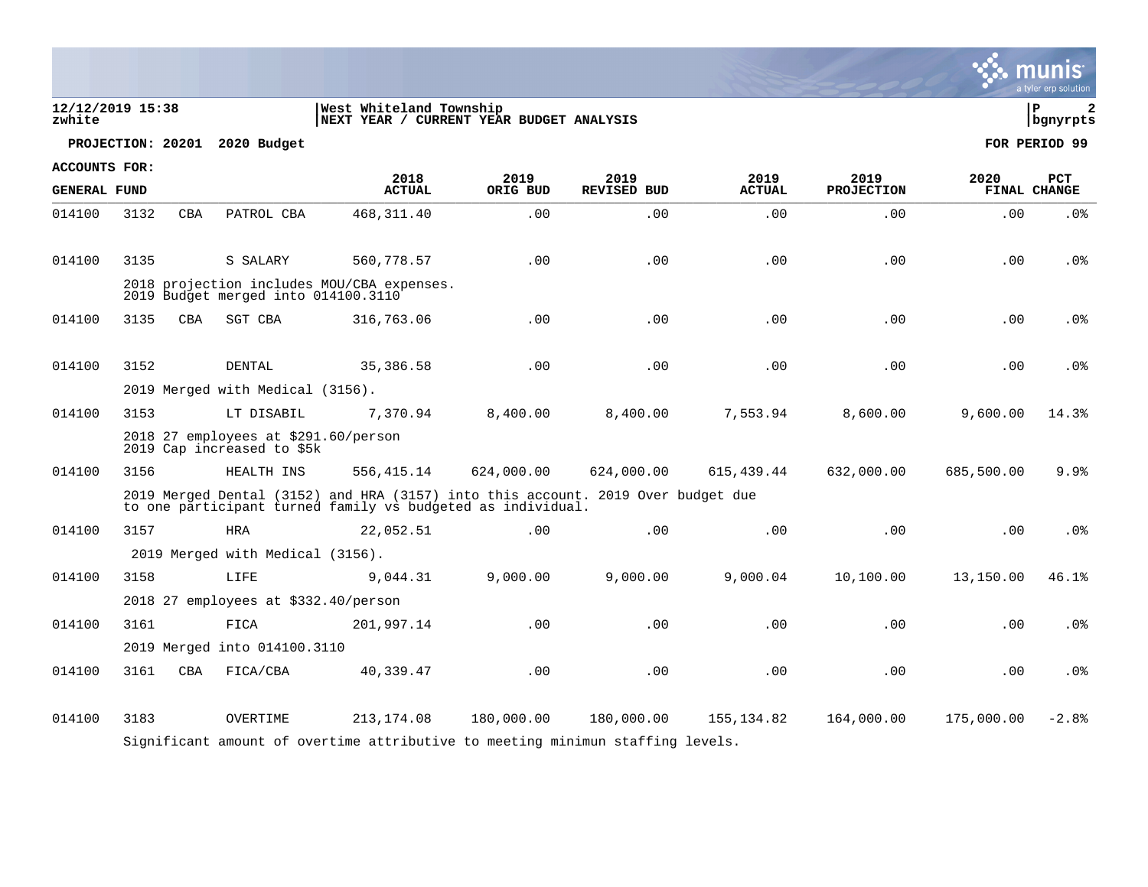|                            |                   |            |                                                                    |                                                                                                                                                 |            |                    |               |                   |            | munis<br>a tyler erp solution |
|----------------------------|-------------------|------------|--------------------------------------------------------------------|-------------------------------------------------------------------------------------------------------------------------------------------------|------------|--------------------|---------------|-------------------|------------|-------------------------------|
| 12/12/2019 15:38<br>zwhite |                   |            |                                                                    | West Whiteland Township<br> NEXT YEAR / CURRENT YEAR BUDGET ANALYSIS                                                                            |            |                    |               |                   |            | l P<br>2<br>  bgnyrpts        |
|                            | PROJECTION: 20201 |            | 2020 Budget                                                        |                                                                                                                                                 |            |                    |               |                   |            | FOR PERIOD 99                 |
| ACCOUNTS FOR:              |                   |            |                                                                    | 2018                                                                                                                                            | 2019       | 2019               | 2019          | 2019              | 2020       | PCT                           |
| <b>GENERAL FUND</b>        |                   |            |                                                                    | <b>ACTUAL</b>                                                                                                                                   | ORIG BUD   | <b>REVISED BUD</b> | <b>ACTUAL</b> | <b>PROJECTION</b> |            | FINAL CHANGE                  |
| 014100                     | 3132              | CBA        | PATROL CBA                                                         | 468, 311.40                                                                                                                                     | .00        | .00                | .00           | .00               | .00        | .0%                           |
| 014100                     | 3135              |            | S SALARY                                                           | 560,778.57                                                                                                                                      | .00        | .00                | .00           | .00               | .00        | .0 <sub>8</sub>               |
|                            |                   |            | 2019 Budget merged into 014100.3110                                | 2018 projection includes MOU/CBA expenses.                                                                                                      |            |                    |               |                   |            |                               |
| 014100                     | 3135              | <b>CBA</b> | SGT CBA                                                            | 316,763.06                                                                                                                                      | .00        | .00                | .00           | .00               | .00        | .0 <sub>8</sub>               |
| 014100                     | 3152              |            | DENTAL                                                             | 35,386.58                                                                                                                                       | .00        | .00                | .00           | .00               | .00        | .0 <sub>8</sub>               |
|                            |                   |            | 2019 Merged with Medical (3156).                                   |                                                                                                                                                 |            |                    |               |                   |            |                               |
| 014100                     | 3153              |            | LT DISABIL                                                         | 7,370.94                                                                                                                                        | 8,400.00   | 8,400.00           | 7,553.94      | 8,600.00          | 9,600.00   | 14.3%                         |
|                            |                   |            | 2018 27 employees at \$291.60/person<br>2019 Cap increased to \$5k |                                                                                                                                                 |            |                    |               |                   |            |                               |
| 014100                     | 3156              |            | HEALTH INS                                                         | 556, 415.14                                                                                                                                     | 624,000.00 | 624,000.00         | 615,439.44    | 632,000.00        | 685,500.00 | 9.9%                          |
|                            |                   |            |                                                                    | 2019 Merged Dental (3152) and HRA (3157) into this account. 2019 Over budget due<br>to one participant turned family vs budgeted as individual. |            |                    |               |                   |            |                               |
| 014100                     | 3157              |            | <b>HRA</b>                                                         | 22,052.51                                                                                                                                       | .00        | .00                | .00           | .00               | .00        | .0%                           |
|                            |                   |            | 2019 Merged with Medical (3156).                                   |                                                                                                                                                 |            |                    |               |                   |            |                               |
| 014100                     | 3158              |            | LIFE                                                               | 9,044.31                                                                                                                                        | 9,000.00   | 9,000.00           | 9,000.04      | 10,100.00         | 13,150.00  | 46.1%                         |
|                            |                   |            | 2018 27 employees at \$332.40/person                               |                                                                                                                                                 |            |                    |               |                   |            |                               |
| 014100                     | 3161              |            | FICA                                                               | 201,997.14                                                                                                                                      | .00        | .00                | .00           | .00               | .00        | .0 <sub>8</sub>               |
|                            |                   |            | 2019 Merged into 014100.3110                                       |                                                                                                                                                 |            |                    |               |                   |            |                               |
| 014100                     | 3161              | <b>CBA</b> | FICA/CBA                                                           | 40,339.47                                                                                                                                       | .00        | .00                | .00           | .00               | .00        | .0 <sup>8</sup>               |
| 014100                     | 3183              |            | OVERTIME                                                           | 213, 174.08<br>Significant amount of overtime attributive to meeting minimun staffing levels.                                                   | 180,000.00 | 180,000.00         | 155,134.82    | 164,000.00        | 175,000.00 | $-2.8%$                       |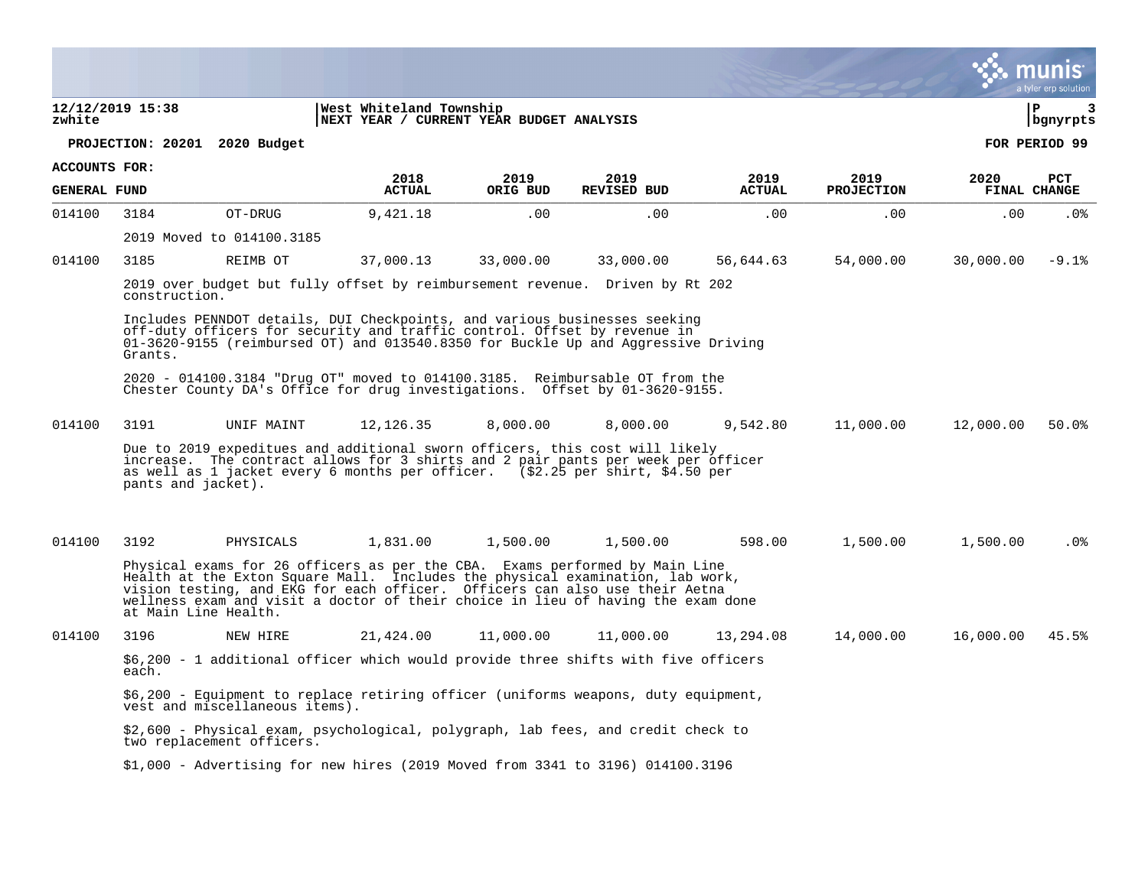tyler erp solutior **12/12/2019 15:38 |West Whiteland Township |P 3 zwhite |NEXT YEAR / CURRENT YEAR BUDGET ANALYSIS |bgnyrpts PROJECTION: 20201 2020 Budget FOR PERIOD 99 ACCOUNTS FOR: 2018 2019 2019 2019 2019 2020 PCT GENERAL FUND ACTUAL ORIG BUD REVISED BUD ACTUAL PROJECTION FINAL CHANGE**  ARIENALI FOND PULLUAL ONIG BOD NEVISED BOD NEVISED ALIOAL FRODECIION FINAL CIRAGE 014100 3184 OT-DRUG 9,421.18 .00 .00 .00 .00 .00 .0% 2019 Moved to 014100.3185 014100 3185 REIMB OT 37,000.13 33,000.00 33,000.00 56,644.63 54,000.00 30,000.00 -9.1% 2019 over budget but fully offset by reimbursement revenue. Driven by Rt 202 construction. Includes PENNDOT details, DUI Checkpoints, and various businesses seeking off-duty officers for security and traffic control. Offset by revenue in 01-3620-9155 (reimbursed OT) and 013540.8350 for Buckle Up and Aggressive Driving Grants. 2020 - 014100.3184 "Drug OT" moved to 014100.3185. Reimbursable OT from the Chester County DA's Office for drug investigations. Offset by 01-3620-9155. 014100 3191 UNIF MAINT 12,126.35 8,000.00 8,000.00 9,542.80 11,000.00 12,000.00 50.0% Due to 2019 expeditues and additional sworn officers, this cost will likely increase. The contract allows for 3 shirts and 2 pair pants per week per officer as well as 1 jacket every 6 months per officer. (\$2.25 per shirt, \$4.50 per pants and jacket). 014100 3192 PHYSICALS 1,831.00 1,500.00 1,500.00 598.00 1,500.00 1,500.00 .0% Physical exams for 26 officers as per the CBA. Exams performed by Main Line Health at the Exton Square Mall. Includes the physical examination, lab work, vision testing, and EKG for each officer. Officers can also use their Aetna wellness exam and visit a doctor of their choice in lieu of having the exam done at Main Line Health. 014100 3196 NEW HIRE 21,424.00 11,000.00 11,000.00 13,294.08 14,000.00 16,000.00 45.5% \$6,200 - 1 additional officer which would provide three shifts with five officers each. \$6,200 - Equipment to replace retiring officer (uniforms weapons, duty equipment, vest and miscellaneous items). \$2,600 - Physical exam, psychological, polygraph, lab fees, and credit check to two replacement officers. i. \$1,000 - Advertising for new hires (2019 Moved from 3341 to 3196) 014100.3196

munis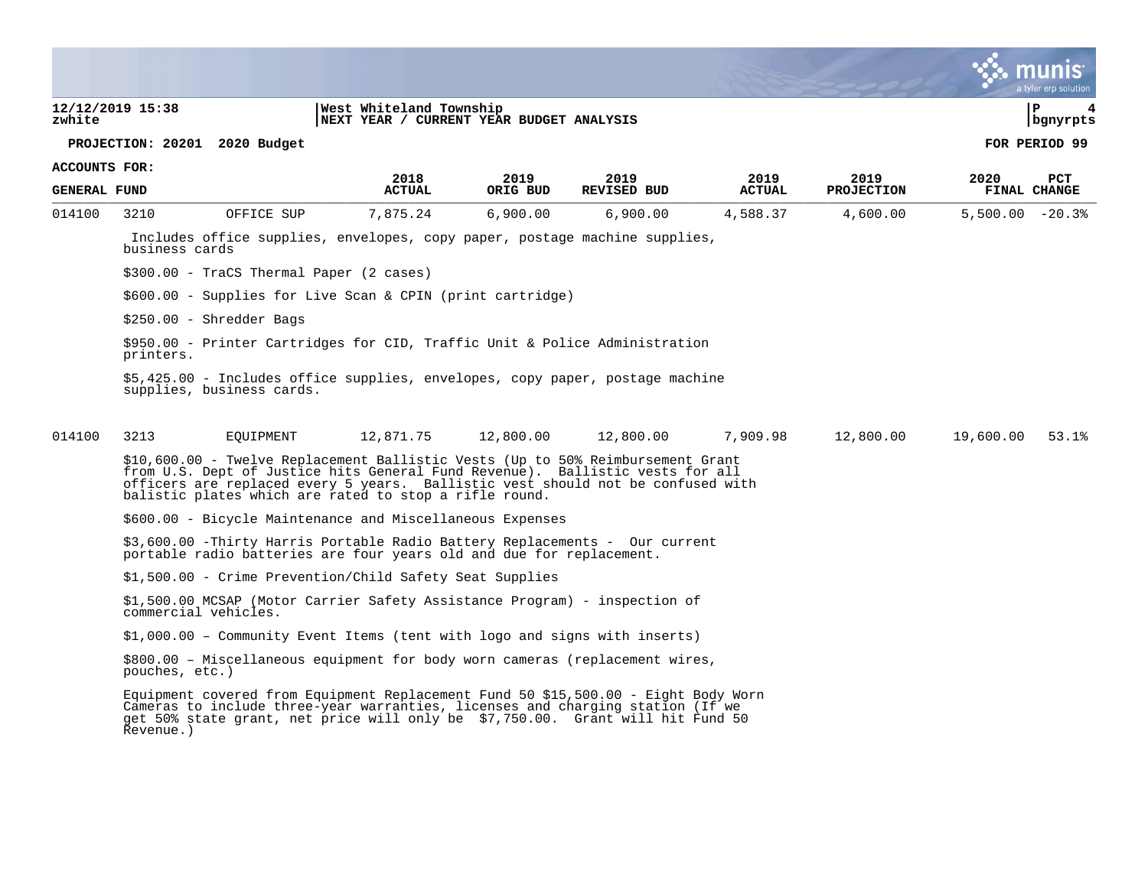|                     |                                                                                                                                                                                                                                                                                                               |                                                                     |                  |                            |                       |                           |                   | a tyler erp solution       |
|---------------------|---------------------------------------------------------------------------------------------------------------------------------------------------------------------------------------------------------------------------------------------------------------------------------------------------------------|---------------------------------------------------------------------|------------------|----------------------------|-----------------------|---------------------------|-------------------|----------------------------|
| zwhite              | 12/12/2019 15:38                                                                                                                                                                                                                                                                                              | West Whiteland Township<br>NEXT YEAR / CURRENT YEAR BUDGET ANALYSIS |                  |                            |                       |                           |                   | l P<br>4<br>bgnyrpts       |
|                     | PROJECTION: 20201 2020 Budget                                                                                                                                                                                                                                                                                 |                                                                     |                  |                            |                       |                           |                   | FOR PERIOD 99              |
| ACCOUNTS FOR:       |                                                                                                                                                                                                                                                                                                               |                                                                     |                  |                            |                       |                           |                   |                            |
| <b>GENERAL FUND</b> |                                                                                                                                                                                                                                                                                                               | 2018<br><b>ACTUAL</b>                                               | 2019<br>ORIG BUD | 2019<br><b>REVISED BUD</b> | 2019<br><b>ACTUAL</b> | 2019<br><b>PROJECTION</b> | 2020              | <b>PCT</b><br>FINAL CHANGE |
| 014100              | OFFICE SUP<br>3210                                                                                                                                                                                                                                                                                            | 7,875.24                                                            | 6,900.00         | 6,900.00                   | 4,588.37              | 4,600.00                  | $5,500.00 - 20.3$ |                            |
|                     | Includes office supplies, envelopes, copy paper, postage machine supplies,<br>business cards                                                                                                                                                                                                                  |                                                                     |                  |                            |                       |                           |                   |                            |
|                     | $$300.00 - Tracs Thermal Paper (2 cases)$                                                                                                                                                                                                                                                                     |                                                                     |                  |                            |                       |                           |                   |                            |
|                     | $$600.00 -$ Supplies for Live Scan & CPIN (print cartridge)                                                                                                                                                                                                                                                   |                                                                     |                  |                            |                       |                           |                   |                            |
|                     | $$250.00 - Shredder$ Bags                                                                                                                                                                                                                                                                                     |                                                                     |                  |                            |                       |                           |                   |                            |
|                     | \$950.00 - Printer Cartridges for CID, Traffic Unit & Police Administration<br>printers.                                                                                                                                                                                                                      |                                                                     |                  |                            |                       |                           |                   |                            |
|                     | \$5,425.00 - Includes office supplies, envelopes, copy paper, postage machine<br>supplies, business cards.                                                                                                                                                                                                    |                                                                     |                  |                            |                       |                           |                   |                            |
| 014100              | 3213<br>EOUIPMENT                                                                                                                                                                                                                                                                                             | 12,871.75                                                           | 12,800.00        | 12,800.00                  | 7,909.98              | 12,800.00                 | 19,600.00         | 53.1%                      |
|                     | \$10,600.00 - Twelve Replacement Ballistic Vests (Up to 50% Reimbursement Grant<br>from U.S. Dept of Justice hits General Fund Revenue). Ballistic vests for all<br>officers are replaced every 5 years. Ballistic vest should not be confused with<br>balistic plates which are rated to stop a rifle round. |                                                                     |                  |                            |                       |                           |                   |                            |
|                     | \$600.00 - Bicycle Maintenance and Miscellaneous Expenses                                                                                                                                                                                                                                                     |                                                                     |                  |                            |                       |                           |                   |                            |
|                     | \$3,600.00 -Thirty Harris Portable Radio Battery Replacements - Our current<br>portable radio batteries are four years old and due for replacement.                                                                                                                                                           |                                                                     |                  |                            |                       |                           |                   |                            |
|                     | \$1,500.00 - Crime Prevention/Child Safety Seat Supplies                                                                                                                                                                                                                                                      |                                                                     |                  |                            |                       |                           |                   |                            |
|                     | \$1,500.00 MCSAP (Motor Carrier Safety Assistance Program) - inspection of<br>commercial vehicles.                                                                                                                                                                                                            |                                                                     |                  |                            |                       |                           |                   |                            |
|                     | \$1,000.00 - Community Event Items (tent with logo and signs with inserts)                                                                                                                                                                                                                                    |                                                                     |                  |                            |                       |                           |                   |                            |
|                     | \$800.00 - Miscellaneous equipment for body worn cameras (replacement wires,<br>pouches, etc.)                                                                                                                                                                                                                |                                                                     |                  |                            |                       |                           |                   |                            |
|                     | Equipment covered from Equipment Replacement Fund 50 \$15,500.00 - Eight Body Worn<br>Cameras to include three-year warranties, licenses and charging station (If we<br>get 50% state grant, net price will only be \$7,750.00. Grant will hit Fund 50<br>Revenue.)                                           |                                                                     |                  |                            |                       |                           |                   |                            |
|                     |                                                                                                                                                                                                                                                                                                               |                                                                     |                  |                            |                       |                           |                   |                            |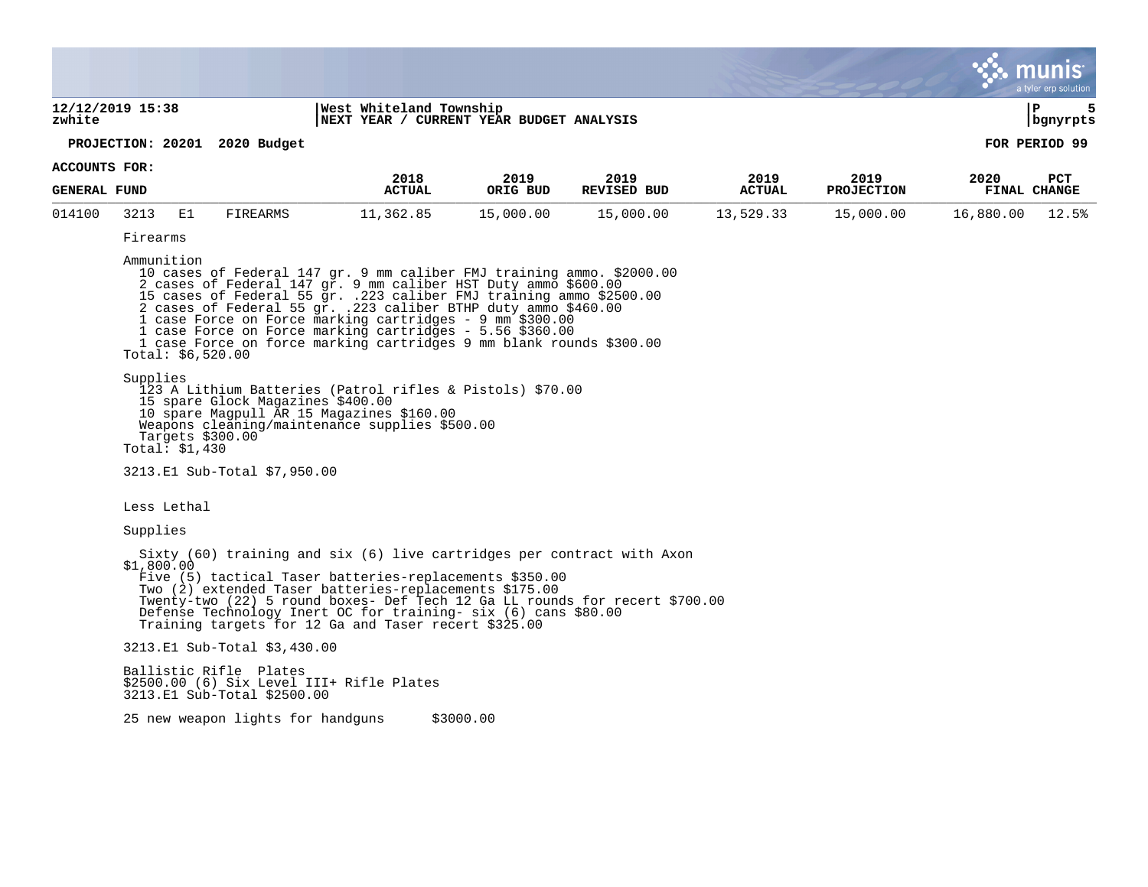|                               |                                                                                                                                                                                                                                                                                                                                                                                                                                                                                                                                                                                                                                                                                                                                                                                                         |                                                       |                                           |                                                                     |                            |                       |                           |                             | a tyler erp solution |  |  |
|-------------------------------|---------------------------------------------------------------------------------------------------------------------------------------------------------------------------------------------------------------------------------------------------------------------------------------------------------------------------------------------------------------------------------------------------------------------------------------------------------------------------------------------------------------------------------------------------------------------------------------------------------------------------------------------------------------------------------------------------------------------------------------------------------------------------------------------------------|-------------------------------------------------------|-------------------------------------------|---------------------------------------------------------------------|----------------------------|-----------------------|---------------------------|-----------------------------|----------------------|--|--|
| zwhite                        | 12/12/2019 15:38                                                                                                                                                                                                                                                                                                                                                                                                                                                                                                                                                                                                                                                                                                                                                                                        |                                                       |                                           | West Whiteland Township<br>NEXT YEAR / CURRENT YEAR BUDGET ANALYSIS |                            |                       |                           |                             |                      |  |  |
| PROJECTION: 20201 2020 Budget |                                                                                                                                                                                                                                                                                                                                                                                                                                                                                                                                                                                                                                                                                                                                                                                                         |                                                       | bgnyrpts<br>FOR PERIOD 99                 |                                                                     |                            |                       |                           |                             |                      |  |  |
| ACCOUNTS FOR:                 |                                                                                                                                                                                                                                                                                                                                                                                                                                                                                                                                                                                                                                                                                                                                                                                                         |                                                       |                                           |                                                                     |                            |                       |                           |                             |                      |  |  |
| <b>GENERAL FUND</b>           |                                                                                                                                                                                                                                                                                                                                                                                                                                                                                                                                                                                                                                                                                                                                                                                                         |                                                       | 2018<br><b>ACTUAL</b>                     | 2019<br>ORIG BUD                                                    | 2019<br><b>REVISED BUD</b> | 2019<br><b>ACTUAL</b> | 2019<br><b>PROJECTION</b> | 2020<br><b>FINAL CHANGE</b> | <b>PCT</b>           |  |  |
| 014100                        | 3213<br>E1                                                                                                                                                                                                                                                                                                                                                                                                                                                                                                                                                                                                                                                                                                                                                                                              | <b>FIREARMS</b>                                       | 11,362.85                                 | 15,000.00                                                           | 15,000.00                  | 13,529.33             | 15,000.00                 | 16,880.00                   | 12.5%                |  |  |
|                               | Firearms                                                                                                                                                                                                                                                                                                                                                                                                                                                                                                                                                                                                                                                                                                                                                                                                |                                                       |                                           |                                                                     |                            |                       |                           |                             |                      |  |  |
|                               | Ammunition<br>10 cases of Federal 147 gr. 9 mm caliber FMJ training ammo. \$2000.00<br>2 cases of Federal 147 gr. 9 mm caliber HST Duty ammo \$600.00<br>15 cases of Federal 55 gr. .223 caliber FMJ training ammo \$2500.00<br>2 cases of Federal 55 gr. .223 caliber BTHP duty ammo \$460.00<br>1 case Force on Force marking cartridges - 9 mm \$300.00<br>1 case Force on Force marking cartridges - 5.56 \$360.00<br>1 case Force on force marking cartridges 9 mm blank rounds \$300.00<br>Total: $$6,520.00$<br>Supplies<br>123 A Lithium Batteries (Patrol rifles & Pistols) \$70.00<br>15 spare Glock Magazines \$400.00<br>10 spare Magpull AR 15 Magazines \$160.00<br>Weapons cleaning/maintenance supplies \$500.00<br>Targets \$300.00<br>Total: $$1,430$<br>3213.E1 Sub-Total \$7,950.00 |                                                       |                                           |                                                                     |                            |                       |                           |                             |                      |  |  |
|                               | Less Lethal                                                                                                                                                                                                                                                                                                                                                                                                                                                                                                                                                                                                                                                                                                                                                                                             |                                                       |                                           |                                                                     |                            |                       |                           |                             |                      |  |  |
|                               | Supplies                                                                                                                                                                                                                                                                                                                                                                                                                                                                                                                                                                                                                                                                                                                                                                                                |                                                       |                                           |                                                                     |                            |                       |                           |                             |                      |  |  |
|                               | Sixty (60) training and six (6) live cartridges per contract with Axon<br>\$1,800.00<br>Five (5) tactical Taser batteries-replacements \$350.00<br>Two (2) extended Taser batteries-replacements \$175.00<br>Twenty-two (22) 5 round boxes- Def Tech 12 Ga LL rounds for recert \$700.00<br>Defense Technology Inert OC for training- six (6) cans \$80.00<br>Training targets for 12 Ga and Taser recert \$325.00                                                                                                                                                                                                                                                                                                                                                                                      |                                                       |                                           |                                                                     |                            |                       |                           |                             |                      |  |  |
|                               |                                                                                                                                                                                                                                                                                                                                                                                                                                                                                                                                                                                                                                                                                                                                                                                                         | 3213.E1 Sub-Total \$3,430.00                          |                                           |                                                                     |                            |                       |                           |                             |                      |  |  |
|                               |                                                                                                                                                                                                                                                                                                                                                                                                                                                                                                                                                                                                                                                                                                                                                                                                         | Ballistic Rifle Plates<br>3213.E1 Sub-Total \$2500.00 | \$2500.00 (6) Six Level III+ Rifle Plates |                                                                     |                            |                       |                           |                             |                      |  |  |
|                               |                                                                                                                                                                                                                                                                                                                                                                                                                                                                                                                                                                                                                                                                                                                                                                                                         | 25 new weapon lights for handguns                     |                                           | \$3000.00                                                           |                            |                       |                           |                             |                      |  |  |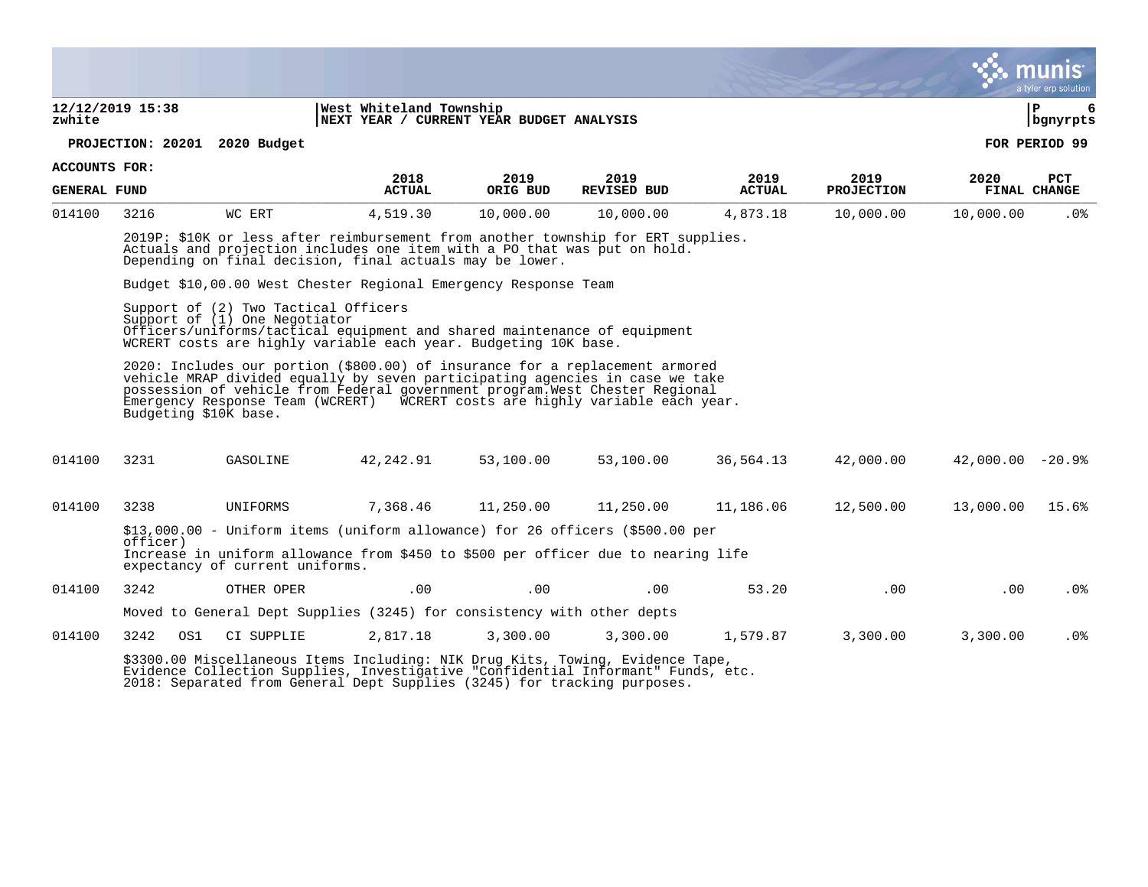|                               |                                                                                                                                  |                                                                                                                                                                                                                          |                                                                        |           |                                                                                                                                                                                                                                                                                                                              |               |                   |                       | munis<br>a tyler erp solution |  |  |
|-------------------------------|----------------------------------------------------------------------------------------------------------------------------------|--------------------------------------------------------------------------------------------------------------------------------------------------------------------------------------------------------------------------|------------------------------------------------------------------------|-----------|------------------------------------------------------------------------------------------------------------------------------------------------------------------------------------------------------------------------------------------------------------------------------------------------------------------------------|---------------|-------------------|-----------------------|-------------------------------|--|--|
| zwhite                        | 12/12/2019 15:38                                                                                                                 |                                                                                                                                                                                                                          | West Whiteland Township<br>NEXT YEAR / CURRENT YEAR BUDGET ANALYSIS    |           |                                                                                                                                                                                                                                                                                                                              |               |                   | ΙP<br>6<br>  bgnyrpts |                               |  |  |
| PROJECTION: 20201 2020 Budget |                                                                                                                                  |                                                                                                                                                                                                                          |                                                                        |           |                                                                                                                                                                                                                                                                                                                              |               |                   | FOR PERIOD 99         |                               |  |  |
| ACCOUNTS FOR:                 |                                                                                                                                  |                                                                                                                                                                                                                          | 2018                                                                   | 2019      | 2019                                                                                                                                                                                                                                                                                                                         | 2019          | 2019              | 2020                  | PCT                           |  |  |
| <b>GENERAL FUND</b>           |                                                                                                                                  |                                                                                                                                                                                                                          | <b>ACTUAL</b>                                                          | ORIG BUD  | <b>REVISED BUD</b>                                                                                                                                                                                                                                                                                                           | <b>ACTUAL</b> | <b>PROJECTION</b> |                       | <b>FINAL CHANGE</b>           |  |  |
| 014100                        | 3216                                                                                                                             | WC ERT                                                                                                                                                                                                                   | 4,519.30                                                               | 10,000.00 | 10,000.00                                                                                                                                                                                                                                                                                                                    | 4,873.18      | 10,000.00         | 10,000.00             | .0%                           |  |  |
|                               |                                                                                                                                  | 2019P: \$10K or less after reimbursement from another township for ERT supplies.<br>Actuals and projection includes one item with a PO that was put on hold.<br>Depending on final decision, final actuals may be lower. |                                                                        |           |                                                                                                                                                                                                                                                                                                                              |               |                   |                       |                               |  |  |
|                               |                                                                                                                                  | Budget \$10,00.00 West Chester Regional Emergency Response Team                                                                                                                                                          |                                                                        |           |                                                                                                                                                                                                                                                                                                                              |               |                   |                       |                               |  |  |
|                               |                                                                                                                                  | Support of (2) Two Tactical Officers<br>Support of (1) One Negotiator<br>Officers/uniforms/tactical equipment and shared maintenance of equipment<br>WCRERT costs are highly variable each year. Budgeting 10K base.     |                                                                        |           |                                                                                                                                                                                                                                                                                                                              |               |                   |                       |                               |  |  |
|                               | Budgeting \$10K base.                                                                                                            |                                                                                                                                                                                                                          |                                                                        |           | 2020: Includes our portion (\$800.00) of insurance for a replacement armored<br>vehicle MRAP divided equally by seven participating agencies in case we take<br>possession of vehicle from Federal government program. West Chester Regional<br>Emergency Response Team (WCRERT) WCRERT costs are highly variable each year. |               |                   |                       |                               |  |  |
| 014100                        | 3231                                                                                                                             | GASOLINE                                                                                                                                                                                                                 | 42,242.91                                                              | 53,100.00 | 53,100.00                                                                                                                                                                                                                                                                                                                    | 36,564.13     | 42,000.00         | $42,000.00 - 20.9$    |                               |  |  |
| 014100                        | 3238                                                                                                                             | UNIFORMS                                                                                                                                                                                                                 | 7,368.46                                                               | 11,250.00 | 11,250.00                                                                                                                                                                                                                                                                                                                    | 11,186.06     | 12,500.00         | 13,000.00             | 15.6%                         |  |  |
|                               |                                                                                                                                  | \$13,000.00 - Uniform items (uniform allowance) for 26 officers (\$500.00 per                                                                                                                                            |                                                                        |           |                                                                                                                                                                                                                                                                                                                              |               |                   |                       |                               |  |  |
|                               | officer)<br>Increase in uniform allowance from \$450 to \$500 per officer due to nearing life<br>expectancy of current uniforms. |                                                                                                                                                                                                                          |                                                                        |           |                                                                                                                                                                                                                                                                                                                              |               |                   |                       |                               |  |  |
| 014100                        | 3242                                                                                                                             | OTHER OPER                                                                                                                                                                                                               | .00                                                                    | .00       | .00                                                                                                                                                                                                                                                                                                                          | 53.20         | .00               | .00                   | $.0\%$                        |  |  |
|                               |                                                                                                                                  |                                                                                                                                                                                                                          | Moved to General Dept Supplies (3245) for consistency with other depts |           |                                                                                                                                                                                                                                                                                                                              |               |                   |                       |                               |  |  |
| 014100                        | 3242<br>OS1                                                                                                                      | CI SUPPLIE                                                                                                                                                                                                               | 2,817.18                                                               | 3,300.00  | 3,300.00                                                                                                                                                                                                                                                                                                                     | 1,579.87      | 3,300.00          | 3,300.00              | .0%                           |  |  |
|                               |                                                                                                                                  |                                                                                                                                                                                                                          |                                                                        |           | \$3300.00 Miscellaneous Items Including: NIK Drug Kits, Towing, Evidence Tape,<br>Evidence Collection Supplies, Investigative "Confidential Informant" Funds, etc.                                                                                                                                                           |               |                   |                       |                               |  |  |

 $\bullet$ 

2018: Separated from General Dept Supplies (3245) for tracking purposes.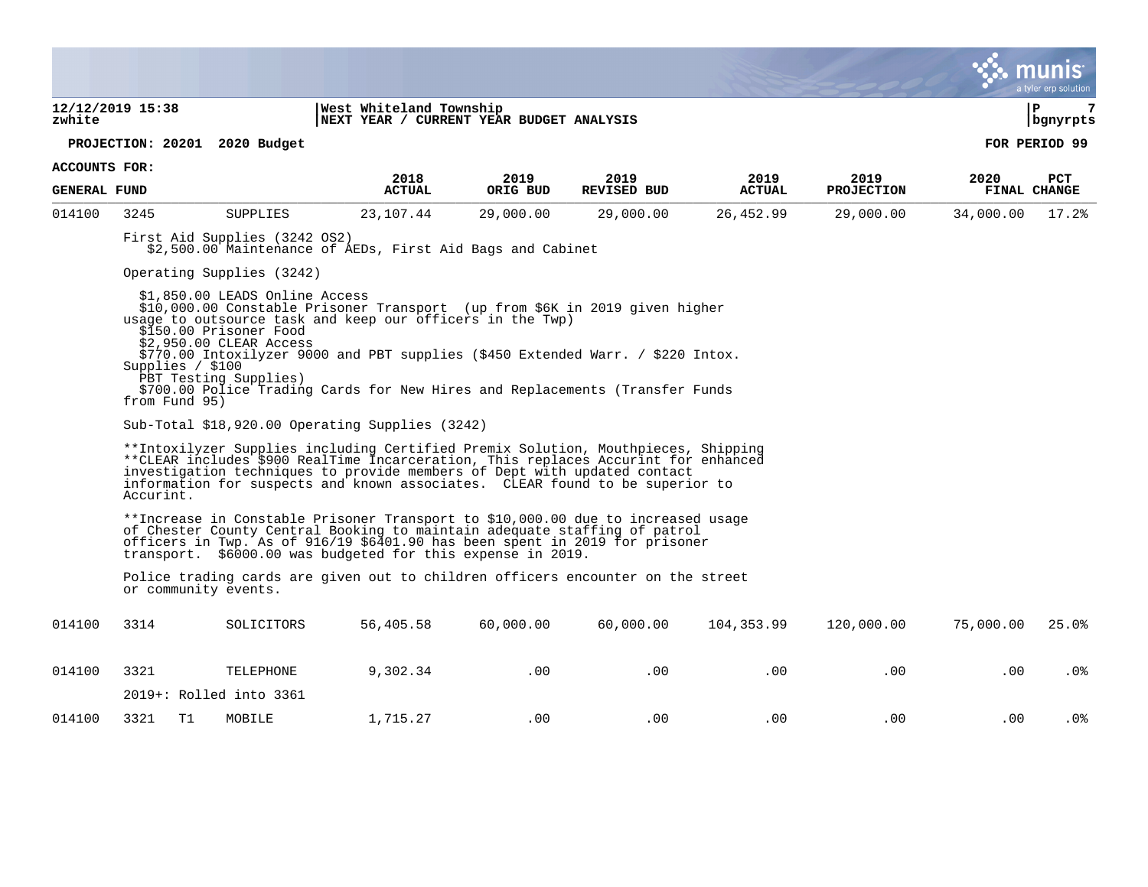|                      |                                                                                                                                                                                                                                                                                                                                                  |                                                                                                                                                                                                                                                                                                                                                                                                                             |               |                                                                     |                    |               |                   |           | $\mathbf{\ddot{v}}$ munis<br>a tyler erp solution |  |  |
|----------------------|--------------------------------------------------------------------------------------------------------------------------------------------------------------------------------------------------------------------------------------------------------------------------------------------------------------------------------------------------|-----------------------------------------------------------------------------------------------------------------------------------------------------------------------------------------------------------------------------------------------------------------------------------------------------------------------------------------------------------------------------------------------------------------------------|---------------|---------------------------------------------------------------------|--------------------|---------------|-------------------|-----------|---------------------------------------------------|--|--|
| zwhite               | 12/12/2019 15:38                                                                                                                                                                                                                                                                                                                                 |                                                                                                                                                                                                                                                                                                                                                                                                                             |               | West Whiteland Township<br>NEXT YEAR / CURRENT YEAR BUDGET ANALYSIS |                    |               |                   |           | 7<br>l P<br>  bgnyrpts                            |  |  |
|                      |                                                                                                                                                                                                                                                                                                                                                  | PROJECTION: 20201 2020 Budget                                                                                                                                                                                                                                                                                                                                                                                               |               |                                                                     |                    |               |                   |           | FOR PERIOD 99                                     |  |  |
| <b>ACCOUNTS FOR:</b> |                                                                                                                                                                                                                                                                                                                                                  |                                                                                                                                                                                                                                                                                                                                                                                                                             | 2018          | 2019                                                                | 2019               | 2019          | 2019              | 2020      | PCT                                               |  |  |
| <b>GENERAL FUND</b>  |                                                                                                                                                                                                                                                                                                                                                  |                                                                                                                                                                                                                                                                                                                                                                                                                             | <b>ACTUAL</b> | ORIG BUD                                                            | <b>REVISED BUD</b> | <b>ACTUAL</b> | <b>PROJECTION</b> |           | FINAL CHANGE                                      |  |  |
| 014100               | 3245                                                                                                                                                                                                                                                                                                                                             | SUPPLIES                                                                                                                                                                                                                                                                                                                                                                                                                    | 23,107.44     | 29,000.00                                                           | 29,000.00          | 26,452.99     | 29,000.00         | 34,000.00 | 17.2%                                             |  |  |
|                      |                                                                                                                                                                                                                                                                                                                                                  | First Aid Supplies (3242 OS2)<br>\$2,500.00 Maintenance of AEDs, First Aid Bags and Cabinet                                                                                                                                                                                                                                                                                                                                 |               |                                                                     |                    |               |                   |           |                                                   |  |  |
|                      |                                                                                                                                                                                                                                                                                                                                                  | Operating Supplies (3242)                                                                                                                                                                                                                                                                                                                                                                                                   |               |                                                                     |                    |               |                   |           |                                                   |  |  |
|                      | Supplies / \$100<br>from Fund 95)                                                                                                                                                                                                                                                                                                                | \$1,850.00 LEADS Online Access<br>\$10,000.00 Constable Prisoner Transport (up from \$6K in 2019 given higher<br>usage to outsource task and keep our officers in the Twp)<br>\$150.00 Prisoner Food<br>\$2,950.00 CLEAR Access<br>\$770.00 Intoxilyzer 9000 and PBT supplies (\$450 Extended Warr. / \$220 Intox.<br>PBT Testing Supplies)<br>\$700.00 Police Trading Cards for New Hires and Replacements (Transfer Funds |               |                                                                     |                    |               |                   |           |                                                   |  |  |
|                      |                                                                                                                                                                                                                                                                                                                                                  | Sub-Total $$18,920.00$ Operating Supplies (3242)                                                                                                                                                                                                                                                                                                                                                                            |               |                                                                     |                    |               |                   |           |                                                   |  |  |
|                      | **Intoxilyzer Supplies including Certified Premix Solution, Mouthpieces, Shipping<br>**CLEAR includes \$900 RealTime Incarceration, This replaces Accurint for enhanced<br>investigation techniques to provide members of Dept with updated contact<br>information for suspects and known associates. CLEAR found to be superior to<br>Accurint. |                                                                                                                                                                                                                                                                                                                                                                                                                             |               |                                                                     |                    |               |                   |           |                                                   |  |  |
|                      |                                                                                                                                                                                                                                                                                                                                                  | **Increase in Constable Prisoner Transport to \$10,000.00 due to increased usage<br>of Chester County Central Booking to maintain adequate staffing of patrol<br>officers in Twp. As of 916/19 \$6401.90 has been spent in 2019 for prisoner<br>transport. \$6000.00 was budgeted for this expense in 2019.                                                                                                                 |               |                                                                     |                    |               |                   |           |                                                   |  |  |
|                      | or community events.                                                                                                                                                                                                                                                                                                                             | Police trading cards are given out to children officers encounter on the street                                                                                                                                                                                                                                                                                                                                             |               |                                                                     |                    |               |                   |           |                                                   |  |  |
| 014100               | 3314                                                                                                                                                                                                                                                                                                                                             | SOLICITORS                                                                                                                                                                                                                                                                                                                                                                                                                  | 56,405.58     | 60,000.00                                                           | 60,000.00          | 104,353.99    | 120,000.00        | 75,000.00 | 25.0%                                             |  |  |
| 014100               | 3321                                                                                                                                                                                                                                                                                                                                             | TELEPHONE                                                                                                                                                                                                                                                                                                                                                                                                                   | 9,302.34      | .00                                                                 | .00                | .00           | .00               | .00       | .0%                                               |  |  |
|                      |                                                                                                                                                                                                                                                                                                                                                  | 2019+: Rolled into 3361                                                                                                                                                                                                                                                                                                                                                                                                     |               |                                                                     |                    |               |                   |           |                                                   |  |  |
| 014100               | 3321<br>T <sub>1</sub>                                                                                                                                                                                                                                                                                                                           | MOBILE                                                                                                                                                                                                                                                                                                                                                                                                                      | 1,715.27      | .00                                                                 | .00                | .00           | .00               | .00.      | .0 <sub>8</sub>                                   |  |  |

 $\mathcal{L}^{\bullet}$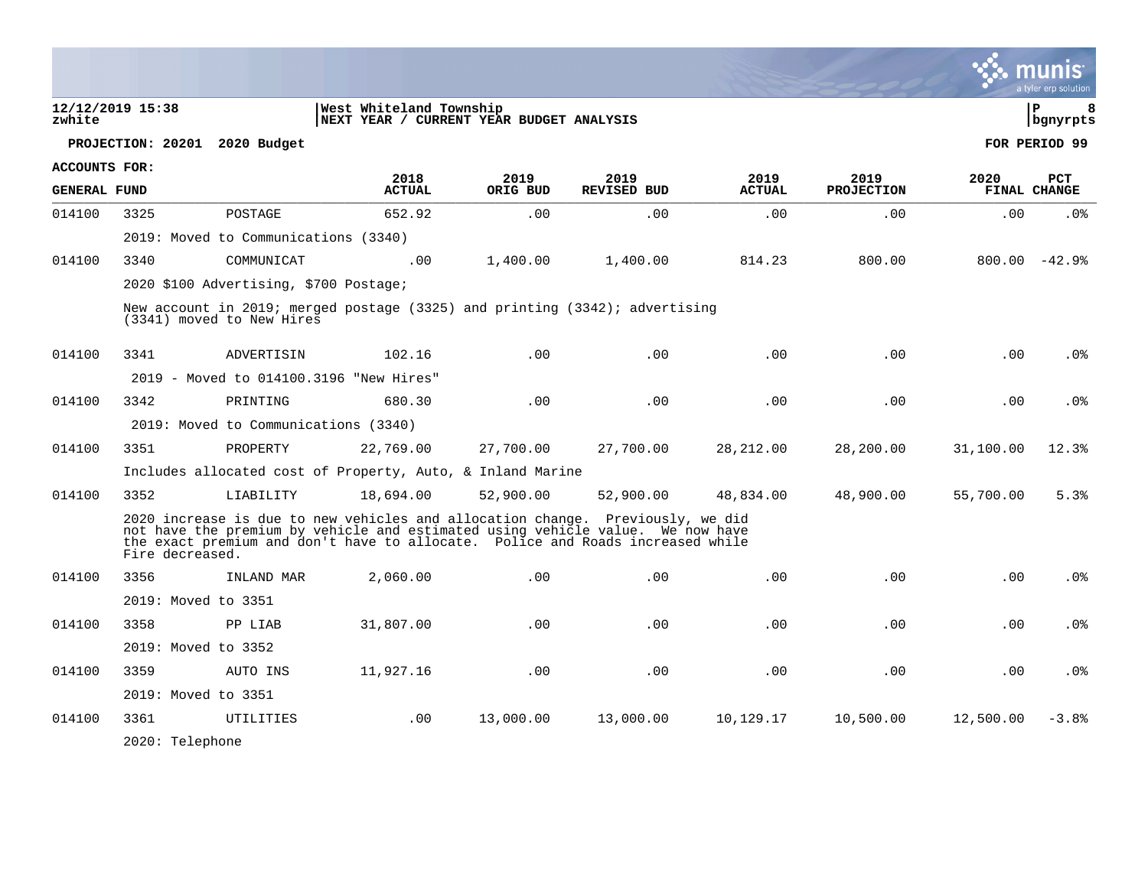|                      |                     |                                                                                                                                                                                                                                                    |                                                                     |                  |                            |                       |                           |           | a tyler erp solution       |
|----------------------|---------------------|----------------------------------------------------------------------------------------------------------------------------------------------------------------------------------------------------------------------------------------------------|---------------------------------------------------------------------|------------------|----------------------------|-----------------------|---------------------------|-----------|----------------------------|
| zwhite               | 12/12/2019 15:38    |                                                                                                                                                                                                                                                    | West Whiteland Township<br>NEXT YEAR / CURRENT YEAR BUDGET ANALYSIS |                  |                            |                       |                           |           | 8<br>l P<br>bgnyrpts       |
|                      |                     | PROJECTION: 20201 2020 Budget                                                                                                                                                                                                                      |                                                                     |                  |                            |                       |                           |           | FOR PERIOD 99              |
| <b>ACCOUNTS FOR:</b> |                     |                                                                                                                                                                                                                                                    |                                                                     |                  |                            |                       |                           |           |                            |
| <b>GENERAL FUND</b>  |                     |                                                                                                                                                                                                                                                    | 2018<br><b>ACTUAL</b>                                               | 2019<br>ORIG BUD | 2019<br><b>REVISED BUD</b> | 2019<br><b>ACTUAL</b> | 2019<br><b>PROJECTION</b> | 2020      | <b>PCT</b><br>FINAL CHANGE |
| 014100               | 3325                | POSTAGE                                                                                                                                                                                                                                            | 652.92                                                              | .00              | .00                        | .00                   | .00                       | .00       | .0 <sub>8</sub>            |
|                      |                     | 2019: Moved to Communications (3340)                                                                                                                                                                                                               |                                                                     |                  |                            |                       |                           |           |                            |
| 014100               | 3340                | COMMUNICAT                                                                                                                                                                                                                                         | .00                                                                 | 1,400.00         | 1,400.00                   | 814.23                | 800.00                    |           | $800.00 - 42.9$            |
|                      |                     | 2020 \$100 Advertising, \$700 Postage;                                                                                                                                                                                                             |                                                                     |                  |                            |                       |                           |           |                            |
|                      |                     | New account in 2019; merged postage (3325) and printing (3342); advertising<br>(3341) moved to New Hires                                                                                                                                           |                                                                     |                  |                            |                       |                           |           |                            |
| 014100               | 3341                | ADVERTISIN                                                                                                                                                                                                                                         | 102.16                                                              | .00              | .00                        | .00                   | .00                       | .00       | .0 <sub>8</sub>            |
|                      |                     | 2019 - Moved to 014100.3196 "New Hires"                                                                                                                                                                                                            |                                                                     |                  |                            |                       |                           |           |                            |
| 014100               | 3342                | PRINTING                                                                                                                                                                                                                                           | 680.30                                                              | .00              | .00                        | .00                   | .00                       | .00       | .0 <sub>8</sub>            |
|                      |                     | 2019: Moved to Communications (3340)                                                                                                                                                                                                               |                                                                     |                  |                            |                       |                           |           |                            |
| 014100               | 3351                | PROPERTY                                                                                                                                                                                                                                           | 22,769.00                                                           | 27,700.00        | 27,700.00                  | 28,212.00             | 28,200.00                 | 31,100.00 | 12.3%                      |
|                      |                     | Includes allocated cost of Property, Auto, & Inland Marine                                                                                                                                                                                         |                                                                     |                  |                            |                       |                           |           |                            |
| 014100               | 3352                | LIABILITY                                                                                                                                                                                                                                          | 18,694.00                                                           | 52,900.00        | 52,900.00                  | 48,834.00             | 48,900.00                 | 55,700.00 | 5.3%                       |
|                      | Fire decreased.     | 2020 increase is due to new vehicles and allocation change. Previously, we did<br>not have the premium by vehicle and estimated using vehicle value. We now have<br>the exact premium and don't have to allocate. Police and Roads increased while |                                                                     |                  |                            |                       |                           |           |                            |
| 014100               | 3356                | INLAND MAR                                                                                                                                                                                                                                         | 2,060.00                                                            | .00              | .00                        | .00                   | .00                       | .00       | .0 <sub>8</sub>            |
|                      | 2019: Moved to 3351 |                                                                                                                                                                                                                                                    |                                                                     |                  |                            |                       |                           |           |                            |
| 014100               | 3358                | PP LIAB                                                                                                                                                                                                                                            | 31,807.00                                                           | .00.             | .00                        | .00                   | .00                       | .00.      | .0%                        |
|                      | 2019: Moved to 3352 |                                                                                                                                                                                                                                                    |                                                                     |                  |                            |                       |                           |           |                            |
| 014100               | 3359                | AUTO INS                                                                                                                                                                                                                                           | 11,927.16                                                           | .00              | .00                        | .00                   | .00                       | .00       | .0%                        |
|                      | 2019: Moved to 3351 |                                                                                                                                                                                                                                                    |                                                                     |                  |                            |                       |                           |           |                            |
| 014100               | 3361                | UTILITIES                                                                                                                                                                                                                                          | .00                                                                 | 13,000.00        | 13,000.00                  | 10,129.17             | 10,500.00                 | 12,500.00 | $-3.8%$                    |
|                      | 2020: Telephone     |                                                                                                                                                                                                                                                    |                                                                     |                  |                            |                       |                           |           |                            |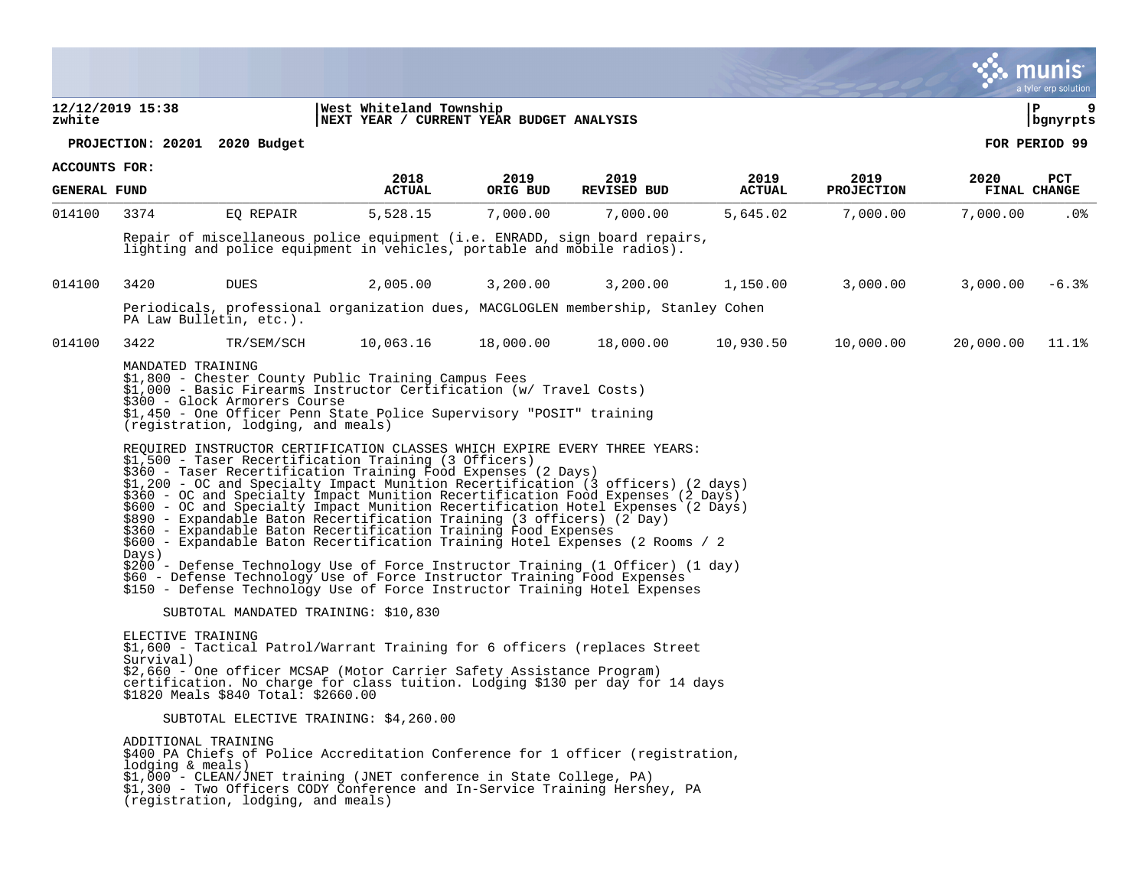tyler erp solutior **12/12/2019 15:38 |West Whiteland Township |P 9 zwhite |NEXT YEAR / CURRENT YEAR BUDGET ANALYSIS |bgnyrpts PROJECTION: 20201 2020 Budget FOR PERIOD 99 ACCOUNTS FOR: 2018 2019 2019 2019 2019 2020 PCT GENERAL FUND ACTUAL ORIG BUD REVISED BUD ACTUAL PROJECTION FINAL CHANGE**  ARIENALI FOND PULLUAL ONIG BOD NEVISED BOD NEVISED ALIOAL FRODECIION FINAL CIRAGE 014100 3374 EQ REPAIR 5,528.15 7,000.00 7,000.00 5,645.02 7,000.00 7,000.00 .0% Repair of miscellaneous police equipment (i.e. ENRADD, sign board repairs, lighting and police equipment in vehicles, portable and mobile radios). 014100 3420 DUES 2,005.00 3,200.00 3,200.00 1,150.00 3,000.00 3,000.00 -6.3% Periodicals, professional organization dues, MACGLOGLEN membership, Stanley Cohen PA Law Bulletin, etc.). 014100 3422 TR/SEM/SCH 10,063.16 18,000.00 18,000.00 10,930.50 10,000.00 20,000.00 11.1% MANDATED TRAINING \$1,800 - Chester County Public Training Campus Fees \$1,000 - Basic Firearms Instructor Certification (w/ Travel Costs) \$300 - Glock Armorers Course \$1,450 - One Officer Penn State Police Supervisory "POSIT" training (registration, lodging, and meals) REQUIRED INSTRUCTOR CERTIFICATION CLASSES WHICH EXPIRE EVERY THREE YEARS: \$1,500 - Taser Recertification Training (3 Officers) \$360 - Taser Recertification Training Food Expenses (2 Days) \$1,200 - OC and Specialty Impact Munition Recertification (3 officers) (2 days) \$360 - OC and Specialty Impact Munition Recertification Food Expenses (2 Days) \$600 - OC and Specialty Impact Munition Recertification Hotel Expenses (2 Days)  $$890$  - Expandable Baton Recertification Training (3 officers) (2 Day) \$360 - Expandable Baton Recertification Training Food Expenses \$600 - Expandable Baton Recertification Training Hotel Expenses (2 Rooms / 2 Days) \$200 - Defense Technology Use of Force Instructor Training (1 Officer) (1 day) \$60 - Defense Technology Use of Force Instructor Training Food Expenses \$150 - Defense Technology Use of Force Instructor Training Hotel Expenses SUBTOTAL MANDATED TRAINING: \$10,830 ELECTIVE TRAINING \$1,600 - Tactical Patrol/Warrant Training for 6 officers (replaces Street Survival) \$2,660 - One officer MCSAP (Motor Carrier Safety Assistance Program) certification. No charge for class tuition. Lodging \$130 per day for 14 days \$1820 Meals \$840 Total: \$2660.00 SUBTOTAL ELECTIVE TRAINING: \$4,260.00 ADDITIONAL TRAINING \$400 PA Chiefs of Police Accreditation Conference for 1 officer (registration, lodging & meals) \$1,000 - CLEAN/JNET training (JNET conference in State College, PA) \$1,300 - Two Officers CODY Conference and In-Service Training Hershey, PA (registration, lodging, and meals)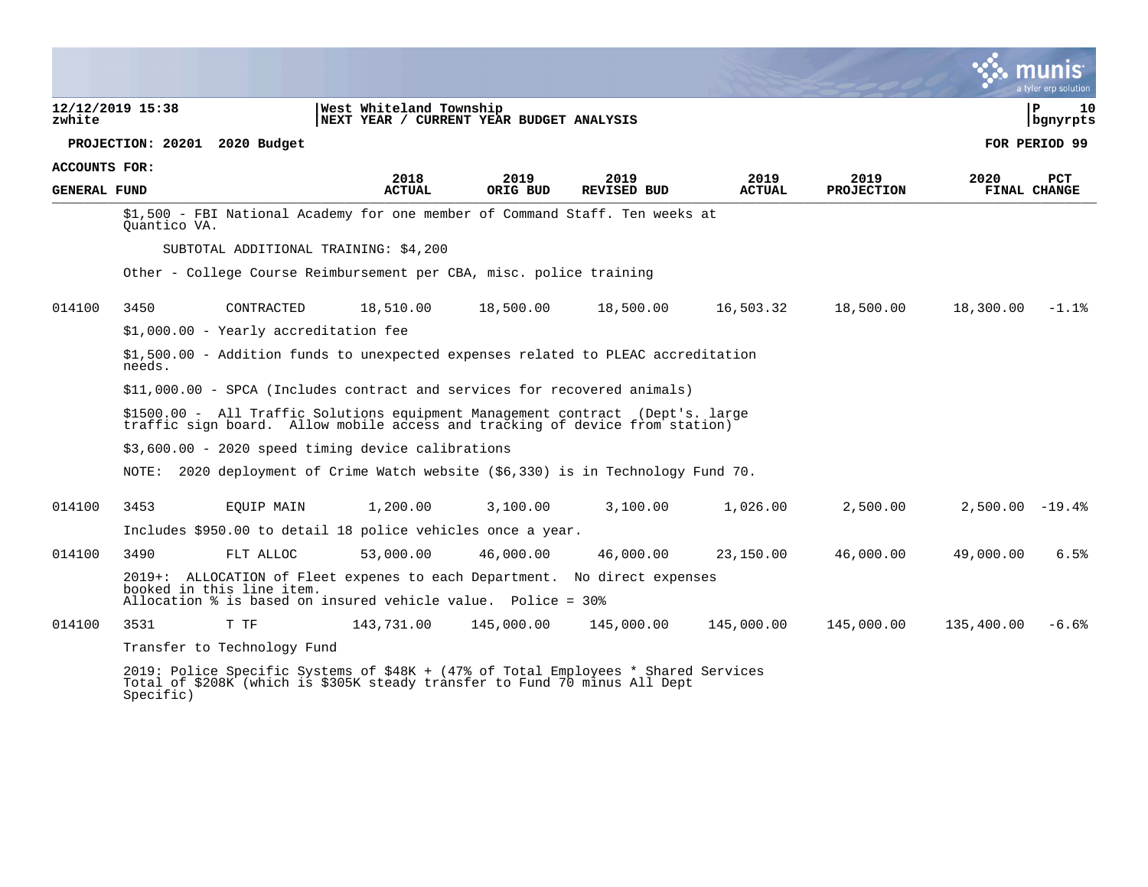|                     |                  |                                       |                                                                                                                                                                  |                  |                            |                       |                           |                   | nıs<br>a tyler erp solution |
|---------------------|------------------|---------------------------------------|------------------------------------------------------------------------------------------------------------------------------------------------------------------|------------------|----------------------------|-----------------------|---------------------------|-------------------|-----------------------------|
| zwhite              | 12/12/2019 15:38 |                                       | West Whiteland Township<br> NEXT YEAR / CURRENT YEAR BUDGET ANALYSIS                                                                                             |                  |                            |                       |                           |                   | l P<br>10<br>  bgnyrpts     |
|                     |                  | PROJECTION: 20201 2020 Budget         |                                                                                                                                                                  |                  |                            |                       |                           |                   | FOR PERIOD 99               |
| ACCOUNTS FOR:       |                  |                                       |                                                                                                                                                                  |                  |                            |                       |                           |                   |                             |
| <b>GENERAL FUND</b> |                  |                                       | 2018<br><b>ACTUAL</b>                                                                                                                                            | 2019<br>ORIG BUD | 2019<br><b>REVISED BUD</b> | 2019<br><b>ACTUAL</b> | 2019<br><b>PROJECTION</b> | 2020              | <b>PCT</b><br>FINAL CHANGE  |
|                     | Ouantico VA.     |                                       | \$1,500 - FBI National Academy for one member of Command Staff. Ten weeks at                                                                                     |                  |                            |                       |                           |                   |                             |
|                     |                  |                                       | SUBTOTAL ADDITIONAL TRAINING: \$4,200                                                                                                                            |                  |                            |                       |                           |                   |                             |
|                     |                  |                                       | Other - College Course Reimbursement per CBA, misc. police training                                                                                              |                  |                            |                       |                           |                   |                             |
| 014100              | 3450             | CONTRACTED                            | 18,510.00                                                                                                                                                        | 18,500.00        | 18,500.00                  | 16,503.32             | 18,500.00                 | 18,300.00         | $-1.1%$                     |
|                     |                  | \$1,000.00 - Yearly accreditation fee |                                                                                                                                                                  |                  |                            |                       |                           |                   |                             |
|                     | needs.           |                                       | \$1,500.00 - Addition funds to unexpected expenses related to PLEAC accreditation                                                                                |                  |                            |                       |                           |                   |                             |
|                     |                  |                                       | \$11,000.00 - SPCA (Includes contract and services for recovered animals)                                                                                        |                  |                            |                       |                           |                   |                             |
|                     |                  |                                       | \$1500.00 - All Traffic Solutions equipment Management contract (Dept's. large<br>traffic sign board. Allow mobile access and tracking of device from station)   |                  |                            |                       |                           |                   |                             |
|                     |                  |                                       | $$3,600.00 - 2020$ speed timing device calibrations                                                                                                              |                  |                            |                       |                           |                   |                             |
|                     | NOTE:            |                                       | 2020 deployment of Crime Watch website (\$6,330) is in Technology Fund 70.                                                                                       |                  |                            |                       |                           |                   |                             |
| 014100              | 3453             | EQUIP MAIN                            | 1,200.00                                                                                                                                                         | 3,100.00         | 3,100.00                   | 1,026.00              | 2,500.00                  | $2,500.00 - 19.4$ |                             |
|                     |                  |                                       | Includes \$950.00 to detail 18 police vehicles once a year.                                                                                                      |                  |                            |                       |                           |                   |                             |
| 014100              | 3490             | FLT ALLOC                             | 53,000.00                                                                                                                                                        | 46,000.00        | 46,000.00                  | 23,150.00             | 46,000.00                 | 49,000.00         | 6.5%                        |
|                     |                  | booked in this line item.             | 2019+: ALLOCATION of Fleet expenes to each Department. No direct expenses<br>Allocation % is based on insured vehicle value. Police = 30%                        |                  |                            |                       |                           |                   |                             |
| 014100              | 3531             | T TF                                  | 143,731.00                                                                                                                                                       | 145,000.00       | 145,000.00                 | 145,000.00            | 145,000.00                | 135,400.00        | $-6.6%$                     |
|                     |                  | Transfer to Technology Fund           |                                                                                                                                                                  |                  |                            |                       |                           |                   |                             |
|                     |                  |                                       | 2019: Police Specific Systems of \$48K + (47% of Total Employees * Shared Services<br>Total of \$208K (which is \$305K steady transfer to Fund 70 minus All Dept |                  |                            |                       |                           |                   |                             |

Specific)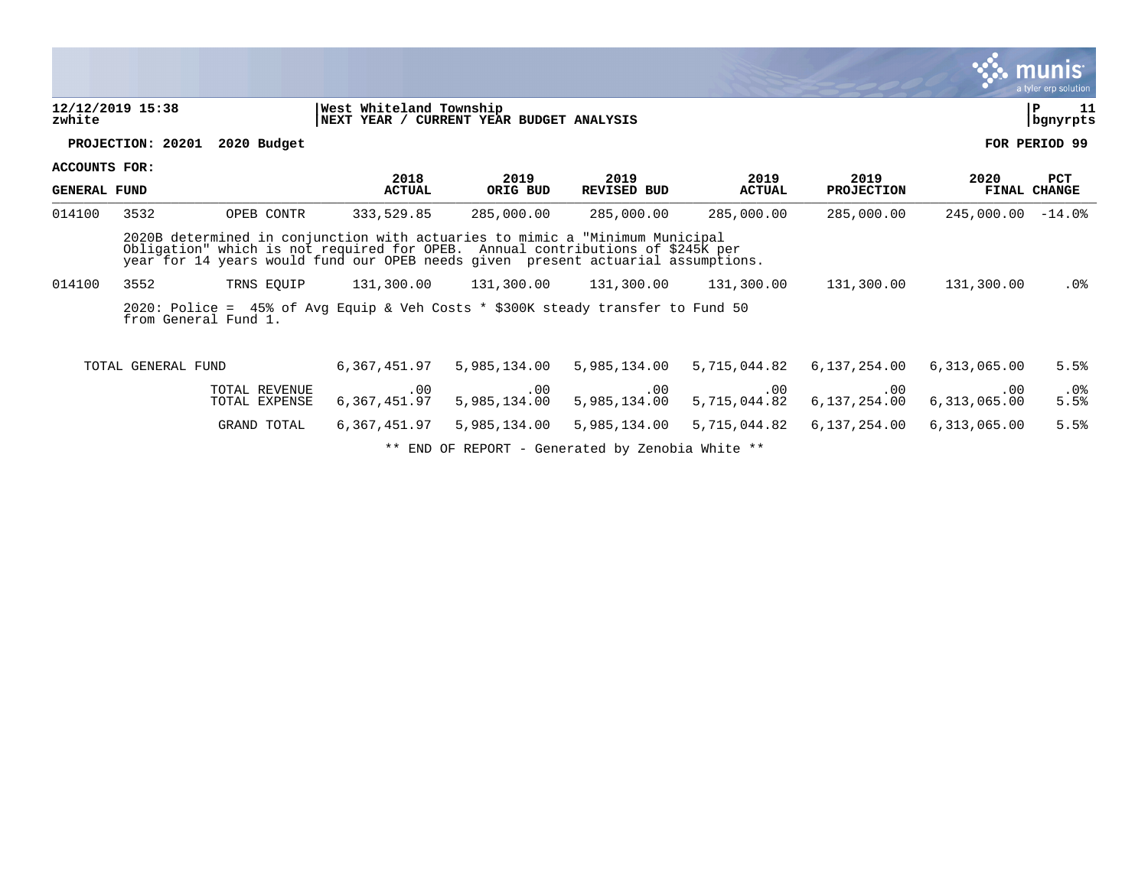**12/12/2019 15:38 |West Whiteland Township |P 11 zwhite |NEXT YEAR / CURRENT YEAR BUDGET ANALYSIS |bgnyrpts PROJECTION: 20201 2020 Budget FOR PERIOD 99**

**ACCOUNTS FOR:**

**2018 2019 2019 2019 2019 2020 PCT GENERAL FUND ACTUAL ORIG BUD REVISED BUD ACTUAL PROJECTION FINAL CHANGE**  ARIENALI FOND PULLUAL ONIG BOD NEVISED BOD NEVISED ALIOAL FRODECIION FINAL CIRAGE 014100 3532 OPEB CONTR 333,529.85 285,000.00 285,000.00 285,000.00 285,000.00 245,000.00 -14.0% 2020B determined in conjunction with actuaries to mimic a "Minimum Municipal Obligation" which is not required for OPEB. Annual contributions of \$245K per year for 14 years would fund our OPEB needs given present actuarial assumptions. 014100 3552 TRNS EQUIP 131,300.00 131,300.00 131,300.00 131,300.00 131,300.00 131,300.00 .0% 2020: Police = 45% of Avg Equip & Veh Costs \* \$300K steady transfer to Fund 50 from General Fund 1. TOTAL GENERAL FUND 6,367,451.97 5,985,134.00 5,985,134.00 5,715,044.82 6,137,254.00 6,313,065.00 5.5% TOTAL REVENUE .00 .00 .00 .00 .00 .00 .0% TOTAL EXPENSE 6,367,451.97 5,985,134.00 5,985,134.00 5,715,044.82 6,137,254.00 6,313,065.00 5.5% GRAND TOTAL 6,367,451.97 5,985,134.00 5,985,134.00 5,715,044.82 6,137,254.00 6,313,065.00 5.5%

\*\* END OF REPORT - Generated by Zenobia White \*\*

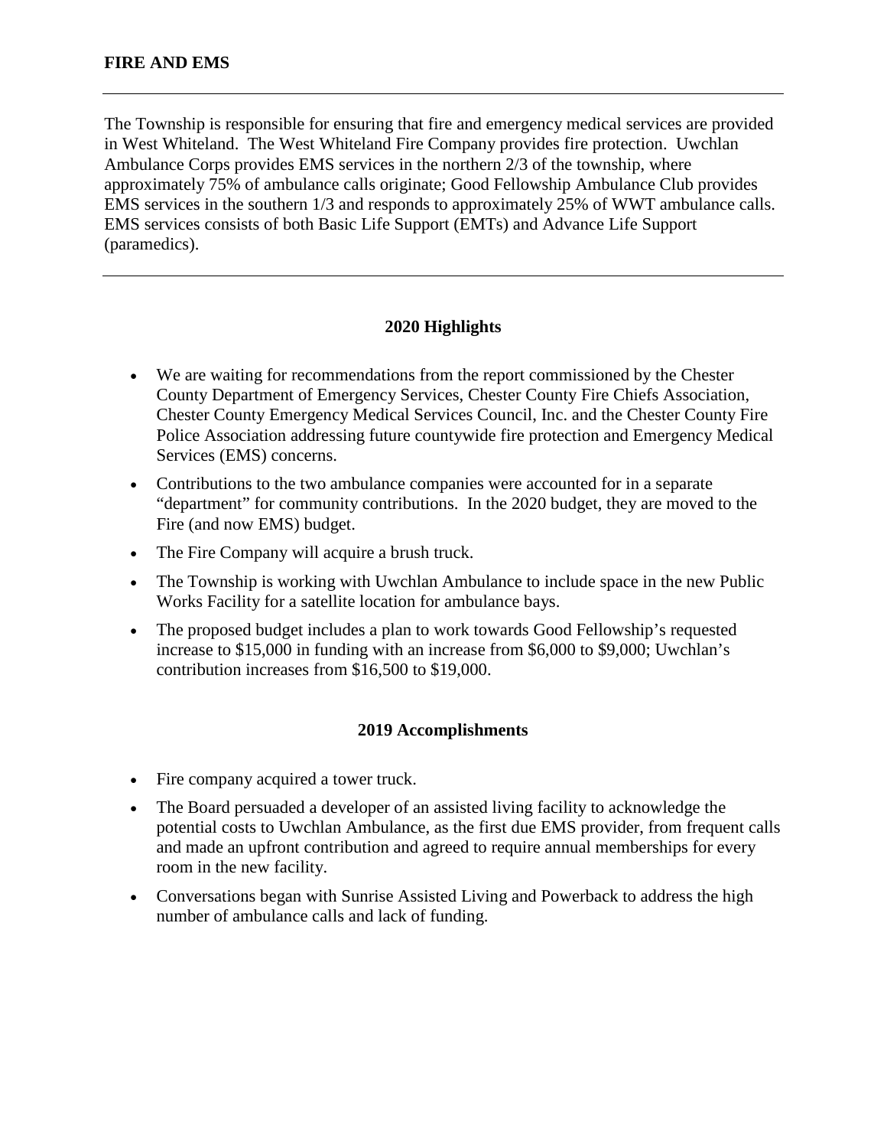The Township is responsible for ensuring that fire and emergency medical services are provided in West Whiteland. The West Whiteland Fire Company provides fire protection. Uwchlan Ambulance Corps provides EMS services in the northern 2/3 of the township, where approximately 75% of ambulance calls originate; Good Fellowship Ambulance Club provides EMS services in the southern 1/3 and responds to approximately 25% of WWT ambulance calls. EMS services consists of both Basic Life Support (EMTs) and Advance Life Support (paramedics).

## **2020 Highlights**

- We are waiting for recommendations from the report commissioned by the Chester County Department of Emergency Services, Chester County Fire Chiefs Association, Chester County Emergency Medical Services Council, Inc. and the Chester County Fire Police Association addressing future countywide fire protection and Emergency Medical Services (EMS) concerns.
- Contributions to the two ambulance companies were accounted for in a separate "department" for community contributions. In the 2020 budget, they are moved to the Fire (and now EMS) budget.
- The Fire Company will acquire a brush truck.
- The Township is working with Uwchlan Ambulance to include space in the new Public Works Facility for a satellite location for ambulance bays.
- The proposed budget includes a plan to work towards Good Fellowship's requested increase to \$15,000 in funding with an increase from \$6,000 to \$9,000; Uwchlan's contribution increases from \$16,500 to \$19,000.

## **2019 Accomplishments**

- Fire company acquired a tower truck.
- The Board persuaded a developer of an assisted living facility to acknowledge the potential costs to Uwchlan Ambulance, as the first due EMS provider, from frequent calls and made an upfront contribution and agreed to require annual memberships for every room in the new facility.
- Conversations began with Sunrise Assisted Living and Powerback to address the high number of ambulance calls and lack of funding.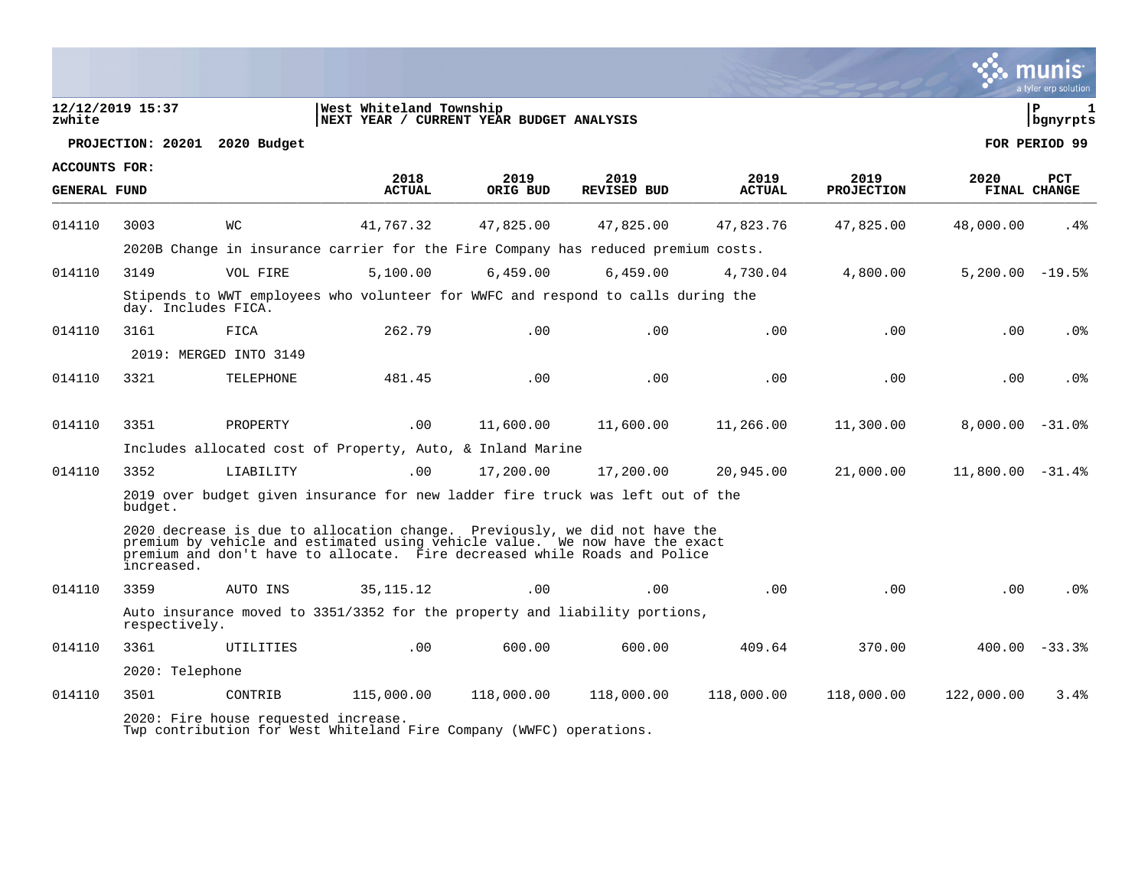| zwhite              | 12/12/2019 15:37    |                                      | West Whiteland Township<br>NEXT YEAR / CURRENT YEAR BUDGET ANALYSIS                                                                                                                                                                    |                  |                            |                       |                           |                    | $\mathbf{1}$<br>ΙP<br>  bgnyrpts |
|---------------------|---------------------|--------------------------------------|----------------------------------------------------------------------------------------------------------------------------------------------------------------------------------------------------------------------------------------|------------------|----------------------------|-----------------------|---------------------------|--------------------|----------------------------------|
|                     |                     | PROJECTION: 20201 2020 Budget        |                                                                                                                                                                                                                                        |                  |                            |                       |                           |                    | FOR PERIOD 99                    |
| ACCOUNTS FOR:       |                     |                                      |                                                                                                                                                                                                                                        |                  |                            |                       |                           |                    |                                  |
| <b>GENERAL FUND</b> |                     |                                      | 2018<br><b>ACTUAL</b>                                                                                                                                                                                                                  | 2019<br>ORIG BUD | 2019<br><b>REVISED BUD</b> | 2019<br><b>ACTUAL</b> | 2019<br><b>PROJECTION</b> | 2020               | PCT<br>FINAL CHANGE              |
| 014110              | 3003                | <b>WC</b>                            | 41,767.32                                                                                                                                                                                                                              | 47,825.00        | 47,825.00                  | 47,823.76             | 47,825.00                 | 48,000.00          | $.4\%$                           |
|                     |                     |                                      | 2020B Change in insurance carrier for the Fire Company has reduced premium costs.                                                                                                                                                      |                  |                            |                       |                           |                    |                                  |
| 014110              | 3149                | VOL FIRE                             | 5.100.00                                                                                                                                                                                                                               | 6.459.00         | 6.459.00                   | 4,730.04              | 4,800.00                  | $5.200.00 - 19.5$  |                                  |
|                     | day. Includes FICA. |                                      | Stipends to WWT employees who volunteer for WWFC and respond to calls during the                                                                                                                                                       |                  |                            |                       |                           |                    |                                  |
| 014110              | 3161                | FICA                                 | 262.79                                                                                                                                                                                                                                 | .00              | .00                        | .00                   | .00                       | .00                | .0%                              |
|                     |                     | 2019: MERGED INTO 3149               |                                                                                                                                                                                                                                        |                  |                            |                       |                           |                    |                                  |
| 014110              | 3321                | TELEPHONE                            | 481.45                                                                                                                                                                                                                                 | .00              | .00                        | .00                   | .00                       | .00                | .0 <sub>8</sub>                  |
|                     |                     |                                      |                                                                                                                                                                                                                                        |                  |                            |                       |                           |                    |                                  |
| 014110              | 3351                | PROPERTY                             | .00                                                                                                                                                                                                                                    | 11,600.00        | 11,600.00                  | 11,266.00             | 11,300.00                 | $8,000.00 - 31.0$  |                                  |
|                     |                     |                                      | Includes allocated cost of Property, Auto, & Inland Marine                                                                                                                                                                             |                  |                            |                       |                           |                    |                                  |
| 014110              | 3352                | LIABILITY                            | .00                                                                                                                                                                                                                                    | 17,200.00        | 17,200.00                  | 20,945.00             | 21,000.00                 | $11,800.00 - 31.4$ |                                  |
|                     | budget.             |                                      | 2019 over budget given insurance for new ladder fire truck was left out of the                                                                                                                                                         |                  |                            |                       |                           |                    |                                  |
|                     | increased.          |                                      | 2020 decrease is due to allocation change. Previously, we did not have the<br>premium by vehicle and estimated using vehicle value. We now have the exact<br>premium and don't have to allocate. Fire decreased while Roads and Police |                  |                            |                       |                           |                    |                                  |
| 014110              | 3359                | AUTO INS                             | 35, 115, 12                                                                                                                                                                                                                            | .00              | .00                        | .00                   | .00                       | .00                | .0%                              |
|                     | respectively.       |                                      | Auto insurance moved to 3351/3352 for the property and liability portions,                                                                                                                                                             |                  |                            |                       |                           |                    |                                  |
| 014110              | 3361                | UTILITIES                            | .00                                                                                                                                                                                                                                    | 600.00           | 600.00                     | 409.64                | 370.00                    |                    | $400.00 - 33.3$                  |
|                     | 2020: Telephone     |                                      |                                                                                                                                                                                                                                        |                  |                            |                       |                           |                    |                                  |
| 014110              | 3501                | CONTRIB                              | 115,000.00                                                                                                                                                                                                                             | 118,000.00       | 118,000.00                 | 118,000.00            | 118,000.00                | 122,000.00         | 3.4%                             |
|                     |                     | 2020: Fire house requested increase. |                                                                                                                                                                                                                                        |                  |                            |                       |                           |                    |                                  |

 $\ddot{\ddot{\mathbf{w}}}$  munis

Twp contribution for West Whiteland Fire Company (WWFC) operations.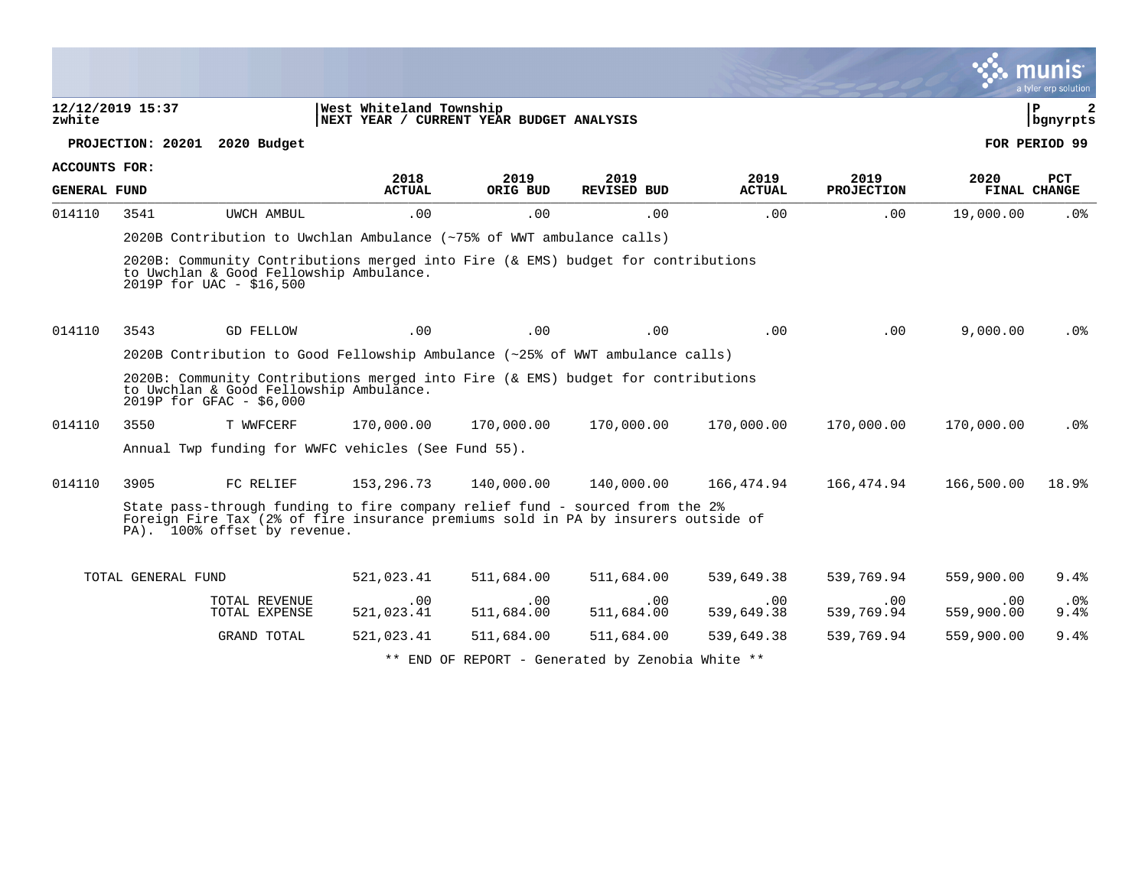|                     |                    |                                                                                                                                                                                                   |                                                                     |                   |                                                  |                   |                        |                   | $\sim$ munis<br>a tyler erp solution |
|---------------------|--------------------|---------------------------------------------------------------------------------------------------------------------------------------------------------------------------------------------------|---------------------------------------------------------------------|-------------------|--------------------------------------------------|-------------------|------------------------|-------------------|--------------------------------------|
| zwhite              | 12/12/2019 15:37   |                                                                                                                                                                                                   | West Whiteland Township<br>NEXT YEAR / CURRENT YEAR BUDGET ANALYSIS |                   |                                                  |                   |                        |                   | ΙP<br>2<br>  bgnyrpts                |
|                     |                    | PROJECTION: 20201 2020 Budget                                                                                                                                                                     |                                                                     |                   |                                                  |                   |                        |                   | FOR PERIOD 99                        |
| ACCOUNTS FOR:       |                    |                                                                                                                                                                                                   | 2018                                                                | 2019              | 2019                                             | 2019              | 2019                   | 2020              | PCT                                  |
| <b>GENERAL FUND</b> |                    |                                                                                                                                                                                                   | <b>ACTUAL</b>                                                       | ORIG BUD          | <b>REVISED BUD</b>                               | <b>ACTUAL</b>     | <b>PROJECTION</b>      |                   | FINAL CHANGE                         |
| 014110              | 3541               | UWCH AMBUL                                                                                                                                                                                        | .00                                                                 | .00               | .00                                              | .00               | .00                    | 19,000.00         | .0%                                  |
|                     |                    | 2020B Contribution to Uwchlan Ambulance (~75% of WWT ambulance calls)                                                                                                                             |                                                                     |                   |                                                  |                   |                        |                   |                                      |
|                     |                    | 2020B: Community Contributions merged into Fire (& EMS) budget for contributions<br>to Uwchlan & Good Fellowship Ambulance.<br>2019P for UAC - \$16,500                                           |                                                                     |                   |                                                  |                   |                        |                   |                                      |
| 014110              | 3543               | GD FELLOW                                                                                                                                                                                         | .00                                                                 | .00               | .00                                              | .00               | $.00 \,$               | 9,000.00          | .0%                                  |
|                     |                    | 2020B Contribution to Good Fellowship Ambulance (~25% of WWT ambulance calls)                                                                                                                     |                                                                     |                   |                                                  |                   |                        |                   |                                      |
|                     |                    | 2020B: Community Contributions merged into Fire (& EMS) budget for contributions<br>to Uwchlan & Good Fellowship Ambulance.<br>2019P for GFAC - \$6,000                                           |                                                                     |                   |                                                  |                   |                        |                   |                                      |
| 014110              | 3550               | T WWFCERF                                                                                                                                                                                         | 170,000.00                                                          | 170,000.00        | 170,000.00                                       | 170,000.00        | 170,000.00             | 170,000.00        | $.0\%$                               |
|                     |                    | Annual Twp funding for WWFC vehicles (See Fund 55).                                                                                                                                               |                                                                     |                   |                                                  |                   |                        |                   |                                      |
| 014110              | 3905               | FC RELIEF                                                                                                                                                                                         | 153,296.73                                                          | 140,000.00        | 140,000.00                                       | 166,474.94        | 166,474.94             | 166,500.00        | 18.9%                                |
|                     |                    | State pass-through funding to fire company relief fund - sourced from the 2%<br>Foreign Fire Tax (2% of fire insurance premiums sold in PA by insurers outside of<br>PA). 100% offset by revenue. |                                                                     |                   |                                                  |                   |                        |                   |                                      |
|                     | TOTAL GENERAL FUND |                                                                                                                                                                                                   | 521,023.41                                                          | 511,684.00        | 511,684.00                                       | 539,649.38        | 539,769.94             | 559,900.00        | 9.4%                                 |
|                     |                    | TOTAL REVENUE<br>TOTAL EXPENSE                                                                                                                                                                    | $.00 \,$<br>521,023.41                                              | .00<br>511,684.00 | .00<br>511,684.00                                | .00<br>539,649.38 | $.00 \,$<br>539,769.94 | .00<br>559,900.00 | $.0\%$<br>9.4%                       |
|                     |                    | GRAND TOTAL                                                                                                                                                                                       | 521,023.41                                                          | 511,684.00        | 511,684.00                                       | 539,649.38        | 539,769.94             | 559,900.00        | 9.4%                                 |
|                     |                    |                                                                                                                                                                                                   |                                                                     |                   | ** END OF REPORT - Generated by Zenobia White ** |                   |                        |                   |                                      |

 $\mathcal{L}$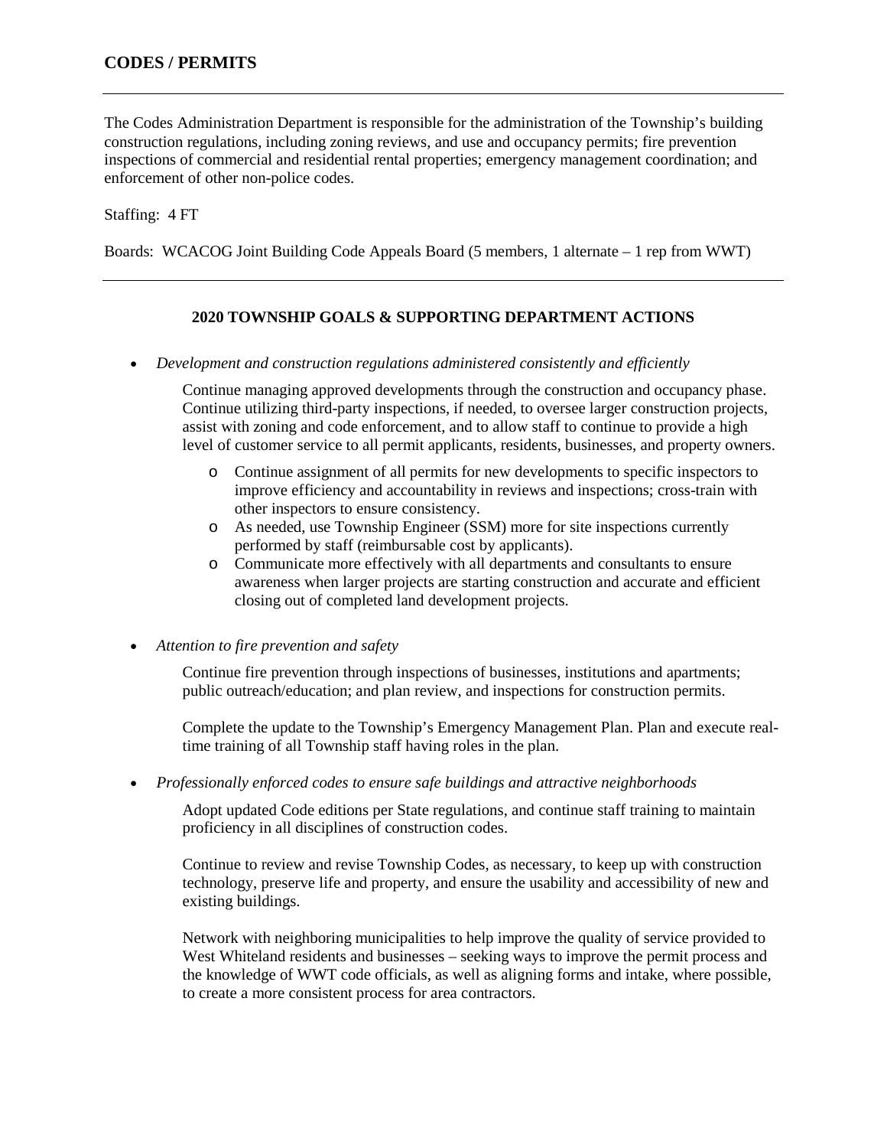The Codes Administration Department is responsible for the administration of the Township's building construction regulations, including zoning reviews, and use and occupancy permits; fire prevention inspections of commercial and residential rental properties; emergency management coordination; and enforcement of other non-police codes.

## Staffing: 4 FT

Boards: WCACOG Joint Building Code Appeals Board (5 members, 1 alternate – 1 rep from WWT)

## **2020 TOWNSHIP GOALS & SUPPORTING DEPARTMENT ACTIONS**

• *Development and construction regulations administered consistently and efficiently*

Continue managing approved developments through the construction and occupancy phase. Continue utilizing third-party inspections, if needed, to oversee larger construction projects, assist with zoning and code enforcement, and to allow staff to continue to provide a high level of customer service to all permit applicants, residents, businesses, and property owners.

- o Continue assignment of all permits for new developments to specific inspectors to improve efficiency and accountability in reviews and inspections; cross-train with other inspectors to ensure consistency.
- o As needed, use Township Engineer (SSM) more for site inspections currently performed by staff (reimbursable cost by applicants).
- o Communicate more effectively with all departments and consultants to ensure awareness when larger projects are starting construction and accurate and efficient closing out of completed land development projects.

• *Attention to fire prevention and safety*

Continue fire prevention through inspections of businesses, institutions and apartments; public outreach/education; and plan review, and inspections for construction permits.

Complete the update to the Township's Emergency Management Plan. Plan and execute realtime training of all Township staff having roles in the plan.

• *Professionally enforced codes to ensure safe buildings and attractive neighborhoods*

Adopt updated Code editions per State regulations, and continue staff training to maintain proficiency in all disciplines of construction codes.

Continue to review and revise Township Codes, as necessary, to keep up with construction technology, preserve life and property, and ensure the usability and accessibility of new and existing buildings.

Network with neighboring municipalities to help improve the quality of service provided to West Whiteland residents and businesses – seeking ways to improve the permit process and the knowledge of WWT code officials, as well as aligning forms and intake, where possible, to create a more consistent process for area contractors.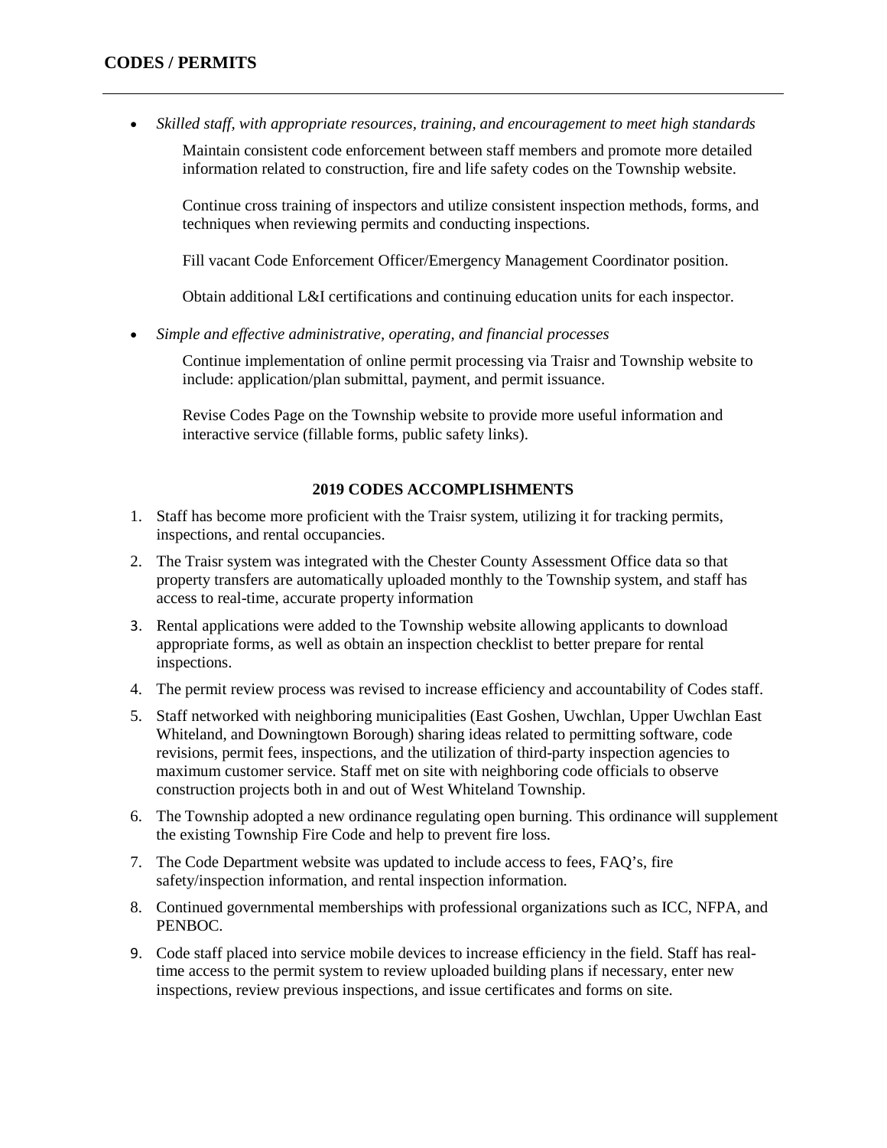# **CODES / PERMITS**

• *Skilled staff, with appropriate resources, training, and encouragement to meet high standards*

Maintain consistent code enforcement between staff members and promote more detailed information related to construction, fire and life safety codes on the Township website.

Continue cross training of inspectors and utilize consistent inspection methods, forms, and techniques when reviewing permits and conducting inspections.

Fill vacant Code Enforcement Officer/Emergency Management Coordinator position.

Obtain additional L&I certifications and continuing education units for each inspector.

• *Simple and effective administrative, operating, and financial processes* 

Continue implementation of online permit processing via Traisr and Township website to include: application/plan submittal, payment, and permit issuance.

Revise Codes Page on the Township website to provide more useful information and interactive service (fillable forms, public safety links).

#### **2019 CODES ACCOMPLISHMENTS**

- 1. Staff has become more proficient with the Traisr system, utilizing it for tracking permits, inspections, and rental occupancies.
- 2. The Traisr system was integrated with the Chester County Assessment Office data so that property transfers are automatically uploaded monthly to the Township system, and staff has access to real-time, accurate property information
- 3. Rental applications were added to the Township website allowing applicants to download appropriate forms, as well as obtain an inspection checklist to better prepare for rental inspections.
- 4. The permit review process was revised to increase efficiency and accountability of Codes staff.
- 5. Staff networked with neighboring municipalities (East Goshen, Uwchlan, Upper Uwchlan East Whiteland, and Downingtown Borough) sharing ideas related to permitting software, code revisions, permit fees, inspections, and the utilization of third-party inspection agencies to maximum customer service. Staff met on site with neighboring code officials to observe construction projects both in and out of West Whiteland Township.
- 6. The Township adopted a new ordinance regulating open burning. This ordinance will supplement the existing Township Fire Code and help to prevent fire loss.
- 7. The Code Department website was updated to include access to fees, FAQ's, fire safety/inspection information, and rental inspection information.
- 8. Continued governmental memberships with professional organizations such as ICC, NFPA, and PENBOC.
- 9. Code staff placed into service mobile devices to increase efficiency in the field. Staff has realtime access to the permit system to review uploaded building plans if necessary, enter new inspections, review previous inspections, and issue certificates and forms on site.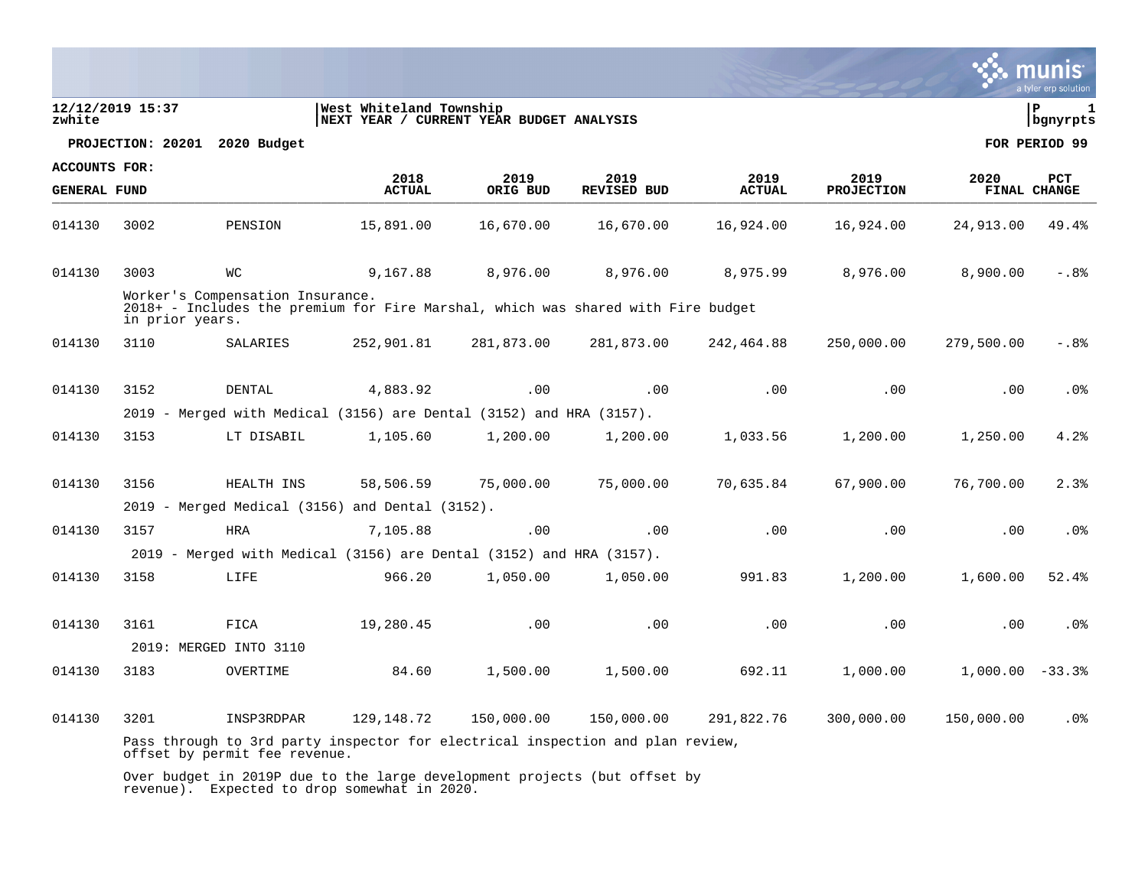|                     |                   |                                  |                                                                                                |            |                    |               |                   |                   | a tyler erp solution |
|---------------------|-------------------|----------------------------------|------------------------------------------------------------------------------------------------|------------|--------------------|---------------|-------------------|-------------------|----------------------|
| zwhite              | 12/12/2019 15:37  |                                  | West Whiteland Township<br> NEXT YEAR / CURRENT YEAR BUDGET ANALYSIS                           |            |                    |               |                   |                   | l P<br>  bgnyrpts    |
|                     | PROJECTION: 20201 | 2020 Budget                      |                                                                                                |            |                    |               |                   |                   | FOR PERIOD 99        |
| ACCOUNTS FOR:       |                   |                                  | 2018                                                                                           | 2019       | 2019               | 2019          | 2019              | 2020              | PCT                  |
| <b>GENERAL FUND</b> |                   |                                  | <b>ACTUAL</b>                                                                                  | ORIG BUD   | <b>REVISED BUD</b> | <b>ACTUAL</b> | <b>PROJECTION</b> |                   | <b>FINAL CHANGE</b>  |
| 014130              | 3002              | PENSION                          | 15,891.00                                                                                      | 16,670.00  | 16,670.00          | 16,924.00     | 16,924.00         | 24,913.00         | 49.4%                |
| 014130              | 3003              | <b>WC</b>                        | 9,167.88                                                                                       | 8,976.00   | 8,976.00           | 8,975.99      | 8,976.00          | 8,900.00          | $-0.88$              |
|                     | in prior years.   | Worker's Compensation Insurance. | 2018+ - Includes the premium for Fire Marshal, which was shared with Fire budget               |            |                    |               |                   |                   |                      |
| 014130              | 3110              | SALARIES                         | 252,901.81                                                                                     | 281,873.00 | 281,873.00         | 242,464.88    | 250,000.00        | 279,500.00        | $-0.88$              |
| 014130              | 3152              | DENTAL                           | 4,883.92                                                                                       | .00        | .00                | .00           | .00               | .00               | .0 <sub>8</sub>      |
|                     |                   |                                  | 2019 - Merged with Medical (3156) are Dental (3152) and HRA (3157).                            |            |                    |               |                   |                   |                      |
| 014130              | 3153              | LT DISABIL                       | 1,105.60                                                                                       | 1,200.00   | 1,200.00           | 1,033.56      | 1,200.00          | 1,250.00          | 4.2%                 |
| 014130              | 3156              | HEALTH INS                       | 58,506.59                                                                                      | 75,000.00  | 75,000.00          | 70,635.84     | 67,900.00         | 76,700.00         | 2.3%                 |
|                     |                   |                                  | 2019 - Merged Medical (3156) and Dental (3152).                                                |            |                    |               |                   |                   |                      |
| 014130              | 3157              | <b>HRA</b>                       | 7,105.88                                                                                       | .00        | .00                | .00           | .00               | .00               | .0 <sub>8</sub>      |
|                     |                   |                                  | 2019 - Merged with Medical (3156) are Dental (3152) and HRA (3157).                            |            |                    |               |                   |                   |                      |
| 014130              | 3158              | LIFE                             | 966.20                                                                                         | 1,050.00   | 1,050.00           | 991.83        | 1,200.00          | 1,600.00          | 52.4%                |
| 014130              | 3161              | FICA                             | 19,280.45                                                                                      | .00        | .00                | .00           | .00               | .00               | .0 <sub>8</sub>      |
|                     |                   | 2019: MERGED INTO 3110           |                                                                                                |            |                    |               |                   |                   |                      |
| 014130              | 3183              | OVERTIME                         | 84.60                                                                                          | 1,500.00   | 1,500.00           | 692.11        | 1,000.00          | $1,000.00 - 33.3$ |                      |
| 014130              | 3201              | INSP3RDPAR                       | 129, 148. 72<br>Pass through to 3rd party inspector for electrical inspection and plan review, | 150,000.00 | 150,000.00         | 291,822.76    | 300,000.00        | 150,000.00        | .0 <sub>8</sub>      |
|                     |                   | offset by permit fee revenue.    |                                                                                                |            |                    |               |                   |                   |                      |
|                     |                   |                                  | Over budget in 2019P due to the large development projects (but offset by                      |            |                    |               |                   |                   |                      |

revenue). Expected to drop somewhat in 2020.

**SALES** munis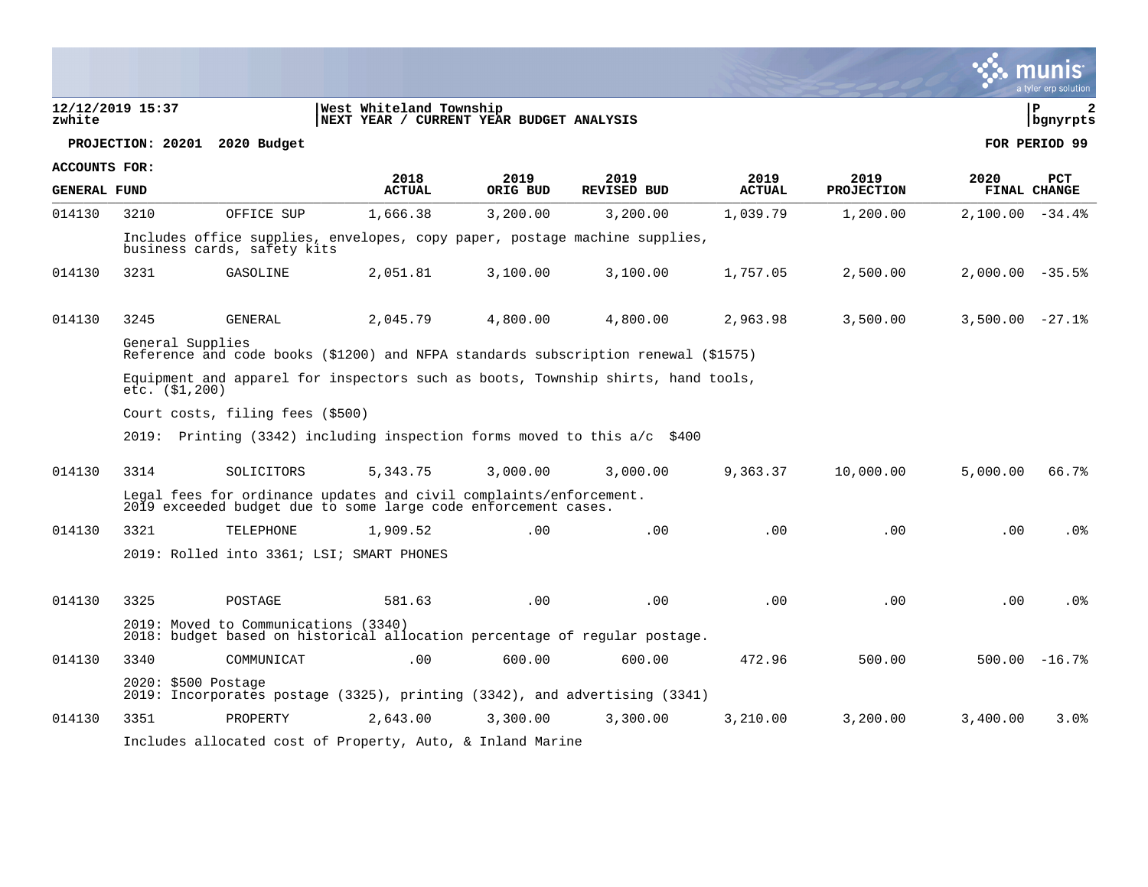|                     |                                                                                                       |                                      |                                                                                                                                      |                  |                            |                       |                           |                   | a tyler erp solution   |
|---------------------|-------------------------------------------------------------------------------------------------------|--------------------------------------|--------------------------------------------------------------------------------------------------------------------------------------|------------------|----------------------------|-----------------------|---------------------------|-------------------|------------------------|
| zwhite              | 12/12/2019 15:37                                                                                      |                                      | West Whiteland Township<br>NEXT YEAR / CURRENT YEAR BUDGET ANALYSIS                                                                  |                  |                            |                       |                           |                   | l P<br>2<br>  bgnyrpts |
|                     | PROJECTION: 20201 2020 Budget                                                                         |                                      |                                                                                                                                      |                  |                            |                       |                           |                   | FOR PERIOD 99          |
| ACCOUNTS FOR:       |                                                                                                       |                                      |                                                                                                                                      |                  |                            |                       |                           |                   |                        |
| <b>GENERAL FUND</b> |                                                                                                       |                                      | 2018<br><b>ACTUAL</b>                                                                                                                | 2019<br>ORIG BUD | 2019<br><b>REVISED BUD</b> | 2019<br><b>ACTUAL</b> | 2019<br><b>PROJECTION</b> | 2020              | PCT<br>FINAL CHANGE    |
| 014130              | 3210                                                                                                  | OFFICE SUP                           | 1,666.38                                                                                                                             | 3,200.00         | 3,200.00                   | 1,039.79              | 1,200.00                  | $2,100.00 - 34.4$ |                        |
|                     |                                                                                                       | business cards, safety kits          | Includes office supplies, envelopes, copy paper, postage machine supplies,                                                           |                  |                            |                       |                           |                   |                        |
| 014130              | 3231                                                                                                  | GASOLINE                             | 2,051.81                                                                                                                             | 3,100.00         | 3,100.00                   | 1,757.05              | 2,500.00                  | $2,000.00 - 35.5$ |                        |
|                     |                                                                                                       |                                      |                                                                                                                                      |                  |                            |                       |                           |                   |                        |
| 014130              | 3245                                                                                                  | <b>GENERAL</b>                       | 2,045.79                                                                                                                             | 4,800.00         | 4,800.00                   | 2,963.98              | 3,500.00                  | $3,500.00 -27.1$  |                        |
|                     | General Supplies                                                                                      |                                      | Reference and code books (\$1200) and NFPA standards subscription renewal (\$1575)                                                   |                  |                            |                       |                           |                   |                        |
|                     | Equipment and apparel for inspectors such as boots, Township shirts, hand tools,<br>$etc.$ $($1,200)$ |                                      |                                                                                                                                      |                  |                            |                       |                           |                   |                        |
|                     |                                                                                                       | Court costs, filing fees (\$500)     |                                                                                                                                      |                  |                            |                       |                           |                   |                        |
|                     |                                                                                                       |                                      | 2019: Printing (3342) including inspection forms moved to this $a/c$ \$400                                                           |                  |                            |                       |                           |                   |                        |
| 014130              | 3314                                                                                                  | SOLICITORS                           | 5,343.75                                                                                                                             | 3,000.00         | 3,000.00                   | 9,363.37              | 10,000.00                 | 5,000.00          | 66.7%                  |
|                     |                                                                                                       |                                      | Legal fees for ordinance updates and civil complaints/enforcement.<br>2019 exceeded budget due to some large code enforcement cases. |                  |                            |                       |                           |                   |                        |
| 014130              | 3321                                                                                                  | TELEPHONE                            | 1,909.52                                                                                                                             | .00              | .00                        | .00                   | .00                       | .00               | .0%                    |
|                     |                                                                                                       |                                      | 2019: Rolled into 3361; LSI; SMART PHONES                                                                                            |                  |                            |                       |                           |                   |                        |
|                     |                                                                                                       |                                      |                                                                                                                                      |                  |                            |                       |                           |                   |                        |
| 014130              | 3325                                                                                                  | POSTAGE                              | 581.63                                                                                                                               | .00              | .00                        | .00                   | .00                       | .00               | $.0\%$                 |
|                     |                                                                                                       | 2019: Moved to Communications (3340) | 2018: budget based on historical allocation percentage of regular postage.                                                           |                  |                            |                       |                           |                   |                        |
| 014130              | 3340                                                                                                  | COMMUNICAT                           | .00                                                                                                                                  | 600.00           | 600.00                     | 472.96                | 500.00                    |                   | $500.00 - 16.7$ %      |
|                     | $2020: $500$ Postage                                                                                  |                                      | 2019: Incorporates postage (3325), printing (3342), and advertising (3341)                                                           |                  |                            |                       |                           |                   |                        |
| 014130              | 3351                                                                                                  | PROPERTY                             | 2,643.00                                                                                                                             | 3,300.00         | 3,300.00                   | 3,210.00              | 3,200.00                  | 3,400.00          | 3.0%                   |
|                     |                                                                                                       |                                      | Includes allocated cost of Property, Auto, & Inland Marine                                                                           |                  |                            |                       |                           |                   |                        |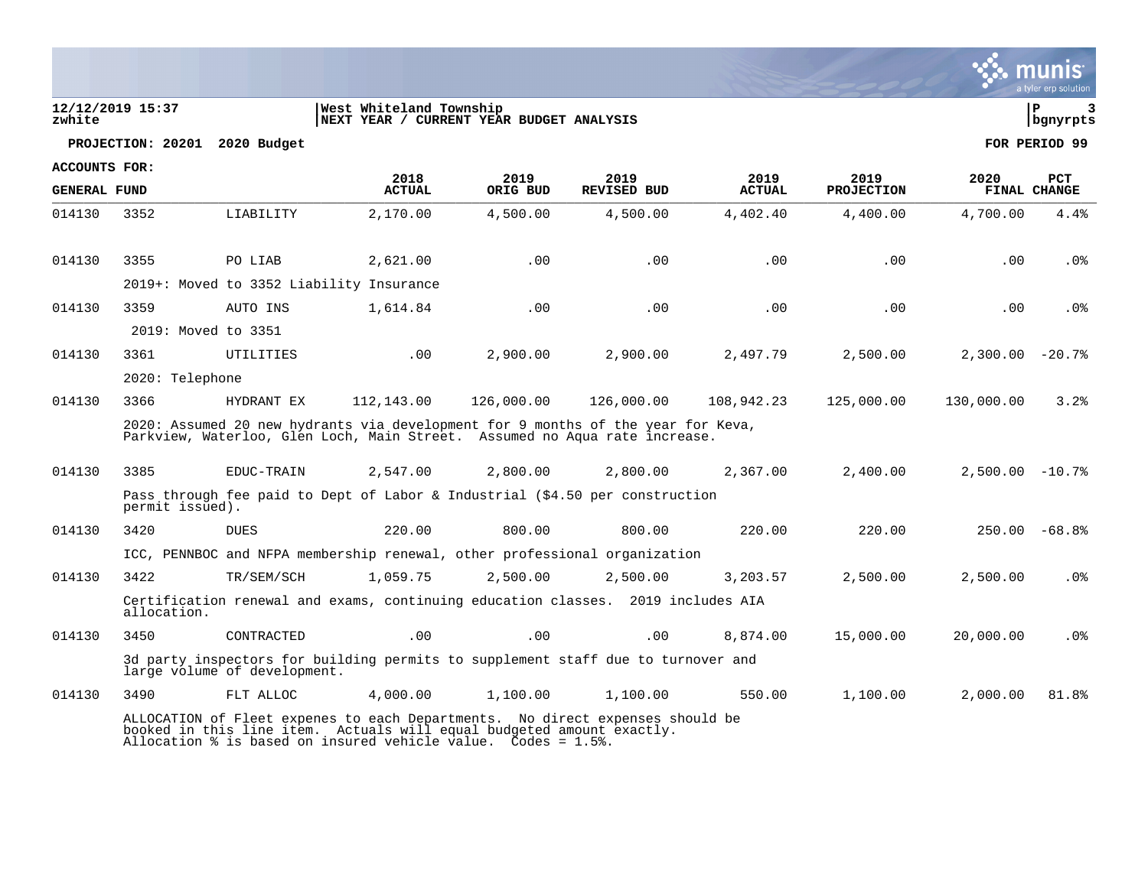| zwhite               | 12/12/2019 15:37    |                                          | West Whiteland Township<br>NEXT YEAR / CURRENT YEAR BUDGET ANALYSIS                                                                                            |            |                    |               |                   |                    | l P<br>bgnyrpts |
|----------------------|---------------------|------------------------------------------|----------------------------------------------------------------------------------------------------------------------------------------------------------------|------------|--------------------|---------------|-------------------|--------------------|-----------------|
|                      |                     | PROJECTION: 20201 2020 Budget            |                                                                                                                                                                |            |                    |               |                   |                    | FOR PERIOD 99   |
| <b>ACCOUNTS FOR:</b> |                     |                                          | 2018                                                                                                                                                           | 2019       | 2019               | 2019          | 2019              | 2020               | <b>PCT</b>      |
| <b>GENERAL FUND</b>  |                     |                                          | <b>ACTUAL</b>                                                                                                                                                  | ORIG BUD   | <b>REVISED BUD</b> | <b>ACTUAL</b> | <b>PROJECTION</b> |                    | FINAL CHANGE    |
| 014130               | 3352                | LIABILITY                                | 2,170.00                                                                                                                                                       | 4,500.00   | 4,500.00           | 4,402.40      | 4,400.00          | 4,700.00           | 4.4%            |
| 014130               | 3355                | PO LIAB                                  | 2,621.00                                                                                                                                                       | .00        | .00                | .00           | .00               | .00                | .0 <sub>8</sub> |
|                      |                     | 2019+: Moved to 3352 Liability Insurance |                                                                                                                                                                |            |                    |               |                   |                    |                 |
| 014130               | 3359                | AUTO INS                                 | 1,614.84                                                                                                                                                       | .00        | .00                | .00           | .00               | .00                | .0%             |
|                      | 2019: Moved to 3351 |                                          |                                                                                                                                                                |            |                    |               |                   |                    |                 |
| 014130               | 3361                | UTILITIES                                | .00                                                                                                                                                            | 2,900.00   | 2,900.00           | 2,497.79      | 2,500.00          | $2,300.00 - 20.78$ |                 |
|                      | 2020: Telephone     |                                          |                                                                                                                                                                |            |                    |               |                   |                    |                 |
| 014130               | 3366                | HYDRANT EX                               | 112,143.00                                                                                                                                                     | 126,000.00 | 126,000.00         | 108,942.23    | 125,000.00        | 130,000.00         | 3.2%            |
|                      |                     |                                          | 2020: Assumed 20 new hydrants via development for 9 months of the year for Keva,<br>Parkview, Waterloo, Glen Loch, Main Street. Assumed no Aqua rate increase. |            |                    |               |                   |                    |                 |
| 014130               | 3385                | EDUC-TRAIN                               | 2,547.00                                                                                                                                                       | 2,800.00   | 2,800.00           | 2,367.00      | 2,400.00          | $2,500.00 - 10.78$ |                 |
|                      | permit issued).     |                                          | Pass through fee paid to Dept of Labor & Industrial (\$4.50 per construction                                                                                   |            |                    |               |                   |                    |                 |
| 014130               | 3420                | <b>DUES</b>                              | 220.00                                                                                                                                                         | 800.00     | 800.00             | 220.00        | 220.00            |                    | $250.00 - 68.8$ |
|                      |                     |                                          | ICC, PENNBOC and NFPA membership renewal, other professional organization                                                                                      |            |                    |               |                   |                    |                 |
| 014130               | 3422                | TR/SEM/SCH                               | 1,059.75                                                                                                                                                       | 2,500.00   | 2,500.00           | 3,203.57      | 2,500.00          | 2,500.00           | $.0\%$          |
|                      | allocation.         |                                          | Certification renewal and exams, continuing education classes. 2019 includes AIA                                                                               |            |                    |               |                   |                    |                 |
| 014130               | 3450                | CONTRACTED                               | .00                                                                                                                                                            | .00        | .00                | 8,874.00      | 15,000.00         | 20,000.00          | $.0\%$          |
|                      |                     | large volume of development.             | 3d party inspectors for building permits to supplement staff due to turnover and                                                                               |            |                    |               |                   |                    |                 |
| 014130               | 3490                | FLT ALLOC                                | 4,000.00                                                                                                                                                       | 1,100.00   | 1,100.00           | 550.00        | 1,100.00          | 2,000.00           | 81.8%           |
|                      |                     |                                          | ALLOCATION of Fleet expenes to each Departments. No direct expenses should be<br>booked in this line item. Actuals will equal budgeted amount exactly.         |            |                    |               |                   |                    |                 |

 $\ddot{\mathbf{w}}$  munis

Allocation % is based on insured vehicle value. Codes = 1.5%.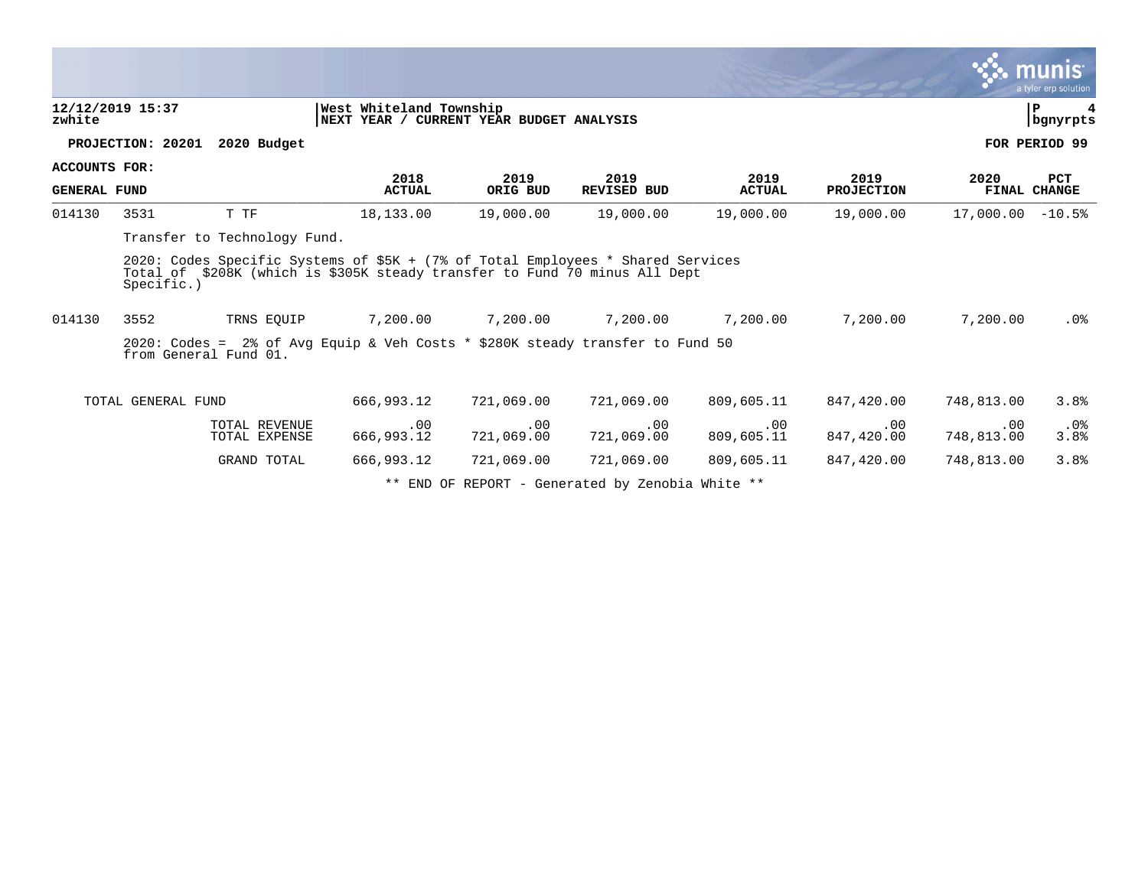| 12/12/2019 15:37<br>zwhite                  |                                                                                                                                                                             |                                                                     |                   |                            |                       |                           |                   | munis <sup>.</sup><br>a tyler erp solution |  |
|---------------------------------------------|-----------------------------------------------------------------------------------------------------------------------------------------------------------------------------|---------------------------------------------------------------------|-------------------|----------------------------|-----------------------|---------------------------|-------------------|--------------------------------------------|--|
|                                             |                                                                                                                                                                             | West Whiteland Township<br>NEXT YEAR / CURRENT YEAR BUDGET ANALYSIS |                   |                            |                       |                           |                   | l P<br>  bgnyrpts                          |  |
| PROJECTION: 20201                           | 2020 Budget                                                                                                                                                                 |                                                                     |                   |                            |                       |                           |                   | FOR PERIOD 99                              |  |
| <b>ACCOUNTS FOR:</b><br><b>GENERAL FUND</b> |                                                                                                                                                                             | 2018<br><b>ACTUAL</b>                                               | 2019<br>ORIG BUD  | 2019<br><b>REVISED BUD</b> | 2019<br><b>ACTUAL</b> | 2019<br><b>PROJECTION</b> | 2020              | <b>PCT</b><br>FINAL CHANGE                 |  |
| 014130<br>3531                              | T TF                                                                                                                                                                        | 18,133.00                                                           | 19,000.00         | 19,000.00                  | 19,000.00             | 19,000.00                 | 17,000.00         | $-10.5%$                                   |  |
|                                             | Transfer to Technology Fund.                                                                                                                                                |                                                                     |                   |                            |                       |                           |                   |                                            |  |
|                                             | 2020: Codes Specific Systems of \$5K + (7% of Total Employees * Shared Services<br>Total of \$208K (which is \$305K steady transfer to Fund 70 minus All Dept<br>Specific.) |                                                                     |                   |                            |                       |                           |                   |                                            |  |
| 014130<br>3552                              | TRNS EQUIP                                                                                                                                                                  | 7,200.00                                                            | 7,200.00          | 7,200.00                   | 7,200.00              | 7,200.00                  | 7,200.00          | .0%                                        |  |
|                                             | 2020: Codes = 2% of Avg Equip & Veh Costs * \$280K steady transfer to Fund 50<br>from General Fund 01.                                                                      |                                                                     |                   |                            |                       |                           |                   |                                            |  |
|                                             | TOTAL GENERAL FUND                                                                                                                                                          | 666,993.12                                                          | 721,069.00        | 721,069.00                 | 809,605.11            | 847,420.00                | 748,813.00        | 3.8%                                       |  |
|                                             | TOTAL REVENUE<br>TOTAL EXPENSE                                                                                                                                              | .00<br>666,993.12                                                   | .00<br>721,069.00 | .00<br>721,069.00          | .00<br>809,605.11     | .00<br>847,420.00         | .00<br>748,813.00 | .0%<br>3.8%                                |  |
|                                             | GRAND TOTAL                                                                                                                                                                 | 666,993.12                                                          | 721,069.00        | 721,069.00                 | 809,605.11            | 847,420.00                | 748,813.00        | 3.8%                                       |  |

\*\* END OF REPORT - Generated by Zenobia White \*\*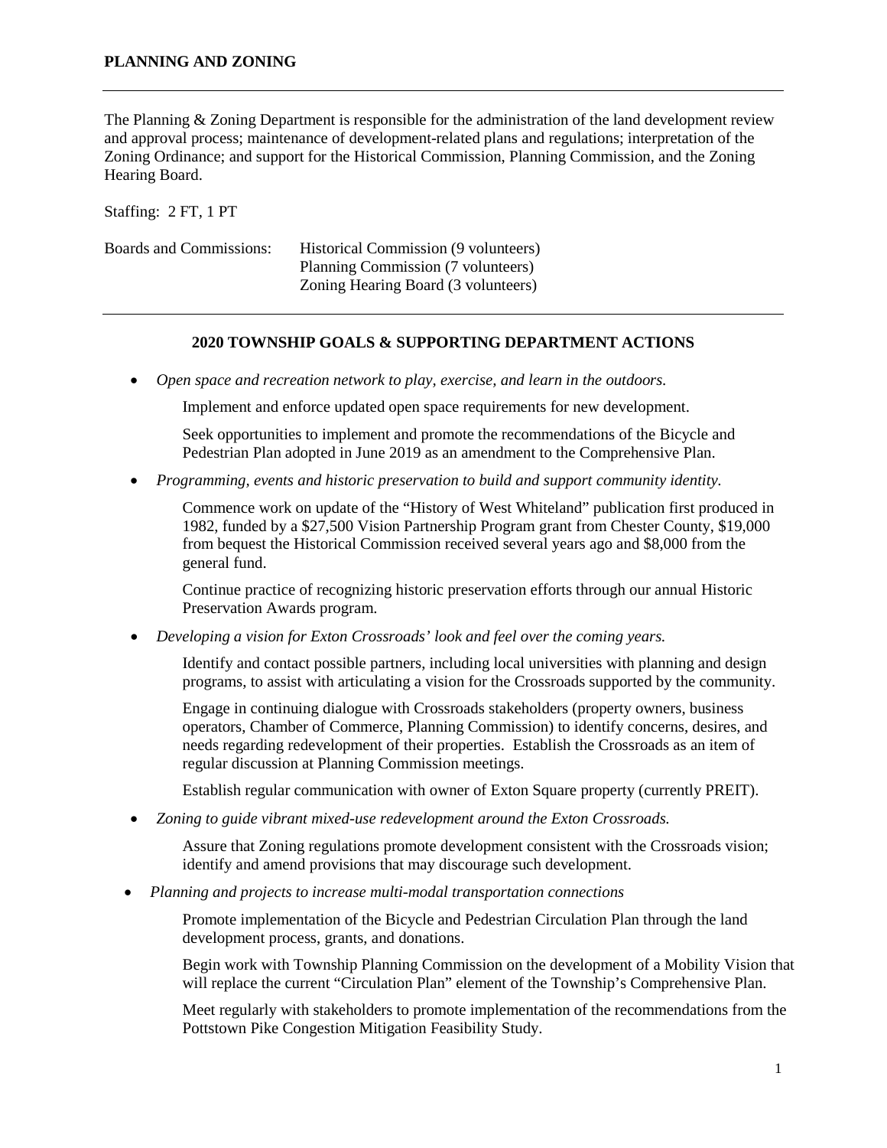The Planning & Zoning Department is responsible for the administration of the land development review and approval process; maintenance of development-related plans and regulations; interpretation of the Zoning Ordinance; and support for the Historical Commission, Planning Commission, and the Zoning Hearing Board.

Staffing: 2 FT, 1 PT

| <b>Boards and Commissions:</b> | Historical Commission (9 volunteers) |
|--------------------------------|--------------------------------------|
|                                | Planning Commission (7 volunteers)   |
|                                | Zoning Hearing Board (3 volunteers)  |

## **2020 TOWNSHIP GOALS & SUPPORTING DEPARTMENT ACTIONS**

• *Open space and recreation network to play, exercise, and learn in the outdoors.*

Implement and enforce updated open space requirements for new development.

Seek opportunities to implement and promote the recommendations of the Bicycle and Pedestrian Plan adopted in June 2019 as an amendment to the Comprehensive Plan.

• *Programming, events and historic preservation to build and support community identity.*

Commence work on update of the "History of West Whiteland" publication first produced in 1982, funded by a \$27,500 Vision Partnership Program grant from Chester County, \$19,000 from bequest the Historical Commission received several years ago and \$8,000 from the general fund.

Continue practice of recognizing historic preservation efforts through our annual Historic Preservation Awards program.

• *Developing a vision for Exton Crossroads' look and feel over the coming years.*

Identify and contact possible partners, including local universities with planning and design programs, to assist with articulating a vision for the Crossroads supported by the community.

Engage in continuing dialogue with Crossroads stakeholders (property owners, business operators, Chamber of Commerce, Planning Commission) to identify concerns, desires, and needs regarding redevelopment of their properties. Establish the Crossroads as an item of regular discussion at Planning Commission meetings.

Establish regular communication with owner of Exton Square property (currently PREIT).

• *Zoning to guide vibrant mixed-use redevelopment around the Exton Crossroads.*

Assure that Zoning regulations promote development consistent with the Crossroads vision; identify and amend provisions that may discourage such development.

• *Planning and projects to increase multi-modal transportation connections* 

Promote implementation of the Bicycle and Pedestrian Circulation Plan through the land development process, grants, and donations.

Begin work with Township Planning Commission on the development of a Mobility Vision that will replace the current "Circulation Plan" element of the Township's Comprehensive Plan.

Meet regularly with stakeholders to promote implementation of the recommendations from the Pottstown Pike Congestion Mitigation Feasibility Study.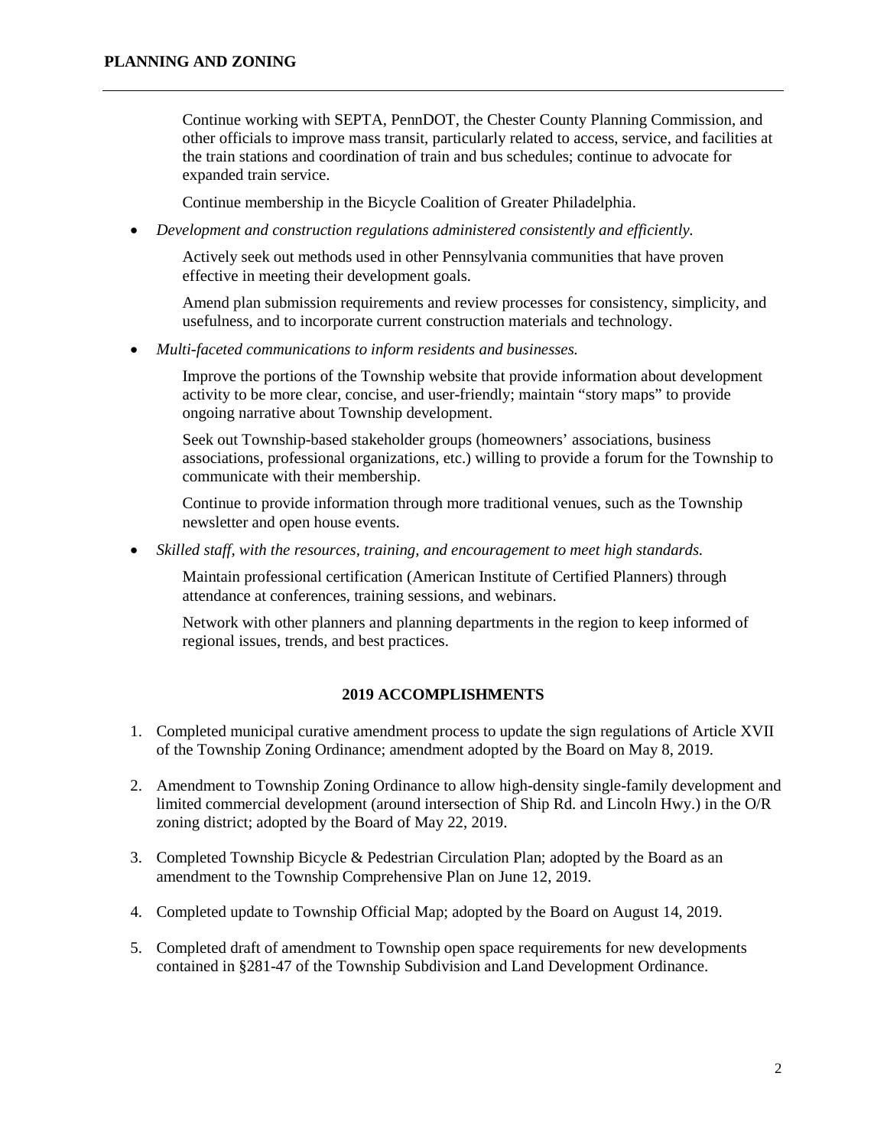Continue working with SEPTA, PennDOT, the Chester County Planning Commission, and other officials to improve mass transit, particularly related to access, service, and facilities at the train stations and coordination of train and bus schedules; continue to advocate for expanded train service.

Continue membership in the Bicycle Coalition of Greater Philadelphia.

• *Development and construction regulations administered consistently and efficiently.*

Actively seek out methods used in other Pennsylvania communities that have proven effective in meeting their development goals.

Amend plan submission requirements and review processes for consistency, simplicity, and usefulness, and to incorporate current construction materials and technology.

• *Multi-faceted communications to inform residents and businesses.*

Improve the portions of the Township website that provide information about development activity to be more clear, concise, and user-friendly; maintain "story maps" to provide ongoing narrative about Township development.

Seek out Township-based stakeholder groups (homeowners' associations, business associations, professional organizations, etc.) willing to provide a forum for the Township to communicate with their membership.

Continue to provide information through more traditional venues, such as the Township newsletter and open house events.

• *Skilled staff, with the resources, training, and encouragement to meet high standards.*

Maintain professional certification (American Institute of Certified Planners) through attendance at conferences, training sessions, and webinars.

Network with other planners and planning departments in the region to keep informed of regional issues, trends, and best practices.

## **2019 ACCOMPLISHMENTS**

- 1. Completed municipal curative amendment process to update the sign regulations of Article XVII of the Township Zoning Ordinance; amendment adopted by the Board on May 8, 2019.
- 2. Amendment to Township Zoning Ordinance to allow high-density single-family development and limited commercial development (around intersection of Ship Rd. and Lincoln Hwy.) in the O/R zoning district; adopted by the Board of May 22, 2019.
- 3. Completed Township Bicycle & Pedestrian Circulation Plan; adopted by the Board as an amendment to the Township Comprehensive Plan on June 12, 2019.
- 4. Completed update to Township Official Map; adopted by the Board on August 14, 2019.
- 5. Completed draft of amendment to Township open space requirements for new developments contained in §281-47 of the Township Subdivision and Land Development Ordinance.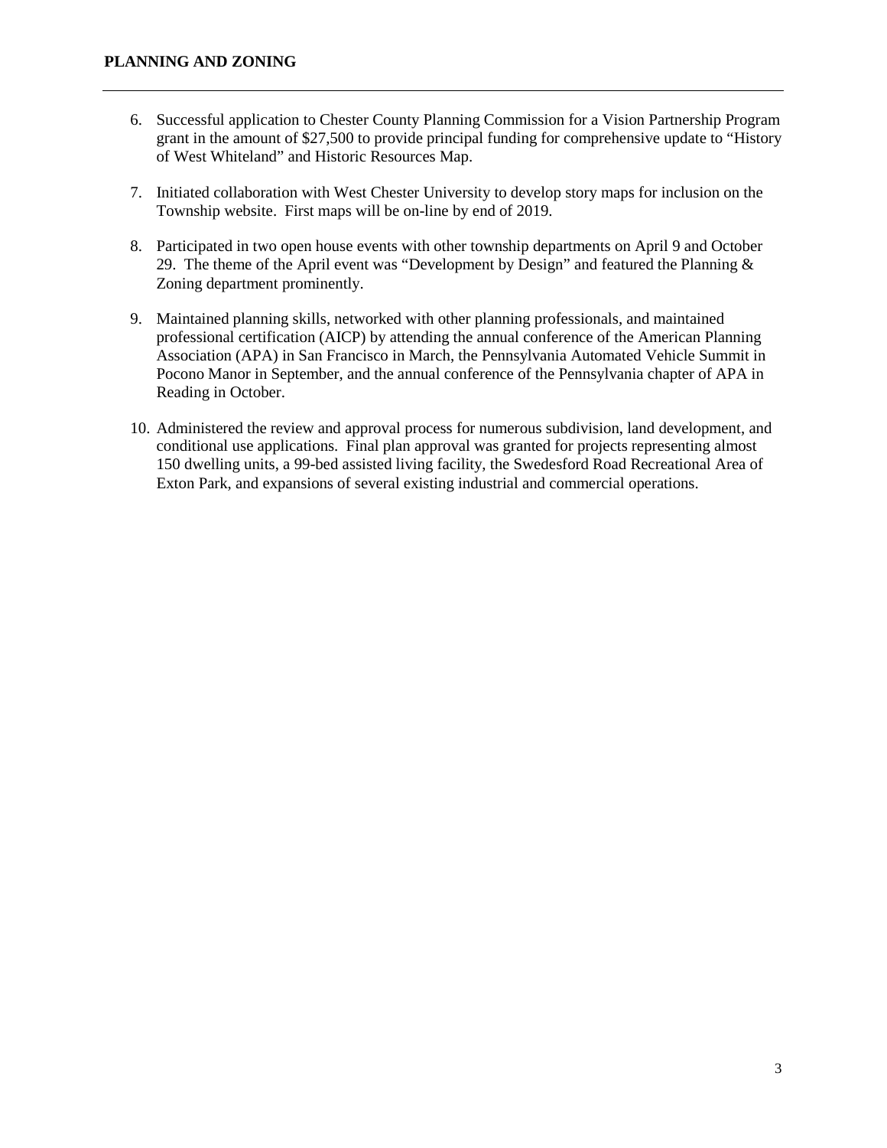- 6. Successful application to Chester County Planning Commission for a Vision Partnership Program grant in the amount of \$27,500 to provide principal funding for comprehensive update to "History of West Whiteland" and Historic Resources Map.
- 7. Initiated collaboration with West Chester University to develop story maps for inclusion on the Township website. First maps will be on-line by end of 2019.
- 8. Participated in two open house events with other township departments on April 9 and October 29. The theme of the April event was "Development by Design" and featured the Planning  $\&$ Zoning department prominently.
- 9. Maintained planning skills, networked with other planning professionals, and maintained professional certification (AICP) by attending the annual conference of the American Planning Association (APA) in San Francisco in March, the Pennsylvania Automated Vehicle Summit in Pocono Manor in September, and the annual conference of the Pennsylvania chapter of APA in Reading in October.
- 10. Administered the review and approval process for numerous subdivision, land development, and conditional use applications. Final plan approval was granted for projects representing almost 150 dwelling units, a 99-bed assisted living facility, the Swedesford Road Recreational Area of Exton Park, and expansions of several existing industrial and commercial operations.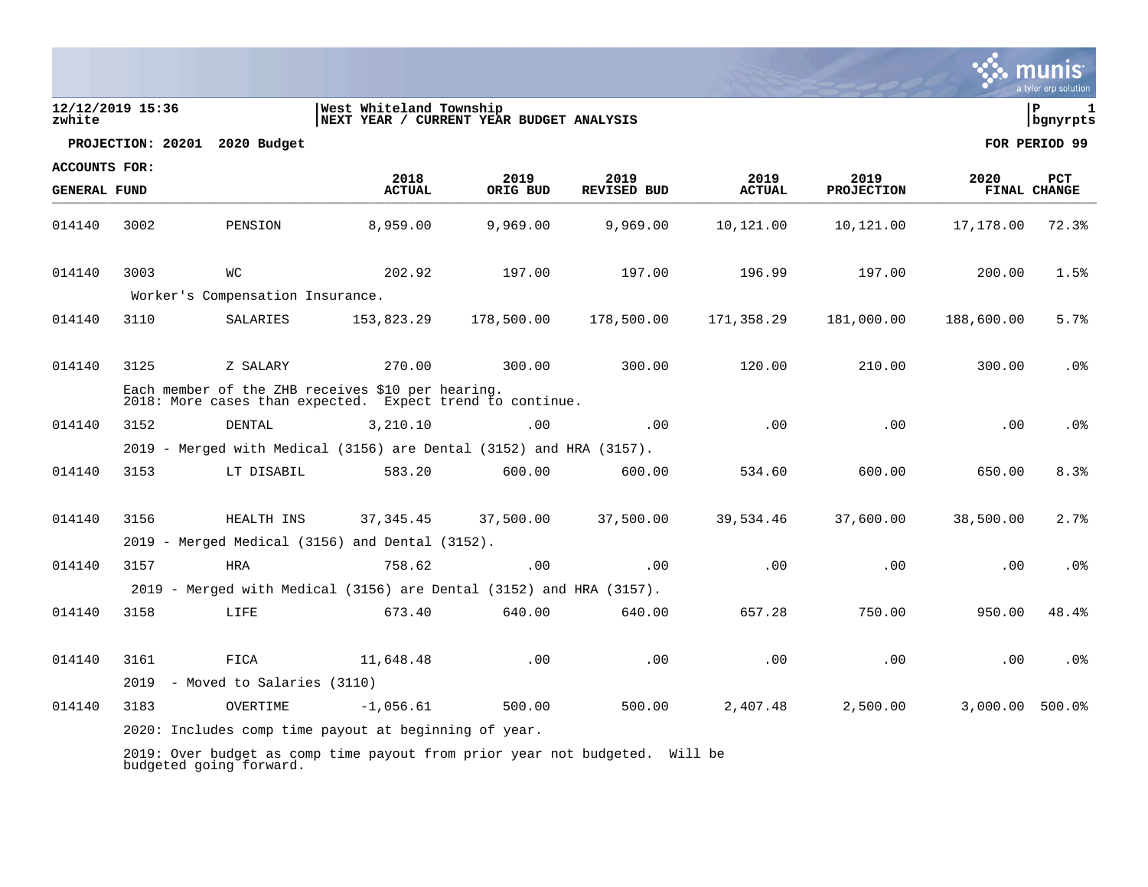| zwhite                                      | 12/12/2019 15:36 |                                                                                                                | West Whiteland Township<br>NEXT YEAR / CURRENT YEAR BUDGET ANALYSIS |                  |                            |                       |                           |            | ΙP<br>$\mathbf{1}$<br>bgnyrpts |
|---------------------------------------------|------------------|----------------------------------------------------------------------------------------------------------------|---------------------------------------------------------------------|------------------|----------------------------|-----------------------|---------------------------|------------|--------------------------------|
|                                             |                  | PROJECTION: 20201 2020 Budget                                                                                  |                                                                     |                  |                            |                       |                           |            | FOR PERIOD 99                  |
| <b>ACCOUNTS FOR:</b><br><b>GENERAL FUND</b> |                  |                                                                                                                | 2018<br><b>ACTUAL</b>                                               | 2019<br>ORIG BUD | 2019<br><b>REVISED BUD</b> | 2019<br><b>ACTUAL</b> | 2019<br><b>PROJECTION</b> | 2020       | <b>PCT</b><br>FINAL CHANGE     |
| 014140                                      | 3002             | PENSION                                                                                                        | 8,959.00                                                            | 9,969.00         | 9,969.00                   | 10,121.00             | 10,121.00                 | 17,178.00  | 72.3%                          |
| 014140                                      | 3003             | WС                                                                                                             | 202.92                                                              | 197.00           | 197.00                     | 196.99                | 197.00                    | 200.00     | 1.5%                           |
|                                             |                  | Worker's Compensation Insurance.                                                                               |                                                                     |                  |                            |                       |                           |            |                                |
| 014140                                      | 3110             | SALARIES                                                                                                       | 153,823.29                                                          | 178,500.00       | 178,500.00                 | 171,358.29            | 181,000.00                | 188,600.00 | 5.7%                           |
| 014140                                      | 3125             | Z SALARY                                                                                                       | 270.00                                                              | 300.00           | 300.00                     | 120.00                | 210.00                    | 300.00     | .0 <sub>8</sub>                |
|                                             |                  | Each member of the ZHB receives \$10 per hearing.<br>2018: More cases than expected. Expect trend to continue. |                                                                     |                  |                            |                       |                           |            |                                |
| 014140                                      | 3152             | DENTAL                                                                                                         | 3,210.10                                                            | .00              | .00                        | .00                   | .00                       | .00        | .0 <sub>8</sub>                |
|                                             |                  | 2019 - Merged with Medical (3156) are Dental (3152) and HRA (3157).                                            |                                                                     |                  |                            |                       |                           |            |                                |
| 014140                                      | 3153             | LT DISABIL                                                                                                     | 583.20                                                              | 600.00           | 600.00                     | 534.60                | 600.00                    | 650.00     | 8.3%                           |
| 014140                                      | 3156             | HEALTH INS                                                                                                     | 37, 345.45                                                          | 37,500.00        | 37,500.00                  | 39,534.46             | 37,600.00                 | 38,500.00  | 2.7%                           |
|                                             |                  | $2019$ - Merged Medical (3156) and Dental (3152).                                                              |                                                                     |                  |                            |                       |                           |            |                                |
| 014140                                      | 3157             | <b>HRA</b>                                                                                                     | 758.62                                                              | .00              | .00                        | .00                   | .00                       | .00        | .0%                            |
|                                             |                  | 2019 - Merged with Medical (3156) are Dental (3152) and HRA (3157).                                            |                                                                     |                  |                            |                       |                           |            |                                |
| 014140                                      | 3158             | LIFE                                                                                                           | 673.40                                                              | 640.00           | 640.00                     | 657.28                | 750.00                    | 950.00     | 48.4%                          |
| 014140                                      | 3161             | FICA                                                                                                           | 11,648.48                                                           | .00              | .00                        | .00                   | .00                       | .00        | .0%                            |
|                                             | 2019             | - Moved to Salaries (3110)                                                                                     |                                                                     |                  |                            |                       |                           |            |                                |
| 014140                                      | 3183             | OVERTIME                                                                                                       | $-1,056.61$                                                         | 500.00           | 500.00                     | 2,407.48              | 2,500.00                  | 3,000.00   | 500.0%                         |
|                                             |                  | 2020: Includes comp time payout at beginning of year.                                                          |                                                                     |                  |                            |                       |                           |            |                                |
|                                             |                  |                                                                                                                |                                                                     |                  |                            |                       |                           |            |                                |

2019: Over budget as comp time payout from prior year not budgeted. Will be budgeted going forward.

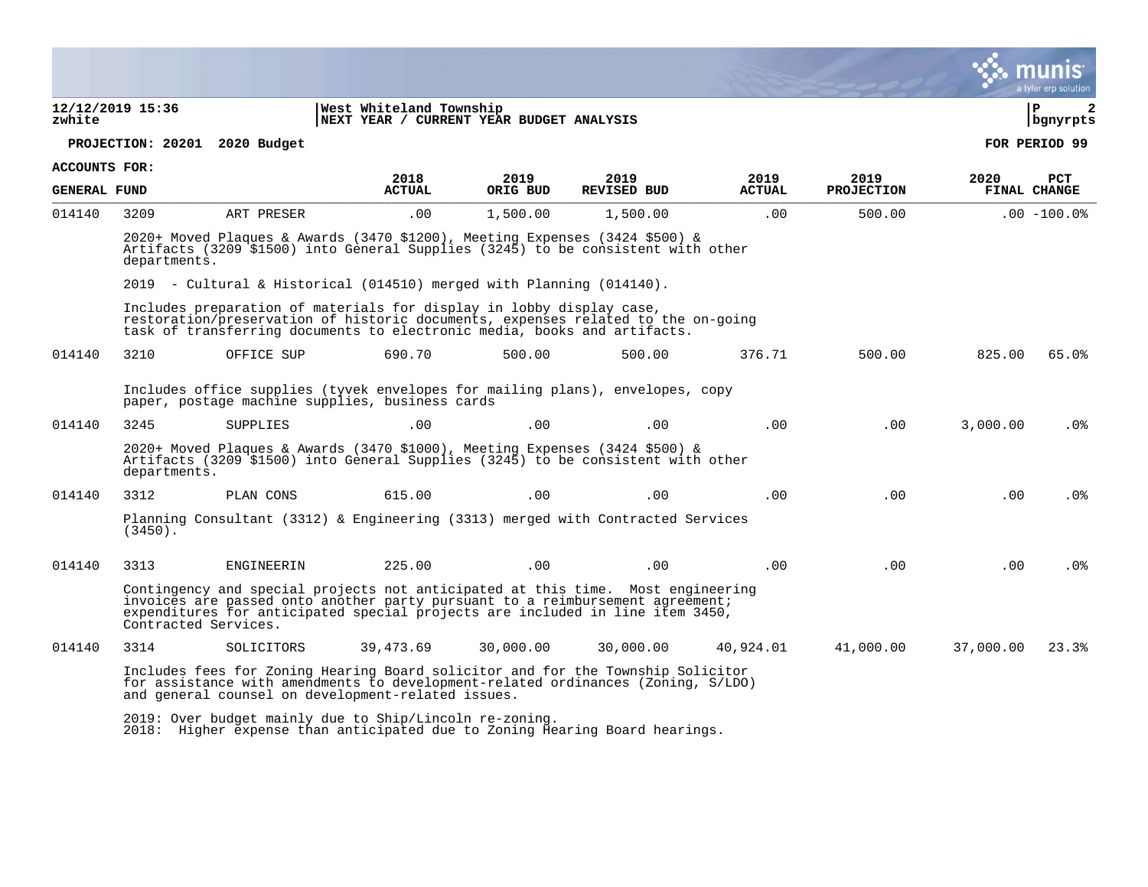|                      |                               |                                                                      |                                                                     |           |                                                                                                                                                                                                                                                   |               |                   |           | a tyler erp solution   |
|----------------------|-------------------------------|----------------------------------------------------------------------|---------------------------------------------------------------------|-----------|---------------------------------------------------------------------------------------------------------------------------------------------------------------------------------------------------------------------------------------------------|---------------|-------------------|-----------|------------------------|
| zwhite               | 12/12/2019 15:36              |                                                                      | West Whiteland Township<br>NEXT YEAR / CURRENT YEAR BUDGET ANALYSIS |           |                                                                                                                                                                                                                                                   |               |                   |           | l P<br>2<br>  bgnyrpts |
|                      | PROJECTION: 20201 2020 Budget |                                                                      |                                                                     |           |                                                                                                                                                                                                                                                   |               |                   |           | FOR PERIOD 99          |
| <b>ACCOUNTS FOR:</b> |                               |                                                                      | 2018                                                                | 2019      | 2019                                                                                                                                                                                                                                              | 2019          | 2019              | 2020      | <b>PCT</b>             |
| <b>GENERAL FUND</b>  |                               |                                                                      | <b>ACTUAL</b>                                                       | ORIG BUD  | <b>REVISED BUD</b>                                                                                                                                                                                                                                | <b>ACTUAL</b> | <b>PROJECTION</b> |           | FINAL CHANGE           |
| 014140               | 3209                          | ART PRESER                                                           | .00                                                                 | 1,500.00  | 1,500.00                                                                                                                                                                                                                                          | .00           | 500.00            |           | $.00 - 100.08$         |
|                      | departments.                  |                                                                      |                                                                     |           | 2020+ Moved Plaques & Awards (3470 \$1200), Meeting Expenses (3424 \$500) &<br>Artifacts (3209 \$1500) into General Supplies (3245) to be consistent with other                                                                                   |               |                   |           |                        |
|                      |                               | 2019 - Cultural & Historical (014510) merged with Planning (014140). |                                                                     |           |                                                                                                                                                                                                                                                   |               |                   |           |                        |
|                      |                               | Includes preparation of materials for display in lobby display case, |                                                                     |           | restoration/preservation of historic documents, expenses related to the on-going<br>task of transferring documents to electronic media, books and artifacts.                                                                                      |               |                   |           |                        |
| 014140               | 3210                          | OFFICE SUP                                                           | 690.70                                                              | 500.00    | 500.00                                                                                                                                                                                                                                            | 376.71        | 500.00            | 825.00    | 65.0%                  |
|                      |                               | paper, postage machine supplies, business cards                      |                                                                     |           | Includes office supplies (tyvek envelopes for mailing plans), envelopes, copy                                                                                                                                                                     |               |                   |           |                        |
| 014140               | 3245                          | SUPPLIES                                                             | .00                                                                 | .00       | .00                                                                                                                                                                                                                                               | .00           | .00               | 3,000.00  | .0%                    |
|                      | departments.                  |                                                                      |                                                                     |           | 2020+ Moved Plaques & Awards (3470 \$1000), Meeting Expenses (3424 \$500) &<br>Artifacts (3209 \$1500) into General Supplies (3245) to be consistent with other                                                                                   |               |                   |           |                        |
| 014140               | 3312                          | PLAN CONS                                                            | 615.00                                                              | .00.      | .00                                                                                                                                                                                                                                               | .00.          | .00               | .00       | .0%                    |
|                      | $(3450)$ .                    |                                                                      |                                                                     |           | Planning Consultant (3312) & Engineering (3313) merged with Contracted Services                                                                                                                                                                   |               |                   |           |                        |
| 014140               | 3313                          | ENGINEERIN                                                           | 225.00                                                              | .00       | .00                                                                                                                                                                                                                                               | .00           | .00               | .00       | $.0\%$                 |
|                      | Contracted Services.          |                                                                      |                                                                     |           | Contingency and special projects not anticipated at this time. Most engineering<br>invoices are passed onto another party pursuant to a reimbursement agreement;<br>expenditures for anticipated special projects are included in line item 3450, |               |                   |           |                        |
| 014140               | 3314                          | SOLICITORS                                                           | 39,473.69                                                           | 30,000.00 | 30,000.00                                                                                                                                                                                                                                         | 40,924.01     | 41,000.00         | 37,000.00 | 23.3%                  |
|                      |                               | and general counsel on development-related issues.                   |                                                                     |           | Includes fees for Zoning Hearing Board solicitor and for the Township Solicitor<br>for assistance with amendments to development-related ordinances (Zoning, S/LDO)                                                                               |               |                   |           |                        |
|                      |                               | 2019: Over budget mainly due to Ship/Lincoln re-zoning.              |                                                                     |           |                                                                                                                                                                                                                                                   |               |                   |           |                        |

2018: Higher expense than anticipated due to Zoning Hearing Board hearings.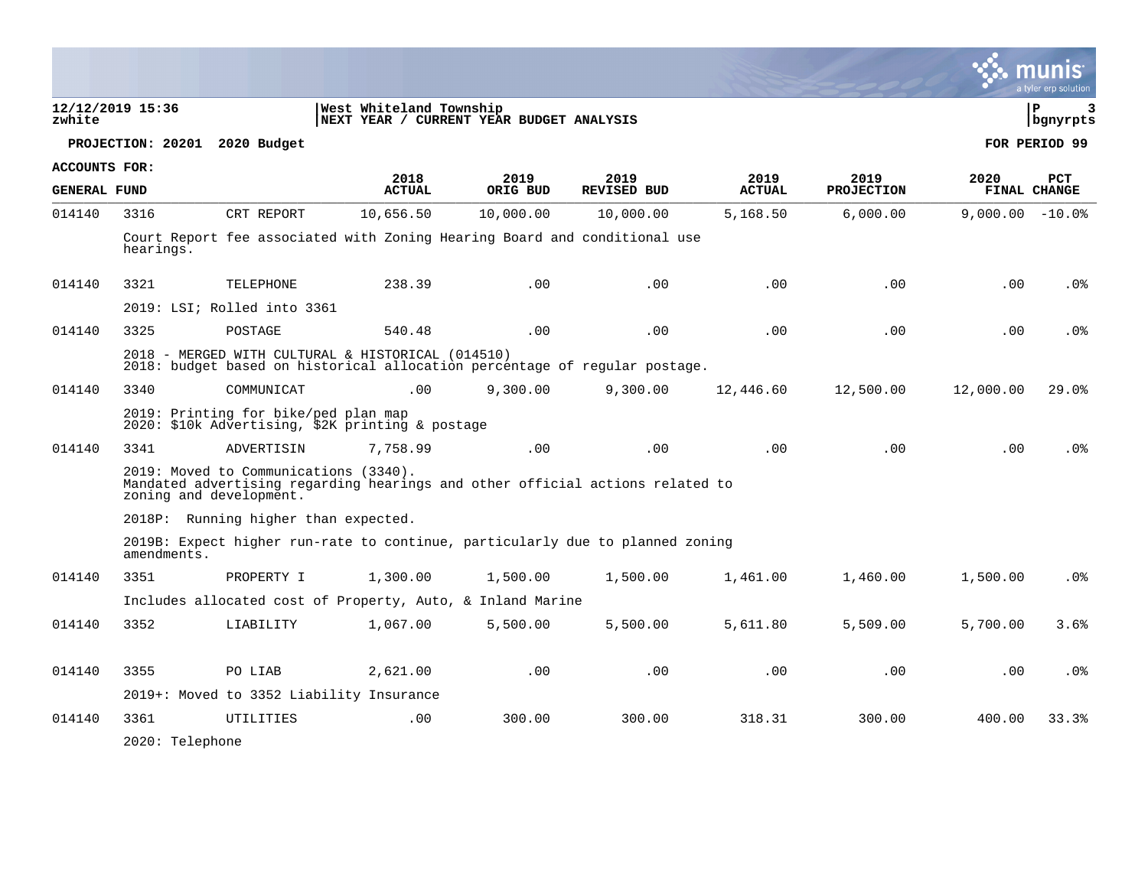|                      |                                                                                                                                 |                                                                  |                                                                               |                  |                            |                       |                           |                   | a tyler erp solution   |
|----------------------|---------------------------------------------------------------------------------------------------------------------------------|------------------------------------------------------------------|-------------------------------------------------------------------------------|------------------|----------------------------|-----------------------|---------------------------|-------------------|------------------------|
| zwhite               | 12/12/2019 15:36                                                                                                                |                                                                  | West Whiteland Township<br>NEXT YEAR / CURRENT YEAR BUDGET ANALYSIS           |                  |                            |                       |                           |                   | l P<br>3<br>  bgnyrpts |
|                      | PROJECTION: 20201 2020 Budget                                                                                                   |                                                                  |                                                                               |                  |                            |                       |                           |                   | FOR PERIOD 99          |
| <b>ACCOUNTS FOR:</b> |                                                                                                                                 |                                                                  |                                                                               |                  |                            |                       |                           |                   |                        |
| <b>GENERAL FUND</b>  |                                                                                                                                 |                                                                  | 2018<br><b>ACTUAL</b>                                                         | 2019<br>ORIG BUD | 2019<br><b>REVISED BUD</b> | 2019<br><b>ACTUAL</b> | 2019<br><b>PROJECTION</b> | 2020              | PCT<br>FINAL CHANGE    |
| 014140               | 3316                                                                                                                            | CRT REPORT                                                       | 10,656.50                                                                     | 10,000.00        | 10,000.00                  | 5,168.50              | 6,000.00                  | $9,000.00 - 10.0$ |                        |
|                      | hearings.                                                                                                                       |                                                                  | Court Report fee associated with Zoning Hearing Board and conditional use     |                  |                            |                       |                           |                   |                        |
| 014140               | 3321                                                                                                                            | TELEPHONE                                                        | 238.39                                                                        | .00              | .00                        | .00                   | .00                       | .00               | .0 <sub>8</sub>        |
|                      |                                                                                                                                 | 2019: LSI; Rolled into 3361                                      |                                                                               |                  |                            |                       |                           |                   |                        |
| 014140               | 3325                                                                                                                            | POSTAGE                                                          | 540.48                                                                        | .00              | .00                        | .00                   | .00                       | .00               | .0 <sub>8</sub>        |
|                      | 2018 - MERGED WITH CULTURAL & HISTORICAL (014510)<br>2018: budget based on historical allocation percentage of regular postage. |                                                                  |                                                                               |                  |                            |                       |                           |                   |                        |
| 014140               | 3340                                                                                                                            | COMMUNICAT                                                       | .00                                                                           | 9,300.00         | 9,300.00                   | 12,446.60             | 12,500.00                 | 12,000.00         | 29.0%                  |
|                      |                                                                                                                                 | 2019: Printing for bike/ped plan map                             | 2020: \$10k Advertising, \$2K printing & postage                              |                  |                            |                       |                           |                   |                        |
| 014140               | 3341                                                                                                                            | ADVERTISIN                                                       | 7.758.99                                                                      | .00              | .00                        | .00                   | .00                       | .00               | .0%                    |
|                      |                                                                                                                                 | 2019: Moved to Communications (3340).<br>zoning and development. | Mandated advertising regarding hearings and other official actions related to |                  |                            |                       |                           |                   |                        |
|                      |                                                                                                                                 | 2018P: Running higher than expected.                             |                                                                               |                  |                            |                       |                           |                   |                        |
|                      | amendments.                                                                                                                     |                                                                  | 2019B: Expect higher run-rate to continue, particularly due to planned zoning |                  |                            |                       |                           |                   |                        |
| 014140               | 3351                                                                                                                            | PROPERTY I                                                       | 1,300.00                                                                      | 1,500.00         | 1,500.00                   | 1,461.00              | 1,460.00                  | 1,500.00          | .0 <sub>8</sub>        |
|                      |                                                                                                                                 |                                                                  | Includes allocated cost of Property, Auto, & Inland Marine                    |                  |                            |                       |                           |                   |                        |
| 014140               | 3352                                                                                                                            | LIABILITY                                                        | 1,067.00                                                                      | 5,500.00         | 5,500.00                   | 5,611.80              | 5,509.00                  | 5,700.00          | 3.6%                   |
|                      |                                                                                                                                 |                                                                  |                                                                               |                  |                            |                       |                           |                   |                        |
| 014140               | 3355                                                                                                                            | PO LIAB                                                          | 2,621.00                                                                      | .00              | .00                        | .00                   | .00                       | .00               | .0%                    |
|                      |                                                                                                                                 | 2019+: Moved to 3352 Liability Insurance                         |                                                                               |                  |                            |                       |                           |                   |                        |
| 014140               | 3361                                                                                                                            | UTILITIES                                                        | .00                                                                           | 300.00           | 300.00                     | 318.31                | 300.00                    | 400.00            | 33.3%                  |
|                      | 2020: Telephone                                                                                                                 |                                                                  |                                                                               |                  |                            |                       |                           |                   |                        |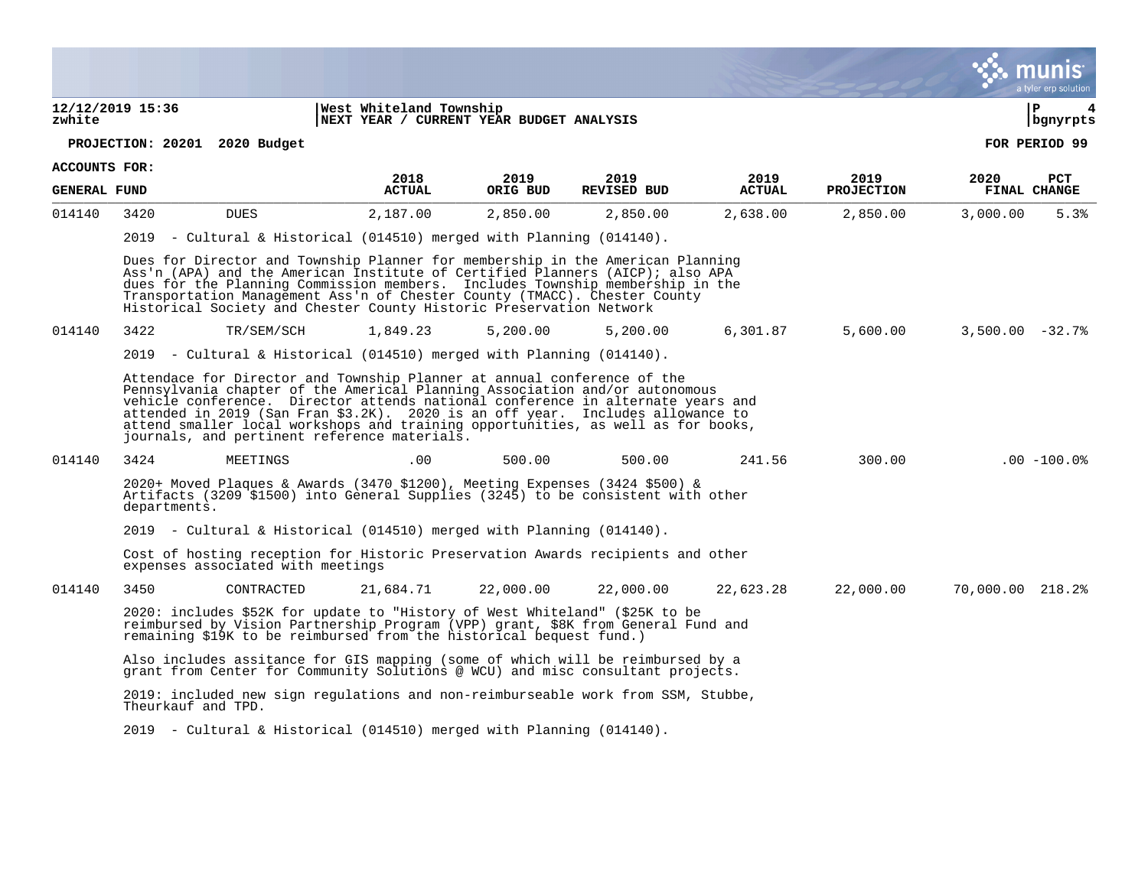#### **12/12/2019 15:36 |West Whiteland Township |P 4 zwhite |NEXT YEAR / CURRENT YEAR BUDGET ANALYSIS |bgnyrpts**

#### **PROJECTION: 20201 2020 Budget FOR PERIOD 99**

**ACCOUNTS FOR:**

| <b>GENERAL FUND</b> |              |                                                                                                                                                                                                                                                                                                                                                                                                                                                                 | 2018<br><b>ACTUAL</b> | 2019<br>ORIG BUD | 2019<br><b>REVISED BUD</b> | 2019<br><b>ACTUAL</b> | 2019<br><b>PROJECTION</b> | 2020<br>FINAL CHANGE | <b>PCT</b>      |
|---------------------|--------------|-----------------------------------------------------------------------------------------------------------------------------------------------------------------------------------------------------------------------------------------------------------------------------------------------------------------------------------------------------------------------------------------------------------------------------------------------------------------|-----------------------|------------------|----------------------------|-----------------------|---------------------------|----------------------|-----------------|
| 014140              | 3420         | <b>DUES</b>                                                                                                                                                                                                                                                                                                                                                                                                                                                     | 2,187.00              | 2,850.00         | 2,850.00                   | 2,638.00              | 2,850.00                  | 3,000.00             | 5.3%            |
|                     |              | 2019 - Cultural & Historical (014510) merged with Planning (014140).                                                                                                                                                                                                                                                                                                                                                                                            |                       |                  |                            |                       |                           |                      |                 |
|                     |              | Dues for Director and Township Planner for membership in the American Planning<br>Ass'n (APA) and the American Institute of Certified Planners (AICP); also APA<br>dues for the Planning Commission members. Includes Township membership in the<br>Transportation Management Ass'n of Chester County (TMACC). Chester County<br>Historical Society and Chester County Historic Preservation Network                                                            |                       |                  |                            |                       |                           |                      |                 |
| 014140              | 3422         | TR/SEM/SCH                                                                                                                                                                                                                                                                                                                                                                                                                                                      | 1,849.23              | 5,200.00         | 5,200.00                   | 6,301.87              | 5,600.00                  | $3,500.00 - 32.7$ %  |                 |
|                     |              | 2019 - Cultural & Historical (014510) merged with Planning (014140).                                                                                                                                                                                                                                                                                                                                                                                            |                       |                  |                            |                       |                           |                      |                 |
|                     |              | Attendace for Director and Township Planner at annual conference of the<br>Pennsylvania chapter of the Americal Planning Association and/or autonomous<br>vehicle conference. Director attends national conference in alternate years and<br>attended in 2019 (San Fran \$3.2K). 2020 is an off year. Includes allowance to<br>attend smaller local workshops and training opportunities, as well as for books,<br>journals, and pertinent reference materials. |                       |                  |                            |                       |                           |                      |                 |
| 014140              | 3424         | MEETINGS                                                                                                                                                                                                                                                                                                                                                                                                                                                        | .00.                  | 500.00           | 500.00                     | 241.56                | 300.00                    |                      | $.00 - 100.0$ % |
|                     | departments. | 2020+ Moved Plaques & Awards (3470 \$1200), Meeting Expenses (3424 \$500) &<br>Artifacts (3209 \$1500) into General Supplies (3245) to be consistent with other                                                                                                                                                                                                                                                                                                 |                       |                  |                            |                       |                           |                      |                 |
|                     |              | 2019 - Cultural & Historical (014510) merged with Planning (014140).                                                                                                                                                                                                                                                                                                                                                                                            |                       |                  |                            |                       |                           |                      |                 |
|                     |              | Cost of hosting reception for Historic Preservation Awards recipients and other<br>expenses associated with meetings                                                                                                                                                                                                                                                                                                                                            |                       |                  |                            |                       |                           |                      |                 |
| 014140              | 3450         | CONTRACTED                                                                                                                                                                                                                                                                                                                                                                                                                                                      | 21,684.71             | 22,000.00        | 22,000.00                  | 22,623.28             | 22,000.00                 | 70,000.00 218.2%     |                 |
|                     |              | 2020: includes \$52K for update to "History of West Whiteland" (\$25K to be<br>reimbursed by Vision Partnership Program (VPP) grant, \$8K from General Fund and<br>remaining \$19K to be reimbursed from the historical bequest fund.)                                                                                                                                                                                                                          |                       |                  |                            |                       |                           |                      |                 |
|                     |              | Also includes assitance for GIS mapping (some of which will be reimbursed by a<br>grant from Center for Community Solutions @ WCU) and misc consultant projects.                                                                                                                                                                                                                                                                                                |                       |                  |                            |                       |                           |                      |                 |
|                     |              | 2019: included new sign regulations and non-reimburseable work from SSM, Stubbe,<br>Theurkauf and TPD.                                                                                                                                                                                                                                                                                                                                                          |                       |                  |                            |                       |                           |                      |                 |
|                     |              | 2019 - Cultural & Historical (014510) merged with Planning (014140).                                                                                                                                                                                                                                                                                                                                                                                            |                       |                  |                            |                       |                           |                      |                 |

munis a tyler erp solution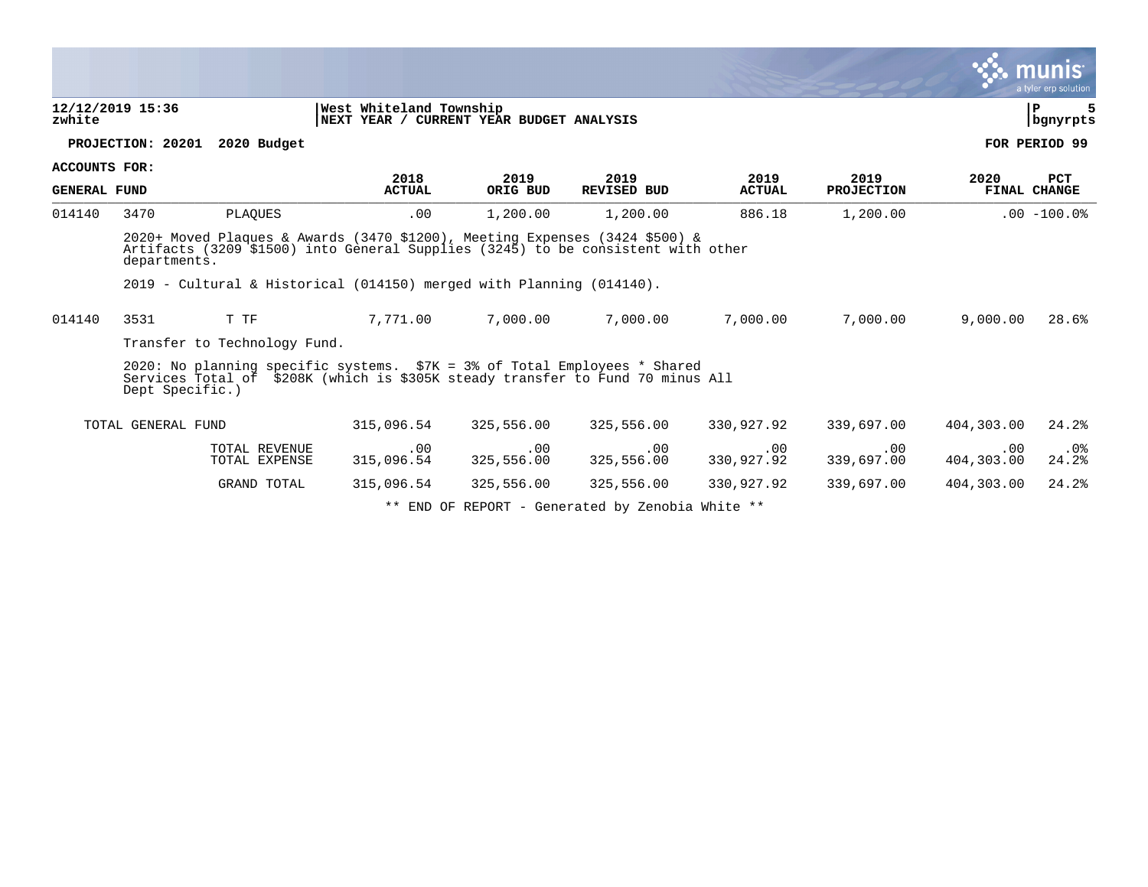|                                                                                                   |                                                                                                                                                                                                                                                           |                        |                    |                    |                   |                        |                        | $\sim$ munis<br>a tyler erp solution |  |  |
|---------------------------------------------------------------------------------------------------|-----------------------------------------------------------------------------------------------------------------------------------------------------------------------------------------------------------------------------------------------------------|------------------------|--------------------|--------------------|-------------------|------------------------|------------------------|--------------------------------------|--|--|
| West Whiteland Township<br>12/12/2019 15:36<br>NEXT YEAR / CURRENT YEAR BUDGET ANALYSIS<br>zwhite |                                                                                                                                                                                                                                                           |                        |                    |                    |                   |                        |                        |                                      |  |  |
|                                                                                                   | PROJECTION: 20201<br>2020 Budget                                                                                                                                                                                                                          |                        |                    |                    |                   |                        |                        | FOR PERIOD 99                        |  |  |
| ACCOUNTS FOR:                                                                                     |                                                                                                                                                                                                                                                           | 2018                   | 2019               | 2019               | 2019              | 2019                   | 2020                   | <b>PCT</b>                           |  |  |
| <b>GENERAL FUND</b>                                                                               |                                                                                                                                                                                                                                                           | <b>ACTUAL</b>          | ORIG BUD           | <b>REVISED BUD</b> | <b>ACTUAL</b>     | <b>PROJECTION</b>      |                        | <b>FINAL CHANGE</b>                  |  |  |
| 014140                                                                                            | PLAQUES<br>3470                                                                                                                                                                                                                                           | .00                    | 1,200.00           | 1,200.00           | 886.18            | 1,200.00               |                        | $.00 - 100.0$                        |  |  |
|                                                                                                   | $2020+$ Moved Plaques & Awards (3470 \$1200), Meeting Expenses (3424 \$500) &<br>Artifacts (3209 \$1500) into General Supplies (3245) to be consistent with other<br>departments.<br>2019 - Cultural & Historical (014150) merged with Planning (014140). |                        |                    |                    |                   |                        |                        |                                      |  |  |
| 014140                                                                                            | T TF<br>3531                                                                                                                                                                                                                                              | 7,771.00               | 7,000.00           | 7,000.00           | 7,000.00          | 7,000.00               | 9,000.00               | 28.6%                                |  |  |
|                                                                                                   | Transfer to Technology Fund.                                                                                                                                                                                                                              |                        |                    |                    |                   |                        |                        |                                      |  |  |
|                                                                                                   | 2020: No planning specific systems. \$7K = 3% of Total Employees * Shared<br>Services Total of \$208K (which is \$305K steady transfer to Fund 70 minus All<br>Dept Specific.)                                                                            |                        |                    |                    |                   |                        |                        |                                      |  |  |
|                                                                                                   | TOTAL GENERAL FUND                                                                                                                                                                                                                                        | 315,096.54             | 325,556.00         | 325,556.00         | 330,927.92        | 339,697.00             | 404,303.00             | 24.2%                                |  |  |
|                                                                                                   | <b>TOTAL REVENUE</b><br>TOTAL EXPENSE                                                                                                                                                                                                                     | $.00 \,$<br>315,096.54 | .00.<br>325,556.00 | .00<br>325,556.00  | .00<br>330,927.92 | $.00 \,$<br>339,697.00 | $.00 \,$<br>404,303.00 | .0 <sub>8</sub><br>24.2%             |  |  |
|                                                                                                   | <b>GRAND TOTAL</b>                                                                                                                                                                                                                                        | 315,096.54             | 325,556.00         | 325,556.00         | 330,927.92        | 339,697.00             | 404,303.00             | 24.2%                                |  |  |

 $\mathcal{L}$ 

\*\* END OF REPORT - Generated by Zenobia White \*\*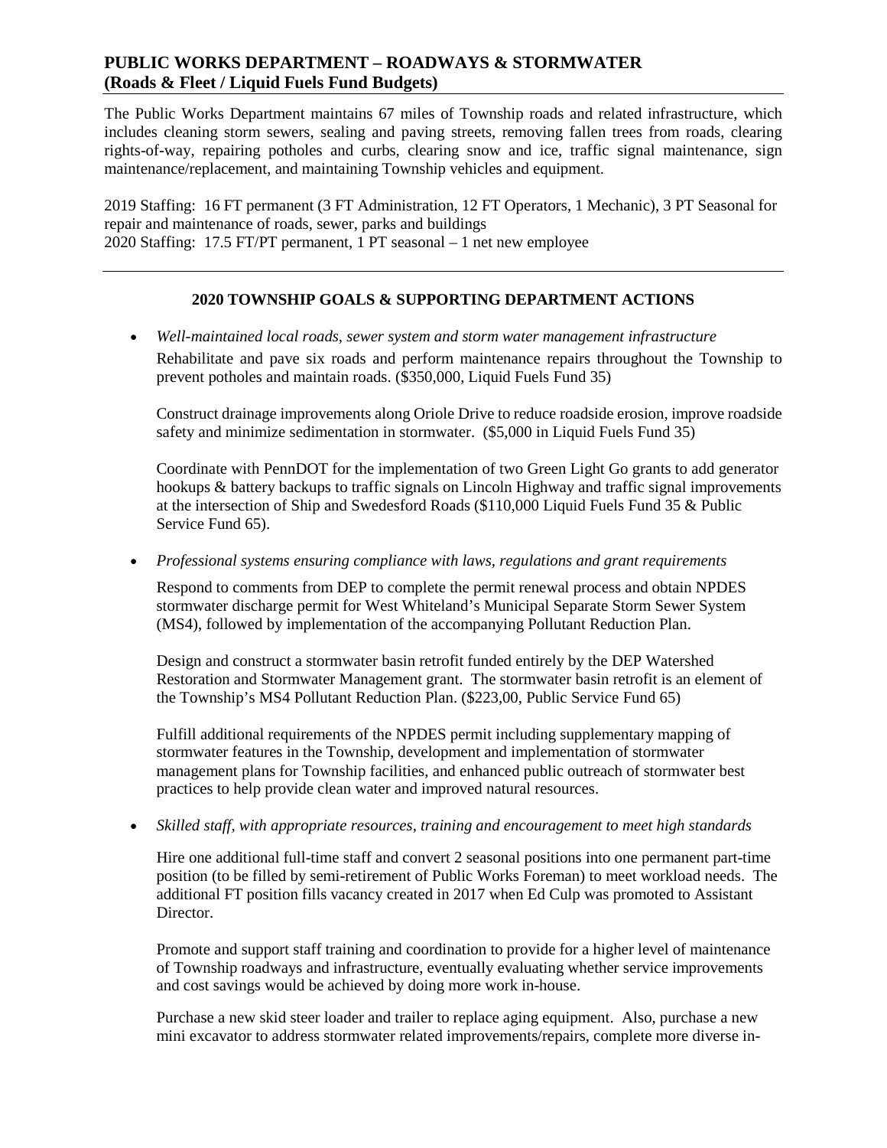## **PUBLIC WORKS DEPARTMENT – ROADWAYS & STORMWATER (Roads & Fleet / Liquid Fuels Fund Budgets)**

The Public Works Department maintains 67 miles of Township roads and related infrastructure, which includes cleaning storm sewers, sealing and paving streets, removing fallen trees from roads, clearing rights-of-way, repairing potholes and curbs, clearing snow and ice, traffic signal maintenance, sign maintenance/replacement, and maintaining Township vehicles and equipment.

2019 Staffing: 16 FT permanent (3 FT Administration, 12 FT Operators, 1 Mechanic), 3 PT Seasonal for repair and maintenance of roads, sewer, parks and buildings 2020 Staffing: 17.5 FT/PT permanent, 1 PT seasonal – 1 net new employee

## **2020 TOWNSHIP GOALS & SUPPORTING DEPARTMENT ACTIONS**

• *Well-maintained local roads, sewer system and storm water management infrastructure*  Rehabilitate and pave six roads and perform maintenance repairs throughout the Township to prevent potholes and maintain roads. (\$350,000, Liquid Fuels Fund 35)

Construct drainage improvements along Oriole Drive to reduce roadside erosion, improve roadside safety and minimize sedimentation in stormwater. (\$5,000 in Liquid Fuels Fund 35)

Coordinate with PennDOT for the implementation of two Green Light Go grants to add generator hookups & battery backups to traffic signals on Lincoln Highway and traffic signal improvements at the intersection of Ship and Swedesford Roads (\$110,000 Liquid Fuels Fund 35 & Public Service Fund 65).

• *Professional systems ensuring compliance with laws, regulations and grant requirements*

Respond to comments from DEP to complete the permit renewal process and obtain NPDES stormwater discharge permit for West Whiteland's Municipal Separate Storm Sewer System (MS4), followed by implementation of the accompanying Pollutant Reduction Plan.

Design and construct a stormwater basin retrofit funded entirely by the DEP Watershed Restoration and Stormwater Management grant. The stormwater basin retrofit is an element of the Township's MS4 Pollutant Reduction Plan. (\$223,00, Public Service Fund 65)

Fulfill additional requirements of the NPDES permit including supplementary mapping of stormwater features in the Township, development and implementation of stormwater management plans for Township facilities, and enhanced public outreach of stormwater best practices to help provide clean water and improved natural resources.

• *Skilled staff, with appropriate resources, training and encouragement to meet high standards*

Hire one additional full-time staff and convert 2 seasonal positions into one permanent part-time position (to be filled by semi-retirement of Public Works Foreman) to meet workload needs. The additional FT position fills vacancy created in 2017 when Ed Culp was promoted to Assistant Director.

Promote and support staff training and coordination to provide for a higher level of maintenance of Township roadways and infrastructure, eventually evaluating whether service improvements and cost savings would be achieved by doing more work in-house.

Purchase a new skid steer loader and trailer to replace aging equipment. Also, purchase a new mini excavator to address stormwater related improvements/repairs, complete more diverse in-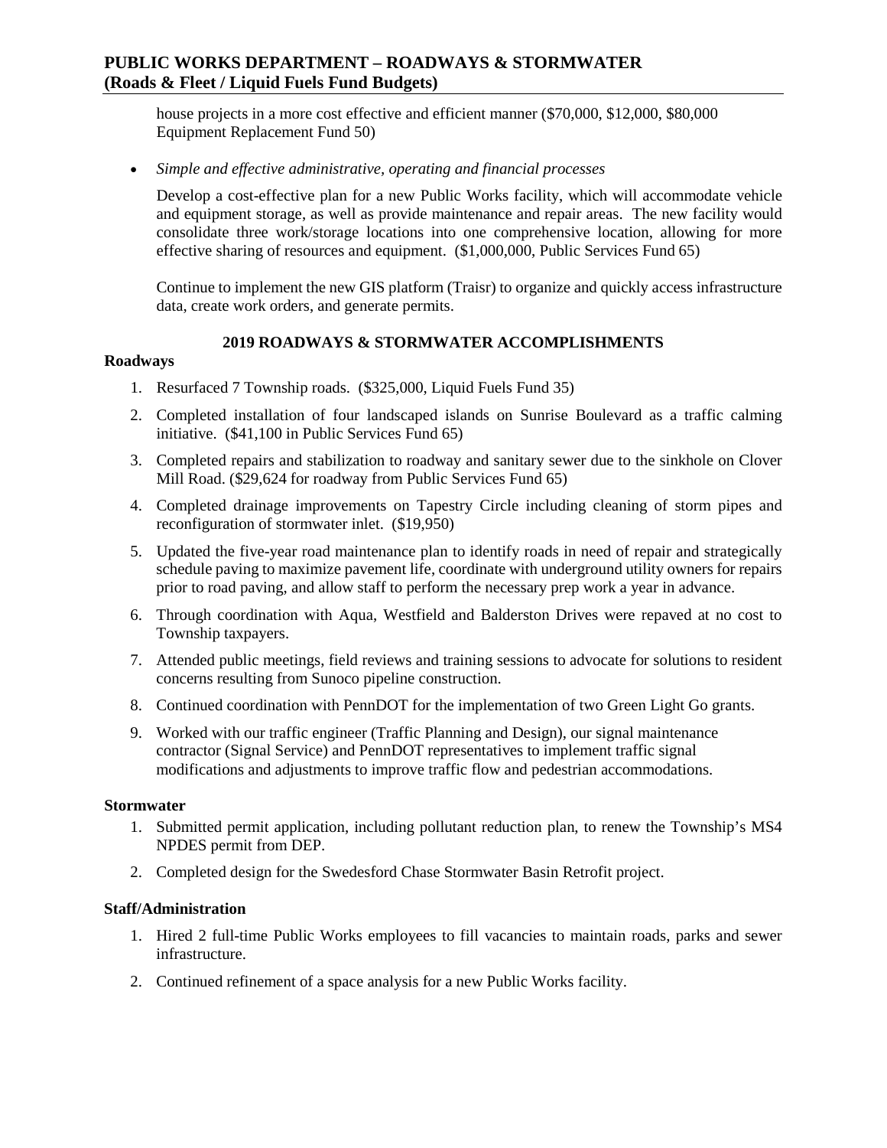## **PUBLIC WORKS DEPARTMENT – ROADWAYS & STORMWATER (Roads & Fleet / Liquid Fuels Fund Budgets)**

house projects in a more cost effective and efficient manner (\$70,000, \$12,000, \$80,000 Equipment Replacement Fund 50)

• *Simple and effective administrative, operating and financial processes* 

Develop a cost-effective plan for a new Public Works facility, which will accommodate vehicle and equipment storage, as well as provide maintenance and repair areas. The new facility would consolidate three work/storage locations into one comprehensive location, allowing for more effective sharing of resources and equipment. (\$1,000,000, Public Services Fund 65)

Continue to implement the new GIS platform (Traisr) to organize and quickly access infrastructure data, create work orders, and generate permits.

## **2019 ROADWAYS & STORMWATER ACCOMPLISHMENTS**

### **Roadways**

- 1. Resurfaced 7 Township roads. (\$325,000, Liquid Fuels Fund 35)
- 2. Completed installation of four landscaped islands on Sunrise Boulevard as a traffic calming initiative. (\$41,100 in Public Services Fund 65)
- 3. Completed repairs and stabilization to roadway and sanitary sewer due to the sinkhole on Clover Mill Road. (\$29,624 for roadway from Public Services Fund 65)
- 4. Completed drainage improvements on Tapestry Circle including cleaning of storm pipes and reconfiguration of stormwater inlet. (\$19,950)
- 5. Updated the five-year road maintenance plan to identify roads in need of repair and strategically schedule paving to maximize pavement life, coordinate with underground utility owners for repairs prior to road paving, and allow staff to perform the necessary prep work a year in advance.
- 6. Through coordination with Aqua, Westfield and Balderston Drives were repaved at no cost to Township taxpayers.
- 7. Attended public meetings, field reviews and training sessions to advocate for solutions to resident concerns resulting from Sunoco pipeline construction.
- 8. Continued coordination with PennDOT for the implementation of two Green Light Go grants.
- 9. Worked with our traffic engineer (Traffic Planning and Design), our signal maintenance contractor (Signal Service) and PennDOT representatives to implement traffic signal modifications and adjustments to improve traffic flow and pedestrian accommodations.

#### **Stormwater**

- 1. Submitted permit application, including pollutant reduction plan, to renew the Township's MS4 NPDES permit from DEP.
- 2. Completed design for the Swedesford Chase Stormwater Basin Retrofit project.

#### **Staff/Administration**

- 1. Hired 2 full-time Public Works employees to fill vacancies to maintain roads, parks and sewer infrastructure.
- 2. Continued refinement of a space analysis for a new Public Works facility.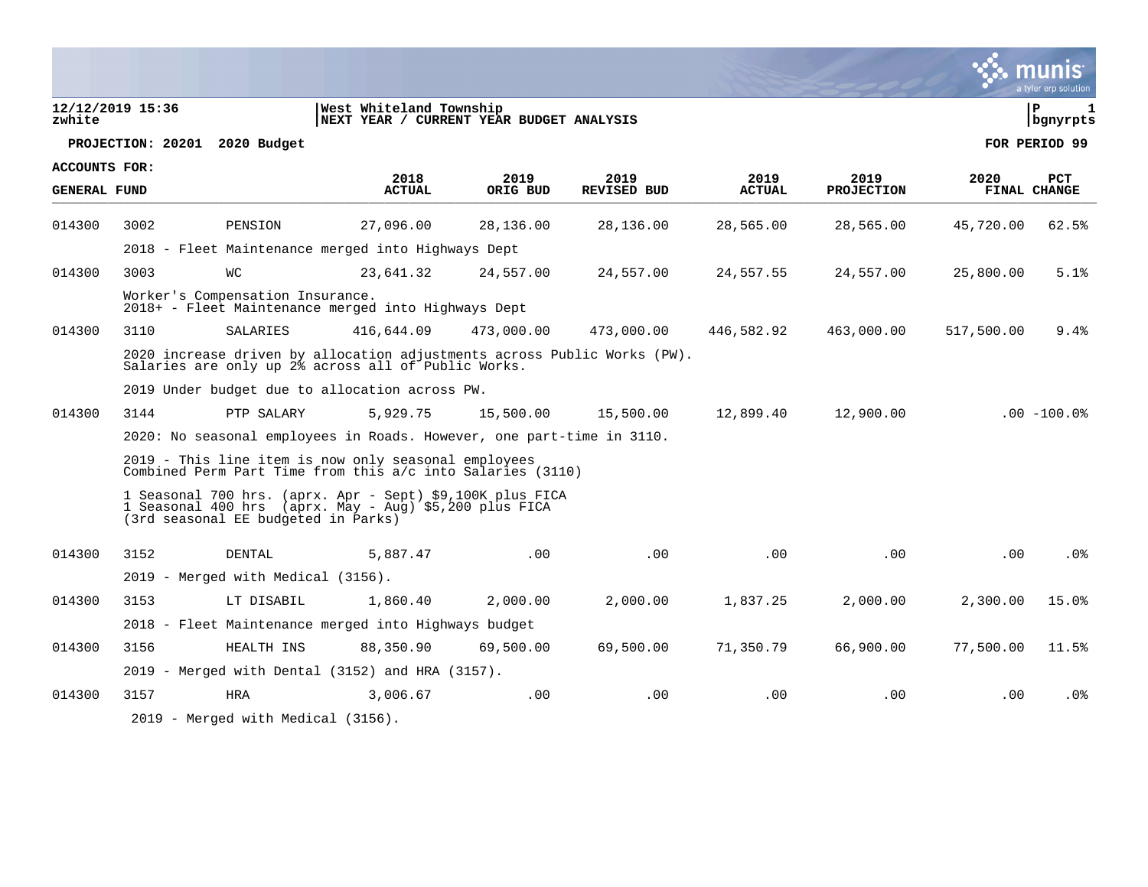|                      |                  |                                                                                                                                                            |                                                                     |                  |                            |                       |                           |            | a tyler erp solution              |
|----------------------|------------------|------------------------------------------------------------------------------------------------------------------------------------------------------------|---------------------------------------------------------------------|------------------|----------------------------|-----------------------|---------------------------|------------|-----------------------------------|
| zwhite               | 12/12/2019 15:36 |                                                                                                                                                            | West Whiteland Township<br>NEXT YEAR / CURRENT YEAR BUDGET ANALYSIS |                  |                            |                       |                           |            | l P<br>$\mathbf{1}$<br>  bgnyrpts |
|                      |                  | PROJECTION: 20201 2020 Budget                                                                                                                              |                                                                     |                  |                            |                       |                           |            | FOR PERIOD 99                     |
| <b>ACCOUNTS FOR:</b> |                  |                                                                                                                                                            |                                                                     |                  |                            |                       |                           |            |                                   |
| <b>GENERAL FUND</b>  |                  |                                                                                                                                                            | 2018<br><b>ACTUAL</b>                                               | 2019<br>ORIG BUD | 2019<br><b>REVISED BUD</b> | 2019<br><b>ACTUAL</b> | 2019<br><b>PROJECTION</b> | 2020       | PCT<br><b>FINAL CHANGE</b>        |
| 014300               | 3002             | PENSION                                                                                                                                                    | 27,096.00                                                           | 28,136.00        | 28,136.00                  | 28,565.00             | 28,565.00                 | 45,720.00  | 62.5%                             |
|                      |                  | 2018 - Fleet Maintenance merged into Highways Dept                                                                                                         |                                                                     |                  |                            |                       |                           |            |                                   |
| 014300               | 3003             | <b>WC</b>                                                                                                                                                  | 23,641.32                                                           | 24,557.00        | 24,557.00                  | 24,557.55             | 24,557.00                 | 25,800.00  | 5.1%                              |
|                      |                  | Worker's Compensation Insurance.<br>2018+ - Fleet Maintenance merged into Highways Dept                                                                    |                                                                     |                  |                            |                       |                           |            |                                   |
| 014300               | 3110             | SALARIES                                                                                                                                                   | 416,644.09                                                          | 473,000.00       | 473,000.00                 | 446,582.92            | 463,000.00                | 517,500.00 | 9.4%                              |
|                      |                  | 2020 increase driven by allocation adjustments across Public Works (PW).<br>Salaries are only up 2% across all of Public Works.                            |                                                                     |                  |                            |                       |                           |            |                                   |
|                      |                  | 2019 Under budget due to allocation across PW.                                                                                                             |                                                                     |                  |                            |                       |                           |            |                                   |
| 014300               | 3144             | PTP SALARY                                                                                                                                                 | 5,929.75                                                            | 15,500.00        | 15,500.00                  | 12,899.40             | 12,900.00                 |            | $.00 - 100.0$                     |
|                      |                  | 2020: No seasonal employees in Roads. However, one part-time in 3110.                                                                                      |                                                                     |                  |                            |                       |                           |            |                                   |
|                      |                  | 2019 - This line item is now only seasonal employees<br>Combined Perm Part Time from this a/c into Salaries (3110)                                         |                                                                     |                  |                            |                       |                           |            |                                   |
|                      |                  | 1 Seasonal 700 hrs. (aprx. Apr - Sept) \$9,100K plus FICA<br>1 Seasonal 400 hrs (aprx. May - Aug) \$5,200 plus FICA<br>(3rd seasonal EE budgeted in Parks) |                                                                     |                  |                            |                       |                           |            |                                   |
| 014300               | 3152             | <b>DENTAL</b>                                                                                                                                              | 5,887.47                                                            | .00              | .00                        | .00                   | .00                       | .00        | .0 <sub>8</sub>                   |
|                      |                  | 2019 - Merged with Medical (3156).                                                                                                                         |                                                                     |                  |                            |                       |                           |            |                                   |
| 014300               | 3153             | LT DISABIL                                                                                                                                                 | 1,860.40                                                            | 2,000.00         | 2,000.00                   | 1,837.25              | 2,000.00                  | 2,300.00   | 15.0%                             |
|                      |                  | 2018 - Fleet Maintenance merged into Highways budget                                                                                                       |                                                                     |                  |                            |                       |                           |            |                                   |
| 014300               | 3156             | HEALTH INS                                                                                                                                                 | 88,350.90                                                           | 69,500.00        | 69,500.00                  | 71,350.79             | 66,900.00                 | 77,500.00  | 11.5%                             |
|                      |                  | 2019 - Merged with Dental (3152) and HRA (3157).                                                                                                           |                                                                     |                  |                            |                       |                           |            |                                   |
| 014300               | 3157             | <b>HRA</b>                                                                                                                                                 | 3,006.67                                                            | .00              | .00                        | .00                   | .00                       | .00        | .0 <sub>8</sub>                   |
|                      |                  | 2019 - Merged with Medical (3156).                                                                                                                         |                                                                     |                  |                            |                       |                           |            |                                   |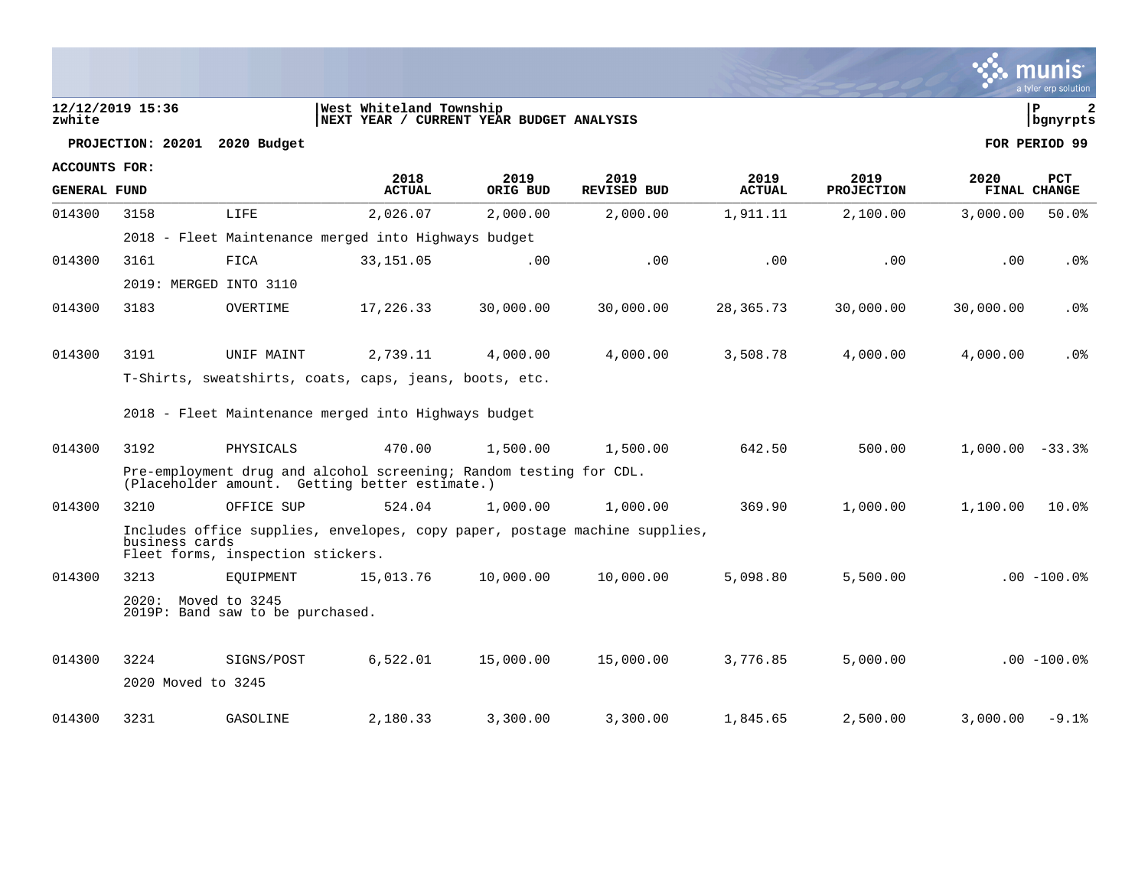| zwhite               | 12/12/2019 15:36       |                                   | West Whiteland Township<br>NEXT YEAR / CURRENT YEAR BUDGET ANALYSIS                                                  |           |                    |               |                   |                     | ΙP<br>$\overline{2}$<br>bgnyrpts |
|----------------------|------------------------|-----------------------------------|----------------------------------------------------------------------------------------------------------------------|-----------|--------------------|---------------|-------------------|---------------------|----------------------------------|
|                      | PROJECTION: 20201      | 2020 Budget                       |                                                                                                                      |           |                    |               |                   |                     | FOR PERIOD 99                    |
| <b>ACCOUNTS FOR:</b> |                        |                                   | 2018                                                                                                                 | 2019      | 2019               | 2019          | 2019              | 2020                | <b>PCT</b>                       |
| <b>GENERAL FUND</b>  |                        |                                   | <b>ACTUAL</b>                                                                                                        | ORIG BUD  | <b>REVISED BUD</b> | <b>ACTUAL</b> | <b>PROJECTION</b> | <b>FINAL CHANGE</b> |                                  |
| 014300               | 3158                   | LIFE                              | 2,026.07                                                                                                             | 2,000.00  | 2,000.00           | 1,911.11      | 2,100.00          | 3,000.00            | 50.0%                            |
|                      |                        |                                   | 2018 - Fleet Maintenance merged into Highways budget                                                                 |           |                    |               |                   |                     |                                  |
| 014300               | 3161                   | FICA                              | 33, 151.05                                                                                                           | .00       | .00                | .00           | .00               | .00                 | $.0\%$                           |
|                      | 2019: MERGED INTO 3110 |                                   |                                                                                                                      |           |                    |               |                   |                     |                                  |
| 014300               | 3183                   | OVERTIME                          | 17,226.33                                                                                                            | 30,000.00 | 30,000.00          | 28,365.73     | 30,000.00         | 30,000.00           | $.0\%$                           |
|                      |                        |                                   |                                                                                                                      |           |                    |               |                   |                     |                                  |
| 014300               | 3191                   | UNIF MAINT                        | 2,739.11                                                                                                             | 4,000.00  | 4,000.00           | 3,508.78      | 4,000.00          | 4,000.00            | .0%                              |
|                      |                        |                                   | T-Shirts, sweatshirts, coats, caps, jeans, boots, etc.                                                               |           |                    |               |                   |                     |                                  |
|                      |                        |                                   | 2018 - Fleet Maintenance merged into Highways budget                                                                 |           |                    |               |                   |                     |                                  |
| 014300               | 3192                   | PHYSICALS                         | 470.00                                                                                                               | 1,500.00  | 1,500.00           | 642.50        | 500.00            | $1,000.00 - 33.3$   |                                  |
|                      |                        |                                   | Pre-employment drug and alcohol screening; Random testing for CDL.<br>(Placeholder amount. Getting better estimate.) |           |                    |               |                   |                     |                                  |
| 014300               | 3210                   | OFFICE SUP                        | 524.04                                                                                                               | 1,000.00  | 1,000.00           | 369.90        | 1,000.00          | 1,100.00            | 10.0%                            |
|                      | business cards         | Fleet forms, inspection stickers. | Includes office supplies, envelopes, copy paper, postage machine supplies,                                           |           |                    |               |                   |                     |                                  |
| 014300               | 3213                   | EOUIPMENT                         | 15,013.76                                                                                                            | 10,000.00 | 10,000.00          | 5,098.80      | 5,500.00          |                     | $.00 - 100.0$                    |

- - 2020: Moved to 3245 2019P: Band saw to be purchased.
- 014300 3224 SIGNS/POST 6,522.01 15,000.00 15,000.00 3,776.85 5,000.00 .00 -100.0% 2020 Moved to 3245 014300 3231 GASOLINE 2,180.33 3,300.00 3,300.00 1,845.65 2,500.00 3,000.00 -9.1%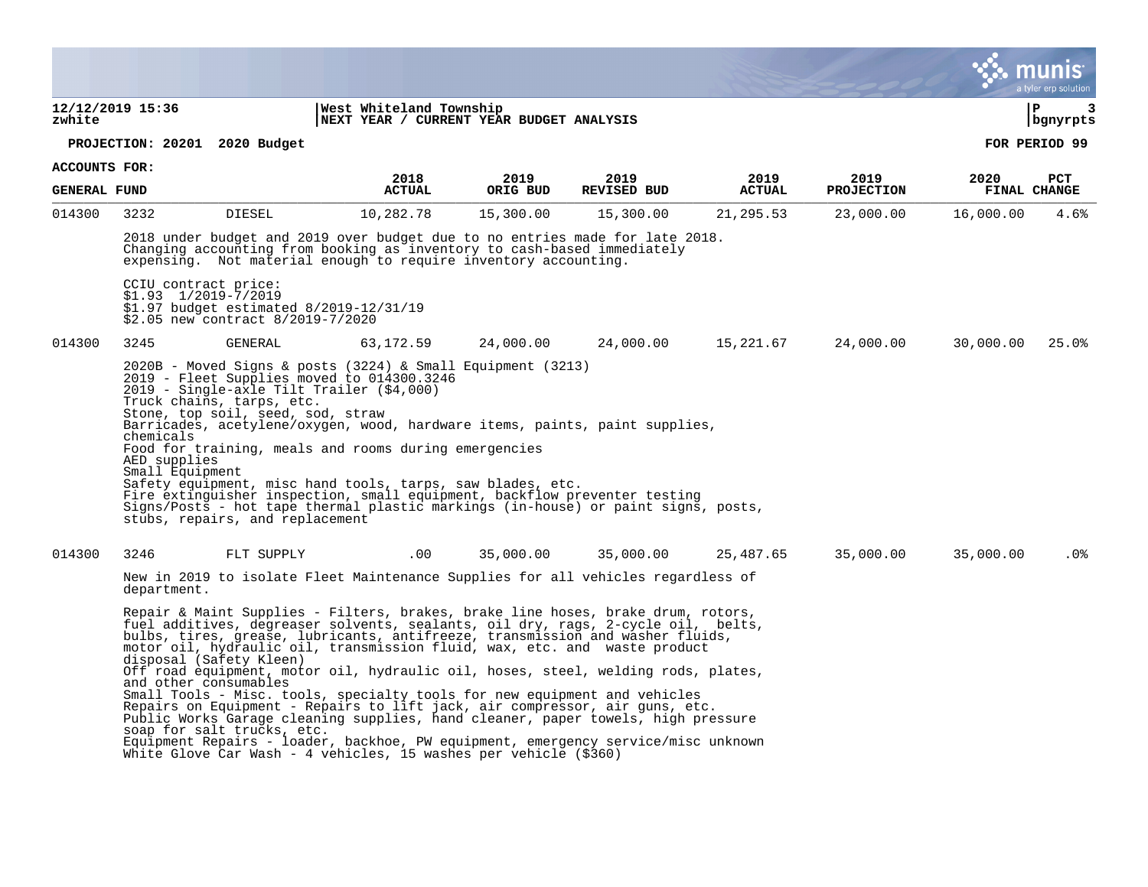|                     |                                                 |                                                                                                   |                                                                                                                                                                                                                                                                                                                                                                                                                                                                                                                                                                                                                                                                                                                                                                                                                                                                                                                      |           |                    |               |                   |              | a tyler erp solution |
|---------------------|-------------------------------------------------|---------------------------------------------------------------------------------------------------|----------------------------------------------------------------------------------------------------------------------------------------------------------------------------------------------------------------------------------------------------------------------------------------------------------------------------------------------------------------------------------------------------------------------------------------------------------------------------------------------------------------------------------------------------------------------------------------------------------------------------------------------------------------------------------------------------------------------------------------------------------------------------------------------------------------------------------------------------------------------------------------------------------------------|-----------|--------------------|---------------|-------------------|--------------|----------------------|
| zwhite              | 12/12/2019 15:36                                |                                                                                                   | West Whiteland Township<br>NEXT YEAR / CURRENT YEAR BUDGET ANALYSIS                                                                                                                                                                                                                                                                                                                                                                                                                                                                                                                                                                                                                                                                                                                                                                                                                                                  |           |                    |               |                   | l P          | 3<br>bgnyrpts        |
|                     |                                                 | PROJECTION: 20201 2020 Budget                                                                     |                                                                                                                                                                                                                                                                                                                                                                                                                                                                                                                                                                                                                                                                                                                                                                                                                                                                                                                      |           |                    |               |                   |              | FOR PERIOD 99        |
| ACCOUNTS FOR:       |                                                 |                                                                                                   | 2018                                                                                                                                                                                                                                                                                                                                                                                                                                                                                                                                                                                                                                                                                                                                                                                                                                                                                                                 | 2019      | 2019               | 2019          | 2019              | 2020         | PCT                  |
| <b>GENERAL FUND</b> |                                                 |                                                                                                   | <b>ACTUAL</b>                                                                                                                                                                                                                                                                                                                                                                                                                                                                                                                                                                                                                                                                                                                                                                                                                                                                                                        | ORIG BUD  | <b>REVISED BUD</b> | <b>ACTUAL</b> | <b>PROJECTION</b> | FINAL CHANGE |                      |
| 014300              | 3232                                            | <b>DIESEL</b>                                                                                     | 10,282.78                                                                                                                                                                                                                                                                                                                                                                                                                                                                                                                                                                                                                                                                                                                                                                                                                                                                                                            | 15,300.00 | 15,300.00          | 21,295.53     | 23,000.00         | 16,000.00    | 4.6%                 |
|                     |                                                 |                                                                                                   | 2018 under budget and 2019 over budget due to no entries made for late 2018.<br>Changing accounting from booking as inventory to cash-based immediately<br>expensing. Not material enough to require inventory accounting.                                                                                                                                                                                                                                                                                                                                                                                                                                                                                                                                                                                                                                                                                           |           |                    |               |                   |              |                      |
|                     | CCIU contract price:<br>$$1.93$ $1/2019-7/2019$ | \$2.05 new contract 8/2019-7/2020                                                                 | \$1.97 budget estimated 8/2019-12/31/19                                                                                                                                                                                                                                                                                                                                                                                                                                                                                                                                                                                                                                                                                                                                                                                                                                                                              |           |                    |               |                   |              |                      |
| 014300              | 3245                                            | GENERAL                                                                                           | 63,172.59                                                                                                                                                                                                                                                                                                                                                                                                                                                                                                                                                                                                                                                                                                                                                                                                                                                                                                            | 24,000.00 | 24,000.00          | 15,221.67     | 24,000.00         | 30,000.00    | 25.0%                |
|                     | chemicals<br>AED supplies<br>Small Equipment    | Truck chains, tarps, etc.<br>Stone, top soil, seed, sod, straw<br>stubs, repairs, and replacement | $2020B$ - Moved Signs & posts (3224) & Small Equipment (3213)<br>2019 - Fleet Supplies moved to 014300.3246<br>2019 - Single-axle Tilt Trailer (\$4,000)<br>Barricades, acetylene/oxygen, wood, hardware items, paints, paint supplies,<br>Food for training, meals and rooms during emergencies<br>Safety equipment, misc hand tools, tarps, saw blades, etc.<br>Fire extinguisher inspection, small equipment, backflow preventer testing<br>Signs/Posts - hot tape thermal plastic markings (in-house) or paint signs, posts,                                                                                                                                                                                                                                                                                                                                                                                     |           |                    |               |                   |              |                      |
| 014300              | 3246                                            | FLT SUPPLY                                                                                        | .00                                                                                                                                                                                                                                                                                                                                                                                                                                                                                                                                                                                                                                                                                                                                                                                                                                                                                                                  | 35,000.00 | 35,000.00          | 25,487.65     | 35,000.00         | 35,000.00    | .0%                  |
|                     | department.                                     | disposal (Safety Kleen)<br>and other consumables<br>soap for salt trucks, etc.                    | New in 2019 to isolate Fleet Maintenance Supplies for all vehicles regardless of<br>Repair & Maint Supplies - Filters, brakes, brake line hoses, brake drum, rotors,<br>fuel additives, degreaser solvents, sealants, oil dry, rags, 2-cycle oil, belts,<br>bulbs, tires, grease, lubricants, antifreeze, transmission and washer fluids,<br>motor oil, hydraulic oil, transmission fluid, wax, etc. and waste product<br>Off road equipment, motor oil, hydraulic oil, hoses, steel, welding rods, plates,<br>Small Tools - Misc. tools, specialty tools for new equipment and vehicles<br>Repairs on Equipment - Repairs to lift jack, air compressor, air guns, etc.<br>Public Works Garage cleaning supplies, hand cleaner, paper towels, high pressure<br>Equipment Repairs - loader, backhoe, PW equipment, emergency service/misc unknown<br>White Glove Car Wash - 4 vehicles, 15 washes per vehicle (\$360) |           |                    |               |                   |              |                      |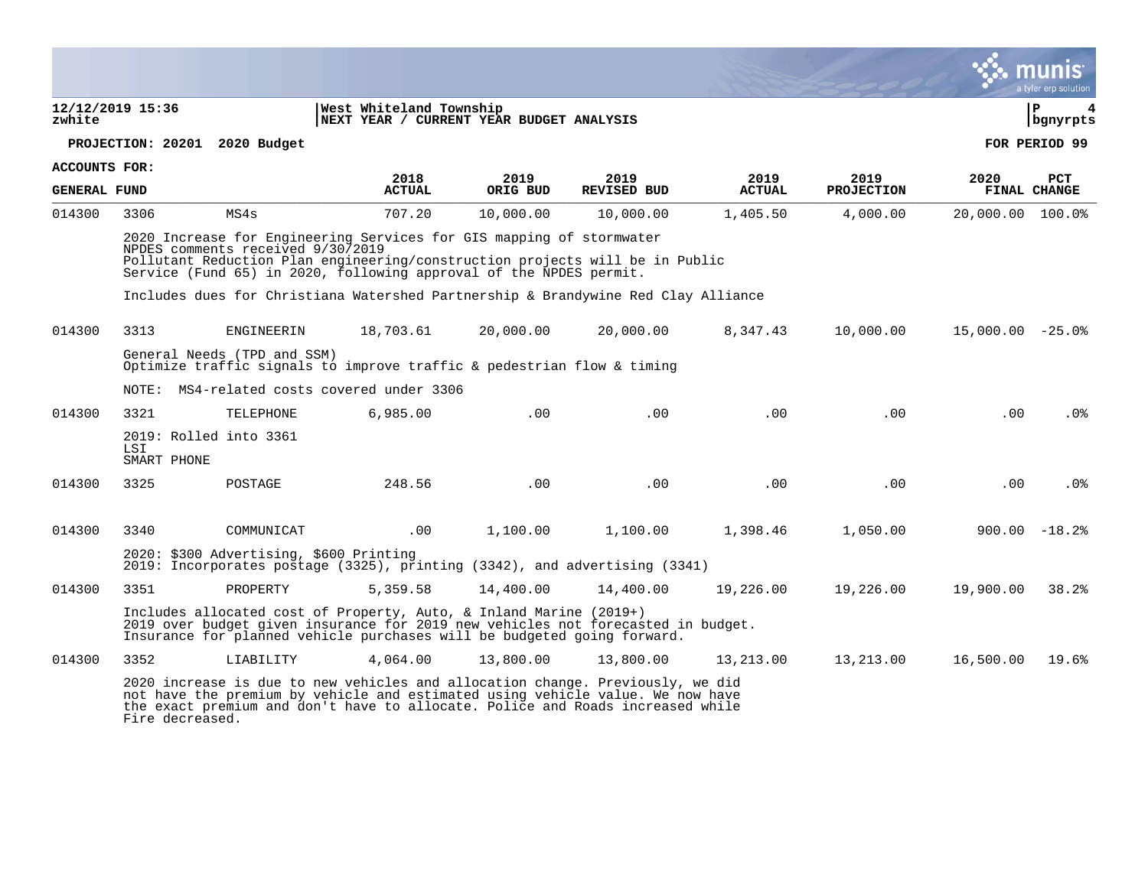|                     |                                              |                                   |                                                                                                                                                                                                                                                                                                                 |                  |                            |                       |                           |                    | a tyler erp solution              |
|---------------------|----------------------------------------------|-----------------------------------|-----------------------------------------------------------------------------------------------------------------------------------------------------------------------------------------------------------------------------------------------------------------------------------------------------------------|------------------|----------------------------|-----------------------|---------------------------|--------------------|-----------------------------------|
| zwhite              | 12/12/2019 15:36                             |                                   | West Whiteland Township<br>NEXT YEAR / CURRENT YEAR BUDGET ANALYSIS                                                                                                                                                                                                                                             |                  |                            |                       |                           |                    | lР<br>  bgnyrpts                  |
|                     | PROJECTION: 20201 2020 Budget                |                                   |                                                                                                                                                                                                                                                                                                                 |                  |                            |                       |                           |                    | FOR PERIOD 99                     |
| ACCOUNTS FOR:       |                                              |                                   |                                                                                                                                                                                                                                                                                                                 |                  |                            |                       |                           |                    |                                   |
| <b>GENERAL FUND</b> |                                              |                                   | 2018<br><b>ACTUAL</b>                                                                                                                                                                                                                                                                                           | 2019<br>ORIG BUD | 2019<br><b>REVISED BUD</b> | 2019<br><b>ACTUAL</b> | 2019<br><b>PROJECTION</b> | 2020               | <b>PCT</b><br><b>FINAL CHANGE</b> |
| 014300              | 3306                                         | MS4s                              | 707.20                                                                                                                                                                                                                                                                                                          | 10,000.00        | 10,000.00                  | 1,405.50              | 4,000.00                  | 20,000.00 100.0%   |                                   |
|                     |                                              | NPDES comments received 9/30/2019 | 2020 Increase for Engineering Services for GIS mapping of stormwater<br>Pollutant Reduction Plan engineering/construction projects will be in Public<br>Service (Fund 65) in 2020, following approval of the NPDES permit.<br>Includes dues for Christiana Watershed Partnership & Brandywine Red Clay Alliance |                  |                            |                       |                           |                    |                                   |
| 014300              | 3313                                         | ENGINEERIN                        | 18,703.61                                                                                                                                                                                                                                                                                                       | 20,000.00        | 20,000.00                  | 8,347.43              | 10,000.00                 | $15,000.00 - 25.0$ |                                   |
|                     |                                              | General Needs (TPD and SSM)       | Optimize traffic signals to improve traffic & pedestrian flow & timing                                                                                                                                                                                                                                          |                  |                            |                       |                           |                    |                                   |
|                     |                                              |                                   | NOTE: MS4-related costs covered under 3306                                                                                                                                                                                                                                                                      |                  |                            |                       |                           |                    |                                   |
| 014300              | 3321                                         | TELEPHONE                         | 6,985.00                                                                                                                                                                                                                                                                                                        | .00              | .00                        | .00                   | .00                       | .00                | .0%                               |
|                     | 2019: Rolled into 3361<br>LSI<br>SMART PHONE |                                   |                                                                                                                                                                                                                                                                                                                 |                  |                            |                       |                           |                    |                                   |
| 014300              | 3325                                         | POSTAGE                           | 248.56                                                                                                                                                                                                                                                                                                          | .00              | .00                        | .00                   | .00                       | .00                | .0 <sub>8</sub>                   |
|                     |                                              |                                   |                                                                                                                                                                                                                                                                                                                 |                  |                            |                       |                           |                    |                                   |
| 014300              | 3340                                         | COMMUNICAT                        | $.00 \,$                                                                                                                                                                                                                                                                                                        | 1,100.00         | 1,100.00                   | 1,398.46              | 1,050.00                  |                    | $900.00 - 18.2$                   |
|                     |                                              |                                   | 2020: \$300 Advertising, \$600 Printing<br>2019: Incorporates postage (3325), printing (3342), and advertising (3341)                                                                                                                                                                                           |                  |                            |                       |                           |                    |                                   |
| 014300              | 3351                                         | PROPERTY                          | 5,359.58                                                                                                                                                                                                                                                                                                        | 14,400.00        | 14,400.00                  | 19,226.00             | 19,226.00                 | 19,900.00          | 38.2%                             |
|                     |                                              |                                   | Includes allocated cost of Property, Auto, & Inland Marine (2019+)<br>2019 over budget given insurance for 2019 new vehicles not forecasted in budget.<br>Insurance for planned vehicle purchases will be budgeted going forward.                                                                               |                  |                            |                       |                           |                    |                                   |
| 014300              | 3352                                         | LIABILITY                         | 4,064.00                                                                                                                                                                                                                                                                                                        | 13,800.00        | 13,800.00                  | 13,213.00             | 13,213.00                 | 16,500.00          | 19.6%                             |
|                     | Fire decreased.                              |                                   | 2020 increase is due to new vehicles and allocation change. Previously, we did<br>not have the premium by vehicle and estimated using vehicle value. We now have<br>the exact premium and don't have to allocate. Police and Roads increased while                                                              |                  |                            |                       |                           |                    |                                   |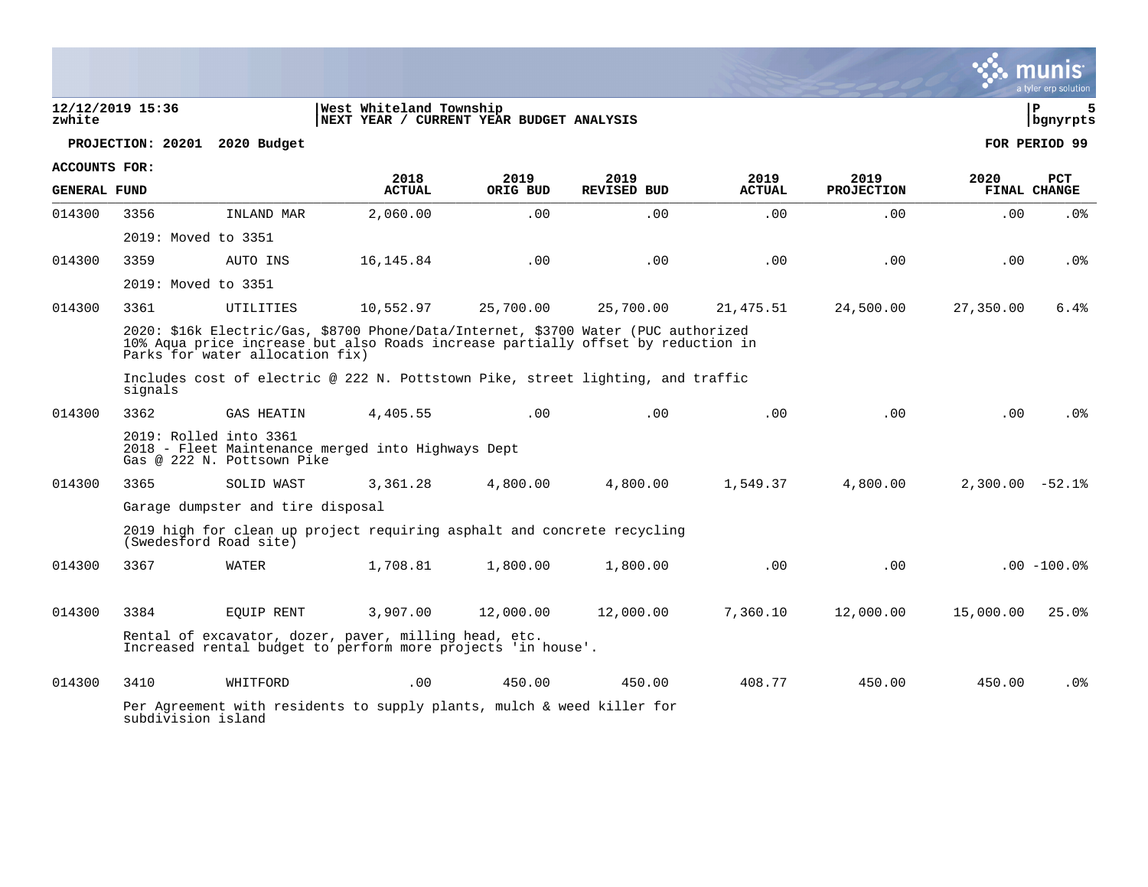|                      |                                                      |                   |                                                                                                                                                                        |                  |                            |                       |                           |                   | munis<br>a tyler erp solution |
|----------------------|------------------------------------------------------|-------------------|------------------------------------------------------------------------------------------------------------------------------------------------------------------------|------------------|----------------------------|-----------------------|---------------------------|-------------------|-------------------------------|
| zwhite               | 12/12/2019 15:36                                     |                   | West Whiteland Township<br>NEXT YEAR / CURRENT YEAR BUDGET ANALYSIS                                                                                                    |                  |                            |                       |                           |                   | 5<br>l P<br>  bgnyrpts        |
|                      | PROJECTION: 20201                                    | 2020 Budget       |                                                                                                                                                                        |                  |                            |                       |                           |                   | FOR PERIOD 99                 |
| <b>ACCOUNTS FOR:</b> |                                                      |                   |                                                                                                                                                                        |                  |                            |                       |                           |                   |                               |
| <b>GENERAL FUND</b>  |                                                      |                   | 2018<br><b>ACTUAL</b>                                                                                                                                                  | 2019<br>ORIG BUD | 2019<br><b>REVISED BUD</b> | 2019<br><b>ACTUAL</b> | 2019<br><b>PROJECTION</b> | 2020              | PCT<br>FINAL CHANGE           |
| 014300               | 3356                                                 | INLAND MAR        | 2,060.00                                                                                                                                                               | .00              | .00                        | .00                   | .00                       | .00               | .0%                           |
|                      | 2019: Moved to 3351                                  |                   |                                                                                                                                                                        |                  |                            |                       |                           |                   |                               |
| 014300               | 3359                                                 | AUTO INS          | 16, 145.84                                                                                                                                                             | .00              | .00                        | .00                   | .00                       | .00               | .0%                           |
|                      | 2019: Moved to 3351                                  |                   |                                                                                                                                                                        |                  |                            |                       |                           |                   |                               |
| 014300               | 3361                                                 | UTILITIES         | 10,552.97                                                                                                                                                              | 25,700.00        | 25,700.00                  | 21,475.51             | 24,500.00                 | 27,350.00         | 6.4%                          |
|                      | Parks for water allocation fix)                      |                   | 2020: \$16k Electric/Gas, \$8700 Phone/Data/Internet, \$3700 Water (PUC authorized<br>10% Aqua price increase but also Roads increase partially offset by reduction in |                  |                            |                       |                           |                   |                               |
|                      | signals                                              |                   | Includes cost of electric @ 222 N. Pottstown Pike, street lighting, and traffic                                                                                        |                  |                            |                       |                           |                   |                               |
| 014300               | 3362                                                 | <b>GAS HEATIN</b> | 4,405.55                                                                                                                                                               | .00              | .00                        | .00                   | .00                       | .00               | .0%                           |
|                      | 2019: Rolled into 3361<br>Gas @ 222 N. Pottsown Pike |                   | 2018 - Fleet Maintenance merged into Highways Dept                                                                                                                     |                  |                            |                       |                           |                   |                               |
| 014300               | 3365                                                 | SOLID WAST        | 3,361.28                                                                                                                                                               | 4,800.00         | 4,800.00                   | 1,549.37              | 4,800.00                  | $2,300.00 - 52.1$ |                               |
|                      | Garage dumpster and tire disposal                    |                   |                                                                                                                                                                        |                  |                            |                       |                           |                   |                               |
|                      | (Swedesford Road site)                               |                   | 2019 high for clean up project requiring asphalt and concrete recycling                                                                                                |                  |                            |                       |                           |                   |                               |
| 014300               | 3367                                                 | <b>WATER</b>      | 1,708.81                                                                                                                                                               | 1,800.00         | 1,800.00                   | .00                   | .00                       |                   | $.00 - 100.0$                 |
| 014300               | 3384                                                 | EOUIP RENT        | 3,907.00                                                                                                                                                               | 12,000.00        | 12,000.00                  | 7,360.10              | 12,000.00                 | 15,000.00         | 25.0%                         |
|                      |                                                      |                   | Rental of excavator, dozer, paver, milling head, etc.<br>Increased rental budget to perform more projects 'in house'.                                                  |                  |                            |                       |                           |                   |                               |
| 014300               | 3410                                                 | WHITFORD          | .00                                                                                                                                                                    | 450.00           | 450.00                     | 408.77                | 450.00                    | 450.00            | .0%                           |
|                      | subdivision island                                   |                   | Per Agreement with residents to supply plants, mulch & weed killer for                                                                                                 |                  |                            |                       |                           |                   |                               |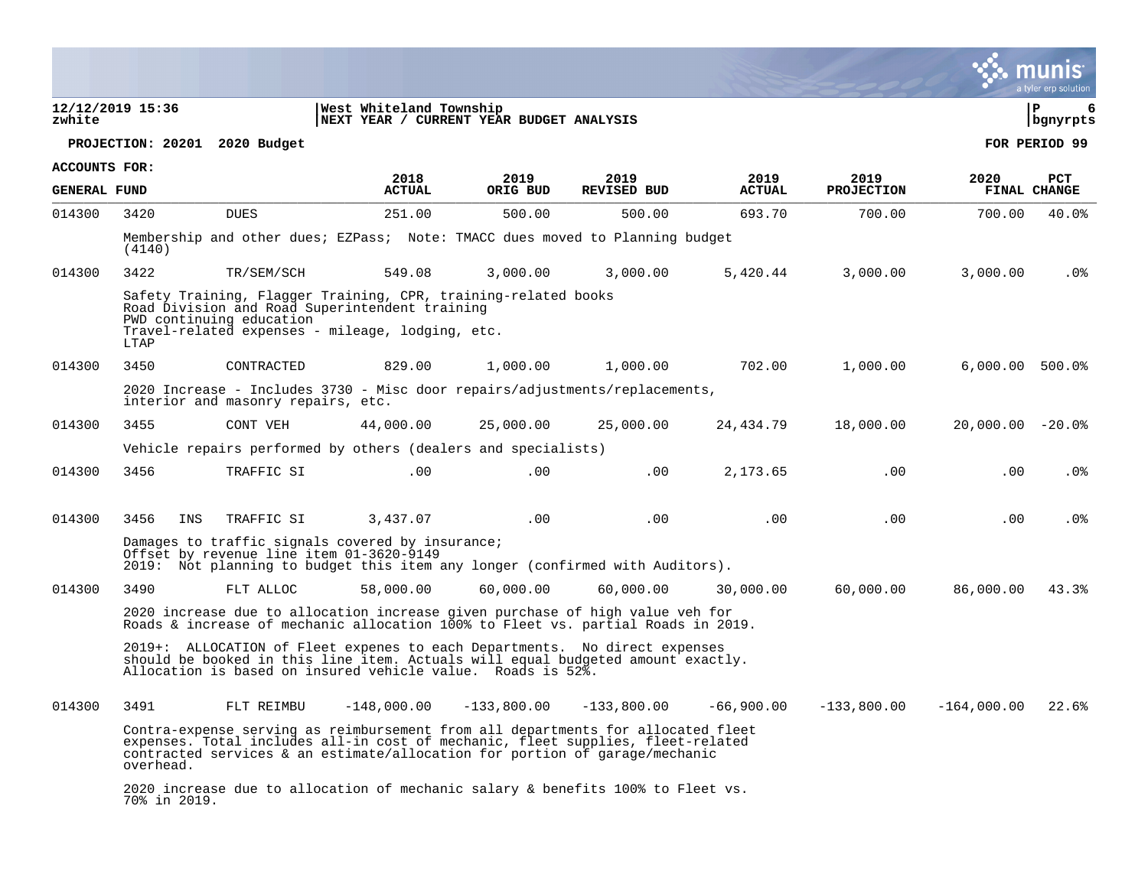|                     |                               |                                          |                                                                                                                                                                                                                                                    |               |                    |               |                   |                    | a tyler erp solution   |
|---------------------|-------------------------------|------------------------------------------|----------------------------------------------------------------------------------------------------------------------------------------------------------------------------------------------------------------------------------------------------|---------------|--------------------|---------------|-------------------|--------------------|------------------------|
| zwhite              | 12/12/2019 15:36              |                                          | West Whiteland Township<br>NEXT YEAR / CURRENT YEAR BUDGET ANALYSIS                                                                                                                                                                                |               |                    |               |                   |                    | l P<br>6<br>  bgnyrpts |
|                     | PROJECTION: 20201 2020 Budget |                                          |                                                                                                                                                                                                                                                    |               |                    |               |                   |                    | FOR PERIOD 99          |
| ACCOUNTS FOR:       |                               |                                          | 2018                                                                                                                                                                                                                                               | 2019          | 2019               | 2019          | 2019              | 2020               | <b>PCT</b>             |
| <b>GENERAL FUND</b> |                               |                                          | <b>ACTUAL</b>                                                                                                                                                                                                                                      | ORIG BUD      | <b>REVISED BUD</b> | <b>ACTUAL</b> | <b>PROJECTION</b> |                    | FINAL CHANGE           |
| 014300              | 3420                          | <b>DUES</b>                              | 251.00                                                                                                                                                                                                                                             | 500.00        | 500.00             | 693.70        | 700.00            | 700.00             | 40.0%                  |
|                     | (4140)                        |                                          | Membership and other dues; EZPass; Note: TMACC dues moved to Planning budget                                                                                                                                                                       |               |                    |               |                   |                    |                        |
| 014300              | 3422                          | TR/SEM/SCH                               | 549.08                                                                                                                                                                                                                                             | 3,000.00      | 3,000.00           | 5,420.44      | 3,000.00          | 3,000.00           | .0%                    |
|                     | LTAP                          | PWD continuing education                 | Safety Training, Flagger Training, CPR, training-related books<br>Road Division and Road Superintendent training<br>Travel-related expenses - mileage, lodging, etc.                                                                               |               |                    |               |                   |                    |                        |
| 014300              | 3450                          | CONTRACTED                               | 829.00                                                                                                                                                                                                                                             | 1,000.00      | 1,000.00           | 702.00        | 1,000.00          | $6,000.00$ 500.0%  |                        |
|                     |                               | interior and masonry repairs, etc.       | 2020 Increase - Includes 3730 - Misc door repairs/adjustments/replacements,                                                                                                                                                                        |               |                    |               |                   |                    |                        |
| 014300              | 3455                          | CONT VEH                                 | 44,000.00                                                                                                                                                                                                                                          | 25,000.00     | 25,000.00          | 24,434.79     | 18,000.00         | $20,000.00 - 20.0$ |                        |
|                     |                               |                                          | Vehicle repairs performed by others (dealers and specialists)                                                                                                                                                                                      |               |                    |               |                   |                    |                        |
| 014300              | 3456                          | TRAFFIC SI                               | .00                                                                                                                                                                                                                                                | .00           | .00                | 2,173.65      | .00               | .00                | $.0\%$                 |
|                     |                               |                                          |                                                                                                                                                                                                                                                    |               |                    |               |                   |                    |                        |
| 014300              | 3456<br>INS                   | TRAFFIC SI                               | 3,437.07                                                                                                                                                                                                                                           | .00           | .00                | $.00 \,$      | $.00 \,$          | $.00 \,$           | .0 <sub>8</sub>        |
|                     |                               | Offset by revenue line item 01-3620-9149 | Damages to traffic signals covered by insurance;<br>2019: Not planning to budget this item any longer (confirmed with Auditors).                                                                                                                   |               |                    |               |                   |                    |                        |
| 014300              | 3490                          | FLT ALLOC                                | 58,000.00                                                                                                                                                                                                                                          | 60,000.00     | 60,000.00          | 30,000.00     | 60,000.00         | 86,000.00          | 43.3%                  |
|                     |                               |                                          | 2020 increase due to allocation increase given purchase of high value veh for<br>Roads & increase of mechanic allocation 100% to Fleet vs. partial Roads in 2019.                                                                                  |               |                    |               |                   |                    |                        |
|                     |                               |                                          | 2019+: ALLOCATION of Fleet expenes to each Departments. No direct expenses<br>should be booked in this line item. Actuals will equal budgeted amount exactly.<br>Allocation is based on insured vehicle value. Roads is 52%.                       |               |                    |               |                   |                    |                        |
| 014300              | 3491                          | FLT REIMBU                               | $-148,000.00$                                                                                                                                                                                                                                      | $-133,800.00$ | $-133,800.00$      | $-66,900.00$  | $-133,800.00$     | $-164,000.00$      | 22.6%                  |
|                     | overhead.                     |                                          | Contra-expense serving as reimbursement from all departments for allocated fleet<br>expenses. Total includes all-in cost of mechanic, fleet supplies, fleet-related<br>contracted services & an estimate/allocation for portion of garage/mechanic |               |                    |               |                   |                    |                        |
|                     | 70% in 2019.                  |                                          | 2020 increase due to allocation of mechanic salary & benefits 100% to Fleet vs.                                                                                                                                                                    |               |                    |               |                   |                    |                        |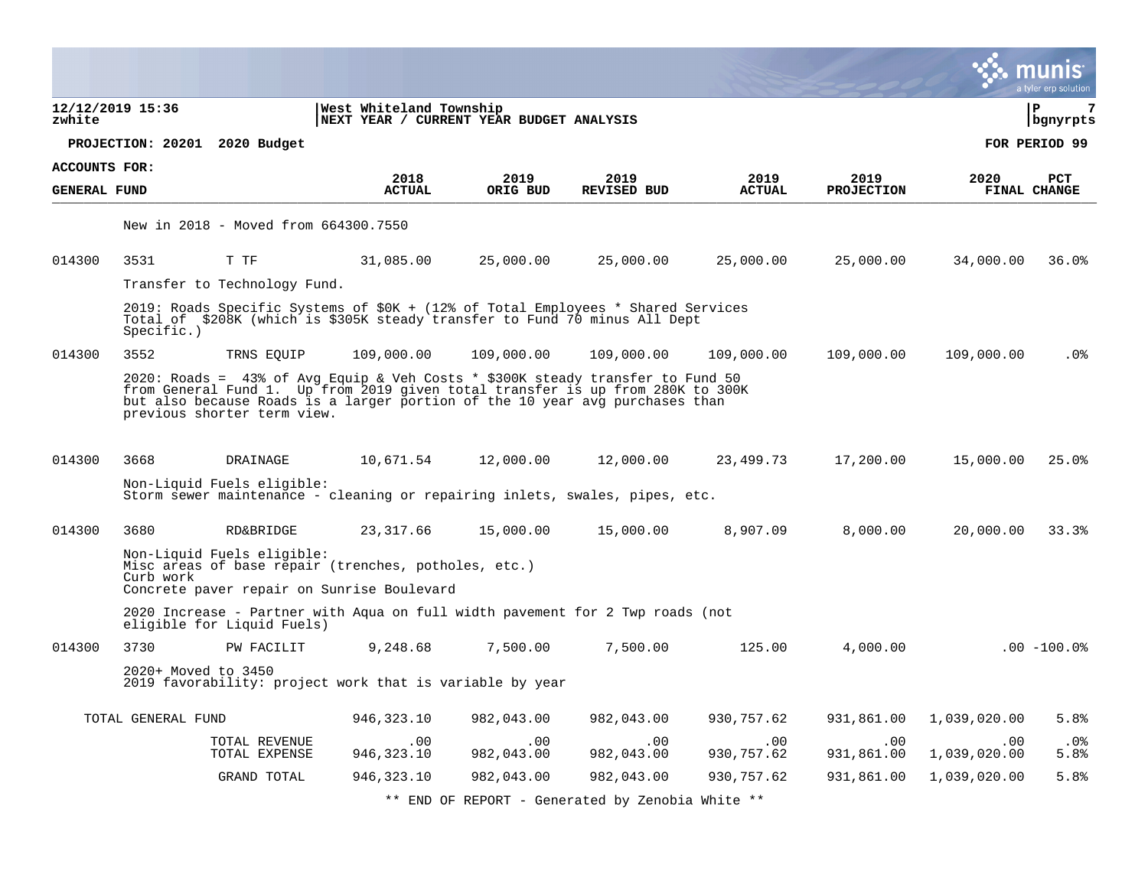|                      |                     |                                      |                                                                                                                                                                                                                                                  |                   |                                                  |                   |                   |                     | munıs<br>a tyler erp solution |
|----------------------|---------------------|--------------------------------------|--------------------------------------------------------------------------------------------------------------------------------------------------------------------------------------------------------------------------------------------------|-------------------|--------------------------------------------------|-------------------|-------------------|---------------------|-------------------------------|
| zwhite               | 12/12/2019 15:36    |                                      | West Whiteland Township<br>NEXT YEAR / CURRENT YEAR BUDGET ANALYSIS                                                                                                                                                                              |                   |                                                  |                   |                   |                     | 7<br>∣ P<br>  bgnyrpts        |
|                      |                     | PROJECTION: 20201 2020 Budget        |                                                                                                                                                                                                                                                  |                   |                                                  |                   |                   |                     | FOR PERIOD 99                 |
| <b>ACCOUNTS FOR:</b> |                     |                                      | 2018                                                                                                                                                                                                                                             | 2019              | 2019                                             | 2019              | 2019              | 2020                | <b>PCT</b>                    |
| <b>GENERAL FUND</b>  |                     |                                      | <b>ACTUAL</b>                                                                                                                                                                                                                                    | ORIG BUD          | <b>REVISED BUD</b>                               | <b>ACTUAL</b>     | <b>PROJECTION</b> |                     | FINAL CHANGE                  |
|                      |                     | New in 2018 - Moved from 664300.7550 |                                                                                                                                                                                                                                                  |                   |                                                  |                   |                   |                     |                               |
| 014300               | 3531                | T TF                                 | 31,085.00                                                                                                                                                                                                                                        | 25,000.00         | 25,000.00                                        | 25,000.00         | 25,000.00         | 34,000.00           | 36.0%                         |
|                      |                     | Transfer to Technology Fund.         |                                                                                                                                                                                                                                                  |                   |                                                  |                   |                   |                     |                               |
|                      | Specific.)          |                                      | 2019: Roads Specific Systems of \$0K + (12% of Total Employees * Shared Services<br>Total of \$208K (which is \$305K steady transfer to Fund 70 minus All Dept                                                                                   |                   |                                                  |                   |                   |                     |                               |
| 014300               | 3552                | TRNS EQUIP                           | 109,000.00                                                                                                                                                                                                                                       | 109,000.00        | 109,000.00                                       | 109,000.00        | 109,000.00        | 109,000.00          | $.0\%$                        |
|                      |                     | previous shorter term view.          | 2020: Roads = 43% of Avg Equip & Veh Costs * \$300K steady transfer to Fund 50<br>from General Fund 1. Up from 2019 given total transfer is up from 280K to 300K<br>but also because Roads is a larger portion of the 10 year avg purchases than |                   |                                                  |                   |                   |                     |                               |
| 014300               | 3668                | DRAINAGE                             | 10,671.54                                                                                                                                                                                                                                        | 12,000.00         | 12,000.00                                        | 23,499.73         | 17,200.00         | 15,000.00           | 25.0%                         |
|                      |                     | Non-Liquid Fuels eligible:           | Storm sewer maintenance - cleaning or repairing inlets, swales, pipes, etc.                                                                                                                                                                      |                   |                                                  |                   |                   |                     |                               |
| 014300               | 3680                | <b>RD&amp;BRIDGE</b>                 | 23,317.66                                                                                                                                                                                                                                        | 15,000.00         | 15,000.00                                        | 8,907.09          | 8,000.00          | 20,000.00           | 33.3%                         |
|                      | Curb work           | Non-Liquid Fuels eligible:           | Misc areas of base repair (trenches, potholes, etc.)<br>Concrete paver repair on Sunrise Boulevard                                                                                                                                               |                   |                                                  |                   |                   |                     |                               |
|                      |                     | eligible for Liquid Fuels)           | 2020 Increase - Partner with Aqua on full width pavement for 2 Twp roads (not                                                                                                                                                                    |                   |                                                  |                   |                   |                     |                               |
| 014300               | 3730                | PW FACILIT                           | 9,248.68                                                                                                                                                                                                                                         | 7,500.00          | 7,500.00                                         | 125.00            | 4,000.00          |                     | $.00 - 100.0$                 |
|                      | 2020+ Moved to 3450 |                                      | 2019 favorability: project work that is variable by year                                                                                                                                                                                         |                   |                                                  |                   |                   |                     |                               |
|                      | TOTAL GENERAL FUND  |                                      | 946,323.10                                                                                                                                                                                                                                       | 982,043.00        | 982,043.00                                       | 930,757.62        | 931,861.00        | 1,039,020.00        | 5.8%                          |
|                      |                     | TOTAL REVENUE<br>TOTAL EXPENSE       | .00.<br>946,323.10                                                                                                                                                                                                                               | .00<br>982,043.00 | .00<br>982,043.00                                | .00<br>930,757.62 | .00<br>931,861.00 | .00<br>1,039,020.00 | $.0\%$<br>5.8%                |
|                      |                     | GRAND TOTAL                          | 946,323.10                                                                                                                                                                                                                                       | 982,043.00        | 982,043.00                                       | 930,757.62        | 931,861.00        | 1,039,020.00        | 5.8%                          |
|                      |                     |                                      |                                                                                                                                                                                                                                                  |                   | ** END OF REPORT - Generated by Zenobia White ** |                   |                   |                     |                               |

 $\bullet$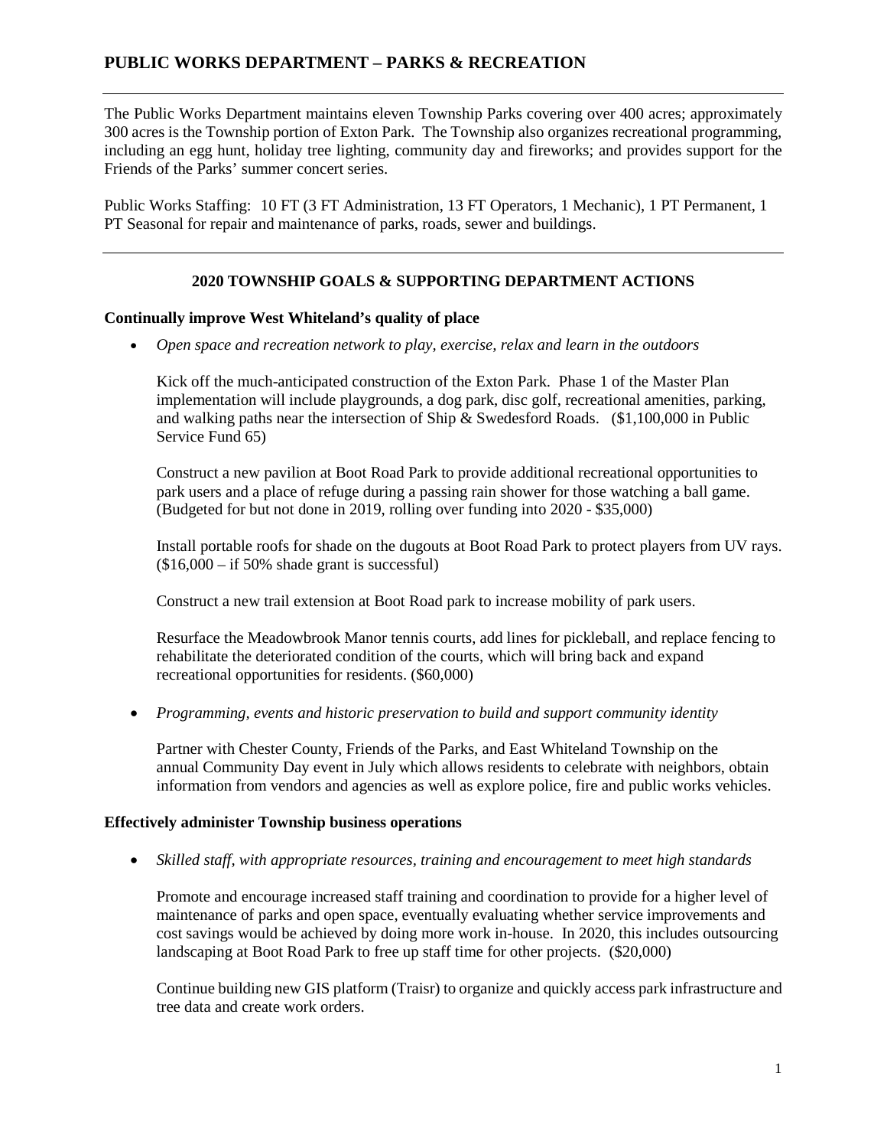The Public Works Department maintains eleven Township Parks covering over 400 acres; approximately 300 acres is the Township portion of Exton Park. The Township also organizes recreational programming, including an egg hunt, holiday tree lighting, community day and fireworks; and provides support for the Friends of the Parks' summer concert series.

Public Works Staffing: 10 FT (3 FT Administration, 13 FT Operators, 1 Mechanic), 1 PT Permanent, 1 PT Seasonal for repair and maintenance of parks, roads, sewer and buildings.

## **2020 TOWNSHIP GOALS & SUPPORTING DEPARTMENT ACTIONS**

## **Continually improve West Whiteland's quality of place**

• *Open space and recreation network to play, exercise, relax and learn in the outdoors*

Kick off the much-anticipated construction of the Exton Park. Phase 1 of the Master Plan implementation will include playgrounds, a dog park, disc golf, recreational amenities, parking, and walking paths near the intersection of Ship & Swedesford Roads. (\$1,100,000 in Public Service Fund 65)

Construct a new pavilion at Boot Road Park to provide additional recreational opportunities to park users and a place of refuge during a passing rain shower for those watching a ball game. (Budgeted for but not done in 2019, rolling over funding into 2020 - \$35,000)

Install portable roofs for shade on the dugouts at Boot Road Park to protect players from UV rays.  $($16,000 - if 50\% \text{ shade grant is successful})$ 

Construct a new trail extension at Boot Road park to increase mobility of park users.

Resurface the Meadowbrook Manor tennis courts, add lines for pickleball, and replace fencing to rehabilitate the deteriorated condition of the courts, which will bring back and expand recreational opportunities for residents. (\$60,000)

• *Programming, events and historic preservation to build and support community identity*

Partner with Chester County, Friends of the Parks, and East Whiteland Township on the annual Community Day event in July which allows residents to celebrate with neighbors, obtain information from vendors and agencies as well as explore police, fire and public works vehicles.

## **Effectively administer Township business operations**

• *Skilled staff, with appropriate resources, training and encouragement to meet high standards*

Promote and encourage increased staff training and coordination to provide for a higher level of maintenance of parks and open space, eventually evaluating whether service improvements and cost savings would be achieved by doing more work in-house. In 2020, this includes outsourcing landscaping at Boot Road Park to free up staff time for other projects. (\$20,000)

Continue building new GIS platform (Traisr) to organize and quickly access park infrastructure and tree data and create work orders.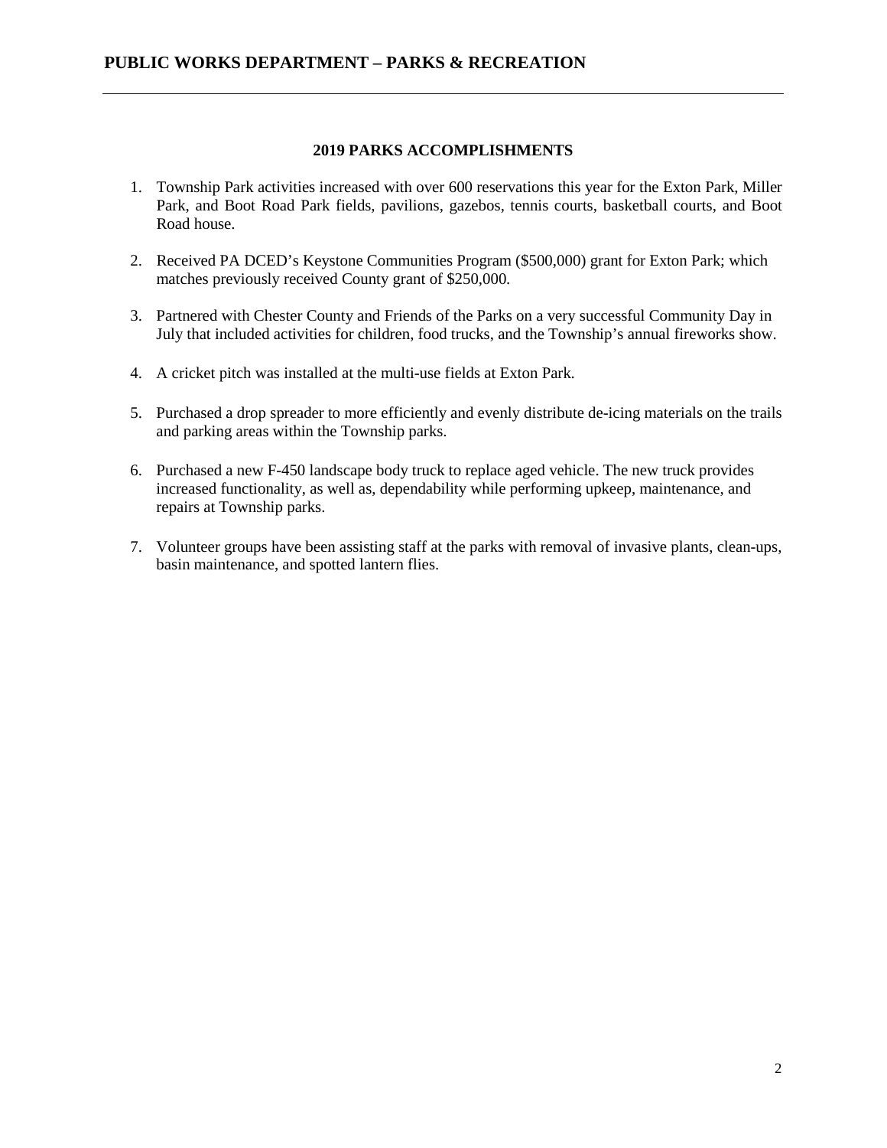### **2019 PARKS ACCOMPLISHMENTS**

- 1. Township Park activities increased with over 600 reservations this year for the Exton Park, Miller Park, and Boot Road Park fields, pavilions, gazebos, tennis courts, basketball courts, and Boot Road house.
- 2. Received PA DCED's Keystone Communities Program (\$500,000) grant for Exton Park; which matches previously received County grant of \$250,000.
- 3. Partnered with Chester County and Friends of the Parks on a very successful Community Day in July that included activities for children, food trucks, and the Township's annual fireworks show.
- 4. A cricket pitch was installed at the multi-use fields at Exton Park.
- 5. Purchased a drop spreader to more efficiently and evenly distribute de-icing materials on the trails and parking areas within the Township parks.
- 6. Purchased a new F-450 landscape body truck to replace aged vehicle. The new truck provides increased functionality, as well as, dependability while performing upkeep, maintenance, and repairs at Township parks.
- 7. Volunteer groups have been assisting staff at the parks with removal of invasive plants, clean-ups, basin maintenance, and spotted lantern flies.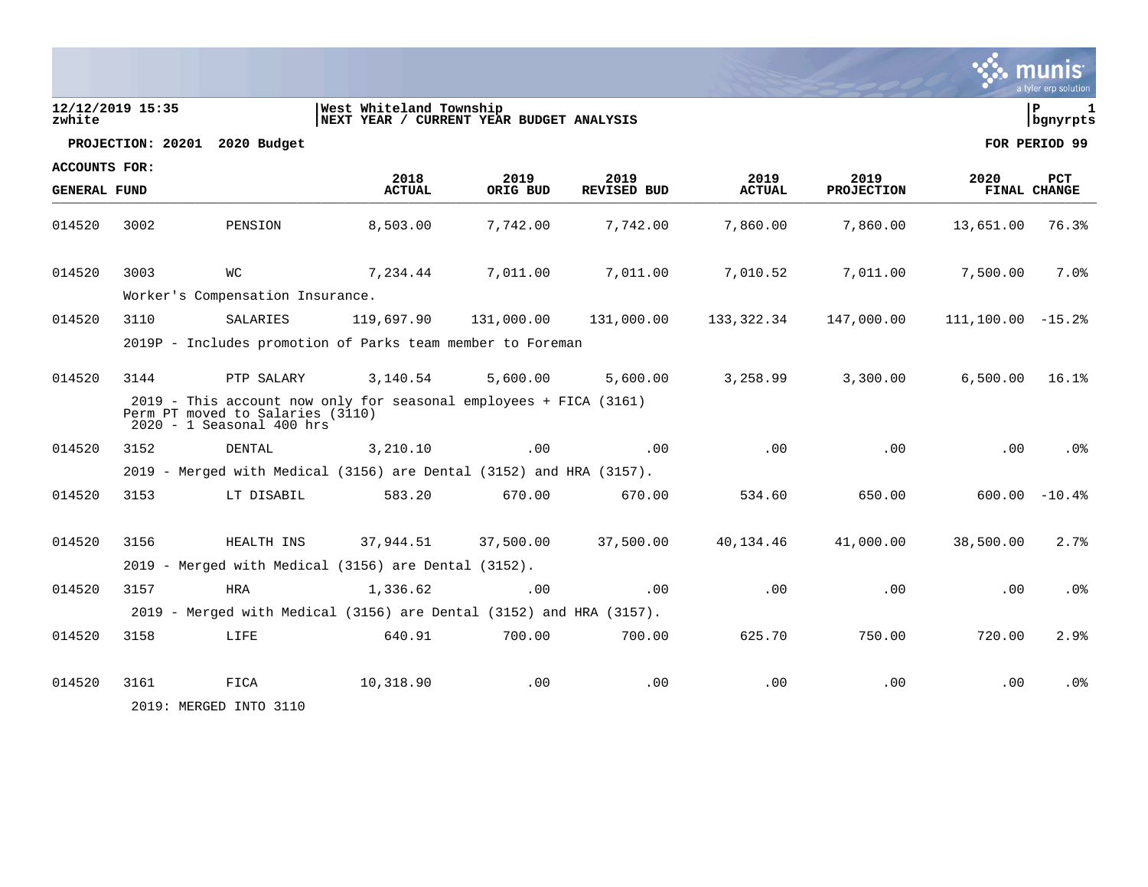|                      |                  |                                                                                                                                      |                                                                     |                  |                            |                       |                           |                   | a tyler erp solution       |
|----------------------|------------------|--------------------------------------------------------------------------------------------------------------------------------------|---------------------------------------------------------------------|------------------|----------------------------|-----------------------|---------------------------|-------------------|----------------------------|
| zwhite               | 12/12/2019 15:35 |                                                                                                                                      | West Whiteland Township<br>NEXT YEAR / CURRENT YEAR BUDGET ANALYSIS |                  |                            |                       |                           |                   | l P<br>  bgnyrpts          |
|                      |                  | PROJECTION: 20201 2020 Budget                                                                                                        |                                                                     |                  |                            |                       |                           |                   | FOR PERIOD 99              |
| <b>ACCOUNTS FOR:</b> |                  |                                                                                                                                      |                                                                     |                  |                            |                       |                           |                   |                            |
| <b>GENERAL FUND</b>  |                  |                                                                                                                                      | 2018<br><b>ACTUAL</b>                                               | 2019<br>ORIG BUD | 2019<br><b>REVISED BUD</b> | 2019<br><b>ACTUAL</b> | 2019<br><b>PROJECTION</b> | 2020              | <b>PCT</b><br>FINAL CHANGE |
| 014520               | 3002             | PENSION                                                                                                                              | 8,503.00                                                            | 7,742.00         | 7,742.00                   | 7,860.00              | 7,860.00                  | 13,651.00         | 76.3%                      |
| 014520               | 3003             | WС                                                                                                                                   | 7,234.44                                                            | 7,011.00         | 7,011.00                   | 7,010.52              | 7,011.00                  | 7,500.00          | 7.0%                       |
|                      |                  | Worker's Compensation Insurance.                                                                                                     |                                                                     |                  |                            |                       |                           |                   |                            |
| 014520               | 3110             | SALARIES                                                                                                                             | 119,697.90                                                          | 131,000.00       | 131,000.00                 | 133,322.34            | 147,000.00                | 111,100.00 -15.2% |                            |
|                      |                  | 2019P - Includes promotion of Parks team member to Foreman                                                                           |                                                                     |                  |                            |                       |                           |                   |                            |
| 014520               | 3144             | PTP SALARY                                                                                                                           | 3,140.54                                                            | 5,600.00         | 5,600.00                   | 3,258.99              | 3,300.00                  | 6,500.00          | 16.1%                      |
|                      |                  | 2019 - This account now only for seasonal employees + FICA (3161)<br>Perm PT moved to Salaries (3110)<br>$2020 - 1$ Seasonal 400 hrs |                                                                     |                  |                            |                       |                           |                   |                            |
| 014520               | 3152             | DENTAL                                                                                                                               | 3,210.10                                                            | .00              | .00                        | .00                   | .00                       | .00               | $.0\%$                     |
|                      |                  | 2019 - Merged with Medical (3156) are Dental (3152) and HRA (3157).                                                                  |                                                                     |                  |                            |                       |                           |                   |                            |
| 014520               | 3153             | LT DISABIL                                                                                                                           | 583.20                                                              | 670.00           | 670.00                     | 534.60                | 650.00                    |                   | $600.00 - 10.4$            |
|                      |                  |                                                                                                                                      |                                                                     |                  |                            |                       |                           |                   |                            |
| 014520               | 3156             | HEALTH INS                                                                                                                           | 37,944.51                                                           | 37,500.00        | 37,500.00                  | 40,134.46             | 41,000.00                 | 38,500.00         | 2.7%                       |
|                      |                  | 2019 - Merged with Medical (3156) are Dental (3152).                                                                                 |                                                                     |                  |                            |                       |                           |                   |                            |
| 014520               | 3157             | <b>HRA</b>                                                                                                                           | 1,336.62                                                            | .00              | .00                        | .00                   | .00                       | .00               | . 0 %                      |
|                      |                  | 2019 - Merged with Medical (3156) are Dental (3152) and HRA (3157).                                                                  |                                                                     |                  |                            |                       |                           |                   |                            |
| 014520               | 3158             | LIFE                                                                                                                                 | 640.91                                                              | 700.00           | 700.00                     | 625.70                | 750.00                    | 720.00            | 2.9%                       |
| 014520               | 3161             | FICA<br>2019: MERGED INTO 3110                                                                                                       | 10,318.90                                                           | $.00 \,$         | .00                        | .00                   | .00                       | .00               | . 0 %                      |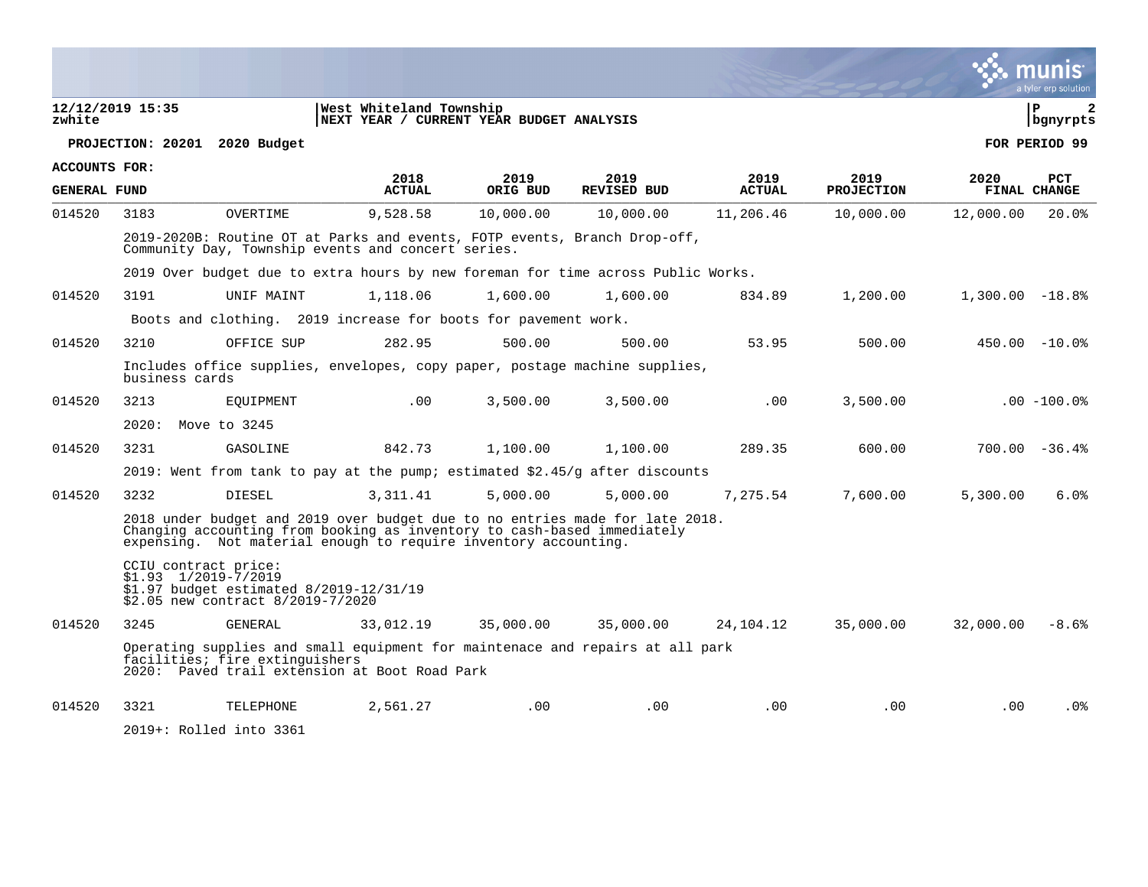| zwhite              | 12/12/2019 15:35                                |                                                                              | West Whiteland Township<br>NEXT YEAR / CURRENT YEAR BUDGET ANALYSIS                                                                                                                                                        |           |                    |               |                   |                   | l P<br>2<br>  bgnyrpts |
|---------------------|-------------------------------------------------|------------------------------------------------------------------------------|----------------------------------------------------------------------------------------------------------------------------------------------------------------------------------------------------------------------------|-----------|--------------------|---------------|-------------------|-------------------|------------------------|
|                     |                                                 | PROJECTION: 20201 2020 Budget                                                |                                                                                                                                                                                                                            |           |                    |               |                   |                   | FOR PERIOD 99          |
| ACCOUNTS FOR:       |                                                 |                                                                              | 2018                                                                                                                                                                                                                       | 2019      | 2019               | 2019          | 2019              | 2020              | <b>PCT</b>             |
| <b>GENERAL FUND</b> |                                                 |                                                                              | <b>ACTUAL</b>                                                                                                                                                                                                              | ORIG BUD  | <b>REVISED BUD</b> | <b>ACTUAL</b> | <b>PROJECTION</b> |                   | FINAL CHANGE           |
| 014520              | 3183                                            | OVERTIME                                                                     | 9,528.58                                                                                                                                                                                                                   | 10,000.00 | 10,000.00          | 11,206.46     | 10,000.00         | 12,000.00         | 20.0%                  |
|                     |                                                 |                                                                              | 2019-2020B: Routine OT at Parks and events, FOTP events, Branch Drop-off,<br>Community Day, Township events and concert series.                                                                                            |           |                    |               |                   |                   |                        |
|                     |                                                 |                                                                              | 2019 Over budget due to extra hours by new foreman for time across Public Works.                                                                                                                                           |           |                    |               |                   |                   |                        |
| 014520              | 3191                                            | UNIF MAINT                                                                   | 1,118.06                                                                                                                                                                                                                   | 1,600.00  | 1,600.00           | 834.89        | 1,200.00          | $1,300.00 - 18.8$ |                        |
|                     |                                                 |                                                                              | Boots and clothing. 2019 increase for boots for pavement work.                                                                                                                                                             |           |                    |               |                   |                   |                        |
| 014520              | 3210                                            | OFFICE SUP                                                                   | 282.95                                                                                                                                                                                                                     | 500.00    | 500.00             | 53.95         | 500.00            |                   | $450.00 - 10.08$       |
|                     | business cards                                  |                                                                              | Includes office supplies, envelopes, copy paper, postage machine supplies,                                                                                                                                                 |           |                    |               |                   |                   |                        |
| 014520              | 3213                                            | EOUIPMENT                                                                    | .00                                                                                                                                                                                                                        | 3,500.00  | 3,500.00           | .00           | 3,500.00          |                   | $.00 - 100.0$          |
|                     | 2020: Move to 3245                              |                                                                              |                                                                                                                                                                                                                            |           |                    |               |                   |                   |                        |
| 014520              | 3231                                            | GASOLINE                                                                     | 842.73                                                                                                                                                                                                                     | 1,100.00  | 1,100.00           | 289.35        | 600.00            |                   | $700.00 - 36.4$        |
|                     |                                                 |                                                                              | 2019: Went from tank to pay at the pump; estimated $$2.45/q$ after discounts                                                                                                                                               |           |                    |               |                   |                   |                        |
| 014520              | 3232                                            | DIESEL                                                                       | 3, 311.41                                                                                                                                                                                                                  | 5,000.00  | 5,000.00           | 7,275.54      | 7,600.00          | 5,300.00          | 6.0%                   |
|                     |                                                 |                                                                              | 2018 under budget and 2019 over budget due to no entries made for late 2018.<br>Changing accounting from booking as inventory to cash-based immediately<br>expensing. Not material enough to require inventory accounting. |           |                    |               |                   |                   |                        |
|                     | CCIU contract price:<br>$$1.93$ $1/2019-7/2019$ | \$1.97 budget estimated 8/2019-12/31/19<br>\$2.05 new contract 8/2019-7/2020 |                                                                                                                                                                                                                            |           |                    |               |                   |                   |                        |
| 014520              | 3245                                            | GENERAL                                                                      | 33,012.19                                                                                                                                                                                                                  | 35,000.00 | 35,000.00          | 24,104.12     | 35,000.00         | 32,000.00         | $-8.6%$                |
|                     |                                                 | facilities; fire extinguishers                                               | Operating supplies and small equipment for maintenace and repairs at all park<br>2020: Paved trail extension at Boot Road Park                                                                                             |           |                    |               |                   |                   |                        |
| 014520              | 3321                                            | TELEPHONE                                                                    | 2,561.27                                                                                                                                                                                                                   | .00       | .00                | .00           | $.00 \,$          | $.00 \,$          | .0%                    |

2019+: Rolled into 3361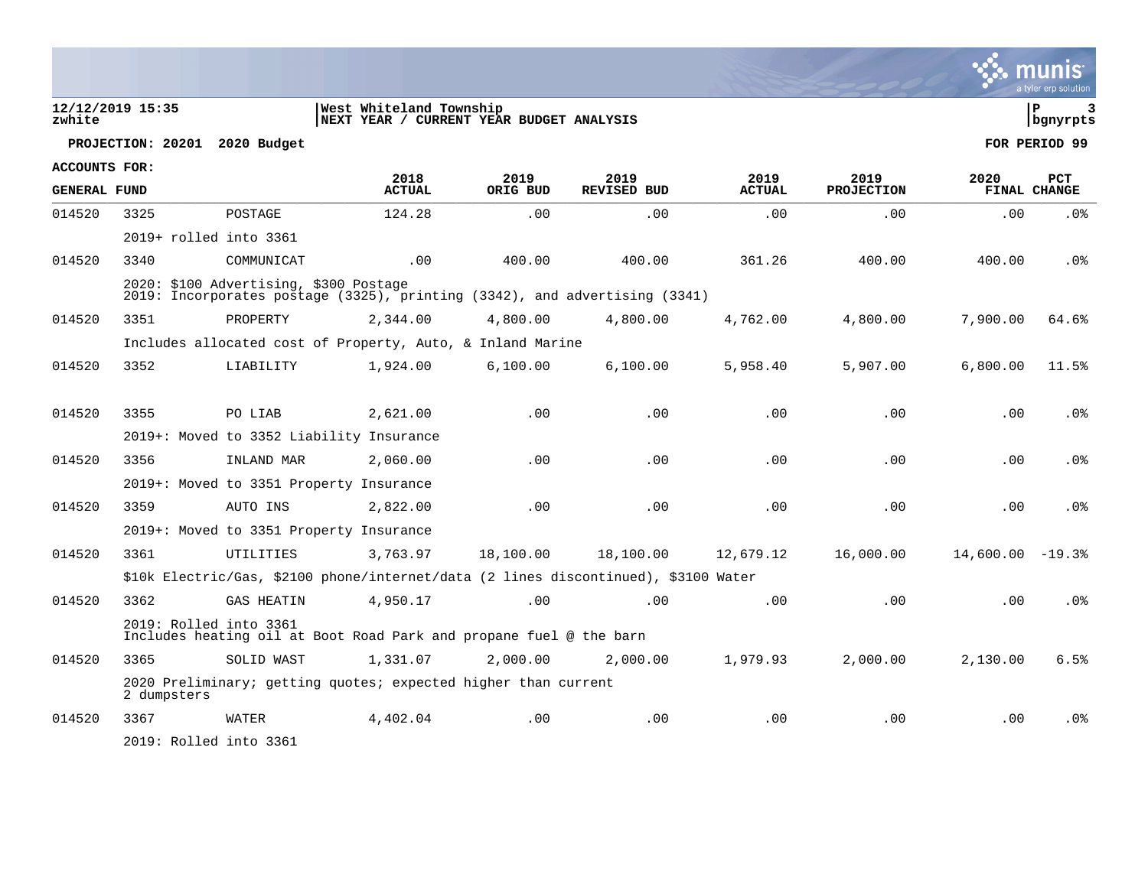|                      |                               |                                                                                                                      |                                                                     |                  |                            |                       |                           |                    | a tyler erp solution              |
|----------------------|-------------------------------|----------------------------------------------------------------------------------------------------------------------|---------------------------------------------------------------------|------------------|----------------------------|-----------------------|---------------------------|--------------------|-----------------------------------|
| zwhite               | 12/12/2019 15:35              |                                                                                                                      | West Whiteland Township<br>NEXT YEAR / CURRENT YEAR BUDGET ANALYSIS |                  |                            |                       |                           |                    | l P<br>3<br>  bgnyrpts            |
|                      | PROJECTION: 20201 2020 Budget |                                                                                                                      |                                                                     |                  |                            |                       |                           |                    | FOR PERIOD 99                     |
| <b>ACCOUNTS FOR:</b> |                               |                                                                                                                      |                                                                     |                  |                            |                       |                           |                    |                                   |
| <b>GENERAL FUND</b>  |                               |                                                                                                                      | 2018<br><b>ACTUAL</b>                                               | 2019<br>ORIG BUD | 2019<br><b>REVISED BUD</b> | 2019<br><b>ACTUAL</b> | 2019<br><b>PROJECTION</b> | 2020               | <b>PCT</b><br><b>FINAL CHANGE</b> |
| 014520               | 3325                          | POSTAGE                                                                                                              | 124.28                                                              | .00              | .00                        | .00                   | .00                       | .00                | .0%                               |
|                      |                               | 2019+ rolled into 3361                                                                                               |                                                                     |                  |                            |                       |                           |                    |                                   |
| 014520               | 3340                          | COMMUNICAT                                                                                                           | .00                                                                 | 400.00           | 400.00                     | 361.26                | 400.00                    | 400.00             | .0 <sub>8</sub>                   |
|                      |                               | 2020: \$100 Advertising, \$300 Postage<br>2019: Incorporates postage (3325), printing (3342), and advertising (3341) |                                                                     |                  |                            |                       |                           |                    |                                   |
| 014520               | 3351                          | PROPERTY                                                                                                             | 2,344.00                                                            | 4,800.00         | 4,800.00                   | 4,762.00              | 4,800.00                  | 7,900.00           | 64.6%                             |
|                      |                               | Includes allocated cost of Property, Auto, & Inland Marine                                                           |                                                                     |                  |                            |                       |                           |                    |                                   |
| 014520               | 3352                          | LIABILITY                                                                                                            | 1,924.00                                                            | 6,100.00         | 6,100.00                   | 5,958.40              | 5,907.00                  | 6,800.00           | 11.5%                             |
|                      |                               |                                                                                                                      |                                                                     |                  |                            |                       |                           |                    |                                   |
| 014520               | 3355                          | PO LIAB                                                                                                              | 2,621.00                                                            | .00              | .00                        | .00                   | .00                       | .00                | .0 <sub>8</sub>                   |
|                      |                               | 2019+: Moved to 3352 Liability Insurance                                                                             |                                                                     |                  |                            |                       |                           |                    |                                   |
| 014520               | 3356                          | INLAND MAR                                                                                                           | 2,060.00                                                            | .00              | .00                        | .00                   | .00                       | .00                | .0 <sub>8</sub>                   |
|                      |                               | 2019+: Moved to 3351 Property Insurance                                                                              |                                                                     |                  |                            |                       |                           |                    |                                   |
| 014520               | 3359                          | AUTO INS                                                                                                             | 2,822.00                                                            | $.00 \,$         | .00                        | .00                   | .00                       | .00                | .0%                               |
|                      |                               | 2019+: Moved to 3351 Property Insurance                                                                              |                                                                     |                  |                            |                       |                           |                    |                                   |
| 014520               | 3361                          | UTILITIES                                                                                                            | 3,763.97                                                            | 18,100.00        | 18,100.00                  | 12,679.12             | 16,000.00                 | $14,600.00 - 19.3$ |                                   |
|                      |                               | \$10k Electric/Gas, \$2100 phone/internet/data (2 lines discontinued), \$3100 Water                                  |                                                                     |                  |                            |                       |                           |                    |                                   |
| 014520               | 3362                          | <b>GAS HEATIN</b>                                                                                                    | 4,950.17                                                            | .00              | .00                        | .00                   | .00                       | .00                | . 0 %                             |
|                      |                               | 2019: Rolled into 3361<br>Includes heating oil at Boot Road Park and propane fuel @ the barn                         |                                                                     |                  |                            |                       |                           |                    |                                   |
| 014520               | 3365                          | SOLID WAST                                                                                                           | 1,331.07                                                            | 2,000.00         | 2,000.00                   | 1,979.93              | 2,000.00                  | 2,130.00           | 6.5%                              |
|                      | 2 dumpsters                   | 2020 Preliminary; getting quotes; expected higher than current                                                       |                                                                     |                  |                            |                       |                           |                    |                                   |
| 014520               | 3367                          | WATER                                                                                                                | 4,402.04                                                            | .00              | .00                        | .00                   | .00                       | .00                | .0 <sub>8</sub>                   |
|                      |                               | 2019: Rolled into 3361                                                                                               |                                                                     |                  |                            |                       |                           |                    |                                   |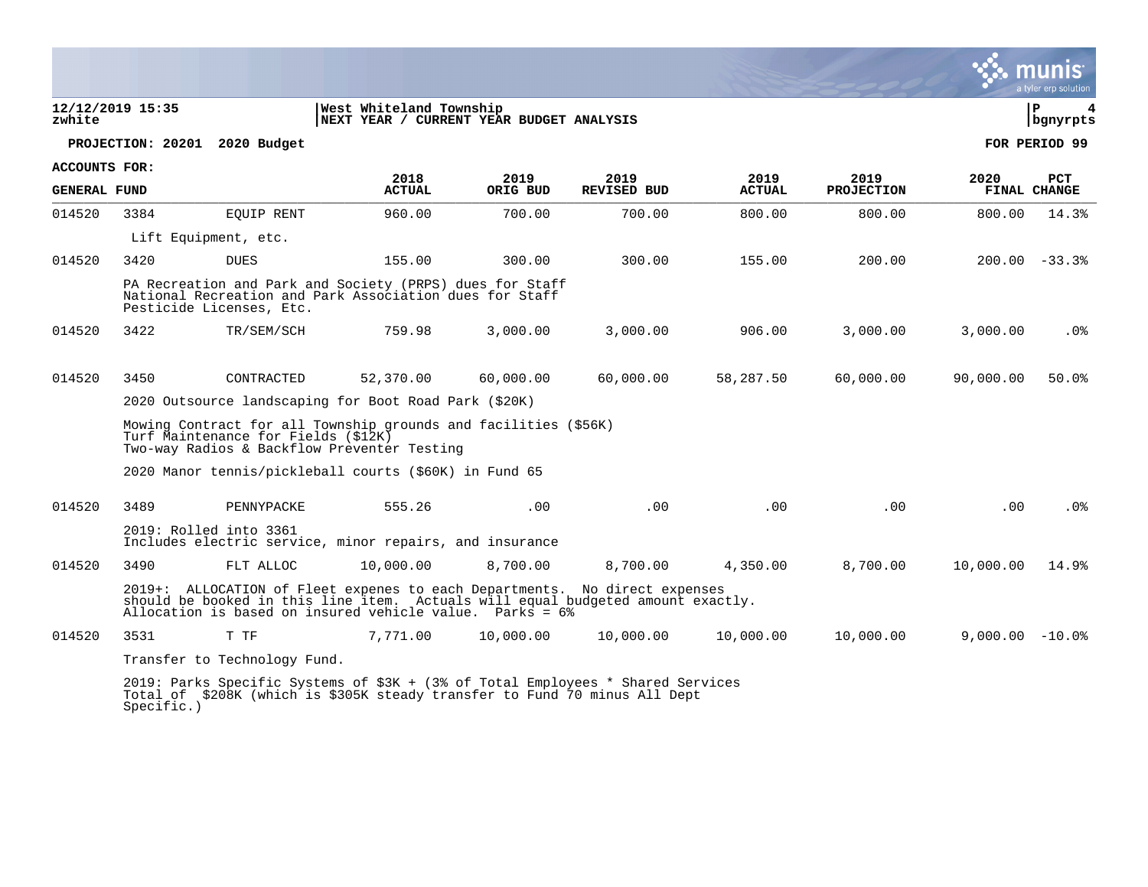|                                                                                                   |                                                                                                                                                                                                                           |                                                                                                                                                                             |                       |                  |                            |                       |                           |                   | a tyler erp solution       |
|---------------------------------------------------------------------------------------------------|---------------------------------------------------------------------------------------------------------------------------------------------------------------------------------------------------------------------------|-----------------------------------------------------------------------------------------------------------------------------------------------------------------------------|-----------------------|------------------|----------------------------|-----------------------|---------------------------|-------------------|----------------------------|
| West Whiteland Township<br>12/12/2019 15:35<br>NEXT YEAR / CURRENT YEAR BUDGET ANALYSIS<br>zwhite |                                                                                                                                                                                                                           |                                                                                                                                                                             |                       |                  |                            |                       |                           | l P<br>bgnyrpts   |                            |
|                                                                                                   | PROJECTION: 20201                                                                                                                                                                                                         | 2020 Budget                                                                                                                                                                 |                       |                  |                            |                       |                           |                   | FOR PERIOD 99              |
| <b>ACCOUNTS FOR:</b>                                                                              |                                                                                                                                                                                                                           |                                                                                                                                                                             |                       |                  |                            |                       |                           |                   |                            |
| <b>GENERAL FUND</b>                                                                               |                                                                                                                                                                                                                           |                                                                                                                                                                             | 2018<br><b>ACTUAL</b> | 2019<br>ORIG BUD | 2019<br><b>REVISED BUD</b> | 2019<br><b>ACTUAL</b> | 2019<br><b>PROJECTION</b> | 2020              | <b>PCT</b><br>FINAL CHANGE |
| 014520                                                                                            | 3384                                                                                                                                                                                                                      | <b>EOUIP RENT</b>                                                                                                                                                           | 960.00                | 700.00           | 700.00                     | 800.00                | 800.00                    | 800.00            | 14.3%                      |
|                                                                                                   |                                                                                                                                                                                                                           | Lift Equipment, etc.                                                                                                                                                        |                       |                  |                            |                       |                           |                   |                            |
| 014520                                                                                            | 3420                                                                                                                                                                                                                      | <b>DUES</b>                                                                                                                                                                 | 155.00                | 300.00           | 300.00                     | 155.00                | 200.00                    |                   | $200.00 - 33.3$            |
|                                                                                                   | PA Recreation and Park and Society (PRPS) dues for Staff<br>National Recreation and Park Association dues for Staff<br>Pesticide Licenses, Etc.                                                                           |                                                                                                                                                                             |                       |                  |                            |                       |                           |                   |                            |
| 014520                                                                                            | 3422                                                                                                                                                                                                                      | TR/SEM/SCH                                                                                                                                                                  | 759.98                | 3,000.00         | 3,000.00                   | 906.00                | 3,000.00                  | 3,000.00          | $.0\%$                     |
| 014520                                                                                            | 3450                                                                                                                                                                                                                      | CONTRACTED                                                                                                                                                                  | 52,370.00             | 60,000.00        | 60,000.00                  | 58,287.50             | 60,000.00                 | 90,000.00         | 50.0%                      |
|                                                                                                   | 2020 Outsource landscaping for Boot Road Park (\$20K)                                                                                                                                                                     |                                                                                                                                                                             |                       |                  |                            |                       |                           |                   |                            |
|                                                                                                   | Mowing Contract for all Township grounds and facilities (\$56K)<br>Turf Maintenance for Fields (\$12K)<br>Two-way Radios & Backflow Preventer Testing                                                                     |                                                                                                                                                                             |                       |                  |                            |                       |                           |                   |                            |
|                                                                                                   | 2020 Manor tennis/pickleball courts (\$60K) in Fund 65                                                                                                                                                                    |                                                                                                                                                                             |                       |                  |                            |                       |                           |                   |                            |
| 014520                                                                                            | 3489                                                                                                                                                                                                                      | PENNYPACKE                                                                                                                                                                  | 555.26                | .00.             | .00                        | .00                   | .00                       | .00               | .0%                        |
|                                                                                                   | 2019: Rolled into 3361<br>Includes electric service, minor repairs, and insurance                                                                                                                                         |                                                                                                                                                                             |                       |                  |                            |                       |                           |                   |                            |
| 014520                                                                                            | 3490                                                                                                                                                                                                                      | FLT ALLOC                                                                                                                                                                   | 10,000.00             | 8,700.00         | 8,700.00                   | 4,350.00              | 8,700.00                  | 10,000.00         | 14.9%                      |
|                                                                                                   | 2019+: ALLOCATION of Fleet expenes to each Departments. No direct expenses<br>should be booked in this line item. Actuals will equal budgeted amount exactly.<br>Allocation is based on insured vehicle value. Parks = 6% |                                                                                                                                                                             |                       |                  |                            |                       |                           |                   |                            |
| 014520                                                                                            | 3531                                                                                                                                                                                                                      | T TF                                                                                                                                                                        | 7,771.00              | 10,000.00        | 10,000.00                  | 10,000.00             | 10,000.00                 | $9,000.00 - 10.0$ |                            |
|                                                                                                   | Transfer to Technology Fund.                                                                                                                                                                                              |                                                                                                                                                                             |                       |                  |                            |                       |                           |                   |                            |
|                                                                                                   |                                                                                                                                                                                                                           | 2019: Parks Specific Systems of \$3K + (3% of Total Employees * Shared Services<br>Total of \$208K (which is \$305K steady transfer to Fund 70 minus All Dept<br>Specific.) |                       |                  |                            |                       |                           |                   |                            |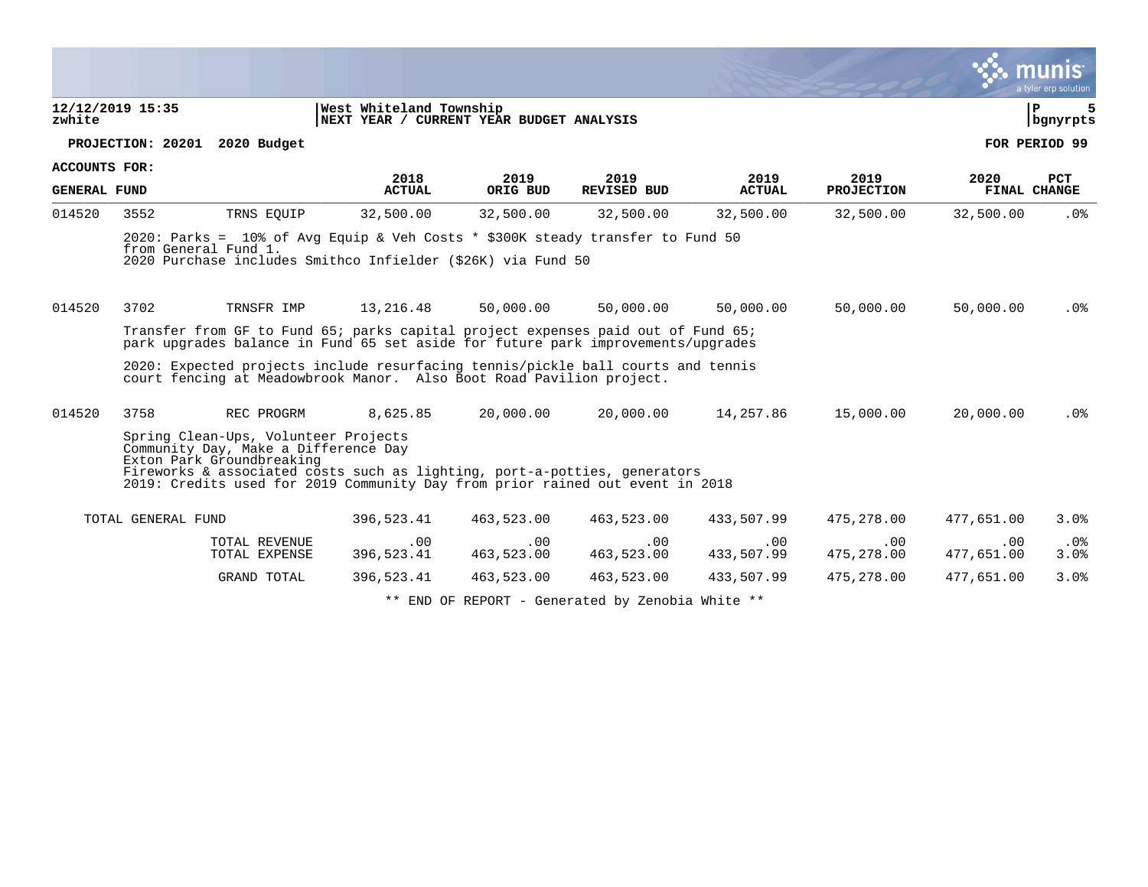|                      |                               |                                                                                                           |                                                                                                                                                                      |                   |                    |                   |                   |                   | a tyler erp solution |
|----------------------|-------------------------------|-----------------------------------------------------------------------------------------------------------|----------------------------------------------------------------------------------------------------------------------------------------------------------------------|-------------------|--------------------|-------------------|-------------------|-------------------|----------------------|
| zwhite               | 12/12/2019 15:35              |                                                                                                           | West Whiteland Township<br>NEXT YEAR / CURRENT YEAR BUDGET ANALYSIS                                                                                                  |                   |                    |                   |                   |                   | Þ<br>  bgnyrpts      |
|                      | PROJECTION: 20201 2020 Budget |                                                                                                           |                                                                                                                                                                      |                   |                    |                   |                   |                   | FOR PERIOD 99        |
| <b>ACCOUNTS FOR:</b> |                               |                                                                                                           | 2018                                                                                                                                                                 | 2019              | 2019               | 2019              | 2019              | 2020              | <b>PCT</b>           |
| <b>GENERAL FUND</b>  |                               |                                                                                                           | <b>ACTUAL</b>                                                                                                                                                        | ORIG BUD          | <b>REVISED BUD</b> | <b>ACTUAL</b>     | <b>PROJECTION</b> |                   | FINAL CHANGE         |
| 014520               | 3552                          | TRNS EQUIP                                                                                                | 32,500.00                                                                                                                                                            | 32,500.00         | 32,500.00          | 32,500.00         | 32,500.00         | 32,500.00         | $.0\%$               |
|                      | from General Fund 1.          |                                                                                                           | 2020: Parks = 10% of Avg Equip & Veh Costs * \$300K steady transfer to Fund 50<br>2020 Purchase includes Smithco Infielder (\$26K) via Fund 50                       |                   |                    |                   |                   |                   |                      |
| 014520               | 3702                          | TRNSFR IMP                                                                                                | 13,216.48                                                                                                                                                            | 50,000.00         | 50,000.00          | 50,000.00         | 50,000.00         | 50,000.00         | $.0\%$               |
|                      |                               |                                                                                                           | Transfer from GF to Fund 65; parks capital project expenses paid out of Fund 65;<br>park upgrades balance in Fund 65 set aside for future park improvements/upgrades |                   |                    |                   |                   |                   |                      |
|                      |                               |                                                                                                           | 2020: Expected projects include resurfacing tennis/pickle ball courts and tennis<br>court fencing at Meadowbrook Manor. Also Boot Road Pavilion project.             |                   |                    |                   |                   |                   |                      |
| 014520               | 3758                          | REC PROGRM                                                                                                | 8,625.85                                                                                                                                                             | 20,000.00         | 20,000.00          | 14,257.86         | 15,000.00         | 20,000.00         | .0%                  |
|                      |                               | Spring Clean-Ups, Volunteer Projects<br>Community Day, Make a Difference Day<br>Exton Park Groundbreaking | Fireworks & associated costs such as lighting, port-a-potties, generators<br>2019: Credits used for 2019 Community Day from prior rained out event in 2018           |                   |                    |                   |                   |                   |                      |
|                      | TOTAL GENERAL FUND            |                                                                                                           | 396,523.41                                                                                                                                                           | 463,523.00        | 463,523.00         | 433,507.99        | 475,278.00        | 477,651.00        | 3.0%                 |
|                      |                               | TOTAL REVENUE<br>TOTAL EXPENSE                                                                            | .00<br>396,523.41                                                                                                                                                    | .00<br>463,523.00 | .00<br>463,523.00  | .00<br>433,507.99 | .00<br>475,278.00 | .00<br>477,651.00 | $.0\%$<br>3.0%       |
|                      |                               | GRAND TOTAL                                                                                               | 396,523.41                                                                                                                                                           | 463,523.00        | 463,523.00         | 433,507.99        | 475,278.00        | 477,651.00        | 3.0%                 |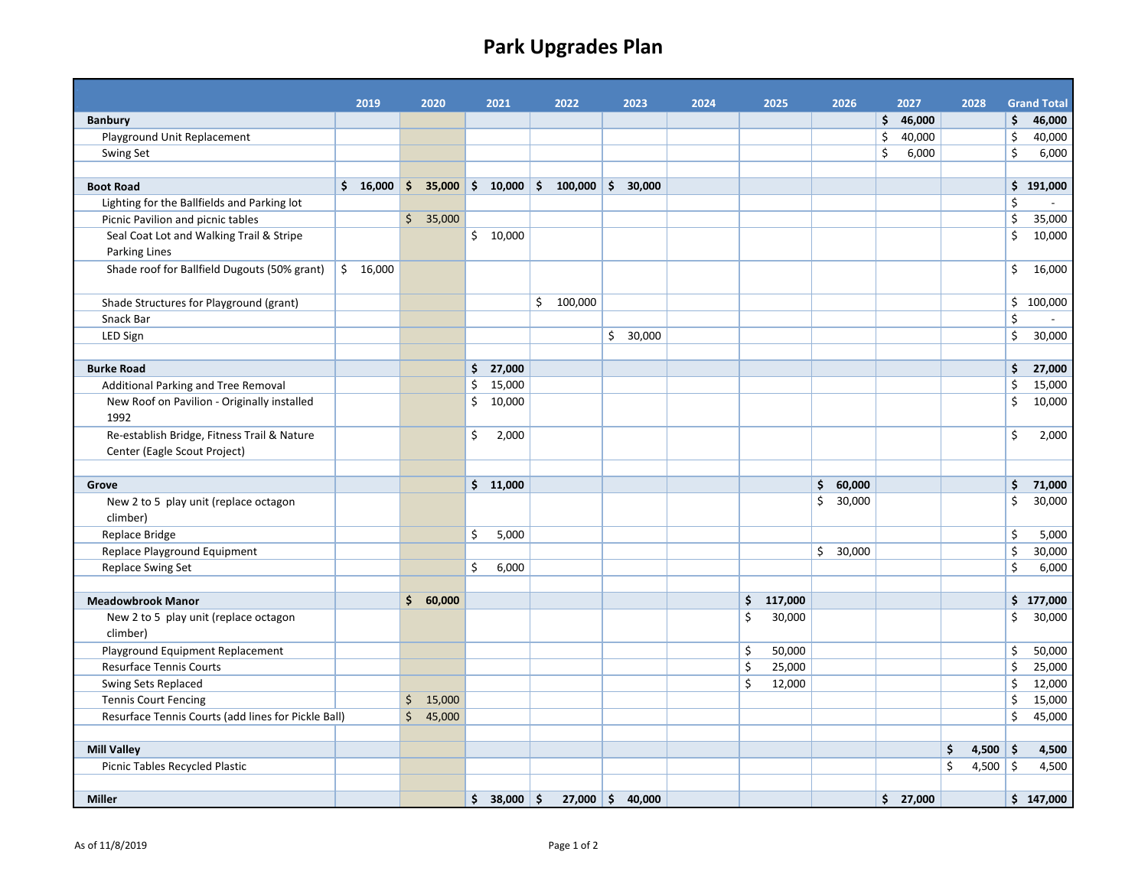# **Park Upgrades Plan**

|                                                     | 2019     | 2020     | 2021         | 2022                                                   | 2023     | 2024 | 2025          |              | 2026   | 2027         |    | 2028       | <b>Grand Total</b> |
|-----------------------------------------------------|----------|----------|--------------|--------------------------------------------------------|----------|------|---------------|--------------|--------|--------------|----|------------|--------------------|
| <b>Banbury</b>                                      |          |          |              |                                                        |          |      |               |              |        | \$46,000     |    |            | \$<br>46,000       |
| Playground Unit Replacement                         |          |          |              |                                                        |          |      |               |              |        | \$<br>40,000 |    |            | \$<br>40,000       |
| Swing Set                                           |          |          |              |                                                        |          |      |               |              |        | \$<br>6,000  |    |            | \$<br>6,000        |
|                                                     |          |          |              |                                                        |          |      |               |              |        |              |    |            |                    |
| <b>Boot Road</b>                                    | \$16,000 |          |              | $\frac{1}{2}$ \$ 35,000 \$ 10,000 \$ 100,000 \$ 30,000 |          |      |               |              |        |              |    |            | \$191,000          |
| Lighting for the Ballfields and Parking lot         |          |          |              |                                                        |          |      |               |              |        |              |    |            | \$                 |
| Picnic Pavilion and picnic tables                   |          | \$35,000 |              |                                                        |          |      |               |              |        |              |    |            | \$<br>35,000       |
| Seal Coat Lot and Walking Trail & Stripe            |          |          | \$10,000     |                                                        |          |      |               |              |        |              |    |            | \$<br>10,000       |
| Parking Lines                                       |          |          |              |                                                        |          |      |               |              |        |              |    |            |                    |
| Shade roof for Ballfield Dugouts (50% grant)        | \$16,000 |          |              |                                                        |          |      |               |              |        |              |    |            | \$<br>16,000       |
| Shade Structures for Playground (grant)             |          |          |              | \$100,000                                              |          |      |               |              |        |              |    |            | \$100,000          |
| Snack Bar                                           |          |          |              |                                                        |          |      |               |              |        |              |    |            | \$                 |
| LED Sign                                            |          |          |              |                                                        | \$30,000 |      |               |              |        |              |    |            | \$<br>30,000       |
|                                                     |          |          |              |                                                        |          |      |               |              |        |              |    |            |                    |
| <b>Burke Road</b>                                   |          |          | \$27,000     |                                                        |          |      |               |              |        |              |    |            | \$<br>27,000       |
| Additional Parking and Tree Removal                 |          |          | \$<br>15,000 |                                                        |          |      |               |              |        |              |    |            | \$<br>15,000       |
| New Roof on Pavilion - Originally installed         |          |          | \$<br>10,000 |                                                        |          |      |               |              |        |              |    |            | \$<br>10,000       |
| 1992                                                |          |          |              |                                                        |          |      |               |              |        |              |    |            |                    |
| Re-establish Bridge, Fitness Trail & Nature         |          |          | \$<br>2,000  |                                                        |          |      |               |              |        |              |    |            | \$<br>2,000        |
| Center (Eagle Scout Project)                        |          |          |              |                                                        |          |      |               |              |        |              |    |            |                    |
|                                                     |          |          |              |                                                        |          |      |               |              |        |              |    |            |                    |
| Grove                                               |          |          | \$11,000     |                                                        |          |      |               | \$           | 60,000 |              |    |            | \$<br>71,000       |
| New 2 to 5 play unit (replace octagon               |          |          |              |                                                        |          |      |               | \$           | 30,000 |              |    |            | \$<br>30,000       |
| climber)                                            |          |          |              |                                                        |          |      |               |              |        |              |    |            |                    |
| Replace Bridge                                      |          |          | \$<br>5,000  |                                                        |          |      |               |              |        |              |    |            | \$<br>5,000        |
| Replace Playground Equipment                        |          |          |              |                                                        |          |      |               | $\mathsf{S}$ | 30,000 |              |    |            | \$<br>30,000       |
| Replace Swing Set                                   |          |          | \$<br>6,000  |                                                        |          |      |               |              |        |              |    |            | \$<br>6,000        |
|                                                     |          |          |              |                                                        |          |      |               |              |        |              |    |            |                    |
| <b>Meadowbrook Manor</b>                            |          | \$60,000 |              |                                                        |          |      | \$<br>117,000 |              |        |              |    |            | \$177,000          |
| New 2 to 5 play unit (replace octagon<br>climber)   |          |          |              |                                                        |          |      | \$<br>30,000  |              |        |              |    |            | \$<br>30,000       |
| Playground Equipment Replacement                    |          |          |              |                                                        |          |      | \$<br>50,000  |              |        |              |    |            | \$<br>50,000       |
| Resurface Tennis Courts                             |          |          |              |                                                        |          |      | \$<br>25,000  |              |        |              |    |            | \$<br>25,000       |
| Swing Sets Replaced                                 |          |          |              |                                                        |          |      | \$<br>12,000  |              |        |              |    |            | \$<br>12,000       |
| <b>Tennis Court Fencing</b>                         |          | \$15,000 |              |                                                        |          |      |               |              |        |              |    |            | \$<br>15,000       |
| Resurface Tennis Courts (add lines for Pickle Ball) |          | \$45,000 |              |                                                        |          |      |               |              |        |              |    |            | \$<br>45,000       |
|                                                     |          |          |              |                                                        |          |      |               |              |        |              |    |            |                    |
| <b>Mill Valley</b>                                  |          |          |              |                                                        |          |      |               |              |        |              | \$ | $4,500$ \$ | 4,500              |
| Picnic Tables Recycled Plastic                      |          |          |              |                                                        |          |      |               |              |        |              | Ś. | 4,500 \$   | 4,500              |
|                                                     |          |          |              |                                                        |          |      |               |              |        |              |    |            |                    |
| <b>Miller</b>                                       |          |          | $$38,000$ \$ | $27,000 \div 40,000$                                   |          |      |               |              |        | \$27,000     |    |            | \$147,000          |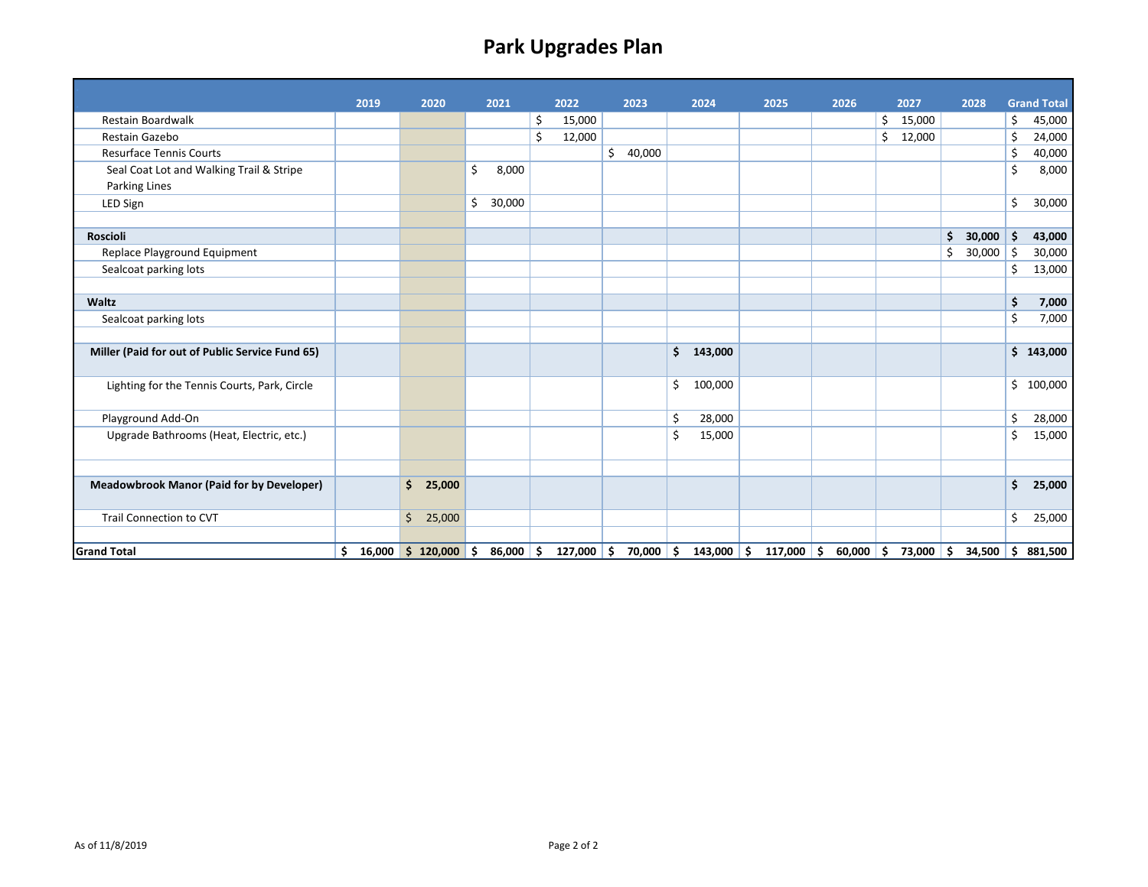# **Park Upgrades Plan**

|                                                  | 2019         | 2020         | 2021         |     | 2022    | 2023         | 2024               | 2025         | 2026        |    | 2027   | 2028         |     | <b>Grand Total</b> |
|--------------------------------------------------|--------------|--------------|--------------|-----|---------|--------------|--------------------|--------------|-------------|----|--------|--------------|-----|--------------------|
| <b>Restain Boardwalk</b>                         |              |              |              | \$  | 15,000  |              |                    |              |             | \$ | 15,000 |              | \$  | 45,000             |
| Restain Gazebo                                   |              |              |              | \$  | 12,000  |              |                    |              |             | Ś  | 12,000 |              | \$  | 24,000             |
| <b>Resurface Tennis Courts</b>                   |              |              |              |     |         | \$<br>40,000 |                    |              |             |    |        |              | \$  | 40,000             |
| Seal Coat Lot and Walking Trail & Stripe         |              |              | \$<br>8,000  |     |         |              |                    |              |             |    |        |              | \$  | 8,000              |
| Parking Lines                                    |              |              |              |     |         |              |                    |              |             |    |        |              |     |                    |
| LED Sign                                         |              |              | \$<br>30,000 |     |         |              |                    |              |             |    |        |              | \$  | 30,000             |
|                                                  |              |              |              |     |         |              |                    |              |             |    |        |              |     |                    |
| <b>Roscioli</b>                                  |              |              |              |     |         |              |                    |              |             |    |        | \$<br>30,000 | \$. | 43,000             |
| Replace Playground Equipment                     |              |              |              |     |         |              |                    |              |             |    |        | \$<br>30,000 | \$  | 30,000             |
| Sealcoat parking lots                            |              |              |              |     |         |              |                    |              |             |    |        |              | \$  | 13,000             |
|                                                  |              |              |              |     |         |              |                    |              |             |    |        |              |     |                    |
| Waltz                                            |              |              |              |     |         |              |                    |              |             |    |        |              | \$  | 7,000              |
| Sealcoat parking lots                            |              |              |              |     |         |              |                    |              |             |    |        |              | \$  | 7,000              |
|                                                  |              |              |              |     |         |              |                    |              |             |    |        |              |     |                    |
| Miller (Paid for out of Public Service Fund 65)  |              |              |              |     |         |              | \$<br>143,000      |              |             |    |        |              | \$  | 143,000            |
|                                                  |              |              |              |     |         |              |                    |              |             |    |        |              |     |                    |
| Lighting for the Tennis Courts, Park, Circle     |              |              |              |     |         |              | \$<br>100,000      |              |             |    |        |              | \$  | 100,000            |
|                                                  |              |              |              |     |         |              |                    |              |             |    |        |              |     |                    |
| Playground Add-On                                |              |              |              |     |         |              | \$<br>28,000       |              |             |    |        |              | \$  | 28,000             |
| Upgrade Bathrooms (Heat, Electric, etc.)         |              |              |              |     |         |              | \$<br>15,000       |              |             |    |        |              | \$  | 15,000             |
|                                                  |              |              |              |     |         |              |                    |              |             |    |        |              |     |                    |
|                                                  |              |              |              |     |         |              |                    |              |             |    |        |              |     |                    |
| <b>Meadowbrook Manor (Paid for by Developer)</b> |              | Ś.<br>25,000 |              |     |         |              |                    |              |             |    |        |              | Ś.  | 25,000             |
|                                                  |              |              |              |     |         |              |                    |              |             |    |        |              |     |                    |
| <b>Trail Connection to CVT</b>                   |              | \$<br>25,000 |              |     |         |              |                    |              |             |    |        |              | \$  | 25,000             |
|                                                  |              |              |              |     |         |              |                    |              |             |    |        |              |     |                    |
| <b>Grand Total</b>                               | \$<br>16,000 | \$120,000    | 86,000<br>\$ | -\$ | 127,000 | \$<br>70,000 | \$<br>$143,000$ \$ | $117,000$ \$ | $60,000$ \$ |    | 73,000 | \$<br>34,500 |     | \$881,500          |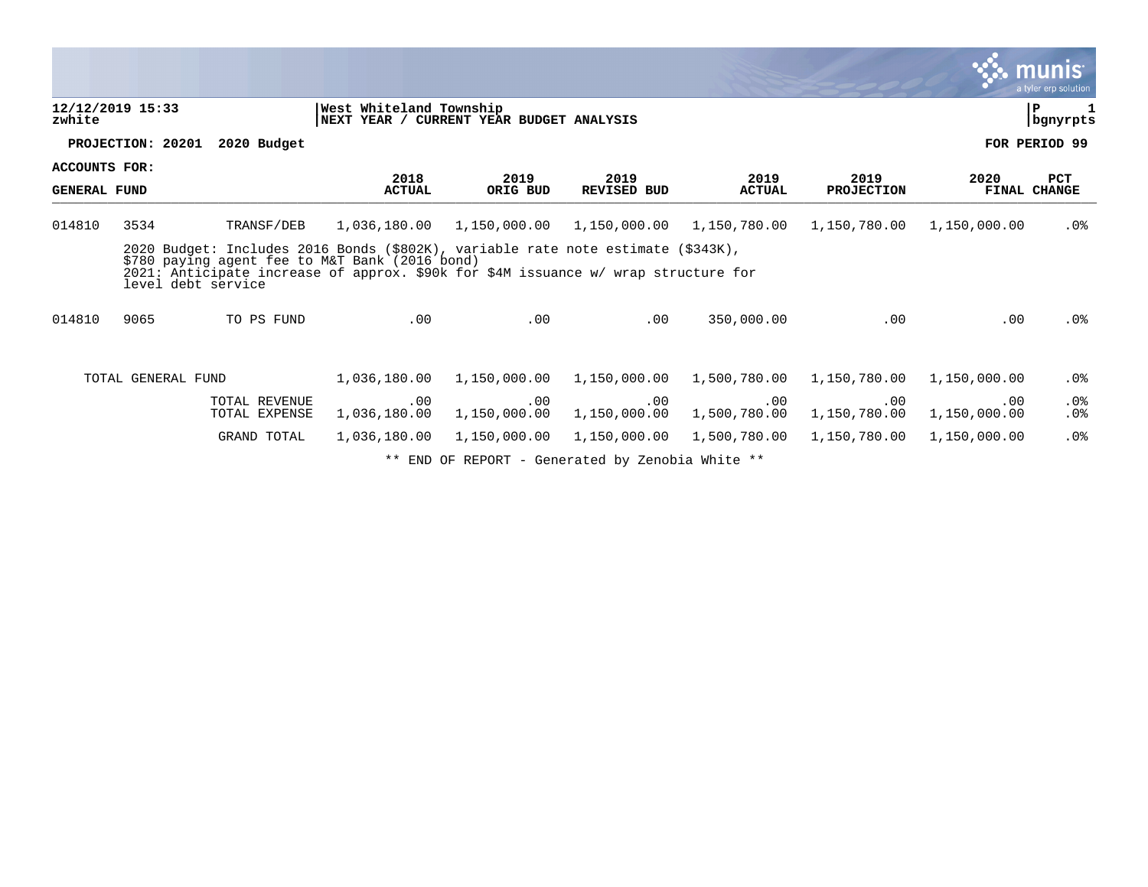|                                      |                    |                                                                                                                                                                                                                                                              |                                                                     |                     |                                                                                                                                                                                                                                                                                                                  |                       |                           |                     | $\ddotsc$ munis<br>a tyler erp solution |
|--------------------------------------|--------------------|--------------------------------------------------------------------------------------------------------------------------------------------------------------------------------------------------------------------------------------------------------------|---------------------------------------------------------------------|---------------------|------------------------------------------------------------------------------------------------------------------------------------------------------------------------------------------------------------------------------------------------------------------------------------------------------------------|-----------------------|---------------------------|---------------------|-----------------------------------------|
| zwhite                               | 12/12/2019 15:33   |                                                                                                                                                                                                                                                              | West Whiteland Township<br>NEXT YEAR / CURRENT YEAR BUDGET ANALYSIS |                     |                                                                                                                                                                                                                                                                                                                  |                       |                           |                     | ΙP<br>bgnyrpts                          |
|                                      | PROJECTION: 20201  | 2020 Budget                                                                                                                                                                                                                                                  |                                                                     |                     |                                                                                                                                                                                                                                                                                                                  |                       |                           |                     | FOR PERIOD 99                           |
| ACCOUNTS FOR:<br><b>GENERAL FUND</b> |                    |                                                                                                                                                                                                                                                              | 2018<br><b>ACTUAL</b>                                               | 2019<br>ORIG BUD    | 2019<br><b>REVISED BUD</b>                                                                                                                                                                                                                                                                                       | 2019<br><b>ACTUAL</b> | 2019<br><b>PROJECTION</b> | 2020                | <b>PCT</b><br><b>FINAL CHANGE</b>       |
| 014810                               | 3534               | TRANSF/DEB<br>2020 Budget: Includes 2016 Bonds (\$802K), variable rate note estimate (\$343K),<br>\$780 paying agent fee to M&T Bank (2016 bond)<br>2021: Anticipate increase of approx. \$90k for \$4M issuance w/ wrap structure for<br>level debt service |                                                                     |                     | 1,036,180.00  1,150,000.00  1,150,000.00                                                                                                                                                                                                                                                                         | 1,150,780.00          |                           |                     | .0%                                     |
| 014810                               | 9065               | TO PS FUND                                                                                                                                                                                                                                                   | .00                                                                 | .00                 | .00                                                                                                                                                                                                                                                                                                              | 350,000.00            | .00                       | .00                 | .0%                                     |
|                                      | TOTAL GENERAL FUND |                                                                                                                                                                                                                                                              | 1,036,180.00                                                        | 1,150,000.00        | 1,150,000.00                                                                                                                                                                                                                                                                                                     | 1,500,780.00          | 1,150,780.00              | 1,150,000.00        | .0%                                     |
|                                      |                    | TOTAL REVENUE<br>TOTAL EXPENSE                                                                                                                                                                                                                               | .00<br>1,036,180.00                                                 | .00<br>1,150,000.00 | .00<br>1,150,000.00                                                                                                                                                                                                                                                                                              | .00<br>1,500,780.00   | $.00 \,$<br>1,150,780.00  | .00<br>1,150,000.00 | .0%<br>$.0\%$                           |
|                                      |                    | GRAND TOTAL                                                                                                                                                                                                                                                  | 1,036,180.00                                                        | 1,150,000.00        | 1,150,000.00<br>$\mathbf{u}$ and $\mathbf{v}$ are $\mathbf{v}$ and $\mathbf{v}$ and $\mathbf{v}$ are $\mathbf{v}$ and $\mathbf{v}$ and $\mathbf{v}$ are $\mathbf{v}$ and $\mathbf{v}$ and $\mathbf{v}$ are $\mathbf{v}$ and $\mathbf{v}$ and $\mathbf{v}$ are $\mathbf{v}$ and $\mathbf{v}$ are $\mathbf{v}$ and | 1,500,780.00          | 1,150,780.00              | 1,150,000.00        | $.0\%$                                  |

 $\mathcal{L}$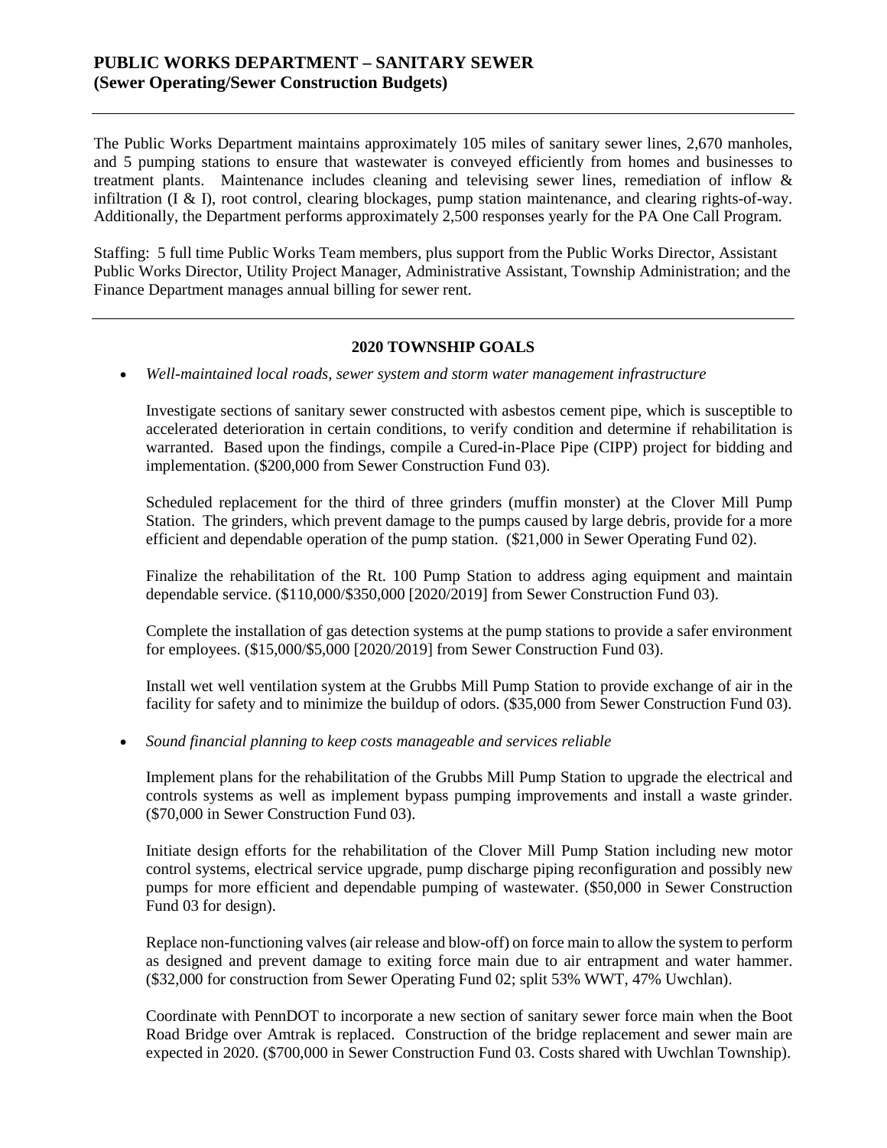## **PUBLIC WORKS DEPARTMENT – SANITARY SEWER (Sewer Operating/Sewer Construction Budgets)**

The Public Works Department maintains approximately 105 miles of sanitary sewer lines, 2,670 manholes, and 5 pumping stations to ensure that wastewater is conveyed efficiently from homes and businesses to treatment plants. Maintenance includes cleaning and televising sewer lines, remediation of inflow & infiltration (I & I), root control, clearing blockages, pump station maintenance, and clearing rights-of-way. Additionally, the Department performs approximately 2,500 responses yearly for the PA One Call Program.

Staffing: 5 full time Public Works Team members, plus support from the Public Works Director, Assistant Public Works Director, Utility Project Manager, Administrative Assistant, Township Administration; and the Finance Department manages annual billing for sewer rent.

## **2020 TOWNSHIP GOALS**

• *Well-maintained local roads, sewer system and storm water management infrastructure* 

Investigate sections of sanitary sewer constructed with asbestos cement pipe, which is susceptible to accelerated deterioration in certain conditions, to verify condition and determine if rehabilitation is warranted. Based upon the findings, compile a Cured-in-Place Pipe (CIPP) project for bidding and implementation. (\$200,000 from Sewer Construction Fund 03).

Scheduled replacement for the third of three grinders (muffin monster) at the Clover Mill Pump Station. The grinders, which prevent damage to the pumps caused by large debris, provide for a more efficient and dependable operation of the pump station. (\$21,000 in Sewer Operating Fund 02).

Finalize the rehabilitation of the Rt. 100 Pump Station to address aging equipment and maintain dependable service. (\$110,000/\$350,000 [2020/2019] from Sewer Construction Fund 03).

Complete the installation of gas detection systems at the pump stations to provide a safer environment for employees. (\$15,000/\$5,000 [2020/2019] from Sewer Construction Fund 03).

Install wet well ventilation system at the Grubbs Mill Pump Station to provide exchange of air in the facility for safety and to minimize the buildup of odors. (\$35,000 from Sewer Construction Fund 03).

• *Sound financial planning to keep costs manageable and services reliable*

Implement plans for the rehabilitation of the Grubbs Mill Pump Station to upgrade the electrical and controls systems as well as implement bypass pumping improvements and install a waste grinder. (\$70,000 in Sewer Construction Fund 03).

Initiate design efforts for the rehabilitation of the Clover Mill Pump Station including new motor control systems, electrical service upgrade, pump discharge piping reconfiguration and possibly new pumps for more efficient and dependable pumping of wastewater. (\$50,000 in Sewer Construction Fund 03 for design).

Replace non-functioning valves (air release and blow-off) on force main to allow the system to perform as designed and prevent damage to exiting force main due to air entrapment and water hammer. (\$32,000 for construction from Sewer Operating Fund 02; split 53% WWT, 47% Uwchlan).

Coordinate with PennDOT to incorporate a new section of sanitary sewer force main when the Boot Road Bridge over Amtrak is replaced. Construction of the bridge replacement and sewer main are expected in 2020. (\$700,000 in Sewer Construction Fund 03. Costs shared with Uwchlan Township).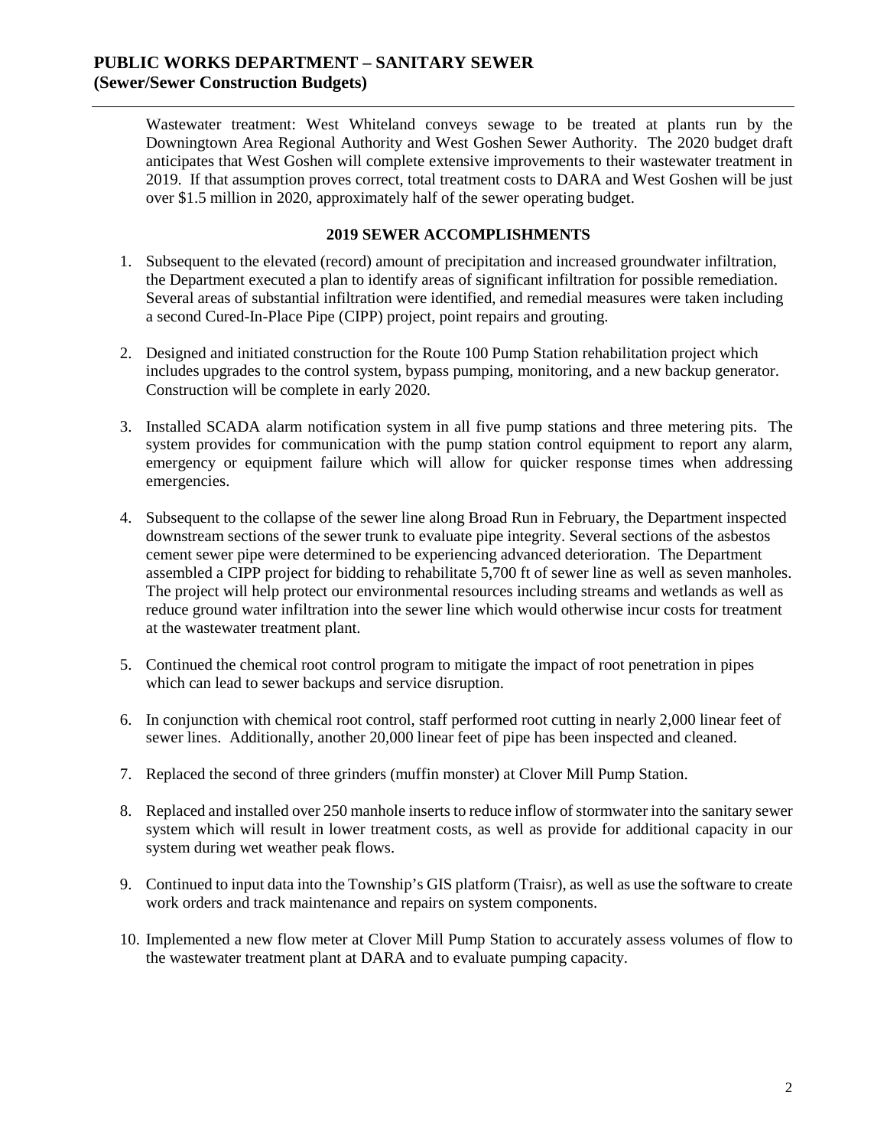Wastewater treatment: West Whiteland conveys sewage to be treated at plants run by the Downingtown Area Regional Authority and West Goshen Sewer Authority. The 2020 budget draft anticipates that West Goshen will complete extensive improvements to their wastewater treatment in 2019. If that assumption proves correct, total treatment costs to DARA and West Goshen will be just over \$1.5 million in 2020, approximately half of the sewer operating budget.

### **2019 SEWER ACCOMPLISHMENTS**

- 1. Subsequent to the elevated (record) amount of precipitation and increased groundwater infiltration, the Department executed a plan to identify areas of significant infiltration for possible remediation. Several areas of substantial infiltration were identified, and remedial measures were taken including a second Cured-In-Place Pipe (CIPP) project, point repairs and grouting.
- 2. Designed and initiated construction for the Route 100 Pump Station rehabilitation project which includes upgrades to the control system, bypass pumping, monitoring, and a new backup generator. Construction will be complete in early 2020.
- 3. Installed SCADA alarm notification system in all five pump stations and three metering pits. The system provides for communication with the pump station control equipment to report any alarm, emergency or equipment failure which will allow for quicker response times when addressing emergencies.
- 4. Subsequent to the collapse of the sewer line along Broad Run in February, the Department inspected downstream sections of the sewer trunk to evaluate pipe integrity. Several sections of the asbestos cement sewer pipe were determined to be experiencing advanced deterioration. The Department assembled a CIPP project for bidding to rehabilitate 5,700 ft of sewer line as well as seven manholes. The project will help protect our environmental resources including streams and wetlands as well as reduce ground water infiltration into the sewer line which would otherwise incur costs for treatment at the wastewater treatment plant.
- 5. Continued the chemical root control program to mitigate the impact of root penetration in pipes which can lead to sewer backups and service disruption.
- 6. In conjunction with chemical root control, staff performed root cutting in nearly 2,000 linear feet of sewer lines. Additionally, another 20,000 linear feet of pipe has been inspected and cleaned.
- 7. Replaced the second of three grinders (muffin monster) at Clover Mill Pump Station.
- 8. Replaced and installed over 250 manhole inserts to reduce inflow of stormwater into the sanitary sewer system which will result in lower treatment costs, as well as provide for additional capacity in our system during wet weather peak flows.
- 9. Continued to input data into the Township's GIS platform (Traisr), as well as use the software to create work orders and track maintenance and repairs on system components.
- 10. Implemented a new flow meter at Clover Mill Pump Station to accurately assess volumes of flow to the wastewater treatment plant at DARA and to evaluate pumping capacity.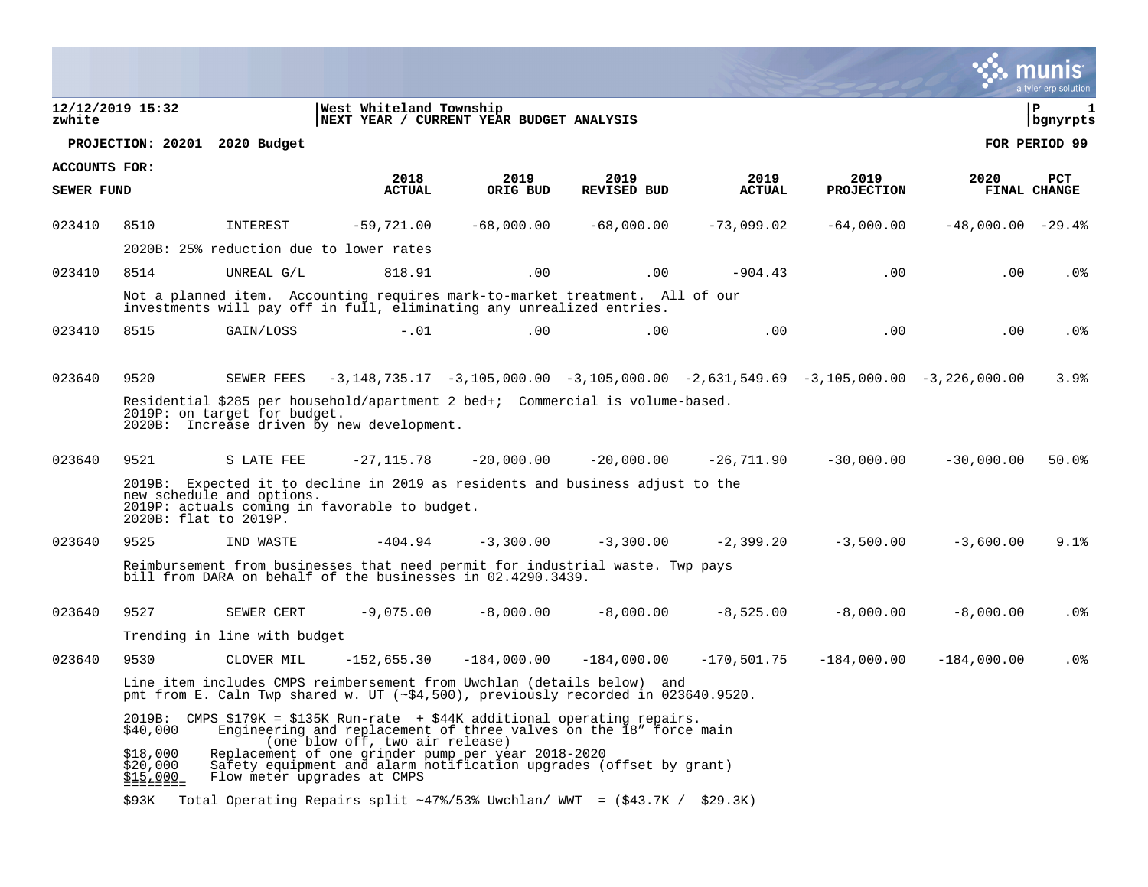|               |                                     |                                                    |                                                                                                                                                                                    |               |                                                                                                 |               |                   |                     | a tyler erp solution |
|---------------|-------------------------------------|----------------------------------------------------|------------------------------------------------------------------------------------------------------------------------------------------------------------------------------------|---------------|-------------------------------------------------------------------------------------------------|---------------|-------------------|---------------------|----------------------|
| zwhite        | 12/12/2019 15:32                    |                                                    | West Whiteland Township<br>NEXT YEAR / CURRENT YEAR BUDGET ANALYSIS                                                                                                                |               |                                                                                                 |               |                   |                     | l P<br>  bgnyrpts    |
|               |                                     | PROJECTION: 20201 2020 Budget                      |                                                                                                                                                                                    |               |                                                                                                 |               |                   |                     | FOR PERIOD 99        |
| ACCOUNTS FOR: |                                     |                                                    | 2018                                                                                                                                                                               | 2019          | 2019                                                                                            | 2019          | 2019              | 2020                | <b>PCT</b>           |
| SEWER FUND    |                                     |                                                    | <b>ACTUAL</b>                                                                                                                                                                      | ORIG BUD      | <b>REVISED BUD</b>                                                                              | <b>ACTUAL</b> | <b>PROJECTION</b> |                     | FINAL CHANGE         |
| 023410        | 8510                                | INTEREST                                           | $-59,721.00$                                                                                                                                                                       | $-68,000.00$  | $-68,000,00$                                                                                    | $-73,099.02$  | $-64,000.00$      | $-48,000.00 - 29.4$ |                      |
|               |                                     | 2020B: 25% reduction due to lower rates            |                                                                                                                                                                                    |               |                                                                                                 |               |                   |                     |                      |
| 023410        | 8514                                | UNREAL G/L                                         | 818.91                                                                                                                                                                             | $.00 \,$      | .00                                                                                             | $-904.43$     | .00               | $.00 \,$            | $.0\%$               |
|               |                                     |                                                    | Not a planned item. Accounting requires mark-to-market treatment. All of our<br>investments will pay off in full, eliminating any unrealized entries.                              |               |                                                                                                 |               |                   |                     |                      |
| 023410        | 8515                                | GAIN/LOSS                                          | $-0.01$                                                                                                                                                                            | .00           | .00                                                                                             | .00           | .00               | $.00 \,$            | $.0\%$               |
|               |                                     |                                                    |                                                                                                                                                                                    |               |                                                                                                 |               |                   |                     |                      |
| 023640        | 9520                                | SEWER FEES                                         |                                                                                                                                                                                    |               | $-3,148,735.17$ $-3,105,000.00$ $-3,105,000.00$ $-2,631,549.69$ $-3,105,000.00$ $-3,226,000.00$ |               |                   |                     | 3.9%                 |
|               |                                     | 2019P: on target for budget.                       | Residential \$285 per household/apartment 2 bed+; Commercial is volume-based.<br>2020B: Increase driven by new development.                                                        |               |                                                                                                 |               |                   |                     |                      |
| 023640        | 9521                                | S LATE FEE                                         | $-27,115.78$                                                                                                                                                                       | $-20,000.00$  | $-20,000.00$                                                                                    | -26,711.90    | $-30,000.00$      | $-30,000,00$        | 50.0%                |
|               |                                     | new schedule and options.<br>2020B: flat to 2019P. | 2019B: Expected it to decline in 2019 as residents and business adjust to the<br>2019P: actuals coming in favorable to budget.                                                     |               |                                                                                                 |               |                   |                     |                      |
| 023640        | 9525                                | IND WASTE                                          | $-404.94$                                                                                                                                                                          | $-3,300.00$   | $-3,300.00$                                                                                     | $-2,399.20$   | $-3,500.00$       | $-3,600.00$         | 9.1%                 |
|               |                                     |                                                    | Reimbursement from businesses that need permit for industrial waste. Twp pays<br>bill from DARA on behalf of the businesses in 02.4290.3439.                                       |               |                                                                                                 |               |                   |                     |                      |
| 023640        | 9527                                | SEWER CERT                                         | $-9,075.00$                                                                                                                                                                        | $-8,000,00$   | $-8,000.00$                                                                                     | $-8,525.00$   | $-8,000.00$       | $-8,000.00$         | .0%                  |
|               |                                     | Trending in line with budget                       |                                                                                                                                                                                    |               |                                                                                                 |               |                   |                     |                      |
| 023640        | 9530                                | CLOVER MIL                                         | $-152,655.30$                                                                                                                                                                      | $-184,000.00$ | $-184.000.00$                                                                                   | $-170,501.75$ | $-184,000.00$     | $-184,000.00$       | . 0%                 |
|               |                                     |                                                    | Line item includes CMPS reimbersement from Uwchlan (details below) and<br>pmt from E. Caln Twp shared w. UT (~\$4,500), previously recorded in 023640.9520.                        |               |                                                                                                 |               |                   |                     |                      |
|               | \$40,000                            |                                                    | 2019B: CMPS \$179K = \$135K Run-rate + \$44K additional operating repairs.<br>Engineering and replacement of three valves on the 18" force main<br>(one blow off, two air release) |               |                                                                                                 |               |                   |                     |                      |
|               | \$18,000<br>\$20,000<br>$515.000 =$ | Flow meter upgrades at CMPS                        | Replacement of one grinder pump per year 2018-2020<br>Safety equipment and alarm notification upgrades (offset by grant)                                                           |               |                                                                                                 |               |                   |                     |                      |
|               | \$93K                               |                                                    | Total Operating Repairs split ~47%/53% Uwchlan/ WWT = $( $43.7K / $29.3K)$                                                                                                         |               |                                                                                                 |               |                   |                     |                      |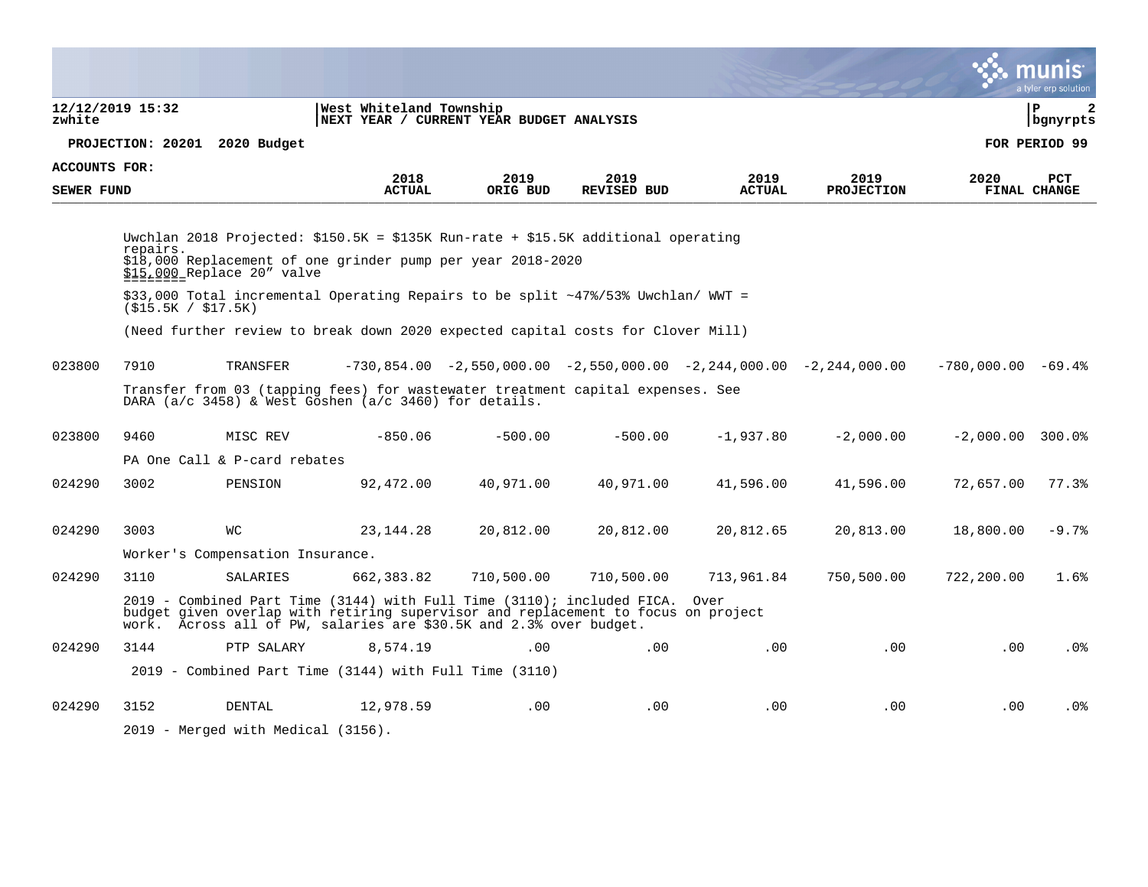|                   |                               |                                              |                                                                                                                                                                                                                                                                                                                         |            |                    |               |                                                                               |                      | a tyler erp solution   |
|-------------------|-------------------------------|----------------------------------------------|-------------------------------------------------------------------------------------------------------------------------------------------------------------------------------------------------------------------------------------------------------------------------------------------------------------------------|------------|--------------------|---------------|-------------------------------------------------------------------------------|----------------------|------------------------|
| zwhite            | 12/12/2019 15:32              |                                              | West Whiteland Township<br>NEXT YEAR / CURRENT YEAR BUDGET ANALYSIS                                                                                                                                                                                                                                                     |            |                    |               |                                                                               |                      | l P<br>2<br>  bgnyrpts |
|                   |                               | PROJECTION: 20201 2020 Budget                |                                                                                                                                                                                                                                                                                                                         |            |                    |               |                                                                               |                      | FOR PERIOD 99          |
| ACCOUNTS FOR:     |                               |                                              | 2018                                                                                                                                                                                                                                                                                                                    | 2019       | 2019               | 2019          | 2019                                                                          | 2020                 | <b>PCT</b>             |
| <b>SEWER FUND</b> |                               |                                              | <b>ACTUAL</b>                                                                                                                                                                                                                                                                                                           | ORIG BUD   | <b>REVISED BUD</b> | <b>ACTUAL</b> | <b>PROJECTION</b>                                                             |                      | FINAL CHANGE           |
|                   | repairs.<br>(S15.5K / S17.5K) | \$15,000 Replace 20" valve                   | Uwchlan 2018 Projected: \$150.5K = \$135K Run-rate + \$15.5K additional operating<br>\$18,000 Replacement of one grinder pump per year 2018-2020<br>\$33,000 Total incremental Operating Repairs to be split ~47%/53% Uwchlan/ WWT =<br>(Need further review to break down 2020 expected capital costs for Clover Mill) |            |                    |               |                                                                               |                      |                        |
| 023800            | 7910                          | TRANSFER                                     | Transfer from 03 (tapping fees) for wastewater treatment capital expenses. See<br>DARA (a/c 3458) & West Goshen (a/c 3460) for details.                                                                                                                                                                                 |            |                    |               | $-730,854.00$ $-2,550,000.00$ $-2,550,000.00$ $-2,244,000.00$ $-2,244,000.00$ | $-780.000.00 - 69.4$ |                        |
| 023800            | 9460                          | MISC REV<br>PA One Call & P-card rebates     | $-850.06$                                                                                                                                                                                                                                                                                                               | $-500.00$  | $-500.00$          | $-1,937.80$   | $-2,000.00$                                                                   | $-2.000.00$ 300.0%   |                        |
| 024290            | 3002                          | PENSION                                      | 92,472.00                                                                                                                                                                                                                                                                                                               | 40,971.00  | 40,971.00          | 41,596.00     | 41,596.00                                                                     | 72,657.00            | 77.3%                  |
| 024290            | 3003                          | WС                                           | 23, 144. 28                                                                                                                                                                                                                                                                                                             | 20,812.00  | 20,812.00          | 20,812.65     | 20,813.00                                                                     | 18,800.00            | $-9.7%$                |
|                   |                               | Worker's Compensation Insurance.             |                                                                                                                                                                                                                                                                                                                         |            |                    |               |                                                                               |                      |                        |
| 024290            | 3110                          | SALARIES                                     | 662, 383.82<br>2019 - Combined Part Time (3144) with Full Time (3110); included FICA. Over<br>budget given overlap with retiring supervisor and replacement to focus on project<br>work. Across all of PW, salaries are \$30.5K and 2.3% over budget.                                                                   | 710,500.00 | 710,500.00         | 713,961.84    | 750,500.00                                                                    | 722,200.00           | 1.6%                   |
| 024290            | 3144                          | PTP SALARY                                   | 8,574.19                                                                                                                                                                                                                                                                                                                | .00        | .00                | .00           | .00                                                                           | .00                  | $.0\%$                 |
|                   |                               |                                              | 2019 - Combined Part Time (3144) with Full Time (3110)                                                                                                                                                                                                                                                                  |            |                    |               |                                                                               |                      |                        |
| 024290            | 3152                          | DENTAL<br>2019 - Merged with Medical (3156). | 12,978.59                                                                                                                                                                                                                                                                                                               | $.00 \,$   | .00                | .00.          | .00                                                                           | .00                  | .0 <sub>8</sub>        |

**College**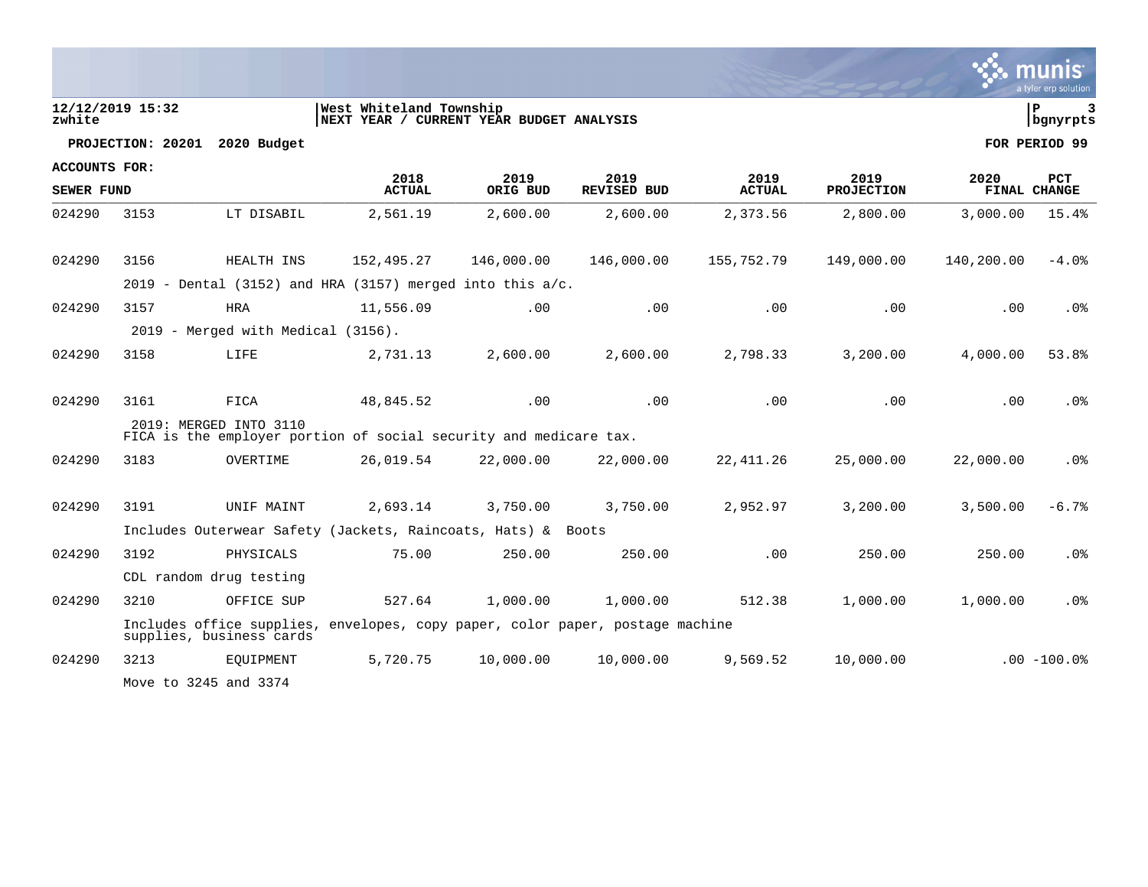|                      |                  |                                    |                                                                               |            |                    |               |                   |            | a tyler erp solution |
|----------------------|------------------|------------------------------------|-------------------------------------------------------------------------------|------------|--------------------|---------------|-------------------|------------|----------------------|
| zwhite               | 12/12/2019 15:32 |                                    | West Whiteland Township<br>NEXT YEAR / CURRENT YEAR BUDGET ANALYSIS           |            |                    |               |                   |            | l P<br>bgnyrpts      |
|                      |                  | PROJECTION: 20201 2020 Budget      |                                                                               |            |                    |               |                   |            | FOR PERIOD 99        |
| <b>ACCOUNTS FOR:</b> |                  |                                    | 2018                                                                          | 2019       | 2019               | 2019          | 2019              | 2020       | PCT                  |
| SEWER FUND           |                  |                                    | <b>ACTUAL</b>                                                                 | ORIG BUD   | <b>REVISED BUD</b> | <b>ACTUAL</b> | <b>PROJECTION</b> |            | FINAL CHANGE         |
| 024290               | 3153             | LT DISABIL                         | 2,561.19                                                                      | 2,600.00   | 2,600.00           | 2,373.56      | 2,800.00          | 3,000.00   | 15.4%                |
| 024290               | 3156             | HEALTH INS                         | 152,495.27                                                                    | 146,000.00 | 146,000.00         | 155,752.79    | 149,000.00        | 140,200.00 | $-4.0\%$             |
|                      |                  |                                    | 2019 - Dental (3152) and HRA (3157) merged into this $a/c$ .                  |            |                    |               |                   |            |                      |
| 024290               | 3157             | <b>HRA</b>                         | 11,556.09                                                                     | .00        | .00                | .00           | .00               | $.00 \,$   | .0 <sub>8</sub>      |
|                      |                  | 2019 - Merged with Medical (3156). |                                                                               |            |                    |               |                   |            |                      |
| 024290               | 3158             | LIFE                               | 2,731.13                                                                      | 2,600.00   | 2,600.00           | 2,798.33      | 3,200.00          | 4,000.00   | 53.8%                |
| 024290               | 3161             | FICA                               | 48,845.52                                                                     | .00        | .00                | .00           | .00               | .00        | .0 <sub>8</sub>      |
|                      |                  | 2019: MERGED INTO 3110             | FICA is the employer portion of social security and medicare tax.             |            |                    |               |                   |            |                      |
| 024290               | 3183             | OVERTIME                           | 26,019.54                                                                     | 22,000.00  | 22,000.00          | 22,411.26     | 25,000.00         | 22,000.00  | .0%                  |
| 024290               | 3191             | UNIF MAINT                         | 2,693.14                                                                      | 3,750.00   | 3,750.00           | 2,952.97      | 3,200.00          | 3,500.00   | $-6.7%$              |
|                      |                  |                                    | Includes Outerwear Safety (Jackets, Raincoats, Hats) & Boots                  |            |                    |               |                   |            |                      |
| 024290               | 3192             | PHYSICALS                          | 75.00                                                                         | 250.00     | 250.00             | .00           | 250.00            | 250.00     | .0 <sub>8</sub>      |
|                      |                  | CDL random drug testing            |                                                                               |            |                    |               |                   |            |                      |
| 024290               | 3210             | OFFICE SUP                         | 527.64                                                                        | 1,000.00   | 1,000.00           | 512.38        | 1,000.00          | 1,000.00   | .0%                  |
|                      |                  | supplies, business cards           | Includes office supplies, envelopes, copy paper, color paper, postage machine |            |                    |               |                   |            |                      |
| 024290               | 3213             | EQUIPMENT                          | 5,720.75                                                                      | 10,000.00  | 10,000.00          | 9,569.52      | 10,000.00         |            | $.00 - 100.0%$       |
|                      |                  | Move to 3245 and 3374              |                                                                               |            |                    |               |                   |            |                      |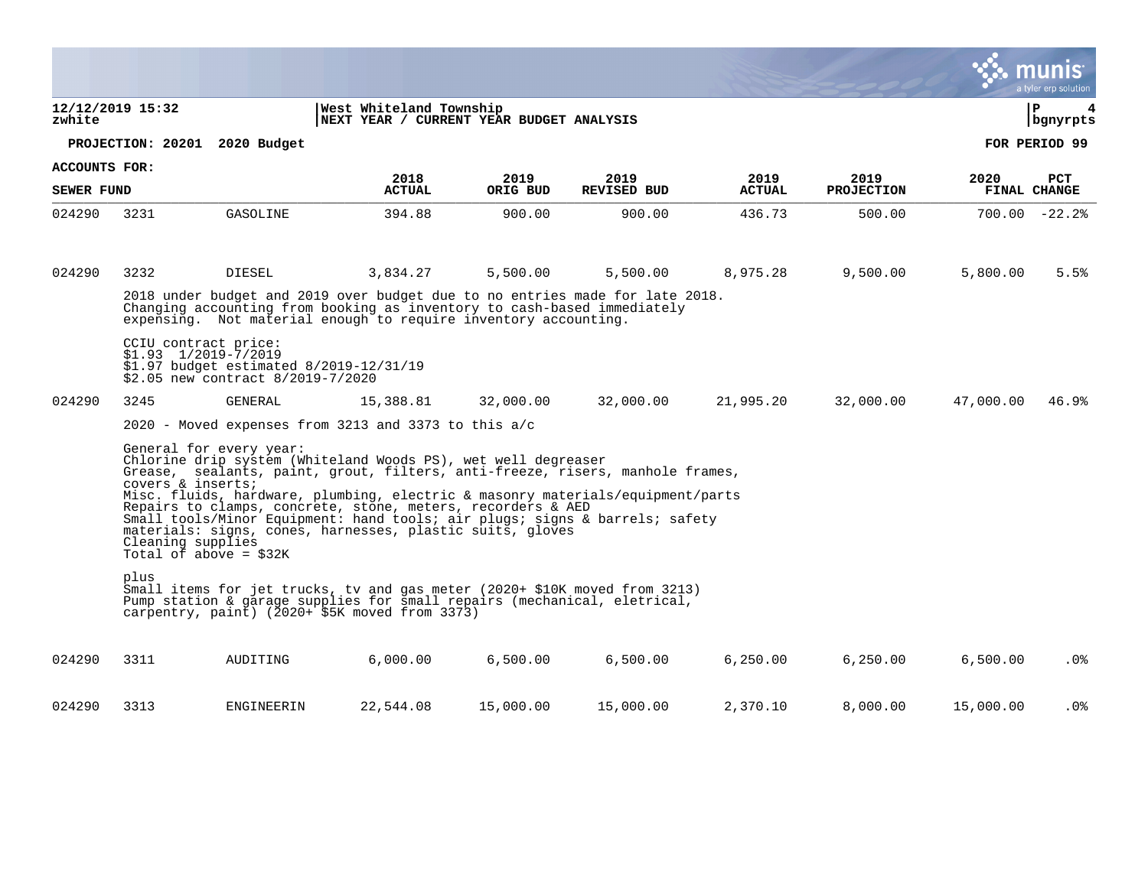|                      |                  |                                                                                                                                                                                                                                                                                                                                                                                                                                                                                                                                             |                                                                     |                  |                            |                       |                           |           | a tyler erp solution              |
|----------------------|------------------|---------------------------------------------------------------------------------------------------------------------------------------------------------------------------------------------------------------------------------------------------------------------------------------------------------------------------------------------------------------------------------------------------------------------------------------------------------------------------------------------------------------------------------------------|---------------------------------------------------------------------|------------------|----------------------------|-----------------------|---------------------------|-----------|-----------------------------------|
| zwhite               | 12/12/2019 15:32 |                                                                                                                                                                                                                                                                                                                                                                                                                                                                                                                                             | West Whiteland Township<br>NEXT YEAR / CURRENT YEAR BUDGET ANALYSIS |                  |                            |                       |                           |           | ΙP<br>4<br>  bgnyrpts             |
|                      |                  | PROJECTION: 20201 2020 Budget                                                                                                                                                                                                                                                                                                                                                                                                                                                                                                               |                                                                     |                  |                            |                       |                           |           | FOR PERIOD 99                     |
| <b>ACCOUNTS FOR:</b> |                  |                                                                                                                                                                                                                                                                                                                                                                                                                                                                                                                                             |                                                                     |                  |                            |                       |                           |           |                                   |
| <b>SEWER FUND</b>    |                  |                                                                                                                                                                                                                                                                                                                                                                                                                                                                                                                                             | 2018<br><b>ACTUAL</b>                                               | 2019<br>ORIG BUD | 2019<br><b>REVISED BUD</b> | 2019<br><b>ACTUAL</b> | 2019<br><b>PROJECTION</b> | 2020      | <b>PCT</b><br><b>FINAL CHANGE</b> |
| 024290               | 3231             | GASOLINE                                                                                                                                                                                                                                                                                                                                                                                                                                                                                                                                    | 394.88                                                              | 900.00           | 900.00                     | 436.73                | 500.00                    |           | $700.00 - 22.2$                   |
| 024290               | 3232             | <b>DIESEL</b>                                                                                                                                                                                                                                                                                                                                                                                                                                                                                                                               | 3,834.27                                                            | 5,500.00         | 5,500.00                   | 8,975.28              | 9,500.00                  | 5,800.00  | 5.5%                              |
|                      |                  | 2018 under budget and 2019 over budget due to no entries made for late 2018.<br>Changing accounting from booking as inventory to cash-based immediately<br>expensing. Not material enough to require inventory accounting.                                                                                                                                                                                                                                                                                                                  |                                                                     |                  |                            |                       |                           |           |                                   |
|                      |                  | CCIU contract price:<br>$$1.93$ $1/2019-7/2019$<br>\$1.97 budget estimated 8/2019-12/31/19<br>\$2.05 new contract 8/2019-7/2020                                                                                                                                                                                                                                                                                                                                                                                                             |                                                                     |                  |                            |                       |                           |           |                                   |
| 024290               | 3245             | <b>GENERAL</b>                                                                                                                                                                                                                                                                                                                                                                                                                                                                                                                              | 15,388.81                                                           | 32,000.00        | 32,000.00                  | 21,995.20             | 32,000.00                 | 47,000.00 | 46.9%                             |
|                      |                  | 2020 - Moved expenses from 3213 and 3373 to this $a/c$                                                                                                                                                                                                                                                                                                                                                                                                                                                                                      |                                                                     |                  |                            |                       |                           |           |                                   |
|                      |                  | General for every year:<br>Chlorine drip system (Whiteland Woods PS), wet well degreaser<br>Grease, sealants, paint, grout, filters, anti-freeze, risers, manhole frames,<br>covers & inserts;<br>Misc. fluids, hardware, plumbing, electric & masonry materials/equipment/parts<br>Repairs to clamps, concrete, stone, meters, recorders & AED<br>Small tools/Minor Equipment: hand tools; air plugs; signs & barrels; safety<br>materials: signs, cones, harnesses, plastic suits, gloves<br>Cleaning supplies<br>Total of above = $$32K$ |                                                                     |                  |                            |                       |                           |           |                                   |
|                      | plus             | Small items for jet trucks, tv and gas meter (2020+ \$10K moved from 3213)<br>Pump station & garage supplies for small repairs (mechanical, eletrical,<br>carpentry, paint) $(2020 + $5K$ moved from 3373)                                                                                                                                                                                                                                                                                                                                  |                                                                     |                  |                            |                       |                           |           |                                   |
| 024290               | 3311             | AUDITING                                                                                                                                                                                                                                                                                                                                                                                                                                                                                                                                    | 6,000.00                                                            | 6,500.00         | 6,500.00                   | 6,250.00              | 6,250.00                  | 6,500.00  | $.0\%$                            |
| 024290               | 3313             | ENGINEERIN                                                                                                                                                                                                                                                                                                                                                                                                                                                                                                                                  | 22,544.08                                                           | 15,000.00        | 15,000.00                  | 2,370.10              | 8,000.00                  | 15,000.00 | . 0%                              |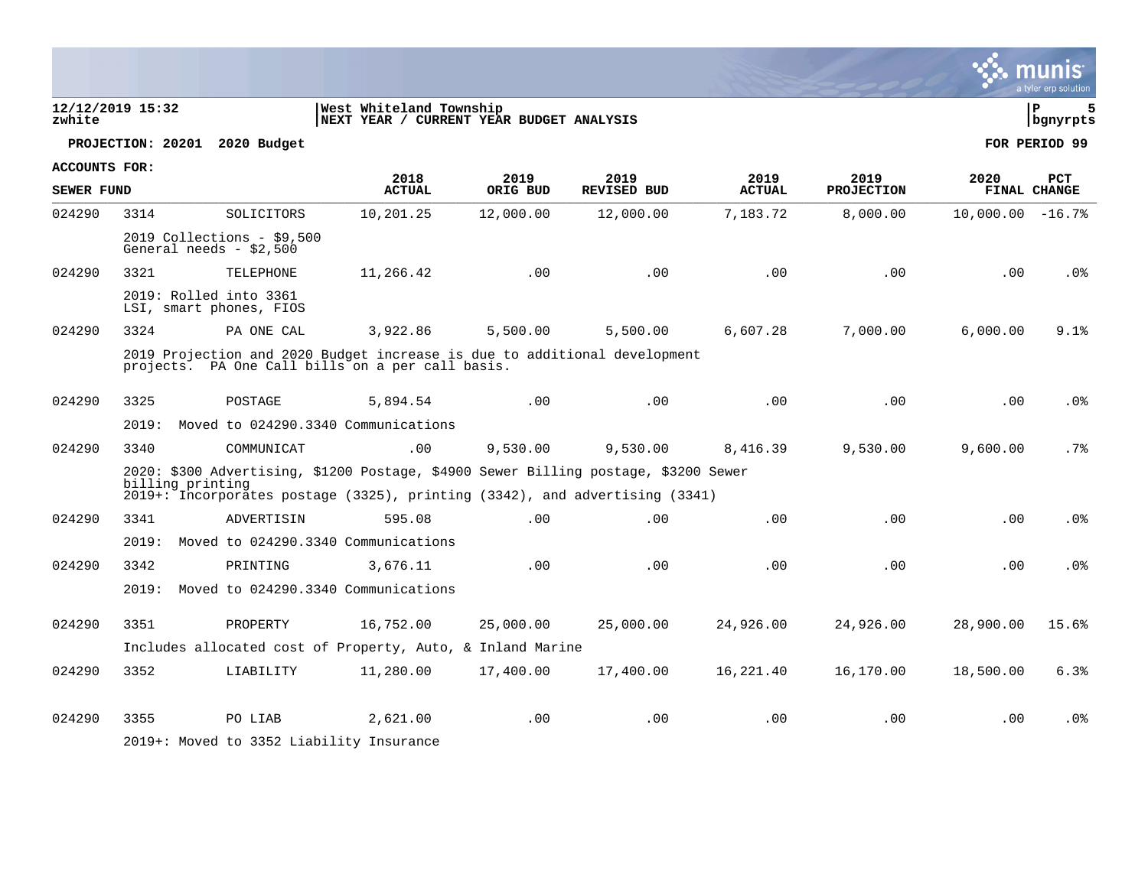| zwhite               | 12/12/2019 15:32 |                                                       | West Whiteland Township<br>NEXT YEAR / CURRENT YEAR BUDGET ANALYSIS                                                                                                |           |                    |               |                   |                      | l P<br>bgnyrpts |
|----------------------|------------------|-------------------------------------------------------|--------------------------------------------------------------------------------------------------------------------------------------------------------------------|-----------|--------------------|---------------|-------------------|----------------------|-----------------|
|                      |                  | PROJECTION: 20201 2020 Budget                         |                                                                                                                                                                    |           |                    |               |                   |                      | FOR PERIOD 99   |
| <b>ACCOUNTS FOR:</b> |                  |                                                       | 2018                                                                                                                                                               | 2019      | 2019               | 2019          | 2019              | 2020                 | <b>PCT</b>      |
| SEWER FUND           |                  |                                                       | <b>ACTUAL</b>                                                                                                                                                      | ORIG BUD  | <b>REVISED BUD</b> | <b>ACTUAL</b> | <b>PROJECTION</b> |                      | FINAL CHANGE    |
| 024290               | 3314             | SOLICITORS                                            | 10,201.25                                                                                                                                                          | 12,000.00 | 12,000.00          | 7,183.72      | 8,000.00          | $10,000.00 - 16.7$ % |                 |
|                      |                  | 2019 Collections - \$9,500<br>General needs - \$2,500 |                                                                                                                                                                    |           |                    |               |                   |                      |                 |
| 024290               | 3321             | TELEPHONE                                             | 11,266.42                                                                                                                                                          | .00       | .00                | .00           | .00               | .00                  | .0 <sub>8</sub> |
|                      |                  | 2019: Rolled into 3361<br>LSI, smart phones, FIOS     |                                                                                                                                                                    |           |                    |               |                   |                      |                 |
| 024290               | 3324             | PA ONE CAL                                            | 3,922.86                                                                                                                                                           | 5,500.00  | 5,500.00           | 6,607.28      | 7,000.00          | 6,000.00             | 9.1%            |
|                      |                  |                                                       | 2019 Projection and 2020 Budget increase is due to additional development<br>projects. PA One Call bills on a per call basis.                                      |           |                    |               |                   |                      |                 |
| 024290               | 3325             | POSTAGE                                               | 5,894.54                                                                                                                                                           | .00       | .00                | .00           | .00               | .00                  | .0%             |
|                      | 2019:            |                                                       | Moved to 024290.3340 Communications                                                                                                                                |           |                    |               |                   |                      |                 |
| 024290               | 3340             | COMMUNICAT                                            | .00                                                                                                                                                                | 9,530.00  | 9,530.00           | 8,416.39      | 9,530.00          | 9,600.00             | .7%             |
|                      | billing printing |                                                       | 2020: \$300 Advertising, \$1200 Postage, \$4900 Sewer Billing postage, \$3200 Sewer<br>2019+: Incorporates postage (3325), printing (3342), and advertising (3341) |           |                    |               |                   |                      |                 |
| 024290               | 3341             | ADVERTISIN                                            | 595.08                                                                                                                                                             | .00       | .00                | .00           | .00               | .00                  | .0%             |
|                      | 2019:            |                                                       | Moved to 024290.3340 Communications                                                                                                                                |           |                    |               |                   |                      |                 |
| 024290               | 3342             | PRINTING                                              | 3,676.11                                                                                                                                                           | .00       | .00                | .00           | .00               | .00                  | .0 <sub>8</sub> |
|                      | 2019:            |                                                       | Moved to 024290.3340 Communications                                                                                                                                |           |                    |               |                   |                      |                 |
| 024290               | 3351             | PROPERTY                                              | 16,752.00                                                                                                                                                          | 25,000.00 | 25,000.00          | 24,926.00     | 24,926.00         | 28,900.00            | 15.6%           |
|                      |                  |                                                       | Includes allocated cost of Property, Auto, & Inland Marine                                                                                                         |           |                    |               |                   |                      |                 |
| 024290               | 3352             | LIABILITY                                             | 11,280.00                                                                                                                                                          | 17,400.00 | 17,400.00          | 16,221.40     | 16,170.00         | 18,500.00            | 6.3%            |
| 024290               | 3355             | PO LIAB<br>2019+: Moved to 3352 Liability Insurance   | 2,621.00                                                                                                                                                           | .00       | .00                | .00           | .00               | .00                  | .0 <sub>8</sub> |

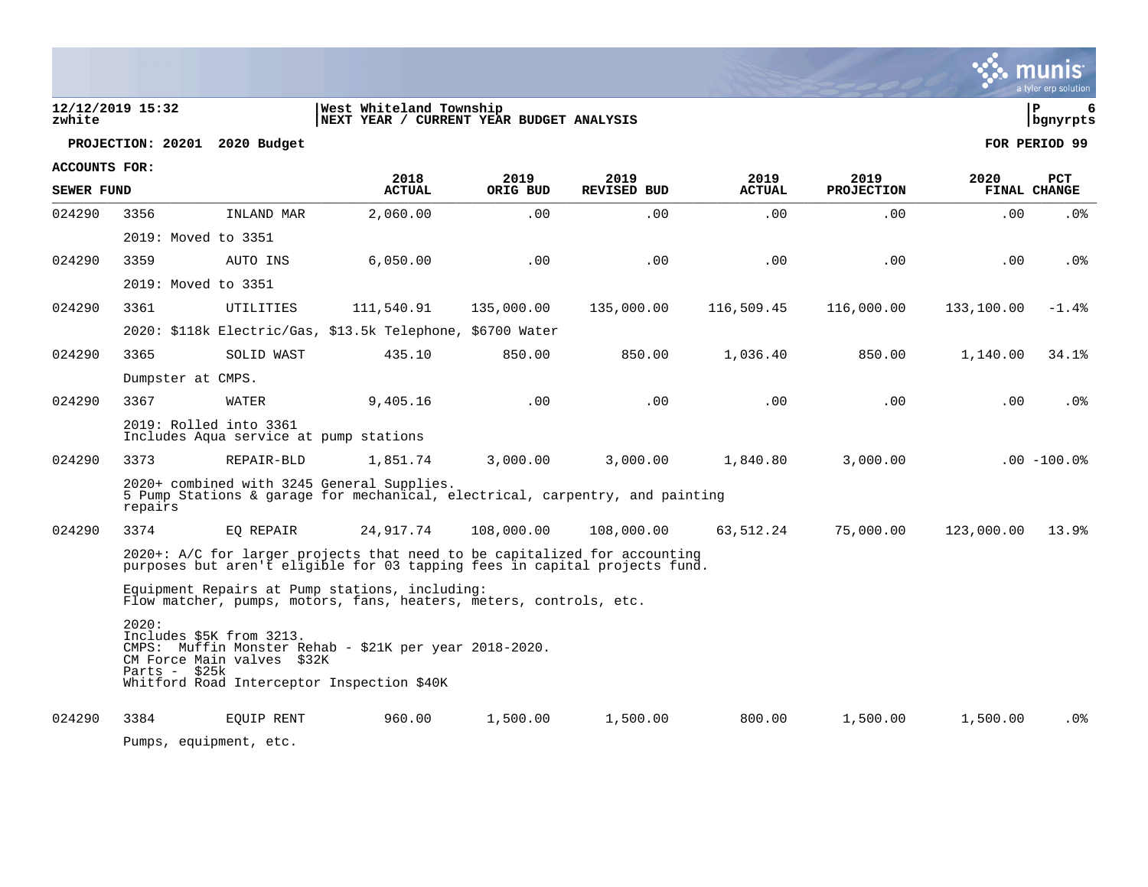| zwhite                                    | 12/12/2019 15:32        |                                                                  | West Whiteland Township<br>NEXT YEAR / CURRENT YEAR BUDGET ANALYSIS                                                                                     |                  |                            |                       |                           |            | ΙP<br>6<br>  bgnyrpts |
|-------------------------------------------|-------------------------|------------------------------------------------------------------|---------------------------------------------------------------------------------------------------------------------------------------------------------|------------------|----------------------------|-----------------------|---------------------------|------------|-----------------------|
|                                           |                         | PROJECTION: 20201 2020 Budget                                    |                                                                                                                                                         |                  |                            |                       |                           |            | FOR PERIOD 99         |
| <b>ACCOUNTS FOR:</b><br><b>SEWER FUND</b> |                         |                                                                  | 2018<br><b>ACTUAL</b>                                                                                                                                   | 2019<br>ORIG BUD | 2019<br><b>REVISED BUD</b> | 2019<br><b>ACTUAL</b> | 2019<br><b>PROJECTION</b> | 2020       | PCT<br>FINAL CHANGE   |
| 024290                                    | 3356                    | INLAND MAR                                                       | 2,060.00                                                                                                                                                | .00              | .00                        | .00                   | .00                       | .00        | $.0\%$                |
|                                           | 2019: Moved to 3351     |                                                                  |                                                                                                                                                         |                  |                            |                       |                           |            |                       |
| 024290                                    | 3359                    | AUTO INS                                                         | 6,050.00                                                                                                                                                | .00              | .00                        | .00                   | .00                       | .00        | $.0\%$                |
|                                           | 2019: Moved to 3351     |                                                                  |                                                                                                                                                         |                  |                            |                       |                           |            |                       |
| 024290                                    | 3361                    | UTILITIES                                                        | 111,540.91                                                                                                                                              | 135,000.00       | 135,000.00                 | 116,509.45            | 116,000.00                | 133,100.00 | $-1.4%$               |
|                                           |                         |                                                                  | 2020: \$118k Electric/Gas, \$13.5k Telephone, \$6700 Water                                                                                              |                  |                            |                       |                           |            |                       |
| 024290                                    | 3365                    | SOLID WAST                                                       | 435.10                                                                                                                                                  | 850.00           | 850.00                     | 1,036.40              | 850.00                    | 1,140.00   | 34.1%                 |
|                                           | Dumpster at CMPS.       |                                                                  |                                                                                                                                                         |                  |                            |                       |                           |            |                       |
| 024290                                    | 3367                    | WATER                                                            | 9,405.16                                                                                                                                                | .00              | .00                        | .00                   | .00                       | .00        | $.0\%$                |
|                                           |                         | 2019: Rolled into 3361<br>Includes Aqua service at pump stations |                                                                                                                                                         |                  |                            |                       |                           |            |                       |
| 024290                                    | 3373                    | REPAIR-BLD                                                       | 1,851.74                                                                                                                                                | 3,000.00         | 3,000.00                   | 1,840.80              | 3,000.00                  |            | $.00 - 100.0$         |
|                                           | repairs                 |                                                                  | 2020+ combined with 3245 General Supplies.<br>5 Pump Stations & garage for mechanical, electrical, carpentry, and painting                              |                  |                            |                       |                           |            |                       |
| 024290                                    | 3374                    | EO REPAIR                                                        | 24,917.74                                                                                                                                               | 108,000.00       | 108,000.00                 | 63,512.24             | 75,000.00                 | 123,000.00 | 13.9%                 |
|                                           |                         |                                                                  | 2020+: A/C for larger projects that need to be capitalized for accounting<br>purposes but aren't eligible for 03 tapping fees in capital projects fund. |                  |                            |                       |                           |            |                       |
|                                           |                         |                                                                  | Equipment Repairs at Pump stations, including:<br>Flow matcher, pumps, motors, fans, heaters, meters, controls, etc.                                    |                  |                            |                       |                           |            |                       |
|                                           | 2020:<br>Parts - $$25k$ | Includes \$5K from 3213.<br>CM Force Main valves \$32K           | CMPS: Muffin Monster Rehab - \$21K per year 2018-2020.<br>Whitford Road Interceptor Inspection \$40K                                                    |                  |                            |                       |                           |            |                       |
| 024290                                    | 3384                    | EOUIP RENT                                                       | 960.00                                                                                                                                                  | 1,500.00         | 1,500.00                   | 800.00                | 1,500.00                  | 1,500.00   | . 0%                  |
|                                           |                         |                                                                  |                                                                                                                                                         |                  |                            |                       |                           |            |                       |

a tyler erp solution

Pumps, equipment, etc.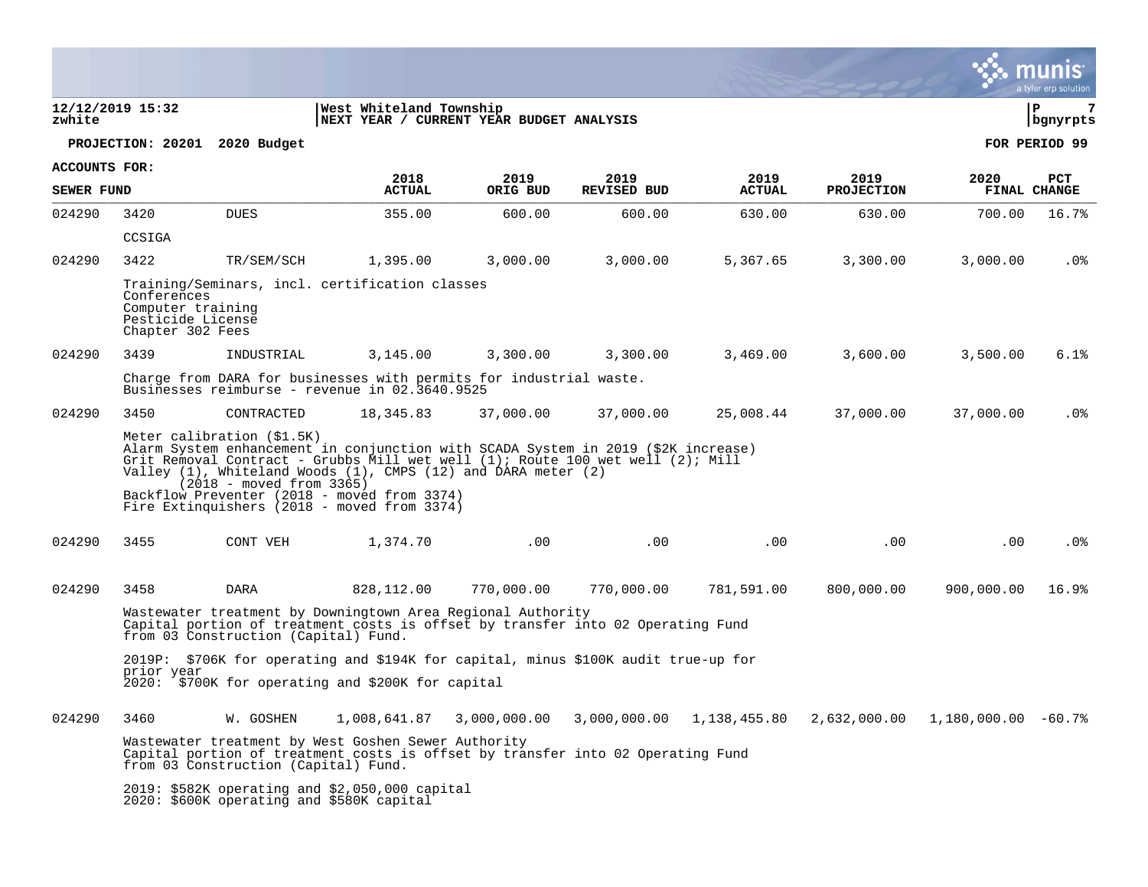|                      |                                                                           |                                                          |                                                                                                                                                                                                                                                                                                                                    |                  |                            |                       |                                                       |            | a tyler erp solution              |
|----------------------|---------------------------------------------------------------------------|----------------------------------------------------------|------------------------------------------------------------------------------------------------------------------------------------------------------------------------------------------------------------------------------------------------------------------------------------------------------------------------------------|------------------|----------------------------|-----------------------|-------------------------------------------------------|------------|-----------------------------------|
| zwhite               | 12/12/2019 15:32                                                          |                                                          | West Whiteland Township<br>NEXT YEAR / CURRENT YEAR BUDGET ANALYSIS                                                                                                                                                                                                                                                                |                  |                            |                       |                                                       |            | l P<br>  bgnyrpts                 |
|                      |                                                                           | PROJECTION: 20201 2020 Budget                            |                                                                                                                                                                                                                                                                                                                                    |                  |                            |                       |                                                       |            | FOR PERIOD 99                     |
| <b>ACCOUNTS FOR:</b> |                                                                           |                                                          |                                                                                                                                                                                                                                                                                                                                    |                  |                            |                       |                                                       |            |                                   |
| <b>SEWER FUND</b>    |                                                                           |                                                          | 2018<br><b>ACTUAL</b>                                                                                                                                                                                                                                                                                                              | 2019<br>ORIG BUD | 2019<br><b>REVISED BUD</b> | 2019<br><b>ACTUAL</b> | 2019<br><b>PROJECTION</b>                             | 2020       | <b>PCT</b><br><b>FINAL CHANGE</b> |
| 024290               | 3420                                                                      | <b>DUES</b>                                              | 355.00                                                                                                                                                                                                                                                                                                                             | 600.00           | 600.00                     | 630.00                | 630.00                                                | 700.00     | 16.7%                             |
|                      | CCSIGA                                                                    |                                                          |                                                                                                                                                                                                                                                                                                                                    |                  |                            |                       |                                                       |            |                                   |
| 024290               | 3422                                                                      | TR/SEM/SCH                                               | 1,395.00                                                                                                                                                                                                                                                                                                                           | 3,000.00         | 3,000.00                   | 5,367.65              | 3,300.00                                              | 3,000.00   | . 0%                              |
|                      | Conferences<br>Computer training<br>Pesticide License<br>Chapter 302 Fees |                                                          | Training/Seminars, incl. certification classes                                                                                                                                                                                                                                                                                     |                  |                            |                       |                                                       |            |                                   |
| 024290               | 3439                                                                      | INDUSTRIAL                                               | 3,145.00                                                                                                                                                                                                                                                                                                                           | 3,300.00         | 3,300.00                   | 3.469.00              | 3,600.00                                              | 3,500.00   | 6.1%                              |
|                      |                                                                           |                                                          | Charge from DARA for businesses with permits for industrial waste.<br>Businesses reimburse - revenue in 02.3640.9525                                                                                                                                                                                                               |                  |                            |                       |                                                       |            |                                   |
| 024290               | 3450                                                                      | CONTRACTED                                               | 18,345.83                                                                                                                                                                                                                                                                                                                          | 37,000.00        | 37,000.00                  | 25,008.44             | 37,000.00                                             | 37,000.00  | . 0%                              |
|                      |                                                                           | Meter calibration (\$1.5K)<br>$(2018 - moved from 3365)$ | Alarm System enhancement in conjunction with SCADA System in 2019 (\$2K increase)<br>Grit Removal Contract - Grubbs Mill wet well (1); Route 100 wet well (2); Mill<br>Valley (1), Whiteland Woods (1), CMPS (12) and DARA meter (2)<br>Backflow Preventer (2018 - moved from 3374)<br>Fire Extinguishers (2018 - moved from 3374) |                  |                            |                       |                                                       |            |                                   |
| 024290               | 3455                                                                      | CONT VEH                                                 | 1,374.70                                                                                                                                                                                                                                                                                                                           | .00              | .00                        | .00                   | $.00 \,$                                              | $.00 \,$   | $.0\%$                            |
| 024290               | 3458                                                                      | DARA                                                     | 828,112.00                                                                                                                                                                                                                                                                                                                         | 770,000.00       | 770,000.00                 | 781,591.00            | 800,000.00                                            | 900,000.00 | 16.9%                             |
|                      |                                                                           | from 03 Construction (Capital) Fund.                     | Wastewater treatment by Downingtown Area Regional Authority<br>Capital portion of treatment costs is offset by transfer into 02 Operating Fund                                                                                                                                                                                     |                  |                            |                       |                                                       |            |                                   |
|                      |                                                                           |                                                          | 2019P: \$706K for operating and \$194K for capital, minus \$100K audit true-up for                                                                                                                                                                                                                                                 |                  |                            |                       |                                                       |            |                                   |
|                      | prior year                                                                |                                                          | 2020: \$700K for operating and \$200K for capital                                                                                                                                                                                                                                                                                  |                  |                            |                       |                                                       |            |                                   |
| 024290               | 3460                                                                      | W. GOSHEN                                                | 1,008,641.87                                                                                                                                                                                                                                                                                                                       | 3,000,000.00     | 3,000,000.00               |                       | $1,138,455.80$ $2,632,000.00$ $1,180,000.00$ $-60.7%$ |            |                                   |
|                      |                                                                           | from 03 Construction (Capital) Fund.                     | Wastewater treatment by West Goshen Sewer Authority<br>Capital portion of treatment costs is offset by transfer into 02 Operating Fund                                                                                                                                                                                             |                  |                            |                       |                                                       |            |                                   |
|                      |                                                                           | 2020: \$600K operating and \$580K capital                | 2019: \$582K operating and \$2,050,000 capital                                                                                                                                                                                                                                                                                     |                  |                            |                       |                                                       |            |                                   |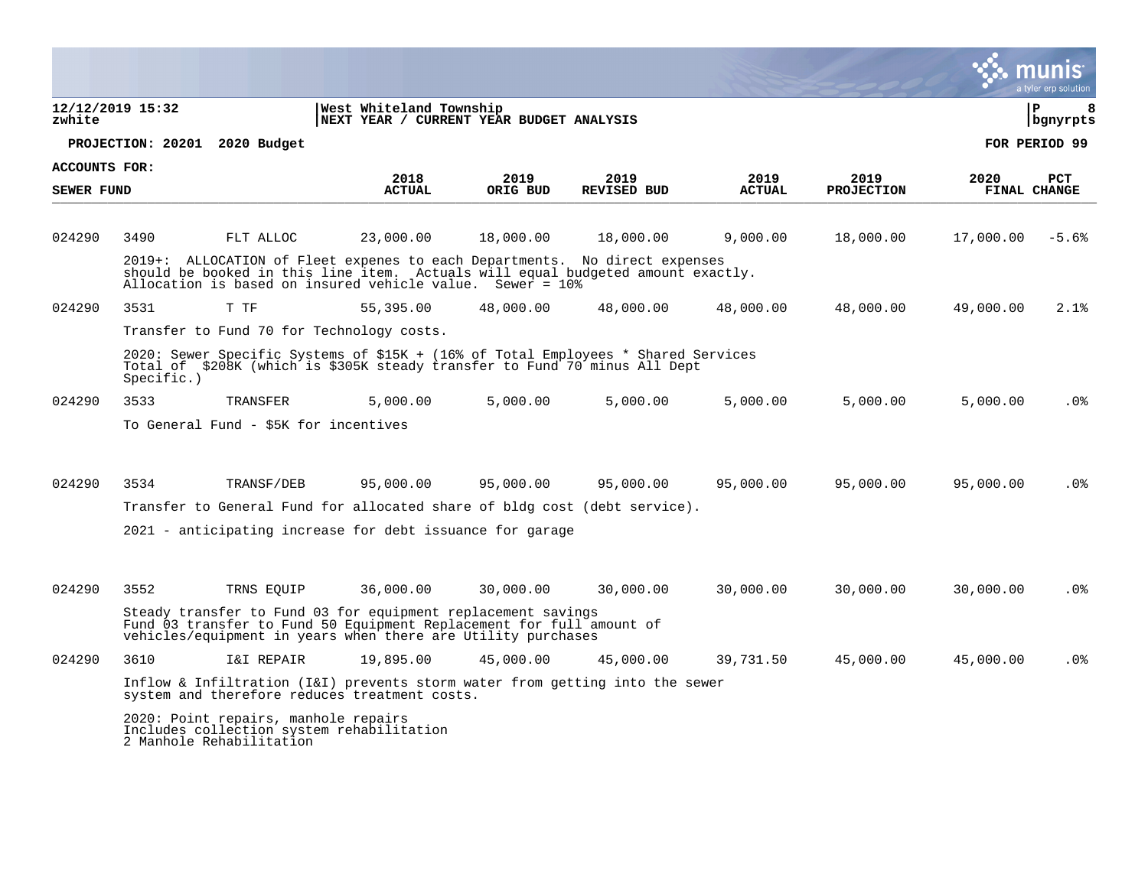|                                    |                  |                                                                  |                                                                                                                                                                                                                            |                  |                            |                       |                           |                      | a tyler erp solution |
|------------------------------------|------------------|------------------------------------------------------------------|----------------------------------------------------------------------------------------------------------------------------------------------------------------------------------------------------------------------------|------------------|----------------------------|-----------------------|---------------------------|----------------------|----------------------|
| zwhite                             | 12/12/2019 15:32 |                                                                  | West Whiteland Township<br>NEXT YEAR / CURRENT YEAR BUDGET ANALYSIS                                                                                                                                                        |                  |                            |                       |                           |                      | ΙP<br>8<br>bgnyrpts  |
|                                    |                  | PROJECTION: 20201 2020 Budget                                    |                                                                                                                                                                                                                            |                  |                            |                       |                           |                      | FOR PERIOD 99        |
| ACCOUNTS FOR:<br><b>SEWER FUND</b> |                  |                                                                  | 2018<br><b>ACTUAL</b>                                                                                                                                                                                                      | 2019<br>ORIG BUD | 2019<br><b>REVISED BUD</b> | 2019<br><b>ACTUAL</b> | 2019<br><b>PROJECTION</b> | 2020<br>FINAL CHANGE | <b>PCT</b>           |
| 024290                             | 3490             | FLT ALLOC                                                        | 23,000.00                                                                                                                                                                                                                  | 18,000.00        | 18,000.00                  | 9,000.00              | 18,000.00                 | 17,000.00            | $-5.6%$              |
|                                    |                  |                                                                  | 2019+: ALLOCATION of Fleet expenes to each Departments. No direct expenses<br>should be booked in this line item. Actuals will equal budgeted amount exactly.<br>Allocation is based on insured vehicle value. Sewer = 10% |                  |                            |                       |                           |                      |                      |
| 024290                             | 3531             | T TF                                                             | 55,395.00                                                                                                                                                                                                                  | 48,000.00        | 48,000.00                  | 48,000.00             | 48,000.00                 | 49,000.00            | 2.1%                 |
|                                    |                  |                                                                  | Transfer to Fund 70 for Technology costs.                                                                                                                                                                                  |                  |                            |                       |                           |                      |                      |
|                                    | Specific.)       |                                                                  | 2020: Sewer Specific Systems of \$15K + (16% of Total Employees * Shared Services<br>Total of \$208K (which is \$305K steady transfer to Fund 70 minus All Dept                                                            |                  |                            |                       |                           |                      |                      |
| 024290                             | 3533             | TRANSFER                                                         | 5,000.00                                                                                                                                                                                                                   | 5,000.00         | 5,000.00                   | 5,000.00              | 5,000.00                  | 5,000.00             | . 0%                 |
|                                    |                  | To General Fund - \$5K for incentives                            |                                                                                                                                                                                                                            |                  |                            |                       |                           |                      |                      |
| 024290                             | 3534             | TRANSF/DEB                                                       | 95,000.00                                                                                                                                                                                                                  | 95,000.00        | 95,000.00                  | 95,000.00             | 95,000.00                 | 95,000.00            | $.0\%$               |
|                                    |                  |                                                                  | Transfer to General Fund for allocated share of bldg cost (debt service).                                                                                                                                                  |                  |                            |                       |                           |                      |                      |
|                                    |                  |                                                                  | 2021 - anticipating increase for debt issuance for garage                                                                                                                                                                  |                  |                            |                       |                           |                      |                      |
| 024290                             | 3552             | TRNS EOUIP                                                       | 36,000.00                                                                                                                                                                                                                  | 30,000.00        | 30,000.00                  | 30,000.00             | 30,000.00                 | 30,000.00            | . 0%                 |
|                                    |                  |                                                                  | Steady transfer to Fund 03 for equipment replacement savings<br>Fund 03 transfer to Fund 50 Equipment Replacement for full amount of<br>vehicles/equipment in years when there are Utility purchases                       |                  |                            |                       |                           |                      |                      |
| 024290                             | 3610             | I&I REPAIR                                                       | 19,895.00                                                                                                                                                                                                                  | 45,000.00        | 45,000.00                  | 39,731.50             | 45,000.00                 | 45,000.00            | .0%                  |
|                                    |                  |                                                                  | Inflow & Infiltration (I&I) prevents storm water from getting into the sewer<br>system and therefore reduces treatment costs.                                                                                              |                  |                            |                       |                           |                      |                      |
|                                    |                  | 2020: Point repairs, manhole repairs<br>2 Manhole Rehabilitation | Includes collection system rehabilitation                                                                                                                                                                                  |                  |                            |                       |                           |                      |                      |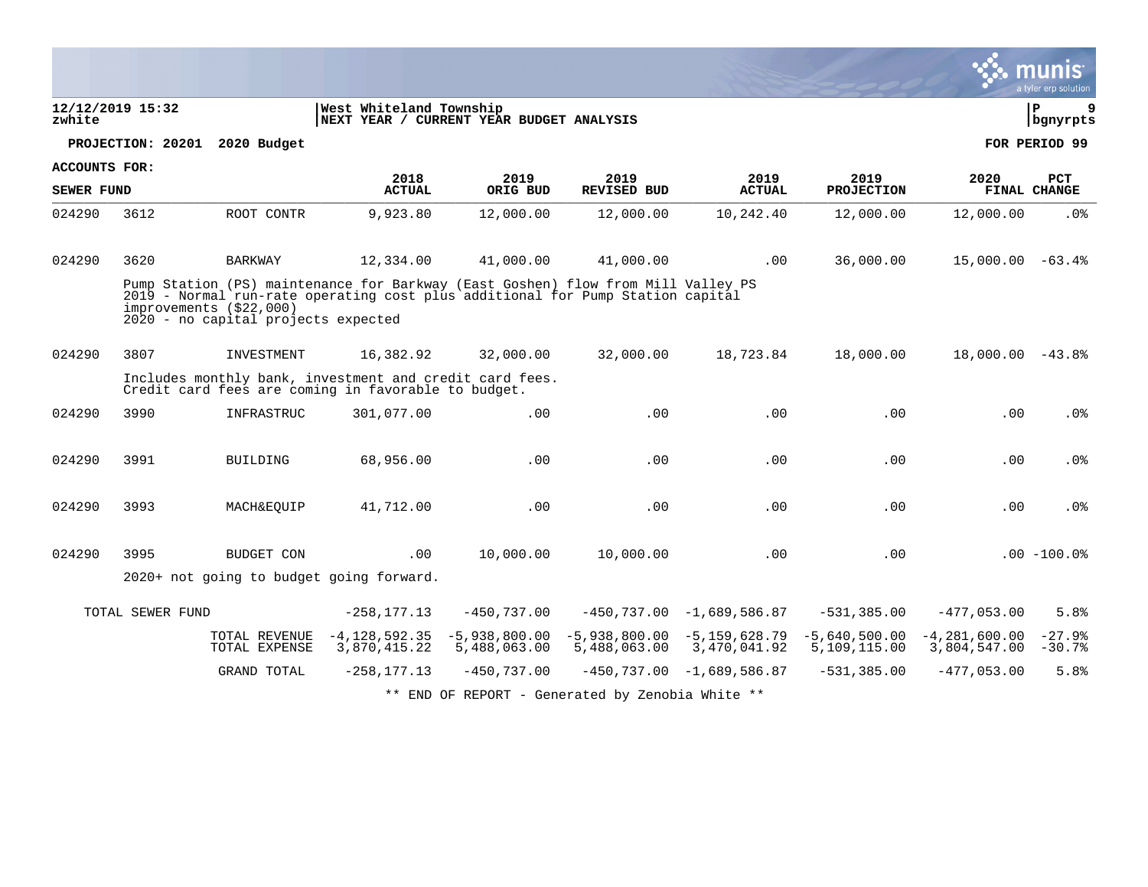|                   |                   |                                                                                                                                                                                                                                      |                                   |                                          |                                                  |                                               |                                 |                                 | munis<br>a tyler erp solution |
|-------------------|-------------------|--------------------------------------------------------------------------------------------------------------------------------------------------------------------------------------------------------------------------------------|-----------------------------------|------------------------------------------|--------------------------------------------------|-----------------------------------------------|---------------------------------|---------------------------------|-------------------------------|
| zwhite            | 12/12/2019 15:32  |                                                                                                                                                                                                                                      | West Whiteland Township           | NEXT YEAR / CURRENT YEAR BUDGET ANALYSIS |                                                  |                                               |                                 |                                 | l P<br>9<br>  bgnyrpts        |
|                   | PROJECTION: 20201 | 2020 Budget                                                                                                                                                                                                                          |                                   |                                          |                                                  |                                               |                                 |                                 | FOR PERIOD 99                 |
| ACCOUNTS FOR:     |                   |                                                                                                                                                                                                                                      | 2018                              | 2019                                     | 2019                                             | 2019                                          | 2019                            | 2020                            | <b>PCT</b>                    |
| <b>SEWER FUND</b> |                   |                                                                                                                                                                                                                                      | <b>ACTUAL</b>                     | ORIG BUD                                 | <b>REVISED BUD</b>                               | <b>ACTUAL</b>                                 | <b>PROJECTION</b>               |                                 | FINAL CHANGE                  |
| 024290            | 3612              | ROOT CONTR                                                                                                                                                                                                                           | 9,923.80                          | 12,000.00                                | 12,000.00                                        | 10,242.40                                     | 12,000.00                       | 12,000.00                       | .0%                           |
| 024290            | 3620              | <b>BARKWAY</b>                                                                                                                                                                                                                       | 12,334.00                         | 41,000.00                                | 41,000.00                                        | .00                                           | 36,000.00                       | $15,000.00 - 63.4$              |                               |
|                   |                   | Pump Station (PS) maintenance for Barkway (East Goshen) flow from Mill Valley PS<br>2019 - Normal run-rate operating cost plus additional for Pump Station capital<br>improvements (\$22,000)<br>2020 - no capital projects expected |                                   |                                          |                                                  |                                               |                                 |                                 |                               |
| 024290            | 3807              | INVESTMENT                                                                                                                                                                                                                           | 16,382.92                         | 32,000.00                                | 32,000.00                                        | 18,723.84                                     | 18,000.00                       | $18,000.00 - 43.8$              |                               |
|                   |                   | Includes monthly bank, investment and credit card fees.<br>Credit card fees are coming in favorable to budget.                                                                                                                       |                                   |                                          |                                                  |                                               |                                 |                                 |                               |
| 024290            | 3990              | INFRASTRUC                                                                                                                                                                                                                           | 301,077.00                        | .00                                      | .00                                              | .00                                           | .00                             | .00                             | .0%                           |
| 024290            | 3991              | <b>BUILDING</b>                                                                                                                                                                                                                      | 68,956.00                         | .00                                      | .00                                              | .00                                           | .00                             | .00                             | .0 <sub>8</sub>               |
| 024290            | 3993              | MACH&EOUIP                                                                                                                                                                                                                           | 41,712.00                         | .00                                      | .00                                              | .00                                           | .00                             | .00                             | .0 <sub>8</sub>               |
| 024290            | 3995              | BUDGET CON                                                                                                                                                                                                                           | .00                               | 10,000.00                                | 10,000.00                                        | .00                                           | .00                             |                                 | $.00 - 100.0$                 |
|                   |                   | 2020+ not going to budget going forward.                                                                                                                                                                                             |                                   |                                          |                                                  |                                               |                                 |                                 |                               |
|                   | TOTAL SEWER FUND  |                                                                                                                                                                                                                                      | $-258, 177.13$                    | $-450,737.00$                            |                                                  | $-450,737.00 -1,689,586.87$                   | $-531, 385.00$                  | $-477,053.00$                   | 5.8%                          |
|                   |                   | TOTAL REVENUE<br>TOTAL EXPENSE                                                                                                                                                                                                       | $-4, 128, 592.35$<br>3,870,415.22 | $-5,938,800.00$<br>5,488,063.00          | 5,488,063.00                                     | $-5,938,800.00 -5,159,628.79$<br>3,470,041.92 | $-5,640,500.00$<br>5,109,115.00 | $-4,281,600.00$<br>3,804,547.00 | $-27.9%$<br>$-30.7%$          |
|                   |                   | GRAND TOTAL                                                                                                                                                                                                                          | $-258, 177.13$                    | $-450,737.00$                            |                                                  | $-450, 737.00 -1, 689, 586.87$                | $-531, 385.00$                  | $-477,053.00$                   | 5.8%                          |
|                   |                   |                                                                                                                                                                                                                                      |                                   |                                          | ** END OF REPORT - Generated by Zenobia White ** |                                               |                                 |                                 |                               |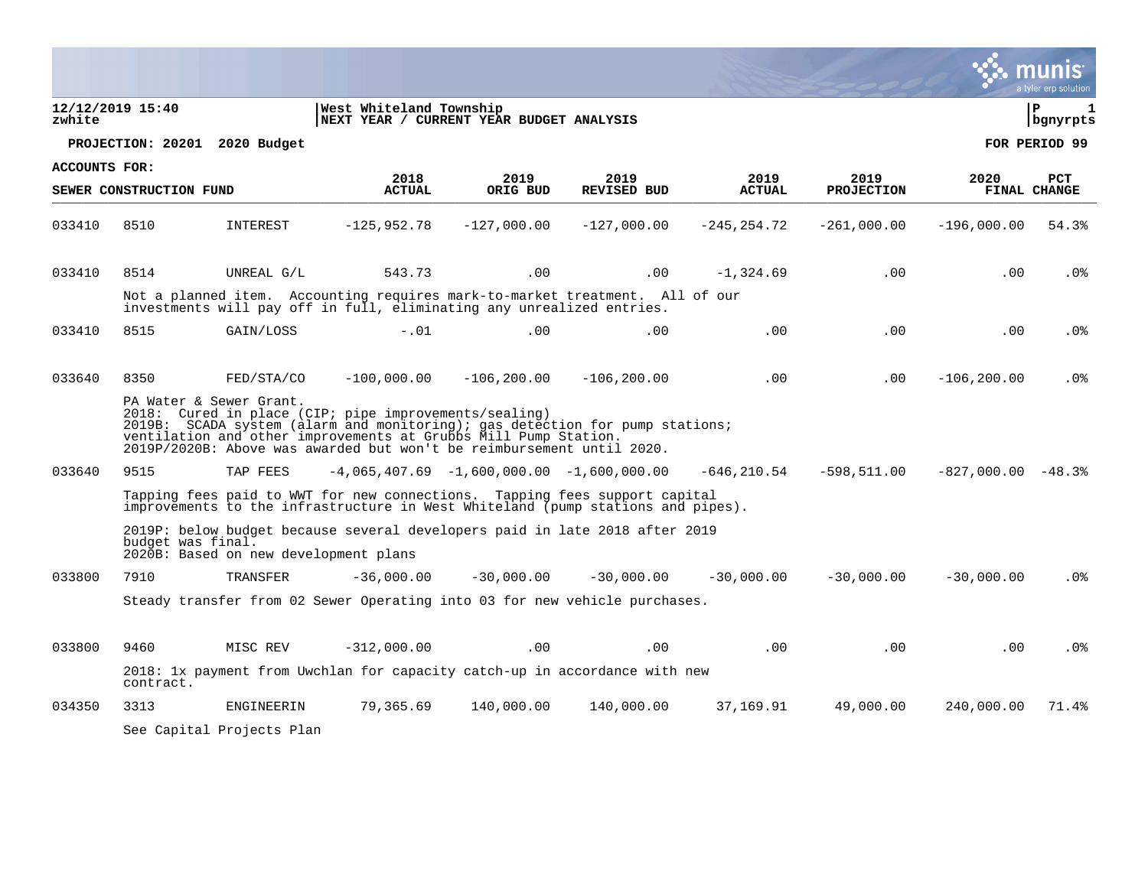|                      |                               |                                       |                                                                                                                                                                                                                                                                                   |                  |                            |                       |                           |                      | a tyler erp solution   |
|----------------------|-------------------------------|---------------------------------------|-----------------------------------------------------------------------------------------------------------------------------------------------------------------------------------------------------------------------------------------------------------------------------------|------------------|----------------------------|-----------------------|---------------------------|----------------------|------------------------|
| zwhite               | 12/12/2019 15:40              |                                       | West Whiteland Township<br>NEXT YEAR / CURRENT YEAR BUDGET ANALYSIS                                                                                                                                                                                                               |                  |                            |                       |                           |                      | ∣ P<br>1<br>  bgnyrpts |
|                      | PROJECTION: 20201 2020 Budget |                                       |                                                                                                                                                                                                                                                                                   |                  |                            |                       |                           |                      | FOR PERIOD 99          |
| <b>ACCOUNTS FOR:</b> | SEWER CONSTRUCTION FUND       |                                       | 2018<br><b>ACTUAL</b>                                                                                                                                                                                                                                                             | 2019<br>ORIG BUD | 2019<br><b>REVISED BUD</b> | 2019<br><b>ACTUAL</b> | 2019<br><b>PROJECTION</b> | 2020                 | PCT<br>FINAL CHANGE    |
| 033410               | 8510                          | INTEREST                              | $-125,952.78$                                                                                                                                                                                                                                                                     | $-127,000.00$    | $-127,000.00$              | $-245, 254.72$        | $-261,000.00$             | $-196,000.00$        | 54.3%                  |
| 033410               | 8514                          | UNREAL G/L                            | 543.73                                                                                                                                                                                                                                                                            | .00              | .00                        | $-1,324.69$           | .00                       | .00                  | $.0\%$                 |
|                      |                               |                                       | Not a planned item. Accounting requires mark-to-market treatment. All of our<br>investments will pay off in full, eliminating any unrealized entries.                                                                                                                             |                  |                            |                       |                           |                      |                        |
| 033410               | 8515                          | GAIN/LOSS                             | $-.01$                                                                                                                                                                                                                                                                            | .00              | .00.                       | $.00 \,$              | $.00 \,$                  | $.00 \,$             | .0%                    |
| 033640               | 8350                          | FED/STA/CO                            | $-100,000.00$                                                                                                                                                                                                                                                                     | $-106, 200.00$   | $-106, 200.00$             | .00                   | $.00 \,$                  | $-106, 200.00$       | .0 <sub>8</sub>        |
|                      |                               | PA Water & Sewer Grant.               | 2018: Cured in place (CIP; pipe improvements/sealing)<br>2019B: SCADA system (alarm and monitoring); gas detection for pump stations;<br>ventilation and other improvements at Grubbs Mill Pump Station.<br>2019P/2020B: Above was awarded but won't be reimbursement until 2020. |                  |                            |                       |                           |                      |                        |
| 033640               | 9515                          | TAP FEES                              | $-4,065,407.69$ $-1,600,000.00$ $-1,600,000.00$                                                                                                                                                                                                                                   |                  |                            | -646,210.54           | -598,511.00               | $-827,000.00 - 48.3$ |                        |
|                      |                               |                                       | Tapping fees paid to WWT for new connections. Tapping fees support capital<br>improvements to the infrastructure in West Whiteland (pump stations and pipes).                                                                                                                     |                  |                            |                       |                           |                      |                        |
|                      | budget was final.             | 2020B: Based on new development plans | 2019P: below budget because several developers paid in late 2018 after 2019                                                                                                                                                                                                       |                  |                            |                       |                           |                      |                        |
| 033800               | 7910                          | <b>TRANSFER</b>                       | $-36,000.00$                                                                                                                                                                                                                                                                      | $-30,000,00$     | $-30,000,00$               | $-30,000,00$          | $-30,000,00$              | $-30,000,00$         | .0%                    |
|                      |                               |                                       | Steady transfer from 02 Sewer Operating into 03 for new vehicle purchases.                                                                                                                                                                                                        |                  |                            |                       |                           |                      |                        |
| 033800               | 9460                          | MISC REV                              | $-312,000.00$                                                                                                                                                                                                                                                                     | .00              | .00                        | .00                   | .00                       | .00                  | $.0\%$                 |
|                      | contract.                     |                                       | 2018: 1x payment from Uwchlan for capacity catch-up in accordance with new                                                                                                                                                                                                        |                  |                            |                       |                           |                      |                        |
| 034350               | 3313                          | ENGINEERIN                            | 79,365.69                                                                                                                                                                                                                                                                         | 140,000.00       | 140,000.00                 | 37,169.91             | 49,000.00                 | 240,000.00           | 71.4%                  |
|                      |                               | See Capital Projects Plan             |                                                                                                                                                                                                                                                                                   |                  |                            |                       |                           |                      |                        |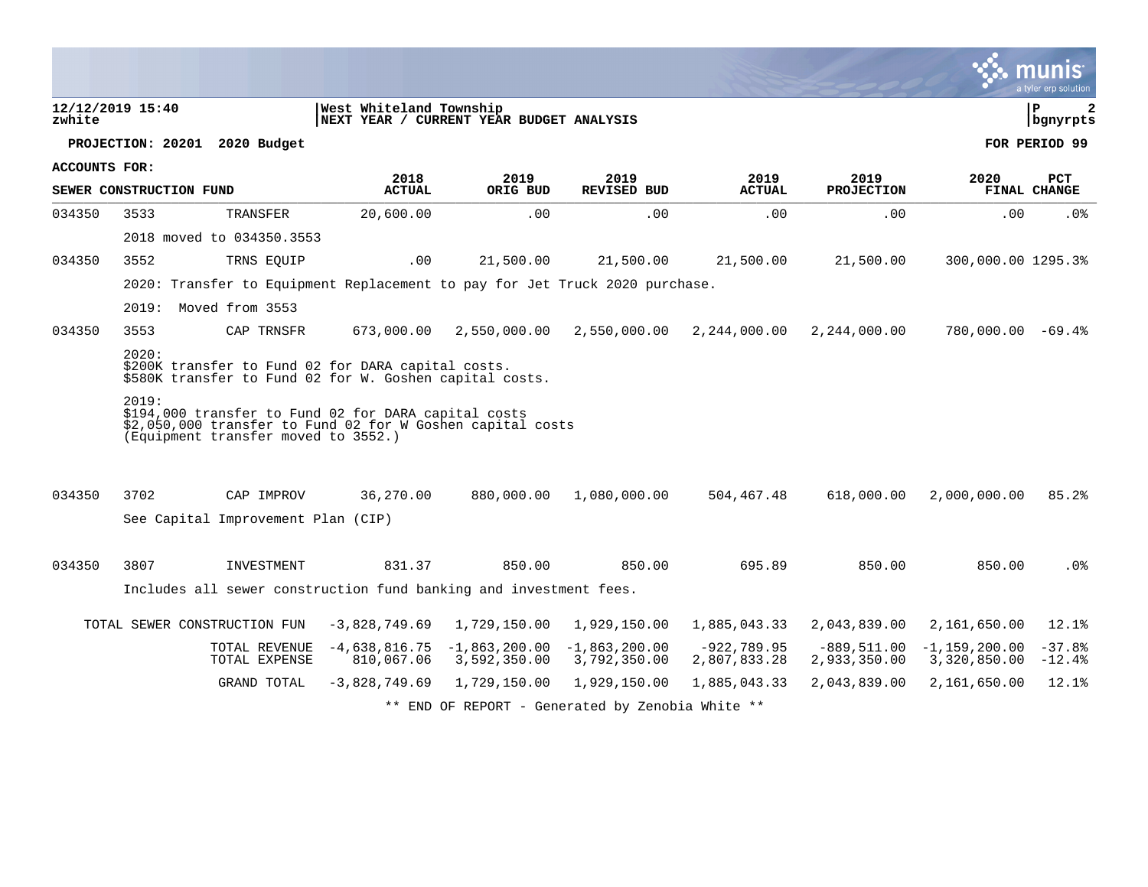|                      |                         |                                                                                                                                                           |                                                                     |                                 |                                                  |                               |                               |                                 | a tyler erp solution |
|----------------------|-------------------------|-----------------------------------------------------------------------------------------------------------------------------------------------------------|---------------------------------------------------------------------|---------------------------------|--------------------------------------------------|-------------------------------|-------------------------------|---------------------------------|----------------------|
| zwhite               | 12/12/2019 15:40        |                                                                                                                                                           | West Whiteland Township<br>NEXT YEAR / CURRENT YEAR BUDGET ANALYSIS |                                 |                                                  |                               |                               |                                 | l P<br>2<br>bgnyrpts |
|                      | PROJECTION: 20201       | 2020 Budget                                                                                                                                               |                                                                     |                                 |                                                  |                               |                               |                                 | FOR PERIOD 99        |
| <b>ACCOUNTS FOR:</b> |                         |                                                                                                                                                           | 2018                                                                | 2019                            | 2019                                             | 2019                          | 2019                          | 2020                            | <b>PCT</b>           |
|                      | SEWER CONSTRUCTION FUND |                                                                                                                                                           | <b>ACTUAL</b>                                                       | ORIG BUD                        | REVISED BUD                                      | <b>ACTUAL</b>                 | <b>PROJECTION</b>             |                                 | FINAL CHANGE         |
| 034350               | 3533                    | TRANSFER                                                                                                                                                  | 20,600.00                                                           | .00                             | .00                                              | .00                           | .00                           | .00                             | $.0\%$               |
|                      |                         | 2018 moved to 034350.3553                                                                                                                                 |                                                                     |                                 |                                                  |                               |                               |                                 |                      |
| 034350               | 3552                    | TRNS EQUIP                                                                                                                                                | .00                                                                 | 21,500.00                       | 21,500.00                                        | 21,500.00                     | 21,500.00                     | 300,000.00 1295.3%              |                      |
|                      |                         | 2020: Transfer to Equipment Replacement to pay for Jet Truck 2020 purchase.                                                                               |                                                                     |                                 |                                                  |                               |                               |                                 |                      |
|                      |                         | 2019: Moved from 3553                                                                                                                                     |                                                                     |                                 |                                                  |                               |                               |                                 |                      |
| 034350               | 3553                    | CAP TRNSFR                                                                                                                                                | 673,000.00                                                          | 2,550,000.00                    | 2,550,000.00                                     | 2,244,000.00                  | 2,244,000.00                  | $780,000.00 - 69.4$             |                      |
|                      | 2020:                   | \$200K transfer to Fund 02 for DARA capital costs.<br>\$580K transfer to Fund 02 for W. Goshen capital costs.                                             |                                                                     |                                 |                                                  |                               |                               |                                 |                      |
|                      | 2019:                   | \$194,000 transfer to Fund 02 for DARA capital costs<br>\$2,050,000 transfer to Fund 02 for W Goshen capital costs<br>(Equipment transfer moved to 3552.) |                                                                     |                                 |                                                  |                               |                               |                                 |                      |
| 034350               | 3702                    | CAP IMPROV                                                                                                                                                | 36,270.00                                                           | 880,000.00                      | 1,080,000.00                                     | 504,467.48                    | 618,000.00                    | 2,000,000.00                    | 85.2%                |
|                      |                         | See Capital Improvement Plan (CIP)                                                                                                                        |                                                                     |                                 |                                                  |                               |                               |                                 |                      |
| 034350               | 3807                    | INVESTMENT                                                                                                                                                | 831.37                                                              | 850.00                          | 850.00                                           | 695.89                        | 850.00                        | 850.00                          | $.0\%$               |
|                      |                         | Includes all sewer construction fund banking and investment fees.                                                                                         |                                                                     |                                 |                                                  |                               |                               |                                 |                      |
|                      |                         | TOTAL SEWER CONSTRUCTION FUN                                                                                                                              | $-3,828,749.69$                                                     | 1,729,150.00                    | 1,929,150.00                                     | 1,885,043.33                  | 2,043,839.00                  | 2,161,650.00                    | 12.1%                |
|                      |                         | TOTAL REVENUE<br>TOTAL EXPENSE                                                                                                                            | $-4,638,816.75$<br>810,067.06                                       | $-1,863,200.00$<br>3,592,350.00 | $-1,863,200.00$<br>3,792,350.00                  | $-922,789.95$<br>2,807,833.28 | $-889,511.00$<br>2,933,350.00 | $-1,159,200.00$<br>3,320,850.00 | $-37.8%$<br>$-12.4%$ |
|                      |                         | GRAND TOTAL                                                                                                                                               | $-3,828,749.69$                                                     | 1,729,150.00                    | 1,929,150.00                                     | 1,885,043.33                  | 2,043,839.00                  | 2,161,650.00                    | 12.1%                |
|                      |                         |                                                                                                                                                           |                                                                     |                                 | ** END OF REPORT - Generated by Zenobia White ** |                               |                               |                                 |                      |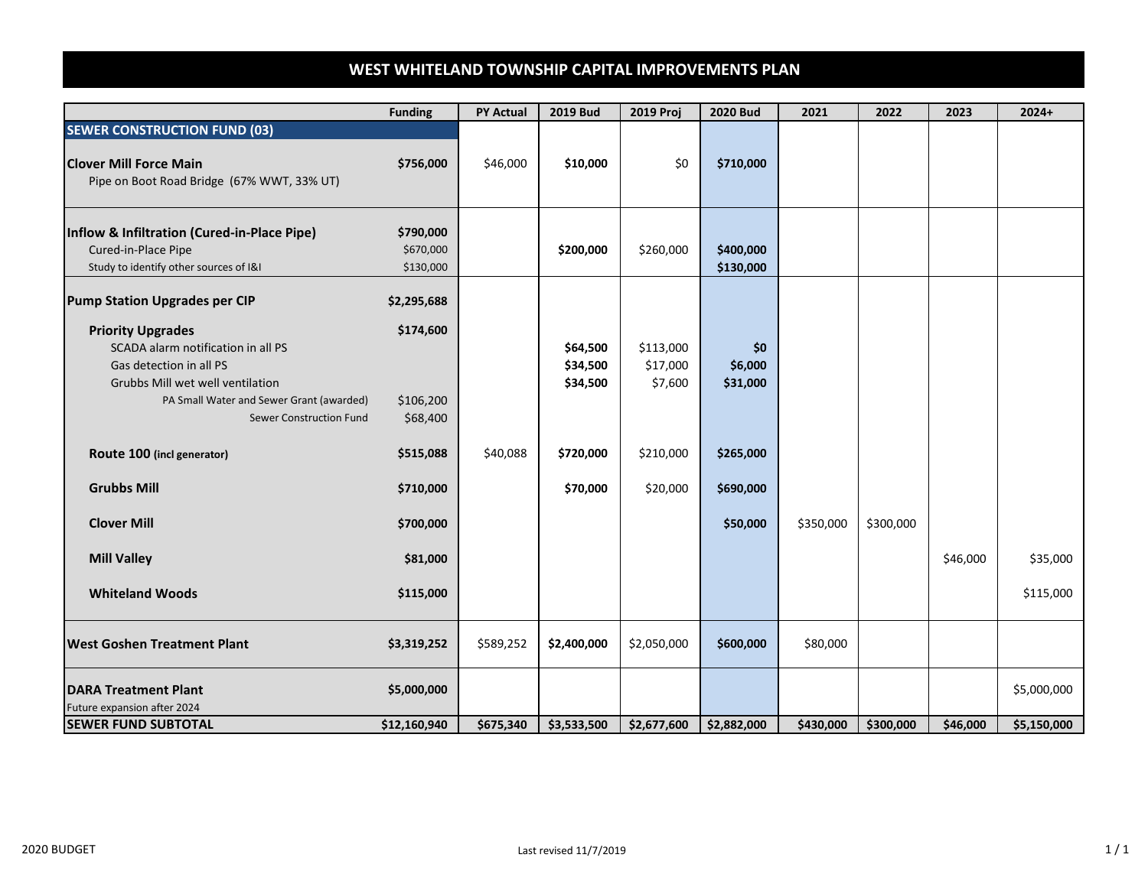# **WEST WHITELAND TOWNSHIP CAPITAL IMPROVEMENTS PLAN**

|                                                                                                                                                                                                      | <b>Funding</b>                      | <b>PY Actual</b> | <b>2019 Bud</b>                  | 2019 Proj                        | <b>2020 Bud</b>            | 2021      | 2022      | 2023     | $2024+$     |
|------------------------------------------------------------------------------------------------------------------------------------------------------------------------------------------------------|-------------------------------------|------------------|----------------------------------|----------------------------------|----------------------------|-----------|-----------|----------|-------------|
| <b>SEWER CONSTRUCTION FUND (03)</b><br><b>Clover Mill Force Main</b><br>Pipe on Boot Road Bridge (67% WWT, 33% UT)                                                                                   | \$756,000                           | \$46,000         | \$10,000                         | \$0                              | \$710,000                  |           |           |          |             |
| Inflow & Infiltration (Cured-in-Place Pipe)<br>Cured-in-Place Pipe<br>Study to identify other sources of I&I                                                                                         | \$790,000<br>\$670,000<br>\$130,000 |                  | \$200,000                        | \$260,000                        | \$400,000<br>\$130,000     |           |           |          |             |
| <b>Pump Station Upgrades per CIP</b>                                                                                                                                                                 | \$2,295,688                         |                  |                                  |                                  |                            |           |           |          |             |
| <b>Priority Upgrades</b><br>SCADA alarm notification in all PS<br>Gas detection in all PS<br>Grubbs Mill wet well ventilation<br>PA Small Water and Sewer Grant (awarded)<br>Sewer Construction Fund | \$174,600<br>\$106,200<br>\$68,400  |                  | \$64,500<br>\$34,500<br>\$34,500 | \$113,000<br>\$17,000<br>\$7,600 | \$0<br>\$6,000<br>\$31,000 |           |           |          |             |
| Route 100 (incl generator)                                                                                                                                                                           | \$515,088                           | \$40,088         | \$720,000                        | \$210,000                        | \$265,000                  |           |           |          |             |
| <b>Grubbs Mill</b>                                                                                                                                                                                   | \$710,000                           |                  | \$70,000                         | \$20,000                         | \$690,000                  |           |           |          |             |
| <b>Clover Mill</b>                                                                                                                                                                                   | \$700,000                           |                  |                                  |                                  | \$50,000                   | \$350,000 | \$300,000 |          |             |
| <b>Mill Valley</b>                                                                                                                                                                                   | \$81,000                            |                  |                                  |                                  |                            |           |           | \$46,000 | \$35,000    |
| <b>Whiteland Woods</b>                                                                                                                                                                               | \$115,000                           |                  |                                  |                                  |                            |           |           |          | \$115,000   |
| <b>West Goshen Treatment Plant</b>                                                                                                                                                                   | \$3,319,252                         | \$589,252        | \$2,400,000                      | \$2,050,000                      | \$600,000                  | \$80,000  |           |          |             |
| <b>DARA Treatment Plant</b><br>Future expansion after 2024                                                                                                                                           | \$5,000,000                         |                  |                                  |                                  |                            |           |           |          | \$5,000,000 |
| <b>SEWER FUND SUBTOTAL</b>                                                                                                                                                                           | \$12,160,940                        | \$675,340        | \$3,533,500                      | \$2,677,600                      | \$2,882,000                | \$430,000 | \$300,000 | \$46,000 | \$5,150,000 |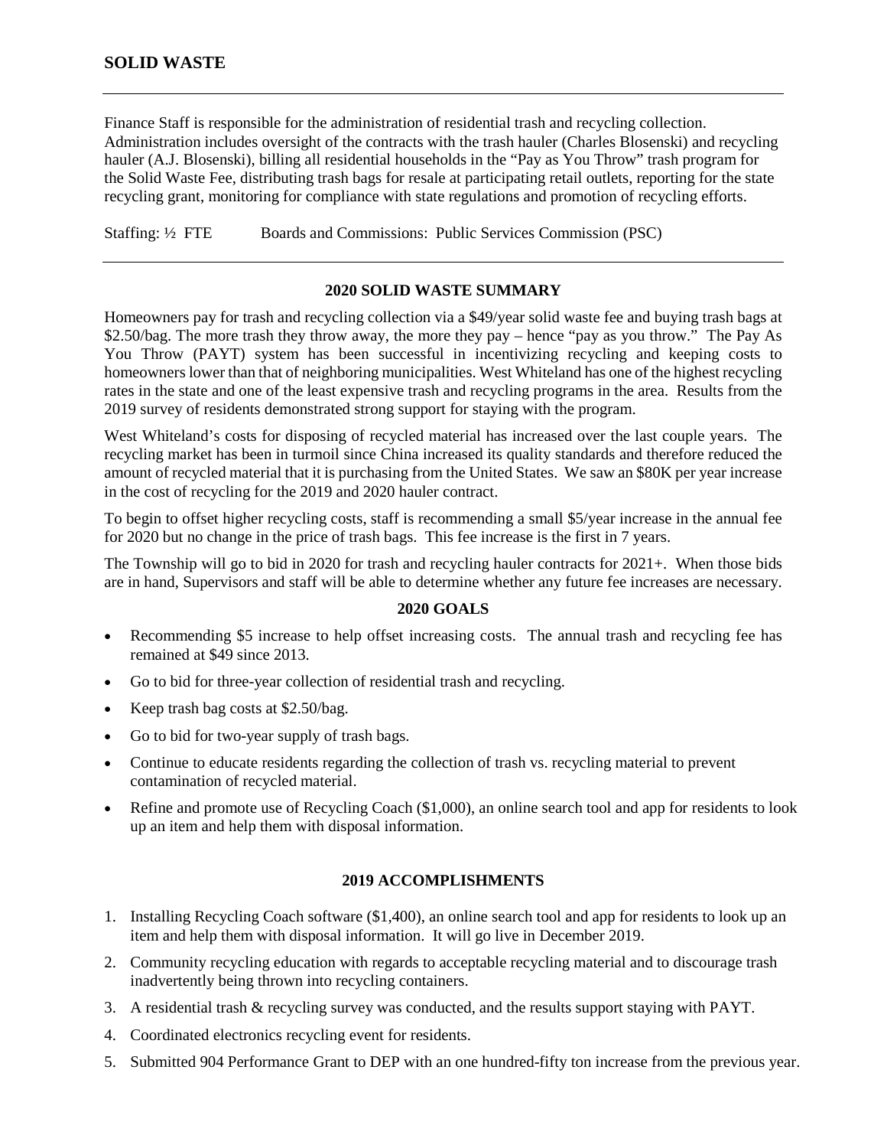## **SOLID WASTE**

Finance Staff is responsible for the administration of residential trash and recycling collection. Administration includes oversight of the contracts with the trash hauler (Charles Blosenski) and recycling hauler (A.J. Blosenski), billing all residential households in the "Pay as You Throw" trash program for the Solid Waste Fee, distributing trash bags for resale at participating retail outlets, reporting for the state recycling grant, monitoring for compliance with state regulations and promotion of recycling efforts.

Staffing: ½ FTE Boards and Commissions: Public Services Commission (PSC)

#### **2020 SOLID WASTE SUMMARY**

Homeowners pay for trash and recycling collection via a \$49/year solid waste fee and buying trash bags at \$2.50/bag. The more trash they throw away, the more they pay – hence "pay as you throw." The Pay As You Throw (PAYT) system has been successful in incentivizing recycling and keeping costs to homeowners lower than that of neighboring municipalities. West Whiteland has one of the highest recycling rates in the state and one of the least expensive trash and recycling programs in the area. Results from the 2019 survey of residents demonstrated strong support for staying with the program.

West Whiteland's costs for disposing of recycled material has increased over the last couple years. The recycling market has been in turmoil since China increased its quality standards and therefore reduced the amount of recycled material that it is purchasing from the United States. We saw an \$80K per year increase in the cost of recycling for the 2019 and 2020 hauler contract.

To begin to offset higher recycling costs, staff is recommending a small \$5/year increase in the annual fee for 2020 but no change in the price of trash bags. This fee increase is the first in 7 years.

The Township will go to bid in 2020 for trash and recycling hauler contracts for 2021+. When those bids are in hand, Supervisors and staff will be able to determine whether any future fee increases are necessary.

### **2020 GOALS**

- Recommending \$5 increase to help offset increasing costs. The annual trash and recycling fee has remained at \$49 since 2013.
- Go to bid for three-year collection of residential trash and recycling.
- Keep trash bag costs at \$2.50/bag.
- Go to bid for two-year supply of trash bags.
- Continue to educate residents regarding the collection of trash vs. recycling material to prevent contamination of recycled material.
- Refine and promote use of Recycling Coach (\$1,000), an online search tool and app for residents to look up an item and help them with disposal information.

#### **2019 ACCOMPLISHMENTS**

- 1. Installing Recycling Coach software (\$1,400), an online search tool and app for residents to look up an item and help them with disposal information. It will go live in December 2019.
- 2. Community recycling education with regards to acceptable recycling material and to discourage trash inadvertently being thrown into recycling containers.
- 3. A residential trash & recycling survey was conducted, and the results support staying with PAYT.
- 4. Coordinated electronics recycling event for residents.
- 5. Submitted 904 Performance Grant to DEP with an one hundred-fifty ton increase from the previous year.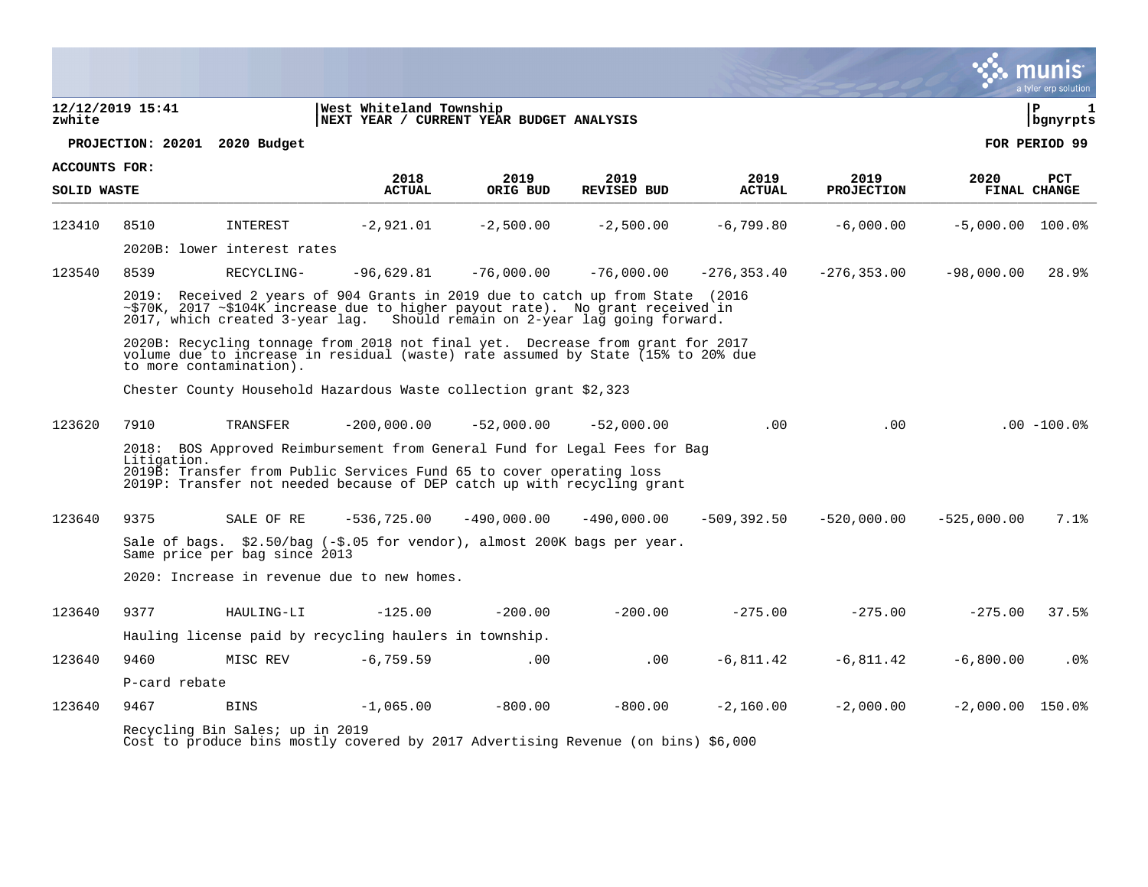|                              |                  |                                 |                                                                                                                                                                                                                                         |                  |                            |                       |                           |                    | a tyler erp solution              |
|------------------------------|------------------|---------------------------------|-----------------------------------------------------------------------------------------------------------------------------------------------------------------------------------------------------------------------------------------|------------------|----------------------------|-----------------------|---------------------------|--------------------|-----------------------------------|
| zwhite                       | 12/12/2019 15:41 |                                 | West Whiteland Township<br>NEXT YEAR / CURRENT YEAR BUDGET ANALYSIS                                                                                                                                                                     |                  |                            |                       |                           |                    | ∣ P<br>$\mathbf{1}$<br>  bgnyrpts |
|                              |                  | PROJECTION: 20201 2020 Budget   |                                                                                                                                                                                                                                         |                  |                            |                       |                           |                    | FOR PERIOD 99                     |
| ACCOUNTS FOR:<br>SOLID WASTE |                  |                                 | 2018<br><b>ACTUAL</b>                                                                                                                                                                                                                   | 2019<br>ORIG BUD | 2019<br><b>REVISED BUD</b> | 2019<br><b>ACTUAL</b> | 2019<br><b>PROJECTION</b> | 2020               | PCT<br>FINAL CHANGE               |
| 123410                       | 8510             | INTEREST                        | $-2,921.01$                                                                                                                                                                                                                             | $-2,500.00$      | $-2,500.00$                | $-6,799.80$           | $-6,000.00$               | $-5,000.00$ 100.0% |                                   |
|                              |                  | 2020B: lower interest rates     |                                                                                                                                                                                                                                         |                  |                            |                       |                           |                    |                                   |
| 123540                       | 8539             | RECYCLING-                      | $-96.629.81$                                                                                                                                                                                                                            | $-76,000.00$     | $-76,000,00$               | $-276, 353.40$        | $-276, 353.00$            | $-98,000.00$       | 28.9%                             |
|                              | 2019:            |                                 | Received 2 years of 904 Grants in 2019 due to catch up from State (2016<br>~\$70K, 2017 ~\$104K increase due to higher payout rate). No grant received in<br>2017, which created 3-year lag. Should remain on 2-year lag going forward. |                  |                            |                       |                           |                    |                                   |
|                              |                  | to more contamination).         | 2020B: Recycling tonnage from 2018 not final yet. Decrease from grant for 2017<br>volume due to increase in residual (waste) rate assumed by State (15% to 20% due                                                                      |                  |                            |                       |                           |                    |                                   |
|                              |                  |                                 | Chester County Household Hazardous Waste collection grant \$2,323                                                                                                                                                                       |                  |                            |                       |                           |                    |                                   |
| 123620                       | 7910             | TRANSFER                        | $-200,000.00$                                                                                                                                                                                                                           | $-52,000.00$     | $-52,000.00$               | .00                   | .00                       |                    | $.00 - 100.0$                     |
|                              | Litigation.      |                                 | 2018: BOS Approved Reimbursement from General Fund for Legal Fees for Bag<br>2019B: Transfer from Public Services Fund 65 to cover operating loss<br>2019P: Transfer not needed because of DEP catch up with recycling grant            |                  |                            |                       |                           |                    |                                   |
| 123640                       | 9375             | SALE OF RE                      | $-536,725.00$                                                                                                                                                                                                                           | $-490,000.00$    | $-490,000.00$              | $-509, 392.50$        | $-520,000.00$             | $-525,000.00$      | 7.1%                              |
|                              |                  | Same price per bag since 2013   | Sale of bags. \$2.50/bag $(-\$.05$ for vendor), almost 200K bags per year.                                                                                                                                                              |                  |                            |                       |                           |                    |                                   |
|                              |                  |                                 | 2020: Increase in revenue due to new homes.                                                                                                                                                                                             |                  |                            |                       |                           |                    |                                   |
| 123640                       | 9377             | HAULING-LI                      | $-125.00$                                                                                                                                                                                                                               | $-200.00$        | $-200.00$                  | $-275.00$             | $-275.00$                 | $-275.00$          | 37.5%                             |
|                              |                  |                                 | Hauling license paid by recycling haulers in township.                                                                                                                                                                                  |                  |                            |                       |                           |                    |                                   |
| 123640                       | 9460             | MISC REV                        | $-6, 759.59$                                                                                                                                                                                                                            | .00              | .00                        | $-6,811.42$           | $-6,811.42$               | $-6,800.00$        | $.0\%$                            |
|                              | P-card rebate    |                                 |                                                                                                                                                                                                                                         |                  |                            |                       |                           |                    |                                   |
| 123640                       | 9467             | <b>BINS</b>                     | $-1,065.00$                                                                                                                                                                                                                             | $-800.00$        | $-800.00$                  | $-2,160.00$           | $-2,000.00$               | $-2,000.00$ 150.0% |                                   |
|                              |                  | Recycling Bin Sales; up in 2019 | Cost to produce bins mostly covered by 2017 Advertising Revenue (on bins) \$6,000                                                                                                                                                       |                  |                            |                       |                           |                    |                                   |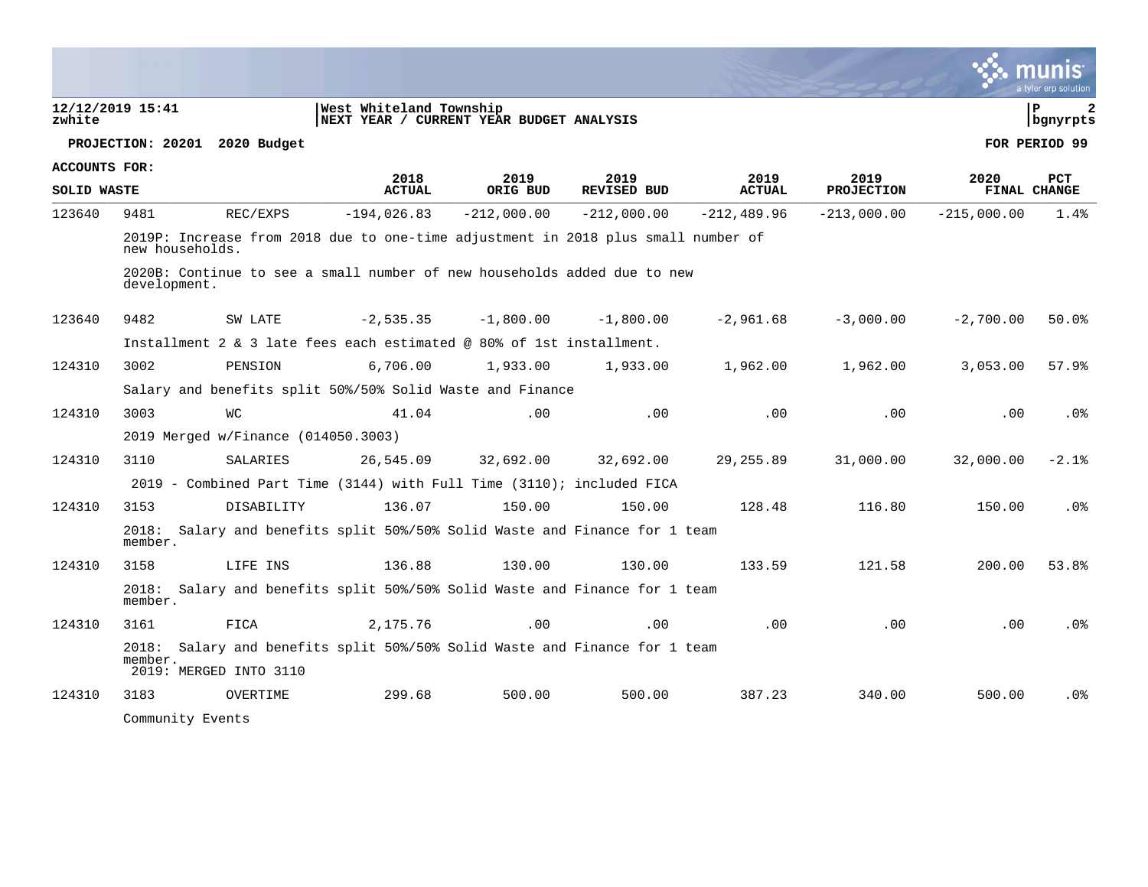|                      |                                     |            |                         |                                                                                   |                            |                       |                           |               | a tyler erp solution   |
|----------------------|-------------------------------------|------------|-------------------------|-----------------------------------------------------------------------------------|----------------------------|-----------------------|---------------------------|---------------|------------------------|
| zwhite               | 12/12/2019 15:41                    |            | West Whiteland Township | NEXT YEAR / CURRENT YEAR BUDGET ANALYSIS                                          |                            |                       |                           |               | l P<br>2<br>  bgnyrpts |
|                      | PROJECTION: 20201 2020 Budget       |            |                         |                                                                                   |                            |                       |                           |               | FOR PERIOD 99          |
| <b>ACCOUNTS FOR:</b> |                                     |            |                         |                                                                                   |                            |                       |                           |               |                        |
| <b>SOLID WASTE</b>   |                                     |            | 2018<br><b>ACTUAL</b>   | 2019<br>ORIG BUD                                                                  | 2019<br><b>REVISED BUD</b> | 2019<br><b>ACTUAL</b> | 2019<br><b>PROJECTION</b> | 2020          | PCT<br>FINAL CHANGE    |
| 123640               | 9481                                | REC/EXPS   | $-194,026.83$           | $-212,000.00$                                                                     | $-212.000.00$              | $-212.489.96$         | $-213,000.00$             | $-215,000.00$ | 1.4%                   |
|                      | new households.                     |            |                         | 2019P: Increase from 2018 due to one-time adjustment in 2018 plus small number of |                            |                       |                           |               |                        |
|                      | development.                        |            |                         | 2020B: Continue to see a small number of new households added due to new          |                            |                       |                           |               |                        |
| 123640               | 9482                                | SW LATE    | $-2,535.35$             | $-1,800.00$                                                                       | $-1,800.00$                | $-2,961.68$           | $-3,000.00$               | $-2,700.00$   | 50.0%                  |
|                      |                                     |            |                         | Installment 2 & 3 late fees each estimated $@ 80$ of 1st installment.             |                            |                       |                           |               |                        |
| 124310               | 3002                                | PENSION    | 6,706.00                | 1,933.00                                                                          | 1,933.00                   | 1,962.00              | 1,962.00                  | 3,053.00      | 57.9%                  |
|                      |                                     |            |                         | Salary and benefits split 50%/50% Solid Waste and Finance                         |                            |                       |                           |               |                        |
| 124310               | 3003                                | WС         | 41.04                   | .00                                                                               | .00                        | .00                   | .00                       | .00           | .0%                    |
|                      | 2019 Merged w/Finance (014050.3003) |            |                         |                                                                                   |                            |                       |                           |               |                        |
| 124310               | 3110                                | SALARIES   | 26,545.09               | 32,692.00                                                                         | 32,692.00                  | 29, 255.89            | 31,000.00                 | 32,000.00     | $-2.1%$                |
|                      |                                     |            |                         | 2019 - Combined Part Time (3144) with Full Time (3110); included FICA             |                            |                       |                           |               |                        |
| 124310               | 3153                                | DISABILITY | 136.07                  | 150.00                                                                            | 150.00                     | 128.48                | 116.80                    | 150.00        | .0 <sub>8</sub>        |
|                      | 2018:<br>member.                    |            |                         | Salary and benefits split 50%/50% Solid Waste and Finance for 1 team              |                            |                       |                           |               |                        |
| 124310               | 3158                                | LIFE INS   | 136.88                  | 130.00                                                                            | 130.00                     | 133.59                | 121.58                    | 200.00        | 53.8%                  |
|                      | member.                             |            |                         | 2018: Salary and benefits split 50%/50% Solid Waste and Finance for 1 team        |                            |                       |                           |               |                        |
| 124310               | 3161                                | FICA       | 2,175.76                | .00                                                                               | .00                        | .00                   | .00                       | .00           | .0%                    |
|                      | member.                             |            |                         | 2018: Salary and benefits split 50%/50% Solid Waste and Finance for 1 team        |                            |                       |                           |               |                        |
|                      | 2019: MERGED INTO 3110              |            |                         |                                                                                   |                            |                       |                           |               |                        |
| 124310               | 3183                                | OVERTIME   | 299.68                  | 500.00                                                                            | 500.00                     | 387.23                | 340.00                    | 500.00        | .0 <sub>8</sub>        |
|                      | Community Events                    |            |                         |                                                                                   |                            |                       |                           |               |                        |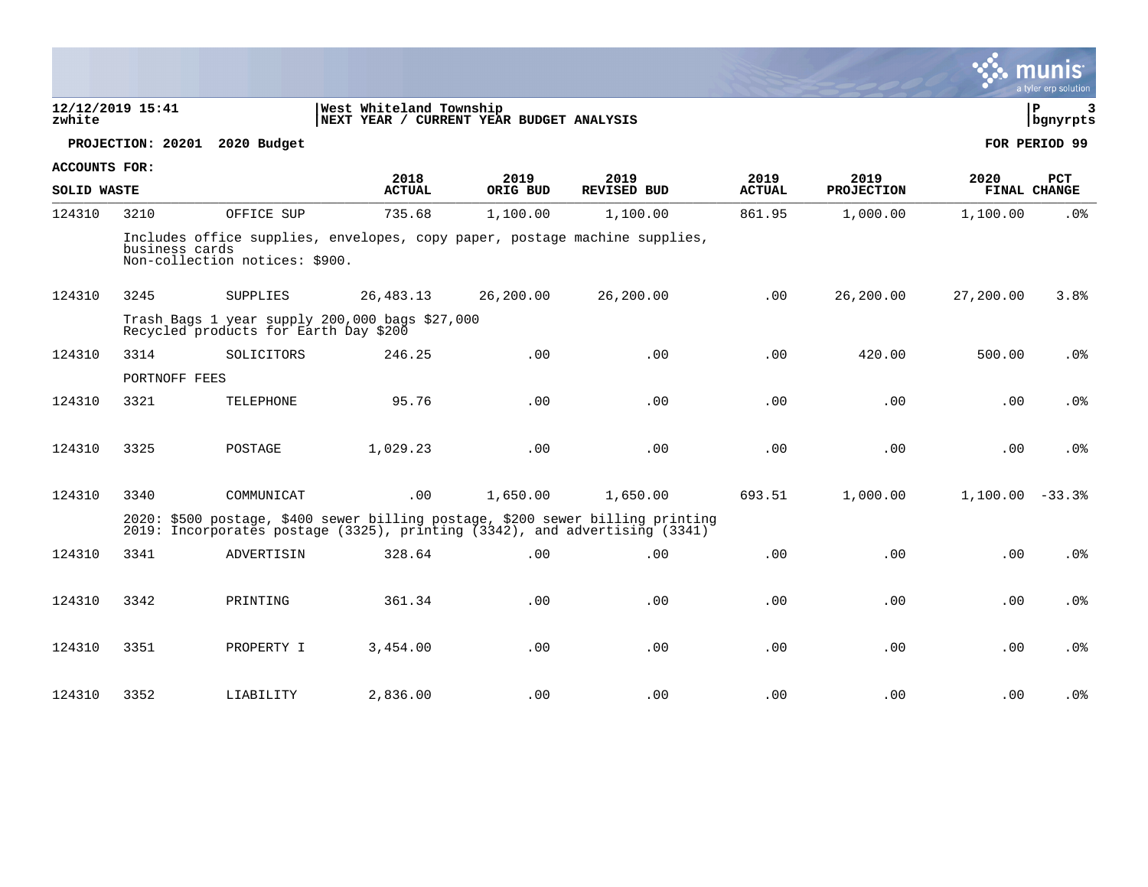|                      |                  |                                                                                         |                                                                     |                  |                                                                                                                                                                 |                       |                           |                   | a tyler erp solution |
|----------------------|------------------|-----------------------------------------------------------------------------------------|---------------------------------------------------------------------|------------------|-----------------------------------------------------------------------------------------------------------------------------------------------------------------|-----------------------|---------------------------|-------------------|----------------------|
| zwhite               | 12/12/2019 15:41 |                                                                                         | West Whiteland Township<br>NEXT YEAR / CURRENT YEAR BUDGET ANALYSIS |                  |                                                                                                                                                                 |                       |                           |                   | l P<br>3<br>bgnyrpts |
|                      |                  | PROJECTION: 20201 2020 Budget                                                           |                                                                     |                  |                                                                                                                                                                 |                       |                           |                   | FOR PERIOD 99        |
| <b>ACCOUNTS FOR:</b> |                  |                                                                                         |                                                                     |                  |                                                                                                                                                                 |                       |                           |                   |                      |
| <b>SOLID WASTE</b>   |                  |                                                                                         | 2018<br><b>ACTUAL</b>                                               | 2019<br>ORIG BUD | 2019<br><b>REVISED BUD</b>                                                                                                                                      | 2019<br><b>ACTUAL</b> | 2019<br><b>PROJECTION</b> | 2020              | PCT<br>FINAL CHANGE  |
| 124310               | 3210             | OFFICE SUP                                                                              | 735.68                                                              | 1,100.00         | 1,100.00                                                                                                                                                        | 861.95                | 1,000.00                  | 1,100.00          | .0%                  |
|                      | business cards   | Non-collection notices: \$900.                                                          |                                                                     |                  | Includes office supplies, envelopes, copy paper, postage machine supplies,                                                                                      |                       |                           |                   |                      |
| 124310               | 3245             | SUPPLIES                                                                                | 26, 483. 13                                                         | 26,200.00        | 26,200.00                                                                                                                                                       | .00                   | 26,200.00                 | 27,200.00         | 3.8%                 |
|                      |                  | Trash Bags 1 year supply 200,000 bags \$27,000<br>Recycled products for Earth Day \$200 |                                                                     |                  |                                                                                                                                                                 |                       |                           |                   |                      |
| 124310               | 3314             | SOLICITORS                                                                              | 246.25                                                              | .00              | .00                                                                                                                                                             | .00                   | 420.00                    | 500.00            | .0%                  |
|                      | PORTNOFF FEES    |                                                                                         |                                                                     |                  |                                                                                                                                                                 |                       |                           |                   |                      |
| 124310               | 3321             | TELEPHONE                                                                               | 95.76                                                               | .00              | .00                                                                                                                                                             | .00                   | .00                       | .00               | .0 <sub>8</sub>      |
| 124310               | 3325             | POSTAGE                                                                                 | 1,029.23                                                            | .00              | .00                                                                                                                                                             | .00                   | .00                       | .00               | .0 <sub>8</sub>      |
|                      |                  |                                                                                         |                                                                     |                  |                                                                                                                                                                 |                       |                           |                   |                      |
| 124310               | 3340             | COMMUNICAT                                                                              | .00                                                                 | 1,650.00         | 1,650.00                                                                                                                                                        | 693.51                | 1,000.00                  | $1,100.00 - 33.3$ |                      |
|                      |                  |                                                                                         |                                                                     |                  | 2020: \$500 postage, \$400 sewer billing postage, \$200 sewer billing printing<br>2019: Incorporates postage (3325), printing $(3342)$ , and advertising (3341) |                       |                           |                   |                      |
| 124310               | 3341             | ADVERTISIN                                                                              | 328.64                                                              | .00              | .00                                                                                                                                                             | .00                   | .00                       | .00               | .0%                  |
|                      |                  |                                                                                         |                                                                     |                  |                                                                                                                                                                 |                       |                           |                   |                      |
| 124310               | 3342             | PRINTING                                                                                | 361.34                                                              | .00              | .00                                                                                                                                                             | .00                   | .00                       | .00               | .0 <sub>8</sub>      |
|                      |                  |                                                                                         |                                                                     |                  |                                                                                                                                                                 |                       |                           |                   |                      |
| 124310               | 3351             | PROPERTY I                                                                              | 3,454.00                                                            | .00              | .00                                                                                                                                                             | .00                   | .00                       | .00               | .0%                  |
| 124310               | 3352             | LIABILITY                                                                               | 2,836.00                                                            | .00              | .00                                                                                                                                                             | .00                   | .00                       | .00               | .0%                  |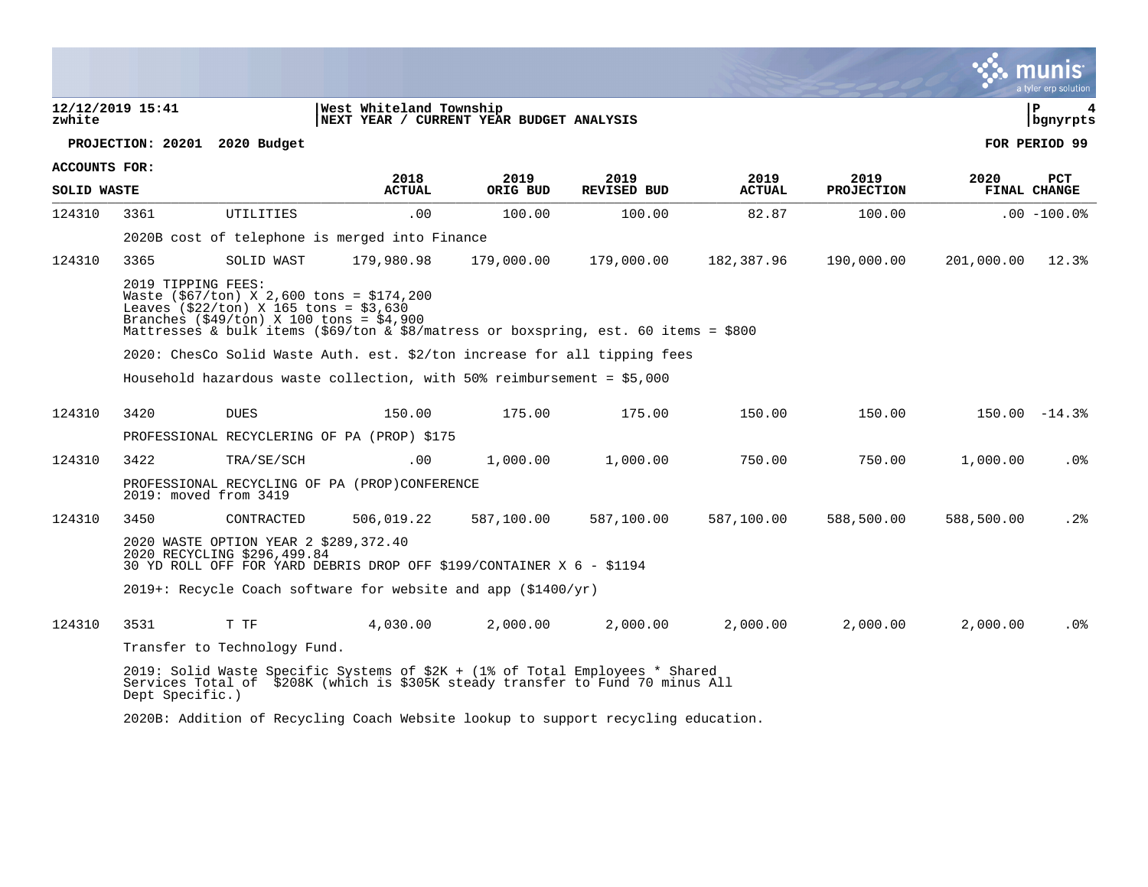|                      |                                                                      |                                                                                                                                                                                       |                  |                            |                       |                           |            | a tyler erp solution       |
|----------------------|----------------------------------------------------------------------|---------------------------------------------------------------------------------------------------------------------------------------------------------------------------------------|------------------|----------------------------|-----------------------|---------------------------|------------|----------------------------|
| zwhite               | 12/12/2019 15:41                                                     | West Whiteland Township<br>NEXT YEAR / CURRENT YEAR BUDGET ANALYSIS                                                                                                                   |                  |                            |                       |                           |            | l P<br>bgnyrpts            |
|                      | PROJECTION: 20201 2020 Budget                                        |                                                                                                                                                                                       |                  |                            |                       |                           |            | FOR PERIOD 99              |
| <b>ACCOUNTS FOR:</b> |                                                                      |                                                                                                                                                                                       |                  |                            |                       |                           |            |                            |
| <b>SOLID WASTE</b>   |                                                                      | 2018<br><b>ACTUAL</b>                                                                                                                                                                 | 2019<br>ORIG BUD | 2019<br><b>REVISED BUD</b> | 2019<br><b>ACTUAL</b> | 2019<br><b>PROJECTION</b> | 2020       | <b>PCT</b><br>FINAL CHANGE |
| 124310               | UTILITIES<br>3361                                                    | .00                                                                                                                                                                                   | 100.00           | 100.00                     | 82.87                 | 100.00                    |            | $.00 - 100.0$              |
|                      |                                                                      | 2020B cost of telephone is merged into Finance                                                                                                                                        |                  |                            |                       |                           |            |                            |
| 124310               | 3365<br>SOLID WAST                                                   | 179,980.98                                                                                                                                                                            | 179,000.00       | 179,000.00                 | 182,387.96            | 190,000.00                | 201,000.00 | 12.3%                      |
|                      | 2019 TIPPING FEES:<br>Leaves $(522/ton)$ X 165 tons = $53,630$       | Waste $(\frac{567}{ton})$ X 2,600 tons = \$174,200<br>Branches (\$49/ton) X 100 tons = \$4,900<br>Mattresses & bulk items (\$69/ton & \$8/matress or boxspring, est. 60 items = \$800 |                  |                            |                       |                           |            |                            |
|                      |                                                                      | 2020: ChesCo Solid Waste Auth. est. \$2/ton increase for all tipping fees                                                                                                             |                  |                            |                       |                           |            |                            |
|                      |                                                                      | Household hazardous waste collection, with 50% reimbursement = \$5,000                                                                                                                |                  |                            |                       |                           |            |                            |
| 124310               | 3420<br><b>DUES</b>                                                  | 150.00                                                                                                                                                                                | 175.00           | 175.00                     | 150.00                | 150.00                    |            | $150.00 - 14.38$           |
|                      |                                                                      | PROFESSIONAL RECYCLERING OF PA (PROP) \$175                                                                                                                                           |                  |                            |                       |                           |            |                            |
| 124310               | 3422<br>TRA/SE/SCH                                                   | $.00 \ \rm$                                                                                                                                                                           | 1,000.00         | 1,000.00                   | 750.00                | 750.00                    | 1,000.00   | $.0\%$                     |
|                      | 2019: moved from 3419                                                | PROFESSIONAL RECYCLING OF PA (PROP)CONFERENCE                                                                                                                                         |                  |                            |                       |                           |            |                            |
| 124310               | 3450<br>CONTRACTED                                                   | 506,019.22                                                                                                                                                                            | 587,100.00       | 587,100.00                 | 587,100.00            | 588,500.00                | 588,500.00 | .2%                        |
|                      | 2020 WASTE OPTION YEAR 2 \$289,372.40<br>2020 RECYCLING \$296,499.84 | 30 YD ROLL OFF FOR YARD DEBRIS DROP OFF \$199/CONTAINER X 6 - \$1194                                                                                                                  |                  |                            |                       |                           |            |                            |
|                      |                                                                      | $2019+$ : Recycle Coach software for website and app (\$1400/yr)                                                                                                                      |                  |                            |                       |                           |            |                            |
| 124310               | T TF<br>3531                                                         | 4,030.00                                                                                                                                                                              | 2,000.00         | 2,000.00                   | 2,000.00              | 2,000.00                  | 2,000.00   | .0%                        |
|                      | Transfer to Technology Fund.                                         |                                                                                                                                                                                       |                  |                            |                       |                           |            |                            |
|                      | Dept Specific.)                                                      | 2019: Solid Waste Specific Systems of \$2K + (1% of Total Employees * Shared<br>Services Total of \$208K (which is \$305K steady transfer to Fund 70 minus All                        |                  |                            |                       |                           |            |                            |
|                      |                                                                      | 2020B: Addition of Recycling Coach Website lookup to support recycling education.                                                                                                     |                  |                            |                       |                           |            |                            |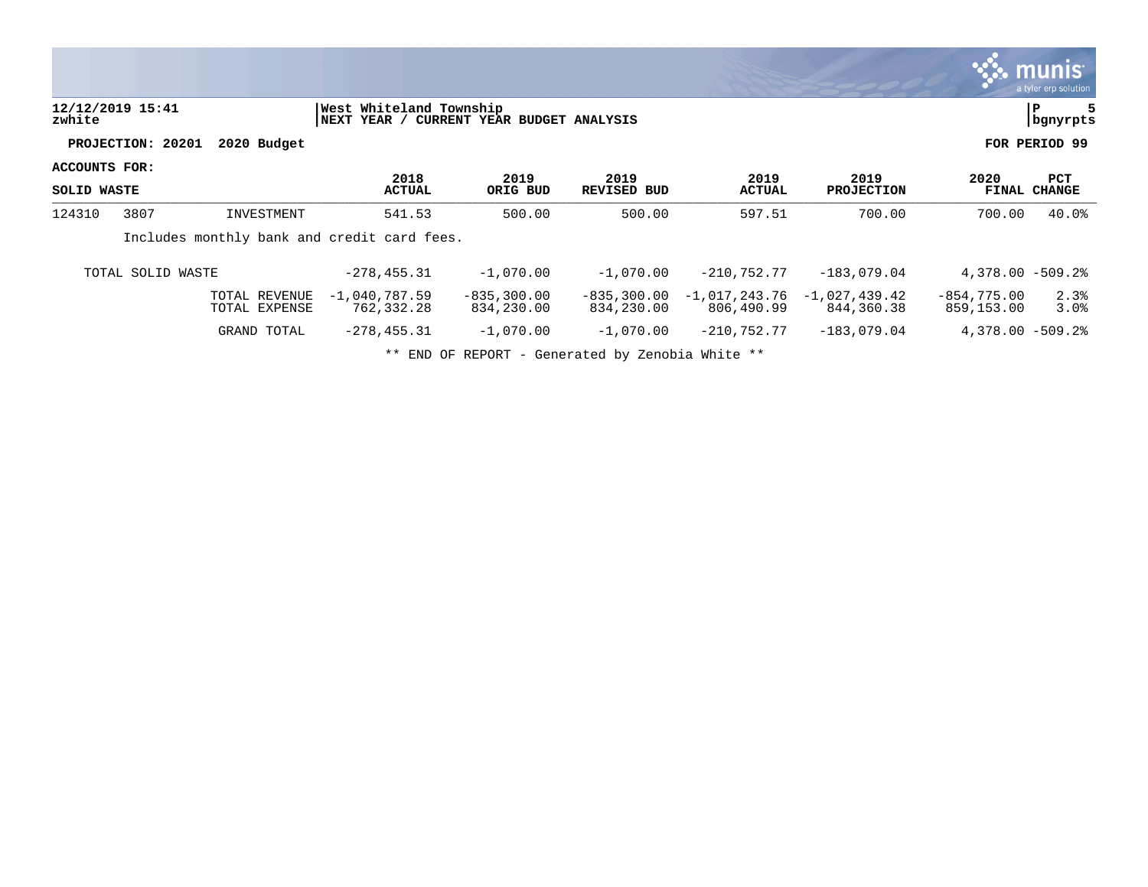|                              |                   |                                |                                             |                              |                              |                               |                               |                             | munis <b>m</b><br>a tyler erp solution |
|------------------------------|-------------------|--------------------------------|---------------------------------------------|------------------------------|------------------------------|-------------------------------|-------------------------------|-----------------------------|----------------------------------------|
| zwhite                       | 12/12/2019 15:41  |                                | West Whiteland Township<br> NEXT YEAR /     | CURRENT YEAR BUDGET ANALYSIS |                              |                               |                               |                             | P<br>bgnyrpts                          |
|                              | PROJECTION: 20201 | 2020 Budget                    |                                             |                              |                              |                               |                               |                             | FOR PERIOD 99                          |
| ACCOUNTS FOR:<br>SOLID WASTE |                   |                                | 2018<br><b>ACTUAL</b>                       | 2019<br>ORIG BUD             | 2019<br><b>REVISED BUD</b>   | 2019<br><b>ACTUAL</b>         | 2019<br><b>PROJECTION</b>     | 2020<br><b>FINAL</b>        | PCT<br><b>CHANGE</b>                   |
| 124310                       | 3807              | INVESTMENT                     | 541.53                                      | 500.00                       | 500.00                       | 597.51                        | 700.00                        | 700.00                      | 40.0%                                  |
|                              |                   |                                | Includes monthly bank and credit card fees. |                              |                              |                               |                               |                             |                                        |
|                              | TOTAL SOLID WASTE |                                | $-278, 455.31$                              | $-1,070.00$                  | $-1,070.00$                  | $-210,752.77$                 | $-183,079.04$                 | $4,378.00 - 509.28$         |                                        |
|                              |                   | TOTAL REVENUE<br>TOTAL EXPENSE | $-1,040,787.59$<br>762,332.28               | $-835, 300.00$<br>834,230.00 | $-835, 300.00$<br>834,230.00 | $-1,017,243.76$<br>806,490.99 | $-1,027,439.42$<br>844,360.38 | $-854,775.00$<br>859,153.00 | 2.3%<br>3.0%                           |
|                              |                   | GRAND TOTAL                    | $-278, 455.31$                              | $-1,070.00$                  | $-1,070.00$                  | $-210,752.77$                 | $-183,079.04$                 | $4,378.00 - 509.28$         |                                        |
|                              |                   |                                |                                             |                              |                              |                               |                               |                             |                                        |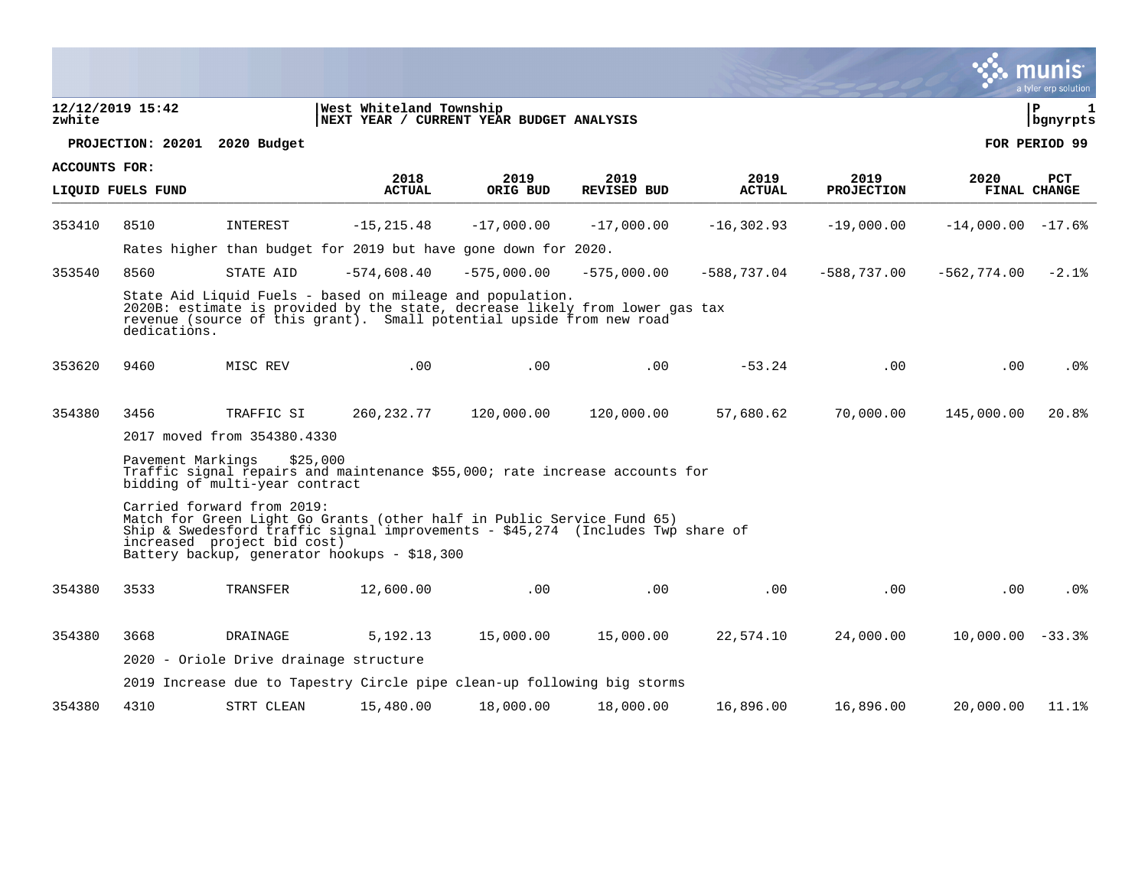|                      |                   |                                                           |                                                                                                                                                                                                                   |               |                    |               |                           |                    | mu<br>a tyler erp solution |
|----------------------|-------------------|-----------------------------------------------------------|-------------------------------------------------------------------------------------------------------------------------------------------------------------------------------------------------------------------|---------------|--------------------|---------------|---------------------------|--------------------|----------------------------|
| zwhite               | 12/12/2019 15:42  |                                                           | West Whiteland Township<br>NEXT YEAR / CURRENT YEAR BUDGET ANALYSIS                                                                                                                                               |               |                    |               |                           |                    | ΙP<br>1<br>bgnyrpts        |
|                      |                   | PROJECTION: 20201 2020 Budget                             |                                                                                                                                                                                                                   |               |                    |               |                           |                    | FOR PERIOD 99              |
| <b>ACCOUNTS FOR:</b> |                   |                                                           | 2018                                                                                                                                                                                                              | 2019          | 2019               | 2019          |                           | 2020               | <b>PCT</b>                 |
|                      | LIQUID FUELS FUND |                                                           | <b>ACTUAL</b>                                                                                                                                                                                                     | ORIG BUD      | <b>REVISED BUD</b> | <b>ACTUAL</b> | 2019<br><b>PROJECTION</b> |                    | FINAL CHANGE               |
| 353410               | 8510              | INTEREST                                                  | $-15, 215.48$                                                                                                                                                                                                     | $-17,000.00$  | $-17,000.00$       | $-16, 302.93$ | $-19,000.00$              | $-14,000.00 -17.6$ |                            |
|                      |                   |                                                           | Rates higher than budget for 2019 but have gone down for 2020.                                                                                                                                                    |               |                    |               |                           |                    |                            |
| 353540               | 8560              | STATE AID                                                 | $-574,608.40$                                                                                                                                                                                                     | $-575,000.00$ | $-575,000.00$      | $-588,737.04$ | $-588,737.00$             | $-562,774.00$      | $-2.1$ $8$                 |
|                      | dedications.      |                                                           | State Aid Liquid Fuels - based on mileage and population.<br>2020B: estimate is provided by the state, decrease likely from lower gas tax<br>revenue (source of this grant). Small potential upside from new road |               |                    |               |                           |                    |                            |
| 353620               | 9460              | MISC REV                                                  | .00                                                                                                                                                                                                               | .00           | .00                | $-53.24$      | .00                       | .00                | . 0 %                      |
| 354380               | 3456              | TRAFFIC SI                                                | 260,232.77                                                                                                                                                                                                        | 120,000.00    | 120,000.00         | 57,680.62     | 70,000.00                 | 145,000.00         | 20.8%                      |
|                      |                   | 2017 moved from 354380.4330                               |                                                                                                                                                                                                                   |               |                    |               |                           |                    |                            |
|                      | Pavement Markings | \$25,000<br>bidding of multi-year contract                | Traffic signal repairs and maintenance \$55,000; rate increase accounts for                                                                                                                                       |               |                    |               |                           |                    |                            |
|                      |                   | Carried forward from 2019:<br>increased project bid cost) | Match for Green Light Go Grants (other half in Public Service Fund 65)<br>Ship & Swedesford traffic signal improvements - $$45,274$ (Includes Twp share of<br>Battery backup, generator hookups - \$18,300        |               |                    |               |                           |                    |                            |
| 354380               | 3533              | TRANSFER                                                  | 12,600.00                                                                                                                                                                                                         | .00           | .00                | .00           | $.00 \,$                  | .00                | $.0\%$                     |
| 354380               | 3668              | DRAINAGE                                                  | 5, 192. 13                                                                                                                                                                                                        | 15,000.00     | 15,000.00          | 22,574.10     | 24,000.00                 | $10,000.00 - 33.3$ |                            |
|                      |                   | 2020 - Oriole Drive drainage structure                    |                                                                                                                                                                                                                   |               |                    |               |                           |                    |                            |
|                      |                   |                                                           | 2019 Increase due to Tapestry Circle pipe clean-up following big storms                                                                                                                                           |               |                    |               |                           |                    |                            |
| 354380               | 4310              | STRT CLEAN                                                | 15,480.00                                                                                                                                                                                                         | 18,000.00     | 18,000.00          | 16,896.00     | 16,896.00                 | 20,000.00          | 11.1%                      |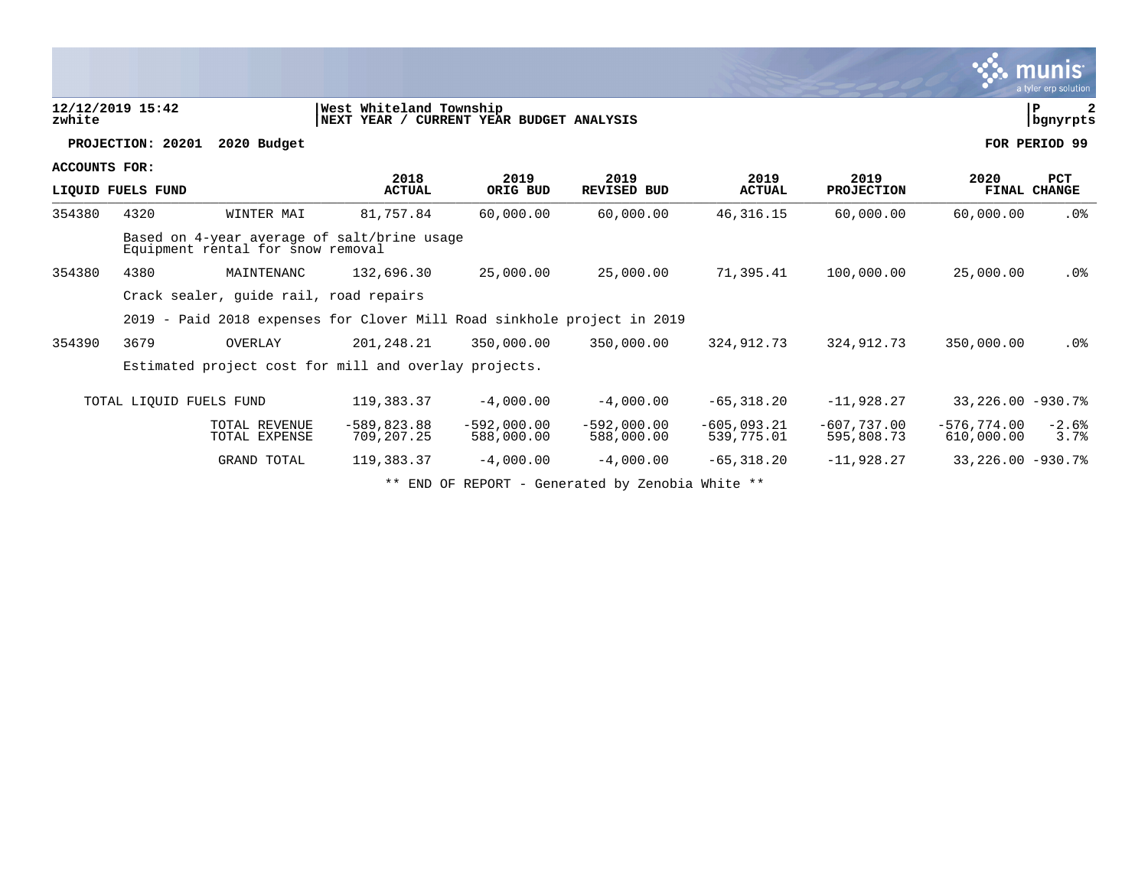|                      |                         |                                                                                  |                                                                      |                             |                             |                             |                             |                             | a tyler erp solution       |
|----------------------|-------------------------|----------------------------------------------------------------------------------|----------------------------------------------------------------------|-----------------------------|-----------------------------|-----------------------------|-----------------------------|-----------------------------|----------------------------|
| zwhite               | 12/12/2019 15:42        |                                                                                  | West Whiteland Township<br> NEXT YEAR / CURRENT YEAR BUDGET ANALYSIS |                             |                             |                             |                             |                             | ${\bf P}$<br>bgnyrpts      |
|                      | PROJECTION: 20201       | 2020 Budget                                                                      |                                                                      |                             |                             |                             |                             |                             | FOR PERIOD 99              |
| <b>ACCOUNTS FOR:</b> | LIQUID FUELS FUND       |                                                                                  | 2018<br><b>ACTUAL</b>                                                | 2019<br>ORIG BUD            | 2019<br><b>REVISED BUD</b>  | 2019<br><b>ACTUAL</b>       | 2019<br><b>PROJECTION</b>   | 2020                        | <b>PCT</b><br>FINAL CHANGE |
| 354380               | 4320                    | WINTER MAI                                                                       | 81,757.84                                                            | 60,000.00                   | 60,000.00                   | 46, 316. 15                 | 60,000.00                   | 60,000.00                   | .0%                        |
|                      |                         | Based on 4-year average of salt/brine usage<br>Equipment rental for snow removal |                                                                      |                             |                             |                             |                             |                             |                            |
| 354380               | 4380                    | MAINTENANC                                                                       | 132,696.30                                                           | 25,000.00                   | 25,000.00                   | 71,395.41                   | 100,000.00                  | 25,000.00                   | .0%                        |
|                      |                         | Crack sealer, quide rail, road repairs                                           |                                                                      |                             |                             |                             |                             |                             |                            |
|                      |                         | 2019 - Paid 2018 expenses for Clover Mill Road sinkhole project in 2019          |                                                                      |                             |                             |                             |                             |                             |                            |
| 354390               | 3679                    | OVERLAY                                                                          | 201, 248.21                                                          | 350,000.00                  | 350,000.00                  | 324, 912. 73                | 324, 912. 73                | 350,000.00                  | .0 <sup>8</sup>            |
|                      |                         | Estimated project cost for mill and overlay projects.                            |                                                                      |                             |                             |                             |                             |                             |                            |
|                      | TOTAL LIQUID FUELS FUND |                                                                                  | 119,383.37                                                           | $-4,000.00$                 | $-4,000.00$                 | $-65, 318.20$               | $-11,928.27$                | $33,226.00 -930.78$         |                            |
|                      |                         | TOTAL REVENUE<br>TOTAL EXPENSE                                                   | $-589, 823.88$<br>709, 207. 25                                       | $-592.000.00$<br>588,000.00 | $-592,000.00$<br>588,000.00 | $-605.093.21$<br>539,775.01 | $-607,737.00$<br>595,808.73 | $-576.774.00$<br>610,000.00 | $-2.6%$<br>3.7%            |
|                      |                         | GRAND TOTAL                                                                      | 119,383.37                                                           | $-4,000.00$                 | $-4,000.00$                 | $-65, 318.20$               | $-11,928.27$                | 33, 226.00 -930.7%          |                            |
|                      |                         |                                                                                  |                                                                      |                             |                             |                             |                             |                             |                            |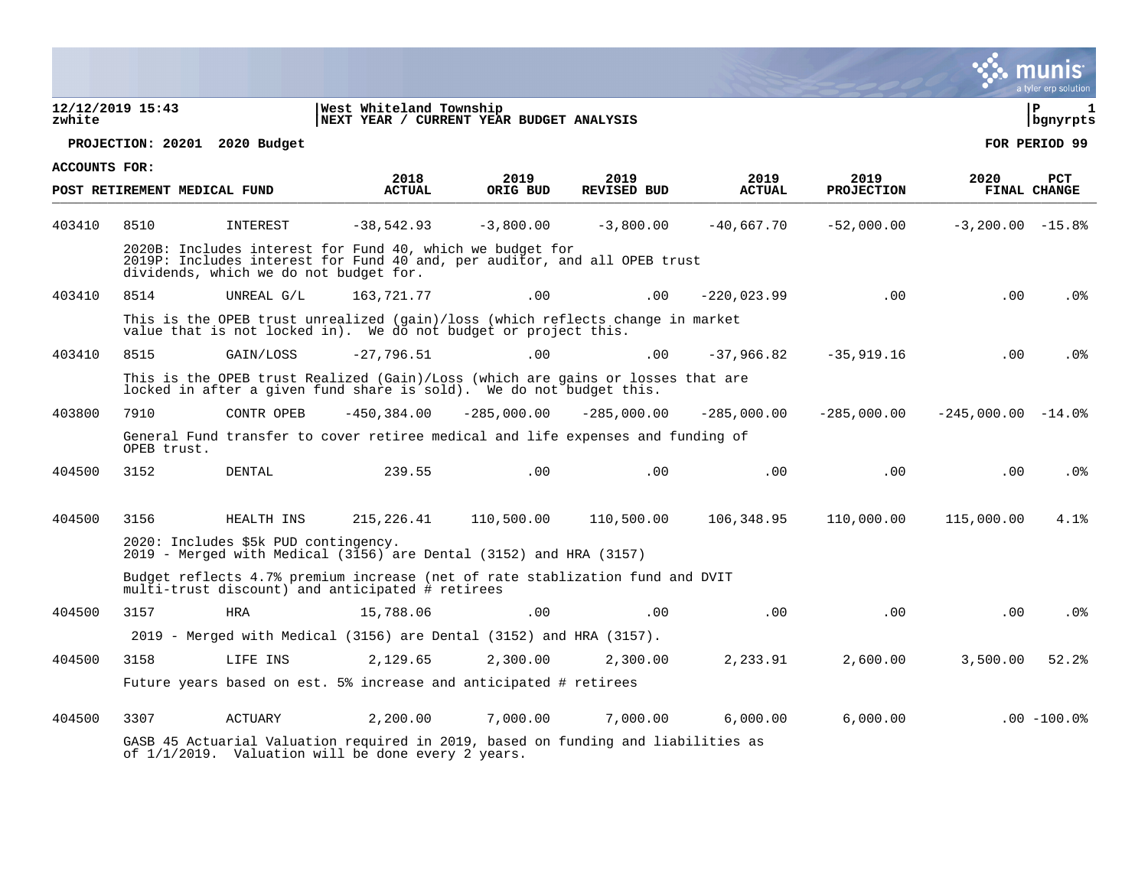|                      |                               |                                        |                                                                                                                                                        |               |                    |               |                   |                     | munis<br>a tyler erp solution |
|----------------------|-------------------------------|----------------------------------------|--------------------------------------------------------------------------------------------------------------------------------------------------------|---------------|--------------------|---------------|-------------------|---------------------|-------------------------------|
| zwhite               | 12/12/2019 15:43              |                                        | West Whiteland Township<br>NEXT YEAR / CURRENT YEAR BUDGET ANALYSIS                                                                                    |               |                    |               |                   |                     | l P<br>1<br>  bgnyrpts        |
|                      | PROJECTION: 20201 2020 Budget |                                        |                                                                                                                                                        |               |                    |               |                   |                     | FOR PERIOD 99                 |
| <b>ACCOUNTS FOR:</b> |                               |                                        | 2018                                                                                                                                                   | 2019          | 2019               | 2019          | 2019              | 2020                | PCT                           |
|                      | POST RETIREMENT MEDICAL FUND  |                                        | <b>ACTUAL</b>                                                                                                                                          | ORIG BUD      | <b>REVISED BUD</b> | <b>ACTUAL</b> | <b>PROJECTION</b> |                     | FINAL CHANGE                  |
| 403410               | 8510                          | INTEREST                               | $-38.542.93$                                                                                                                                           | $-3,800,00$   | $-3,800.00$        | $-40.667.70$  | $-52,000.00$      | $-3,200.00 -15.8$   |                               |
|                      |                               | dividends, which we do not budget for. | 2020B: Includes interest for Fund 40, which we budget for<br>2019P: Includes interest for Fund 40 and, per auditor, and all OPEB trust                 |               |                    |               |                   |                     |                               |
| 403410               | 8514                          | UNREAL G/L                             | 163,721.77                                                                                                                                             | .00           | .00                | $-220,023.99$ | .00               | .00                 | .0%                           |
|                      |                               |                                        | This is the OPEB trust unrealized (gain)/loss (which reflects change in market<br>value that is not locked in). We do not budget or project this.      |               |                    |               |                   |                     |                               |
| 403410               | 8515                          | GAIN/LOSS                              | $-27.796.51$                                                                                                                                           | .00           | .00                | $-37,966.82$  | $-35, 919.16$     | .00                 | .0 <sub>8</sub>               |
|                      |                               |                                        | This is the OPEB trust Realized (Gain)/Loss (which are gains or losses that are<br>locked in after a given fund share is sold). We do not budget this. |               |                    |               |                   |                     |                               |
| 403800               | 7910                          | CONTR OPEB                             | $-450, 384.00$                                                                                                                                         | $-285,000.00$ | $-285,000.00$      | $-285,000.00$ | $-285,000.00$     | $-245,000.00 -14.0$ |                               |
|                      | OPEB trust.                   |                                        | General Fund transfer to cover retiree medical and life expenses and funding of                                                                        |               |                    |               |                   |                     |                               |
| 404500               | 3152                          | <b>DENTAL</b>                          | 239.55                                                                                                                                                 | .00           | .00                | .00           | .00               | .00                 | .0%                           |
| 404500               | 3156                          | HEALTH INS                             | 215,226.41                                                                                                                                             | 110,500.00    | 110,500.00         | 106,348.95    | 110,000.00        | 115,000.00          | 4.1%                          |
|                      |                               | 2020: Includes \$5k PUD contingency.   |                                                                                                                                                        |               |                    |               |                   |                     |                               |
|                      |                               |                                        | 2019 - Merged with Medical (3156) are Dental (3152) and HRA (3157)                                                                                     |               |                    |               |                   |                     |                               |
|                      |                               |                                        | Budget reflects 4.7% premium increase (net of rate stablization fund and DVIT<br>multi-trust discount) and anticipated # retirees                      |               |                    |               |                   |                     |                               |
| 404500               | 3157                          | <b>HRA</b>                             | 15,788.06                                                                                                                                              | .00           | .00                | .00           | .00               | .00                 | .0 <sub>8</sub>               |
|                      |                               |                                        | $2019$ - Merged with Medical (3156) are Dental (3152) and HRA (3157).                                                                                  |               |                    |               |                   |                     |                               |
| 404500               | 3158                          | LIFE INS                               | 2,129.65                                                                                                                                               | 2,300.00      | 2,300.00           | 2,233.91      | 2,600.00          | 3,500.00            | 52.2%                         |
|                      |                               |                                        | Future years based on est. 5% increase and anticipated # retirees                                                                                      |               |                    |               |                   |                     |                               |
| 404500               | 3307                          | <b>ACTUARY</b>                         | 2,200.00                                                                                                                                               | 7,000.00      | 7,000.00           | 6,000.00      | 6,000.00          |                     | $.00 - 100.0$                 |
|                      |                               |                                        | GASB 45 Actuarial Valuation required in 2019, based on funding and liabilities as<br>of 1/1/2019. Valuation will be done every 2 years.                |               |                    |               |                   |                     |                               |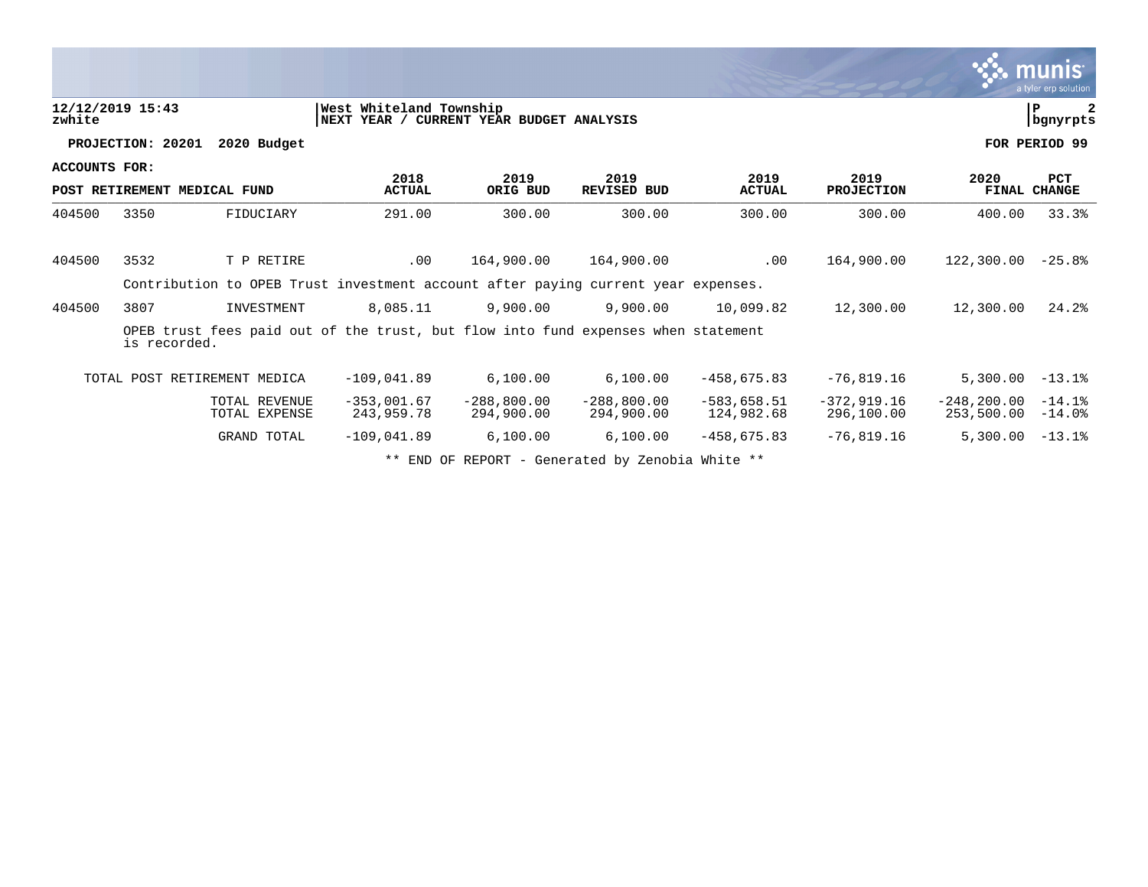|                      |                   |                                                                                   |                                         |                              |                             |                             |                             |                               | munis<br>a tyler erp solution |
|----------------------|-------------------|-----------------------------------------------------------------------------------|-----------------------------------------|------------------------------|-----------------------------|-----------------------------|-----------------------------|-------------------------------|-------------------------------|
| zwhite               | 12/12/2019 15:43  |                                                                                   | West Whiteland Township<br> NEXT YEAR / | CURRENT YEAR BUDGET ANALYSIS |                             |                             |                             |                               | ΙP<br>bgnyrpts                |
|                      | PROJECTION: 20201 | 2020 Budget                                                                       |                                         |                              |                             |                             |                             |                               | FOR PERIOD 99                 |
| <b>ACCOUNTS FOR:</b> |                   | POST RETIREMENT MEDICAL FUND                                                      | 2018<br><b>ACTUAL</b>                   | 2019<br>ORIG BUD             | 2019<br><b>REVISED BUD</b>  | 2019<br><b>ACTUAL</b>       | 2019<br>PROJECTION          | 2020                          | <b>PCT</b><br>FINAL CHANGE    |
| 404500               | 3350              | FIDUCIARY                                                                         | 291.00                                  | 300.00                       | 300.00                      | 300.00                      | 300.00                      | 400.00                        | 33.3%                         |
| 404500               | 3532              | T P RETIRE                                                                        | .00                                     | 164,900.00                   | 164,900.00                  | .00                         | 164,900.00                  | 122,300.00                    | $-25.8%$                      |
|                      |                   | Contribution to OPEB Trust investment account after paying current year expenses. |                                         |                              |                             |                             |                             |                               |                               |
| 404500               | 3807              | INVESTMENT                                                                        | 8,085.11                                | 9,900.00                     | 9,900.00                    | 10,099.82                   | 12,300.00                   | 12,300.00                     | 24.2%                         |
|                      | is recorded.      | OPEB trust fees paid out of the trust, but flow into fund expenses when statement |                                         |                              |                             |                             |                             |                               |                               |
|                      |                   | TOTAL POST RETIREMENT MEDICA                                                      | $-109.041.89$                           | 6,100.00                     | 6,100.00                    | $-458.675.83$               | $-76,819.16$                | 5,300.00                      | $-13.1%$                      |
|                      |                   | TOTAL REVENUE<br>TOTAL EXPENSE                                                    | $-353.001.67$<br>243,959.78             | $-288, 800.00$<br>294,900.00 | $-288,800.00$<br>294,900.00 | $-583.658.51$<br>124,982.68 | $-372,919.16$<br>296,100.00 | $-248, 200, 00$<br>253,500.00 | $-14.1%$<br>$-14.0%$          |
|                      |                   | <b>GRAND TOTAL</b>                                                                | $-109,041.89$                           | 6,100.00                     | 6,100.00                    | $-458,675.83$               | $-76,819.16$                | 5,300.00                      | $-13.1%$                      |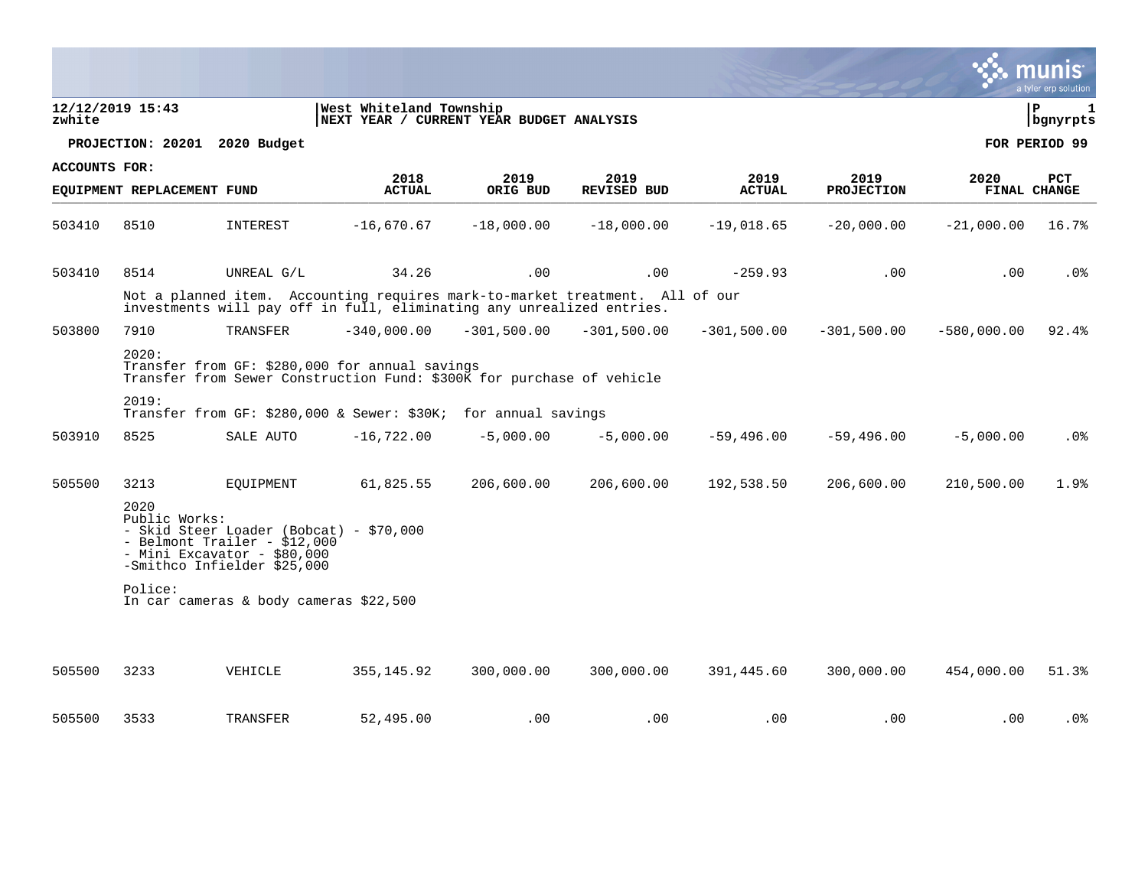|                      |                            |                                                                                                                                        |                                                                                                                                                       |               |                    |               |                   |               | a tyler erp solution             |
|----------------------|----------------------------|----------------------------------------------------------------------------------------------------------------------------------------|-------------------------------------------------------------------------------------------------------------------------------------------------------|---------------|--------------------|---------------|-------------------|---------------|----------------------------------|
| zwhite               | 12/12/2019 15:43           |                                                                                                                                        | West Whiteland Township<br>NEXT YEAR / CURRENT YEAR BUDGET ANALYSIS                                                                                   |               |                    |               |                   |               | lР<br>$\mathbf{1}$<br>  bgnyrpts |
|                      | PROJECTION: 20201          | 2020 Budget                                                                                                                            |                                                                                                                                                       |               |                    |               |                   |               | FOR PERIOD 99                    |
| <b>ACCOUNTS FOR:</b> |                            |                                                                                                                                        | 2018                                                                                                                                                  | 2019          | 2019               | 2019          | 2019              | 2020          | PCT                              |
|                      | EQUIPMENT REPLACEMENT FUND |                                                                                                                                        | <b>ACTUAL</b>                                                                                                                                         | ORIG BUD      | <b>REVISED BUD</b> | <b>ACTUAL</b> | <b>PROJECTION</b> |               | <b>FINAL CHANGE</b>              |
| 503410               | 8510                       | INTEREST                                                                                                                               | $-16,670.67$                                                                                                                                          | $-18,000.00$  | $-18,000.00$       | $-19,018.65$  | $-20,000.00$      | $-21,000.00$  | 16.7%                            |
| 503410               | 8514                       | UNREAL G/L                                                                                                                             | 34.26                                                                                                                                                 | .00           | .00                | $-259.93$     | .00               | .00           | $.0\%$                           |
|                      |                            |                                                                                                                                        | Not a planned item. Accounting requires mark-to-market treatment. All of our<br>investments will pay off in full, eliminating any unrealized entries. |               |                    |               |                   |               |                                  |
| 503800               | 7910                       | TRANSFER                                                                                                                               | $-340,000.00$                                                                                                                                         | $-301,500.00$ | $-301,500.00$      | $-301,500.00$ | $-301,500.00$     | $-580,000.00$ | 92.4%                            |
|                      | 2020:                      |                                                                                                                                        | Transfer from GF: \$280,000 for annual savings<br>Transfer from Sewer Construction Fund: \$300K for purchase of vehicle                               |               |                    |               |                   |               |                                  |
|                      | 2019:                      |                                                                                                                                        | Transfer from GF: \$280,000 & Sewer: \$30K; for annual savings                                                                                        |               |                    |               |                   |               |                                  |
| 503910               | 8525                       | SALE AUTO                                                                                                                              | $-16,722.00$                                                                                                                                          | $-5,000.00$   | $-5,000.00$        | $-59,496.00$  | $-59,496.00$      | $-5,000.00$   | . 0%                             |
| 505500               | 3213                       | EQUIPMENT                                                                                                                              | 61,825.55                                                                                                                                             | 206,600.00    | 206,600.00         | 192,538.50    | 206,600.00        | 210,500.00    | 1.9%                             |
|                      | 2020<br>Public Works:      | - Skid Steer Loader (Bobcat) - \$70,000<br>- Belmont Trailer - \$12,000<br>- Mini Excavator - $$80,000$<br>-Smithco Infielder \$25,000 |                                                                                                                                                       |               |                    |               |                   |               |                                  |
|                      | Police:                    | In car cameras & body cameras \$22,500                                                                                                 |                                                                                                                                                       |               |                    |               |                   |               |                                  |
| 505500               | 3233                       | VEHICLE                                                                                                                                | 355,145.92                                                                                                                                            | 300,000.00    | 300,000.00         | 391,445.60    | 300,000.00        | 454,000.00    | 51.3%                            |
|                      |                            |                                                                                                                                        |                                                                                                                                                       |               |                    |               |                   |               |                                  |
| 505500               | 3533                       | TRANSFER                                                                                                                               | 52,495.00                                                                                                                                             | .00           | .00                | .00           | .00               | .00           | .0%                              |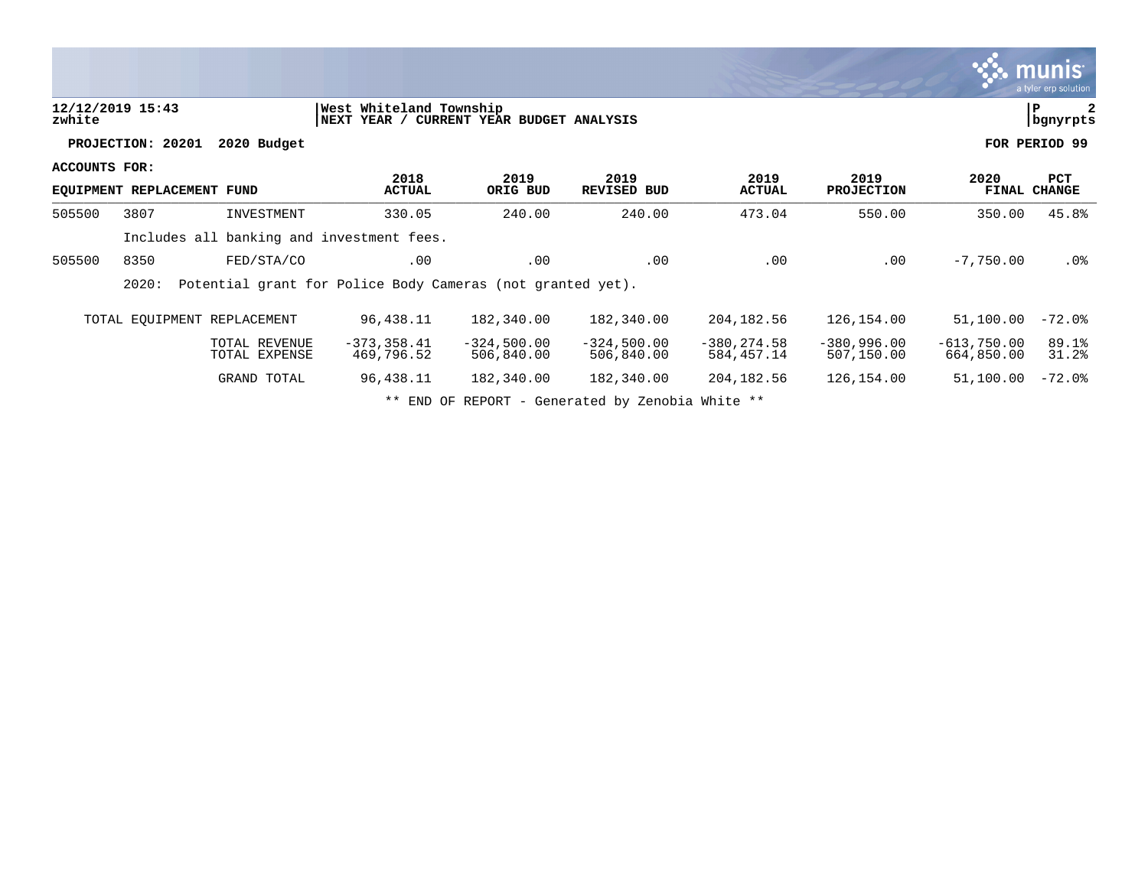|               |                            |                                |                                                                     |                             |                                                  |                              |                             |                             | <b>munis</b><br>a tyler erp solution |
|---------------|----------------------------|--------------------------------|---------------------------------------------------------------------|-----------------------------|--------------------------------------------------|------------------------------|-----------------------------|-----------------------------|--------------------------------------|
| zwhite        | 12/12/2019 15:43           |                                | West Whiteland Township<br>NEXT YEAR / CURRENT YEAR BUDGET ANALYSIS |                             |                                                  |                              |                             |                             | $\mathbf{2}$<br>∣P<br>bgnyrpts       |
|               | PROJECTION: 20201          | 2020 Budget                    |                                                                     |                             |                                                  |                              |                             |                             | FOR PERIOD 99                        |
| ACCOUNTS FOR: | EQUIPMENT REPLACEMENT FUND |                                | 2018<br><b>ACTUAL</b>                                               | 2019<br>ORIG BUD            | 2019<br><b>REVISED BUD</b>                       | 2019<br><b>ACTUAL</b>        | 2019<br><b>PROJECTION</b>   | 2020                        | <b>PCT</b><br>FINAL CHANGE           |
| 505500        | 3807                       | INVESTMENT                     | 330.05                                                              | 240.00                      | 240.00                                           | 473.04                       | 550.00                      | 350.00                      | 45.8%                                |
|               |                            |                                | Includes all banking and investment fees.                           |                             |                                                  |                              |                             |                             |                                      |
| 505500        | 8350                       | FED/STA/CO                     | .00                                                                 | .00                         | .00                                              | .00                          | .00                         | $-7,750.00$                 | $.0\%$                               |
|               | 2020:                      |                                | Potential grant for Police Body Cameras (not granted yet).          |                             |                                                  |                              |                             |                             |                                      |
|               |                            | TOTAL EQUIPMENT REPLACEMENT    | 96,438.11                                                           | 182,340.00                  | 182,340.00                                       | 204,182.56                   | 126,154.00                  | 51,100.00                   | $-72.0$ °                            |
|               |                            | TOTAL REVENUE<br>TOTAL EXPENSE | $-373, 358.41$<br>469,796.52                                        | $-324,500.00$<br>506,840.00 | $-324,500.00$<br>506,840.00                      | $-380, 274.58$<br>584,457.14 | $-380,996.00$<br>507,150.00 | $-613,750.00$<br>664,850.00 | 89.1%<br>31.2%                       |
|               |                            | GRAND TOTAL                    | 96,438.11                                                           | 182,340.00                  | 182,340.00                                       | 204, 182.56                  | 126,154.00                  | 51,100.00                   | $-72.0$ °                            |
|               |                            |                                |                                                                     |                             | ** END OF REPORT - Generated by Zenobia White ** |                              |                             |                             |                                      |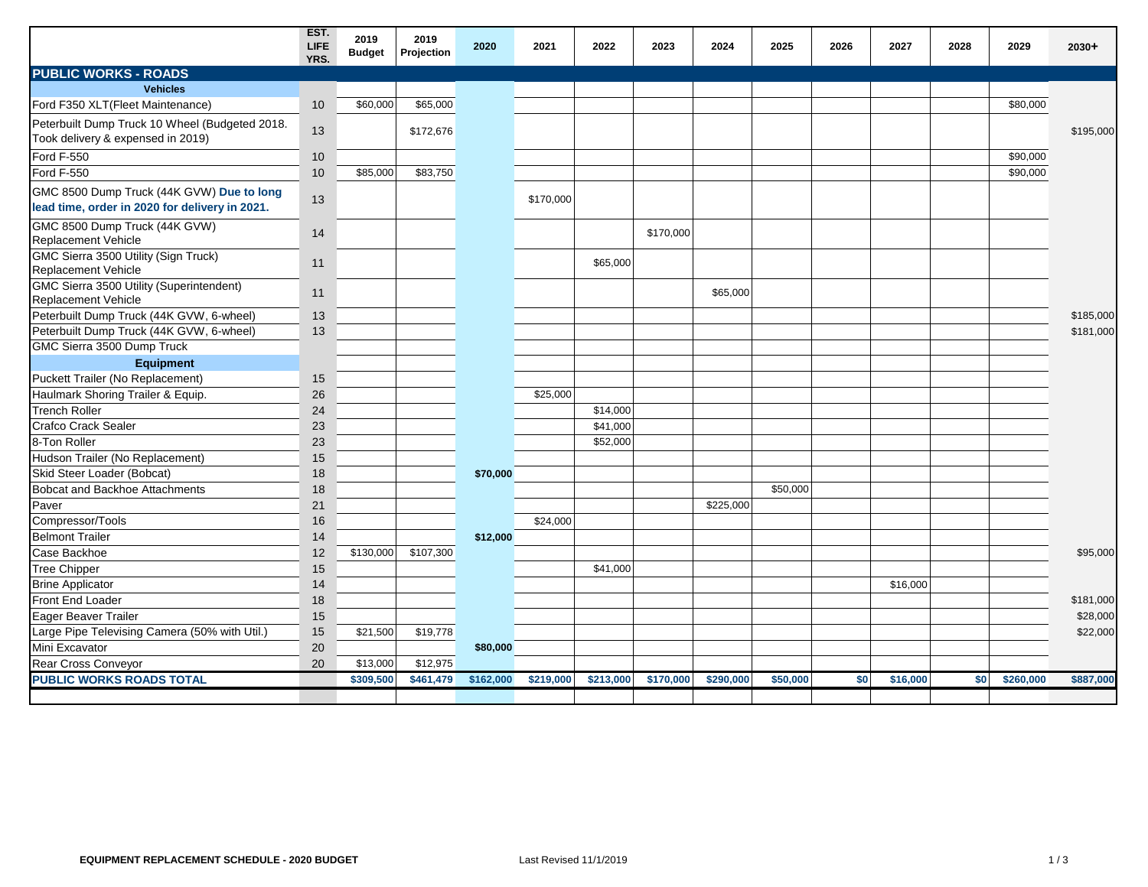|                                                                                             | EST.<br><b>LIFE</b><br>YRS. | 2019<br><b>Budget</b> | 2019<br>Projection | 2020      | 2021      | 2022      | 2023      | 2024      | 2025     | 2026 | 2027     | 2028 | 2029      | 2030+     |
|---------------------------------------------------------------------------------------------|-----------------------------|-----------------------|--------------------|-----------|-----------|-----------|-----------|-----------|----------|------|----------|------|-----------|-----------|
| <b>PUBLIC WORKS - ROADS</b>                                                                 |                             |                       |                    |           |           |           |           |           |          |      |          |      |           |           |
| <b>Vehicles</b>                                                                             |                             |                       |                    |           |           |           |           |           |          |      |          |      |           |           |
| Ford F350 XLT(Fleet Maintenance)                                                            | 10                          | \$60,000              | \$65,000           |           |           |           |           |           |          |      |          |      | \$80,000  |           |
| Peterbuilt Dump Truck 10 Wheel (Budgeted 2018.<br>Took delivery & expensed in 2019)         | 13                          |                       | \$172,676          |           |           |           |           |           |          |      |          |      |           | \$195,000 |
| <b>Ford F-550</b>                                                                           | 10                          |                       |                    |           |           |           |           |           |          |      |          |      | \$90,000  |           |
| <b>Ford F-550</b>                                                                           | 10                          | \$85,000              | \$83,750           |           |           |           |           |           |          |      |          |      | \$90,000  |           |
| GMC 8500 Dump Truck (44K GVW) Due to long<br>lead time, order in 2020 for delivery in 2021. | 13                          |                       |                    |           | \$170,000 |           |           |           |          |      |          |      |           |           |
| GMC 8500 Dump Truck (44K GVW)<br>Replacement Vehicle                                        | 14                          |                       |                    |           |           |           | \$170,000 |           |          |      |          |      |           |           |
| GMC Sierra 3500 Utility (Sign Truck)<br>Replacement Vehicle                                 | 11                          |                       |                    |           |           | \$65,000  |           |           |          |      |          |      |           |           |
| GMC Sierra 3500 Utility (Superintendent)<br><b>Replacement Vehicle</b>                      | 11                          |                       |                    |           |           |           |           | \$65,000  |          |      |          |      |           |           |
| Peterbuilt Dump Truck (44K GVW, 6-wheel)                                                    | 13                          |                       |                    |           |           |           |           |           |          |      |          |      |           | \$185,000 |
| Peterbuilt Dump Truck (44K GVW, 6-wheel)                                                    | 13                          |                       |                    |           |           |           |           |           |          |      |          |      |           | \$181,000 |
| GMC Sierra 3500 Dump Truck                                                                  |                             |                       |                    |           |           |           |           |           |          |      |          |      |           |           |
| Equipment                                                                                   |                             |                       |                    |           |           |           |           |           |          |      |          |      |           |           |
| Puckett Trailer (No Replacement)                                                            | 15                          |                       |                    |           |           |           |           |           |          |      |          |      |           |           |
| Haulmark Shoring Trailer & Equip.                                                           | 26                          |                       |                    |           | \$25,000  |           |           |           |          |      |          |      |           |           |
| <b>Trench Roller</b>                                                                        | 24                          |                       |                    |           |           | \$14,000  |           |           |          |      |          |      |           |           |
| <b>Crafco Crack Sealer</b>                                                                  | 23                          |                       |                    |           |           | \$41,000  |           |           |          |      |          |      |           |           |
| 8-Ton Roller                                                                                | 23                          |                       |                    |           |           | \$52,000  |           |           |          |      |          |      |           |           |
| Hudson Trailer (No Replacement)                                                             | 15                          |                       |                    |           |           |           |           |           |          |      |          |      |           |           |
| Skid Steer Loader (Bobcat)                                                                  | 18                          |                       |                    | \$70,000  |           |           |           |           |          |      |          |      |           |           |
| <b>Bobcat and Backhoe Attachments</b>                                                       | 18                          |                       |                    |           |           |           |           |           | \$50,000 |      |          |      |           |           |
| Paver                                                                                       | 21                          |                       |                    |           |           |           |           | \$225,000 |          |      |          |      |           |           |
| Compressor/Tools                                                                            | 16                          |                       |                    |           | \$24,000  |           |           |           |          |      |          |      |           |           |
| <b>Belmont Trailer</b>                                                                      | 14                          |                       |                    | \$12,000  |           |           |           |           |          |      |          |      |           |           |
| Case Backhoe                                                                                | 12                          | \$130,000             | \$107,300          |           |           |           |           |           |          |      |          |      |           | \$95,000  |
| <b>Tree Chipper</b>                                                                         | 15                          |                       |                    |           |           | \$41,000  |           |           |          |      |          |      |           |           |
| <b>Brine Applicator</b>                                                                     | 14                          |                       |                    |           |           |           |           |           |          |      | \$16,000 |      |           |           |
| Front End Loader                                                                            | 18                          |                       |                    |           |           |           |           |           |          |      |          |      |           | \$181,000 |
| Eager Beaver Trailer                                                                        | 15                          |                       |                    |           |           |           |           |           |          |      |          |      |           | \$28,000  |
| Large Pipe Televising Camera (50% with Util.)                                               | 15                          | \$21,500              | \$19,778           |           |           |           |           |           |          |      |          |      |           | \$22,000  |
| Mini Excavator                                                                              | 20                          |                       |                    | \$80,000  |           |           |           |           |          |      |          |      |           |           |
| Rear Cross Conveyor                                                                         | 20                          | \$13,000              | \$12,975           |           |           |           |           |           |          |      |          |      |           |           |
| <b>PUBLIC WORKS ROADS TOTAL</b>                                                             |                             | \$309,500             | \$461,479          | \$162,000 | \$219,000 | \$213,000 | \$170,000 | \$290,000 | \$50,000 | \$0  | \$16,000 | \$0  | \$260,000 | \$887,000 |
|                                                                                             |                             |                       |                    |           |           |           |           |           |          |      |          |      |           |           |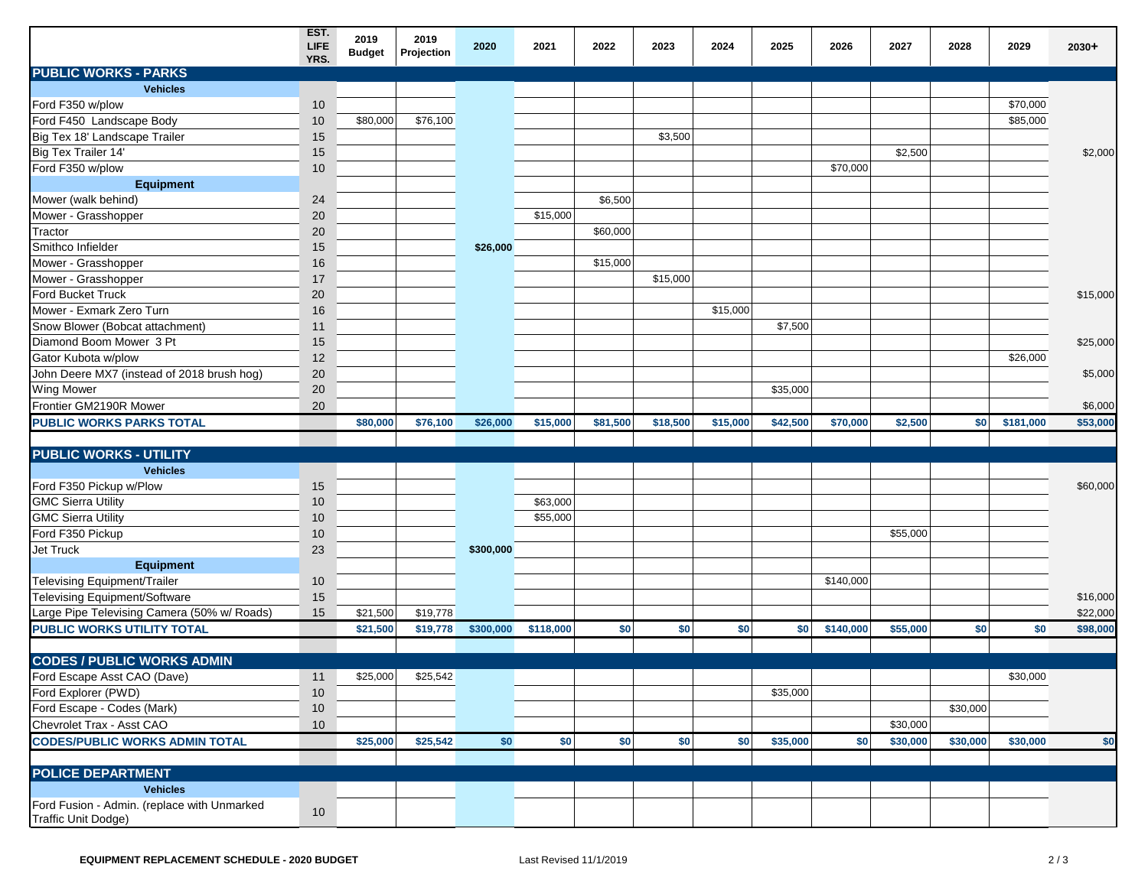|                                                                    | EST.<br>LIFE<br>YRS. | 2019<br><b>Budget</b> | 2019<br>Projection | 2020      | 2021      | 2022     | 2023     | 2024     | 2025     | 2026      | 2027     | 2028     | 2029      | 2030+    |
|--------------------------------------------------------------------|----------------------|-----------------------|--------------------|-----------|-----------|----------|----------|----------|----------|-----------|----------|----------|-----------|----------|
| <b>PUBLIC WORKS - PARKS</b>                                        |                      |                       |                    |           |           |          |          |          |          |           |          |          |           |          |
| <b>Vehicles</b>                                                    |                      |                       |                    |           |           |          |          |          |          |           |          |          |           |          |
| Ford F350 w/plow                                                   | 10                   |                       |                    |           |           |          |          |          |          |           |          |          | \$70,000  |          |
| Ford F450 Landscape Body                                           | 10                   | \$80,000              | \$76,100           |           |           |          |          |          |          |           |          |          | \$85,000  |          |
| Big Tex 18' Landscape Trailer                                      | 15                   |                       |                    |           |           |          | \$3,500  |          |          |           |          |          |           |          |
| Big Tex Trailer 14'                                                | 15                   |                       |                    |           |           |          |          |          |          |           | \$2,500  |          |           | \$2,000  |
| Ford F350 w/plow                                                   | 10                   |                       |                    |           |           |          |          |          |          | \$70,000  |          |          |           |          |
| <b>Equipment</b>                                                   |                      |                       |                    |           |           |          |          |          |          |           |          |          |           |          |
| Mower (walk behind)                                                | 24                   |                       |                    |           |           | \$6,500  |          |          |          |           |          |          |           |          |
| Mower - Grasshopper                                                | 20                   |                       |                    |           | \$15,000  |          |          |          |          |           |          |          |           |          |
| Tractor                                                            | 20                   |                       |                    |           |           | \$60,000 |          |          |          |           |          |          |           |          |
| Smithco Infielder                                                  | 15                   |                       |                    | \$26,000  |           |          |          |          |          |           |          |          |           |          |
| Mower - Grasshopper                                                | 16                   |                       |                    |           |           | \$15,000 |          |          |          |           |          |          |           |          |
| Mower - Grasshopper                                                | 17                   |                       |                    |           |           |          | \$15,000 |          |          |           |          |          |           |          |
| <b>Ford Bucket Truck</b>                                           | 20                   |                       |                    |           |           |          |          |          |          |           |          |          |           | \$15,000 |
| Mower - Exmark Zero Turn                                           | 16                   |                       |                    |           |           |          |          | \$15,000 |          |           |          |          |           |          |
| Snow Blower (Bobcat attachment)                                    | 11                   |                       |                    |           |           |          |          |          | \$7,500  |           |          |          |           |          |
| Diamond Boom Mower 3 Pt                                            | 15                   |                       |                    |           |           |          |          |          |          |           |          |          |           | \$25,000 |
| Gator Kubota w/plow                                                | 12                   |                       |                    |           |           |          |          |          |          |           |          |          | \$26,000  |          |
| John Deere MX7 (instead of 2018 brush hog)                         | 20                   |                       |                    |           |           |          |          |          |          |           |          |          |           | \$5,000  |
| <b>Wing Mower</b>                                                  | 20                   |                       |                    |           |           |          |          |          | \$35,000 |           |          |          |           |          |
| Frontier GM2190R Mower                                             | 20                   |                       |                    |           |           |          |          |          |          |           |          |          |           |          |
|                                                                    |                      |                       |                    |           |           |          |          |          |          |           |          |          |           | \$6,000  |
| <b>PUBLIC WORKS PARKS TOTAL</b>                                    |                      | \$80,000              | \$76,100           | \$26,000  | \$15,000  | \$81,500 | \$18,500 | \$15,000 | \$42,500 | \$70,000  | \$2,500  | \$0      | \$181,000 | \$53,000 |
| <b>PUBLIC WORKS - UTILITY</b>                                      |                      |                       |                    |           |           |          |          |          |          |           |          |          |           |          |
| <b>Vehicles</b>                                                    |                      |                       |                    |           |           |          |          |          |          |           |          |          |           |          |
| Ford F350 Pickup w/Plow                                            | 15                   |                       |                    |           |           |          |          |          |          |           |          |          |           | \$60,000 |
| <b>GMC Sierra Utility</b>                                          | 10                   |                       |                    |           | \$63,000  |          |          |          |          |           |          |          |           |          |
| <b>GMC Sierra Utility</b>                                          | $10$                 |                       |                    |           | \$55,000  |          |          |          |          |           |          |          |           |          |
| Ford F350 Pickup                                                   | 10                   |                       |                    |           |           |          |          |          |          |           | \$55,000 |          |           |          |
| Jet Truck                                                          | 23                   |                       |                    |           |           |          |          |          |          |           |          |          |           |          |
|                                                                    |                      |                       |                    | \$300,000 |           |          |          |          |          |           |          |          |           |          |
| <b>Equipment</b>                                                   |                      |                       |                    |           |           |          |          |          |          |           |          |          |           |          |
| Televising Equipment/Trailer                                       | 10                   |                       |                    |           |           |          |          |          |          | \$140,000 |          |          |           |          |
| Televising Equipment/Software                                      | 15                   |                       |                    |           |           |          |          |          |          |           |          |          |           | \$16,000 |
| Large Pipe Televising Camera (50% w/ Roads)                        | 15                   | \$21,500              | \$19,778           |           |           |          |          |          |          |           |          |          |           | \$22,000 |
| PUBLIC WORKS UTILITY TOTAL                                         |                      | \$21,500              | \$19,778           | \$300,000 | \$118,000 | \$0      | \$0      | \$0      | \$0      | \$140,000 | \$55,000 | \$0      | \$0       | \$98,000 |
| <b>CODES / PUBLIC WORKS ADMIN</b>                                  |                      |                       |                    |           |           |          |          |          |          |           |          |          |           |          |
|                                                                    |                      |                       |                    |           |           |          |          |          |          |           |          |          |           |          |
| Ford Escape Asst CAO (Dave)                                        | 11                   | \$25,000              | \$25,542           |           |           |          |          |          |          |           |          |          | \$30,000  |          |
| Ford Explorer (PWD)                                                | $10$                 |                       |                    |           |           |          |          |          | \$35,000 |           |          |          |           |          |
| Ford Escape - Codes (Mark)                                         | 10                   |                       |                    |           |           |          |          |          |          |           |          | \$30,000 |           |          |
| Chevrolet Trax - Asst CAO                                          | 10                   |                       |                    |           |           |          |          |          |          |           | \$30,000 |          |           |          |
| <b>CODES/PUBLIC WORKS ADMIN TOTAL</b>                              |                      | \$25,000              | \$25,542           | \$0       | \$0       | \$0      | \$0      | \$0      | \$35,000 | \$0       | \$30,000 | \$30,000 | \$30,000  | \$0      |
|                                                                    |                      |                       |                    |           |           |          |          |          |          |           |          |          |           |          |
| <b>POLICE DEPARTMENT</b>                                           |                      |                       |                    |           |           |          |          |          |          |           |          |          |           |          |
| <b>Vehicles</b>                                                    |                      |                       |                    |           |           |          |          |          |          |           |          |          |           |          |
| Ford Fusion - Admin. (replace with Unmarked<br>Traffic Unit Dodge) | 10                   |                       |                    |           |           |          |          |          |          |           |          |          |           |          |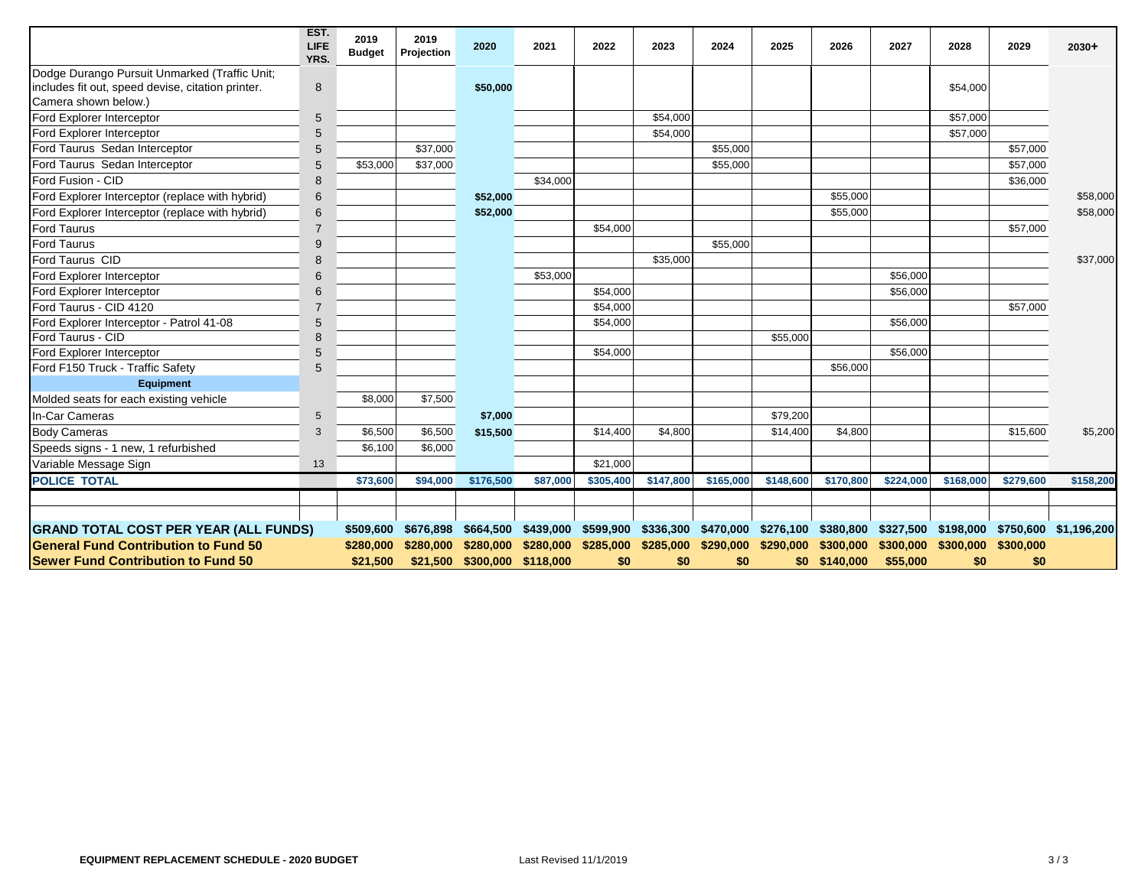|                                                                                                                            | EST.<br>LIFE<br>YRS. | 2019<br><b>Budget</b> | 2019<br>Projection | 2020                         | 2021     | 2022                                                                  | 2023      | 2024      | 2025      | 2026          | 2027      | 2028                | 2029      | $2030+$                                                                                                                   |
|----------------------------------------------------------------------------------------------------------------------------|----------------------|-----------------------|--------------------|------------------------------|----------|-----------------------------------------------------------------------|-----------|-----------|-----------|---------------|-----------|---------------------|-----------|---------------------------------------------------------------------------------------------------------------------------|
| Dodge Durango Pursuit Unmarked (Traffic Unit;<br>includes fit out, speed devise, citation printer.<br>Camera shown below.) | $\bf 8$              |                       |                    | \$50,000                     |          |                                                                       |           |           |           |               |           | \$54,000            |           |                                                                                                                           |
| Ford Explorer Interceptor                                                                                                  | 5                    |                       |                    |                              |          |                                                                       | \$54,000  |           |           |               |           | \$57,000            |           |                                                                                                                           |
| Ford Explorer Interceptor                                                                                                  | 5                    |                       |                    |                              |          |                                                                       | \$54,000  |           |           |               |           | \$57,000            |           |                                                                                                                           |
| Ford Taurus Sedan Interceptor                                                                                              | 5                    |                       | \$37,000           |                              |          |                                                                       |           | \$55,000  |           |               |           |                     | \$57,000  |                                                                                                                           |
| Ford Taurus Sedan Interceptor                                                                                              | 5                    | \$53,000              | \$37,000           |                              |          |                                                                       |           | \$55,000  |           |               |           |                     | \$57,000  |                                                                                                                           |
| Ford Fusion - CID                                                                                                          | 8                    |                       |                    |                              | \$34,000 |                                                                       |           |           |           |               |           |                     | \$36,000  |                                                                                                                           |
| Ford Explorer Interceptor (replace with hybrid)                                                                            | $6\phantom{1}6$      |                       |                    | \$52,000                     |          |                                                                       |           |           |           | \$55,000      |           |                     |           | \$58,000                                                                                                                  |
| Ford Explorer Interceptor (replace with hybrid)                                                                            | 6                    |                       |                    | \$52,000                     |          |                                                                       |           |           |           | \$55,000      |           |                     |           | \$58,000                                                                                                                  |
| <b>Ford Taurus</b>                                                                                                         | $\overline{7}$       |                       |                    |                              |          | \$54,000                                                              |           |           |           |               |           |                     | \$57,000  |                                                                                                                           |
| <b>Ford Taurus</b>                                                                                                         | 9                    |                       |                    |                              |          |                                                                       |           | \$55,000  |           |               |           |                     |           |                                                                                                                           |
| Ford Taurus CID                                                                                                            | 8                    |                       |                    |                              |          |                                                                       | \$35,000  |           |           |               |           |                     |           | \$37,000                                                                                                                  |
| Ford Explorer Interceptor                                                                                                  | 6                    |                       |                    |                              | \$53,000 |                                                                       |           |           |           |               | \$56,000  |                     |           |                                                                                                                           |
| Ford Explorer Interceptor                                                                                                  | 6                    |                       |                    |                              |          | \$54,000                                                              |           |           |           |               | \$56,000  |                     |           |                                                                                                                           |
| Ford Taurus - CID 4120                                                                                                     | $\overline{7}$       |                       |                    |                              |          | \$54,000                                                              |           |           |           |               |           |                     | \$57,000  |                                                                                                                           |
| Ford Explorer Interceptor - Patrol 41-08                                                                                   | 5                    |                       |                    |                              |          | \$54,000                                                              |           |           |           |               | \$56,000  |                     |           |                                                                                                                           |
| Ford Taurus - CID                                                                                                          | 8                    |                       |                    |                              |          |                                                                       |           |           | \$55,000  |               |           |                     |           |                                                                                                                           |
| Ford Explorer Interceptor                                                                                                  | 5                    |                       |                    |                              |          | \$54,000                                                              |           |           |           |               | \$56,000  |                     |           |                                                                                                                           |
| Ford F150 Truck - Traffic Safety                                                                                           | 5                    |                       |                    |                              |          |                                                                       |           |           |           | \$56,000      |           |                     |           |                                                                                                                           |
| Equipment                                                                                                                  |                      |                       |                    |                              |          |                                                                       |           |           |           |               |           |                     |           |                                                                                                                           |
| Molded seats for each existing vehicle                                                                                     |                      | \$8,000               | \$7,500            |                              |          |                                                                       |           |           |           |               |           |                     |           |                                                                                                                           |
| In-Car Cameras                                                                                                             | 5                    |                       |                    | \$7,000                      |          |                                                                       |           |           | \$79,200  |               |           |                     |           |                                                                                                                           |
| <b>Body Cameras</b>                                                                                                        | 3                    | \$6,500               | \$6,500            | \$15,500                     |          | \$14.400                                                              | \$4,800   |           | \$14,400  | \$4,800       |           |                     | \$15,600  | \$5,200                                                                                                                   |
| Speeds signs - 1 new, 1 refurbished                                                                                        |                      | \$6,100               | \$6,000            |                              |          |                                                                       |           |           |           |               |           |                     |           |                                                                                                                           |
| Variable Message Sign                                                                                                      | 13                   |                       |                    |                              |          | \$21,000                                                              |           |           |           |               |           |                     |           |                                                                                                                           |
| <b>POLICE TOTAL</b>                                                                                                        |                      | \$73,600              | \$94,000           | \$176,500                    | \$87,000 | \$305,400                                                             | \$147,800 | \$165,000 | \$148,600 | \$170,800     | \$224,000 | \$168,000           | \$279,600 | \$158,200                                                                                                                 |
|                                                                                                                            |                      |                       |                    |                              |          |                                                                       |           |           |           |               |           |                     |           |                                                                                                                           |
|                                                                                                                            |                      |                       |                    |                              |          |                                                                       |           |           |           |               |           |                     |           |                                                                                                                           |
| <b>GRAND TOTAL COST PER YEAR (ALL FUNDS)</b>                                                                               |                      | \$509,600             |                    |                              |          |                                                                       |           |           |           |               |           |                     |           | \$676,898 \$664,500 \$439,000 \$599,900 \$336,300 \$470,000 \$276,100 \$380,800 \$327,500 \$198,000 \$750,600 \$1,196,200 |
| <b>General Fund Contribution to Fund 50</b>                                                                                |                      | \$280,000             |                    |                              |          | \$280,000 \$280,000 \$280,000 \$285,000 \$285,000 \$290,000 \$290,000 |           |           |           | \$300,000     | \$300,000 | \$300,000 \$300,000 |           |                                                                                                                           |
| <b>Sewer Fund Contribution to Fund 50</b>                                                                                  |                      | \$21,500              |                    | \$21,500 \$300,000 \$118,000 |          | \$0                                                                   | \$0       | \$0       |           | \$0 \$140,000 | \$55,000  | \$0                 | \$0       |                                                                                                                           |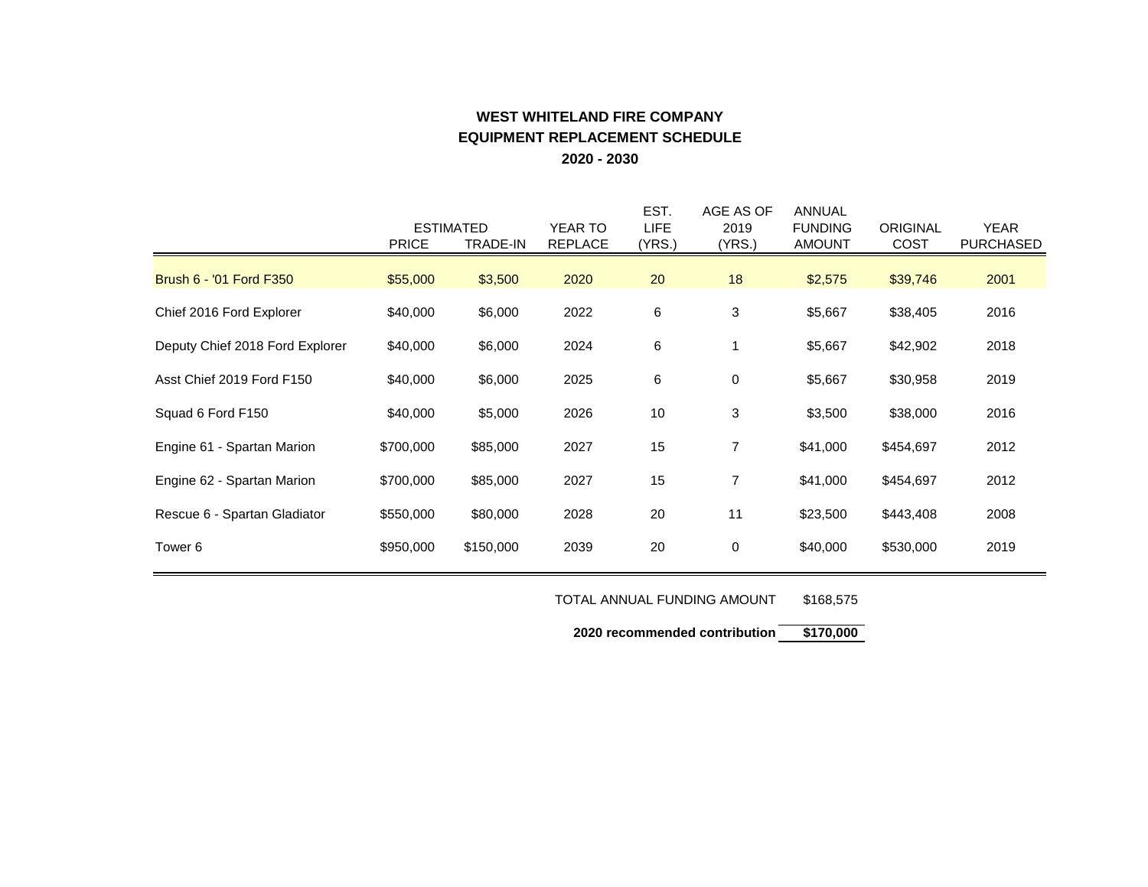# **WEST WHITELAND FIRE COMPANY EQUIPMENT REPLACEMENT SCHEDULE 2020 - 2030**

|                                 | <b>PRICE</b> | <b>ESTIMATED</b><br>TRADE-IN | <b>YEAR TO</b><br><b>REPLACE</b> | EST.<br><b>LIFE</b><br>(YRS.) | AGE AS OF<br>2019<br>(YRS.) | ANNUAL<br><b>FUNDING</b><br><b>AMOUNT</b> | <b>ORIGINAL</b><br><b>COST</b> | <b>YEAR</b><br><b>PURCHASED</b> |
|---------------------------------|--------------|------------------------------|----------------------------------|-------------------------------|-----------------------------|-------------------------------------------|--------------------------------|---------------------------------|
| Brush 6 - '01 Ford F350         | \$55,000     | \$3,500                      | 2020                             | 20                            | 18                          | \$2,575                                   | \$39,746                       | 2001                            |
| Chief 2016 Ford Explorer        | \$40,000     | \$6,000                      | 2022                             | 6                             | 3                           | \$5,667                                   | \$38,405                       | 2016                            |
| Deputy Chief 2018 Ford Explorer | \$40,000     | \$6,000                      | 2024                             | 6                             | 1                           | \$5,667                                   | \$42,902                       | 2018                            |
| Asst Chief 2019 Ford F150       | \$40,000     | \$6,000                      | 2025                             | 6                             | 0                           | \$5,667                                   | \$30,958                       | 2019                            |
| Squad 6 Ford F150               | \$40,000     | \$5,000                      | 2026                             | 10                            | 3                           | \$3,500                                   | \$38,000                       | 2016                            |
| Engine 61 - Spartan Marion      | \$700,000    | \$85,000                     | 2027                             | 15                            | $\overline{7}$              | \$41,000                                  | \$454,697                      | 2012                            |
| Engine 62 - Spartan Marion      | \$700,000    | \$85,000                     | 2027                             | 15                            | $\overline{7}$              | \$41,000                                  | \$454,697                      | 2012                            |
| Rescue 6 - Spartan Gladiator    | \$550,000    | \$80,000                     | 2028                             | 20                            | 11                          | \$23,500                                  | \$443,408                      | 2008                            |
| Tower 6                         | \$950,000    | \$150,000                    | 2039                             | 20                            | 0                           | \$40,000                                  | \$530,000                      | 2019                            |

TOTAL ANNUAL FUNDING AMOUNT \$168,575

**2020 recommended contribution \$170,000**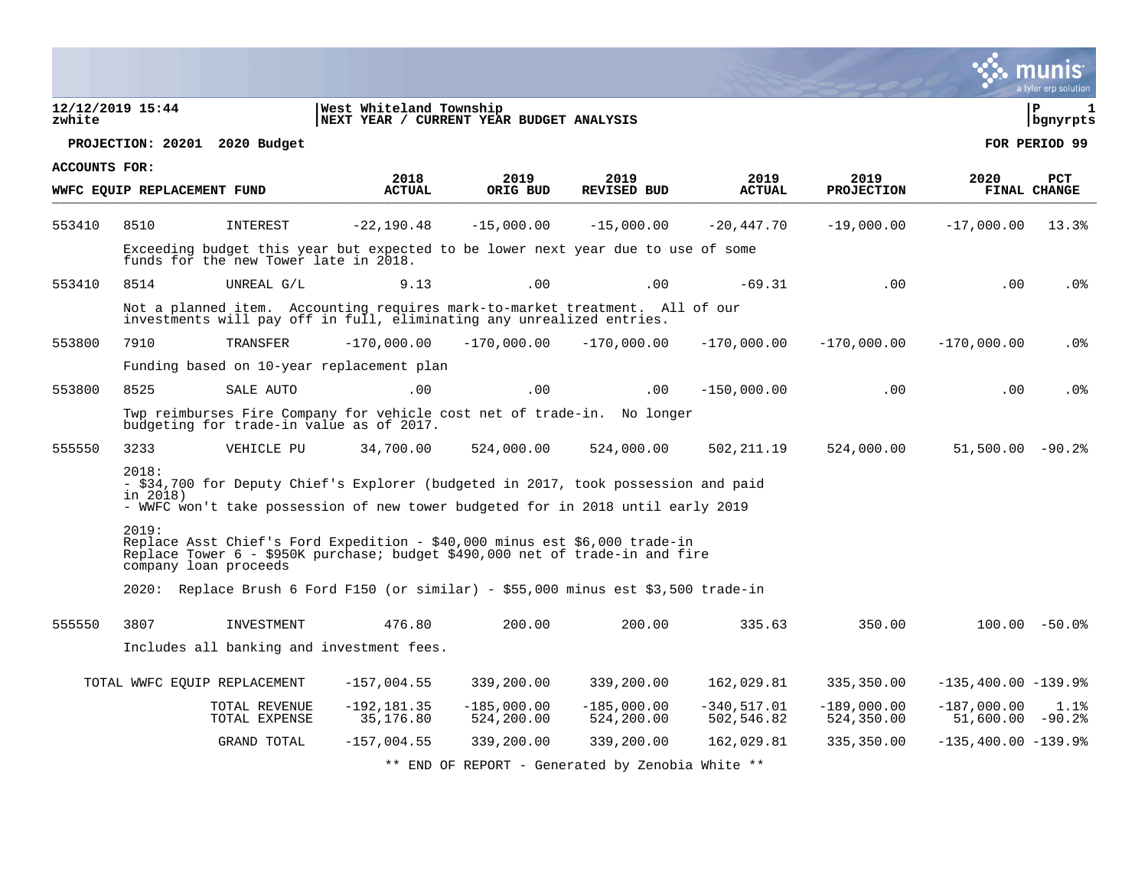|                      |                             |                                                                                                                                                       |                                                                                                                                                                       |                             |                                                  |                             |                             |                                     | munis<br>a tyler erp solution |
|----------------------|-----------------------------|-------------------------------------------------------------------------------------------------------------------------------------------------------|-----------------------------------------------------------------------------------------------------------------------------------------------------------------------|-----------------------------|--------------------------------------------------|-----------------------------|-----------------------------|-------------------------------------|-------------------------------|
| zwhite               | 12/12/2019 15:44            |                                                                                                                                                       | West Whiteland Township<br>NEXT YEAR / CURRENT YEAR BUDGET ANALYSIS                                                                                                   |                             |                                                  |                             |                             |                                     | l P<br>  bgnyrpts             |
|                      |                             | PROJECTION: 20201 2020 Budget                                                                                                                         |                                                                                                                                                                       |                             |                                                  |                             |                             |                                     | FOR PERIOD 99                 |
| <b>ACCOUNTS FOR:</b> |                             |                                                                                                                                                       | 2018                                                                                                                                                                  | 2019                        | 2019                                             | 2019                        | 2019                        | 2020                                | <b>PCT</b>                    |
|                      | WWFC EQUIP REPLACEMENT FUND |                                                                                                                                                       | <b>ACTUAL</b>                                                                                                                                                         | ORIG BUD                    | <b>REVISED BUD</b>                               | <b>ACTUAL</b>               | <b>PROJECTION</b>           |                                     | FINAL CHANGE                  |
| 553410               | 8510                        | INTEREST                                                                                                                                              | $-22, 190.48$                                                                                                                                                         | $-15,000.00$                | $-15,000.00$                                     | $-20,447.70$                | $-19,000.00$                | $-17,000.00$                        | 13.3%                         |
|                      |                             | funds for the new Tower late in 2018.                                                                                                                 | Exceeding budget this year but expected to be lower next year due to use of some                                                                                      |                             |                                                  |                             |                             |                                     |                               |
| 553410               | 8514                        | UNREAL G/L                                                                                                                                            | 9.13                                                                                                                                                                  | .00                         | .00                                              | $-69.31$                    | .00                         | .00                                 | .0%                           |
|                      |                             | Not a planned item. Accounting requires mark-to-market treatment. All of our<br>investments will pay off in full, eliminating any unrealized entries. |                                                                                                                                                                       |                             |                                                  |                             |                             |                                     |                               |
| 553800               | 7910                        | TRANSFER                                                                                                                                              | $-170,000.00$                                                                                                                                                         | $-170,000.00$               | $-170,000.00$                                    | $-170,000.00$               | $-170,000.00$               | $-170,000.00$                       | .0%                           |
|                      |                             |                                                                                                                                                       | Funding based on 10-year replacement plan                                                                                                                             |                             |                                                  |                             |                             |                                     |                               |
| 553800               | 8525                        | SALE AUTO                                                                                                                                             | .00                                                                                                                                                                   | .00                         | .00                                              | $-150,000.00$               | .00                         | .00                                 | . 0%                          |
|                      |                             | budgeting for trade-in value as of 2017.                                                                                                              | Twp reimburses Fire Company for vehicle cost net of trade-in. No longer                                                                                               |                             |                                                  |                             |                             |                                     |                               |
| 555550               | 3233                        | VEHICLE PU                                                                                                                                            | 34,700.00                                                                                                                                                             | 524,000.00                  | 524,000.00                                       | 502, 211.19                 | 524,000.00                  | $51,500.00 - 90.2$                  |                               |
|                      | 2018:<br>in 2018)           |                                                                                                                                                       | - \$34,700 for Deputy Chief's Explorer (budgeted in 2017, took possession and paid<br>- WWFC won't take possession of new tower budgeted for in 2018 until early 2019 |                             |                                                  |                             |                             |                                     |                               |
|                      | 2019:                       | company loan proceeds                                                                                                                                 | Replace Asst Chief's Ford Expedition - \$40,000 minus est \$6,000 trade-in<br>Replace Tower 6 - \$950K purchase; budget \$490,000 net of trade-in and fire            |                             |                                                  |                             |                             |                                     |                               |
|                      |                             |                                                                                                                                                       | 2020: Replace Brush 6 Ford F150 (or similar) - \$55,000 minus est \$3,500 trade-in                                                                                    |                             |                                                  |                             |                             |                                     |                               |
| 555550               | 3807                        | INVESTMENT                                                                                                                                            | 476.80                                                                                                                                                                | 200.00                      | 200.00                                           | 335.63                      | 350.00                      |                                     | $100.00 - 50.0$               |
|                      |                             | Includes all banking and investment fees.                                                                                                             |                                                                                                                                                                       |                             |                                                  |                             |                             |                                     |                               |
|                      |                             | TOTAL WWFC EQUIP REPLACEMENT                                                                                                                          | $-157,004.55$                                                                                                                                                         | 339,200.00                  | 339,200.00                                       | 162,029.81                  | 335,350.00                  | $-135,400.00 -139.98$               |                               |
|                      |                             | TOTAL REVENUE<br>TOTAL EXPENSE                                                                                                                        | $-192, 181.35$<br>35,176.80                                                                                                                                           | $-185,000.00$<br>524,200.00 | $-185,000.00$<br>524,200.00                      | $-340,517.01$<br>502,546.82 | $-189,000.00$<br>524,350.00 | $-187,000.00$<br>$51,600.00 - 90.2$ | 1.1%                          |
|                      |                             | GRAND TOTAL                                                                                                                                           | $-157,004.55$                                                                                                                                                         | 339,200.00                  | 339,200.00                                       | 162,029.81                  | 335,350.00                  | $-135,400.00 -139.98$               |                               |
|                      |                             |                                                                                                                                                       |                                                                                                                                                                       |                             | ** END OF REPORT - Generated by Zenobia White ** |                             |                             |                                     |                               |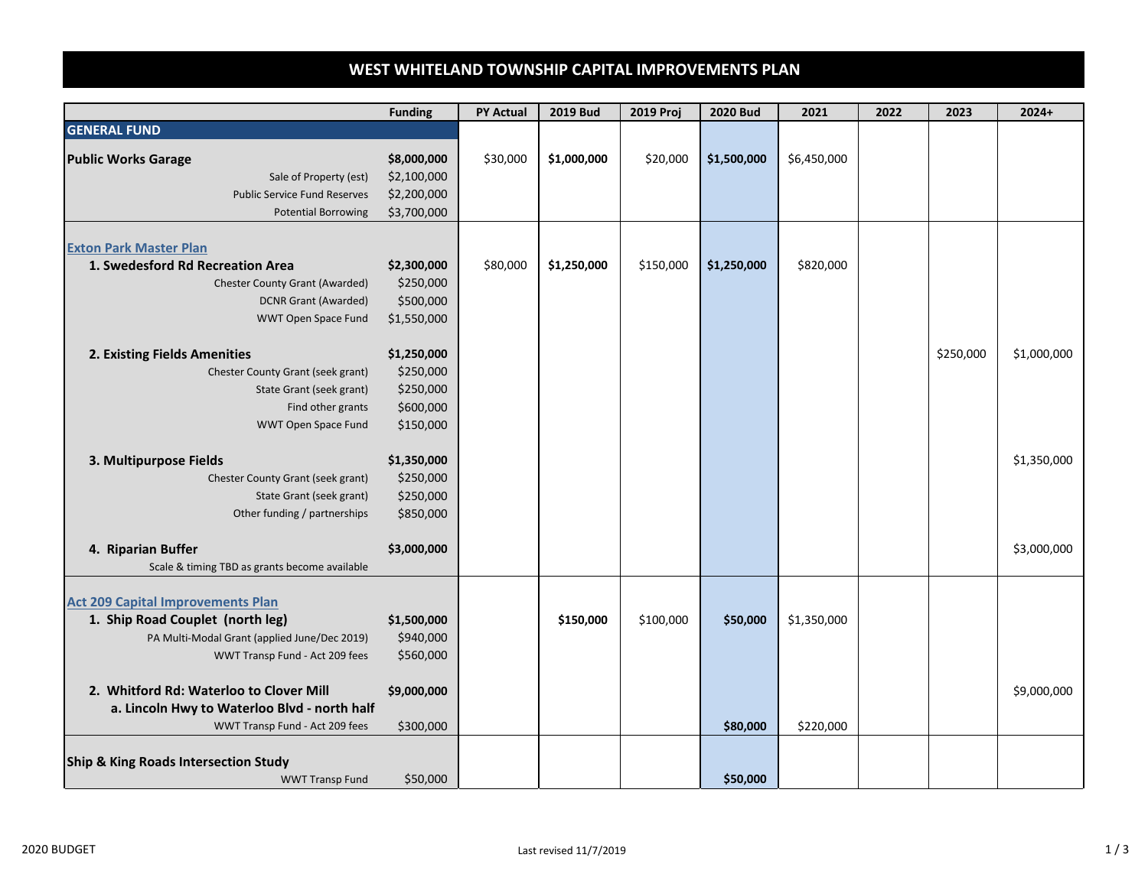# **WEST WHITELAND TOWNSHIP CAPITAL IMPROVEMENTS PLAN**

|                                                 | <b>Funding</b> | <b>PY Actual</b> | <b>2019 Bud</b> | 2019 Proj | <b>2020 Bud</b> | 2021        | 2022 | 2023      | $2024+$     |
|-------------------------------------------------|----------------|------------------|-----------------|-----------|-----------------|-------------|------|-----------|-------------|
| <b>GENERAL FUND</b>                             |                |                  |                 |           |                 |             |      |           |             |
| <b>Public Works Garage</b>                      | \$8,000,000    | \$30,000         | \$1,000,000     | \$20,000  | \$1,500,000     | \$6,450,000 |      |           |             |
| Sale of Property (est)                          | \$2,100,000    |                  |                 |           |                 |             |      |           |             |
| <b>Public Service Fund Reserves</b>             | \$2,200,000    |                  |                 |           |                 |             |      |           |             |
| <b>Potential Borrowing</b>                      | \$3,700,000    |                  |                 |           |                 |             |      |           |             |
|                                                 |                |                  |                 |           |                 |             |      |           |             |
| <b>Exton Park Master Plan</b>                   |                |                  |                 |           |                 |             |      |           |             |
| 1. Swedesford Rd Recreation Area                | \$2,300,000    | \$80,000         | \$1,250,000     | \$150,000 | \$1,250,000     | \$820,000   |      |           |             |
| <b>Chester County Grant (Awarded)</b>           | \$250,000      |                  |                 |           |                 |             |      |           |             |
| <b>DCNR Grant (Awarded)</b>                     | \$500,000      |                  |                 |           |                 |             |      |           |             |
| WWT Open Space Fund                             | \$1,550,000    |                  |                 |           |                 |             |      |           |             |
|                                                 |                |                  |                 |           |                 |             |      |           |             |
| 2. Existing Fields Amenities                    | \$1,250,000    |                  |                 |           |                 |             |      | \$250,000 | \$1,000,000 |
| Chester County Grant (seek grant)               | \$250,000      |                  |                 |           |                 |             |      |           |             |
| State Grant (seek grant)                        | \$250,000      |                  |                 |           |                 |             |      |           |             |
| Find other grants                               | \$600,000      |                  |                 |           |                 |             |      |           |             |
| WWT Open Space Fund                             | \$150,000      |                  |                 |           |                 |             |      |           |             |
|                                                 |                |                  |                 |           |                 |             |      |           |             |
| 3. Multipurpose Fields                          | \$1,350,000    |                  |                 |           |                 |             |      |           | \$1,350,000 |
| Chester County Grant (seek grant)               | \$250,000      |                  |                 |           |                 |             |      |           |             |
| State Grant (seek grant)                        | \$250,000      |                  |                 |           |                 |             |      |           |             |
| Other funding / partnerships                    | \$850,000      |                  |                 |           |                 |             |      |           |             |
| 4. Riparian Buffer                              | \$3,000,000    |                  |                 |           |                 |             |      |           | \$3,000,000 |
| Scale & timing TBD as grants become available   |                |                  |                 |           |                 |             |      |           |             |
|                                                 |                |                  |                 |           |                 |             |      |           |             |
| <b>Act 209 Capital Improvements Plan</b>        |                |                  |                 |           |                 |             |      |           |             |
| 1. Ship Road Couplet (north leg)                | \$1,500,000    |                  | \$150,000       | \$100,000 | \$50,000        | \$1,350,000 |      |           |             |
| PA Multi-Modal Grant (applied June/Dec 2019)    | \$940,000      |                  |                 |           |                 |             |      |           |             |
| WWT Transp Fund - Act 209 fees                  | \$560,000      |                  |                 |           |                 |             |      |           |             |
|                                                 |                |                  |                 |           |                 |             |      |           |             |
| 2. Whitford Rd: Waterloo to Clover Mill         | \$9,000,000    |                  |                 |           |                 |             |      |           | \$9,000,000 |
| a. Lincoln Hwy to Waterloo Blvd - north half    |                |                  |                 |           |                 |             |      |           |             |
| WWT Transp Fund - Act 209 fees                  | \$300,000      |                  |                 |           | \$80,000        | \$220,000   |      |           |             |
|                                                 |                |                  |                 |           |                 |             |      |           |             |
| <b>Ship &amp; King Roads Intersection Study</b> |                |                  |                 |           |                 |             |      |           |             |
| <b>WWT Transp Fund</b>                          | \$50,000       |                  |                 |           | \$50,000        |             |      |           |             |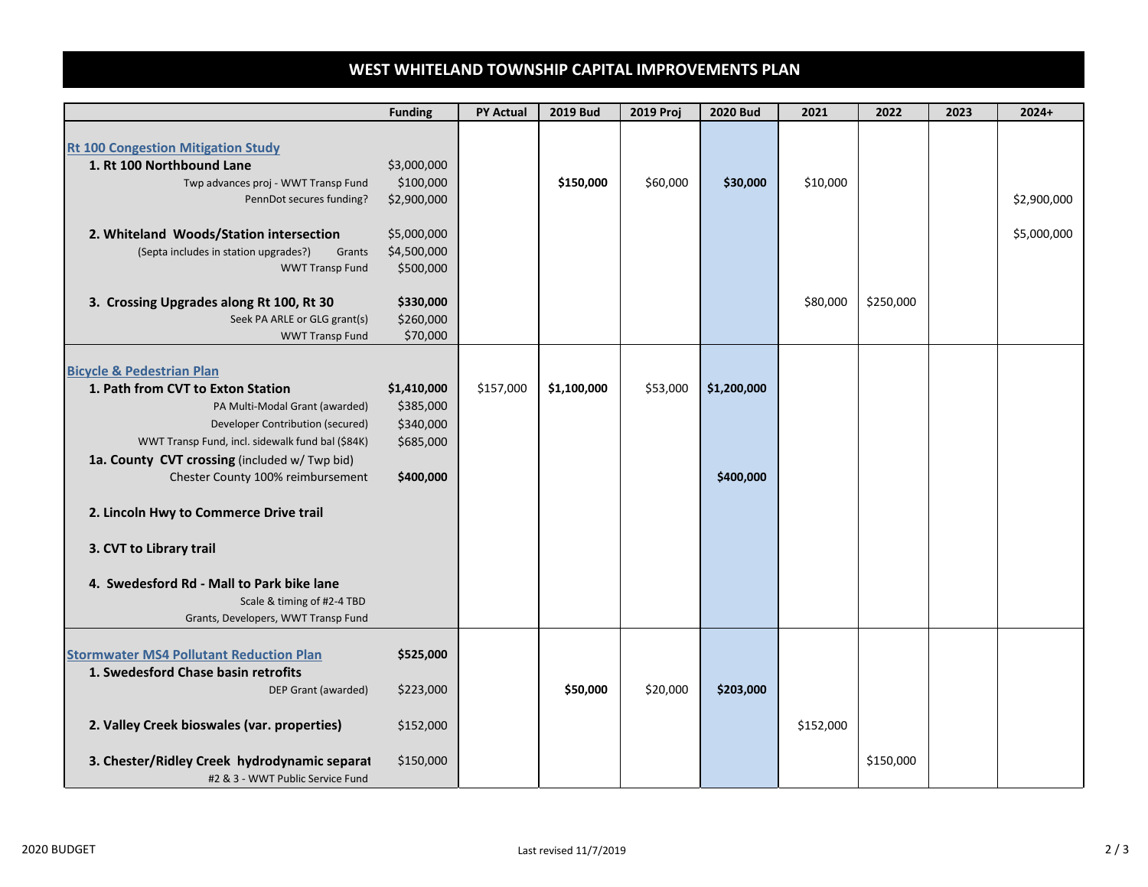## **WEST WHITELAND TOWNSHIP CAPITAL IMPROVEMENTS PLAN**

| <b>Rt 100 Congestion Mitigation Study</b><br>1. Rt 100 Northbound Lane<br>Twp advances proj - WWT Transp Fund                                                                                                                                                                                                                                                                                                                                                                    | \$3,000,000<br>\$100,000<br>\$2,900,000                         |           |             |          |                          |           |           |                            |
|----------------------------------------------------------------------------------------------------------------------------------------------------------------------------------------------------------------------------------------------------------------------------------------------------------------------------------------------------------------------------------------------------------------------------------------------------------------------------------|-----------------------------------------------------------------|-----------|-------------|----------|--------------------------|-----------|-----------|----------------------------|
| PennDot secures funding?<br>2. Whiteland Woods/Station intersection<br>(Septa includes in station upgrades?)<br>Grants<br><b>WWT Transp Fund</b>                                                                                                                                                                                                                                                                                                                                 | \$5,000,000<br>\$4,500,000<br>\$500,000                         |           | \$150,000   | \$60,000 | \$30,000                 | \$10,000  |           | \$2,900,000<br>\$5,000,000 |
| 3. Crossing Upgrades along Rt 100, Rt 30<br>Seek PA ARLE or GLG grant(s)<br><b>WWT Transp Fund</b>                                                                                                                                                                                                                                                                                                                                                                               | \$330,000<br>\$260,000<br>\$70,000                              |           |             |          |                          | \$80,000  | \$250,000 |                            |
| <b>Bicycle &amp; Pedestrian Plan</b><br>1. Path from CVT to Exton Station<br>PA Multi-Modal Grant (awarded)<br>Developer Contribution (secured)<br>WWT Transp Fund, incl. sidewalk fund bal (\$84K)<br>1a. County CVT crossing (included w/ Twp bid)<br>Chester County 100% reimbursement<br>2. Lincoln Hwy to Commerce Drive trail<br>3. CVT to Library trail<br>4. Swedesford Rd - Mall to Park bike lane<br>Scale & timing of #2-4 TBD<br>Grants, Developers, WWT Transp Fund | \$1,410,000<br>\$385,000<br>\$340,000<br>\$685,000<br>\$400,000 | \$157,000 | \$1,100,000 | \$53,000 | \$1,200,000<br>\$400,000 |           |           |                            |
| <b>Stormwater MS4 Pollutant Reduction Plan</b><br>1. Swedesford Chase basin retrofits<br>DEP Grant (awarded)<br>2. Valley Creek bioswales (var. properties)<br>3. Chester/Ridley Creek hydrodynamic separat                                                                                                                                                                                                                                                                      | \$525,000<br>\$223,000<br>\$152,000<br>\$150,000                |           | \$50,000    | \$20,000 | \$203,000                | \$152,000 | \$150,000 |                            |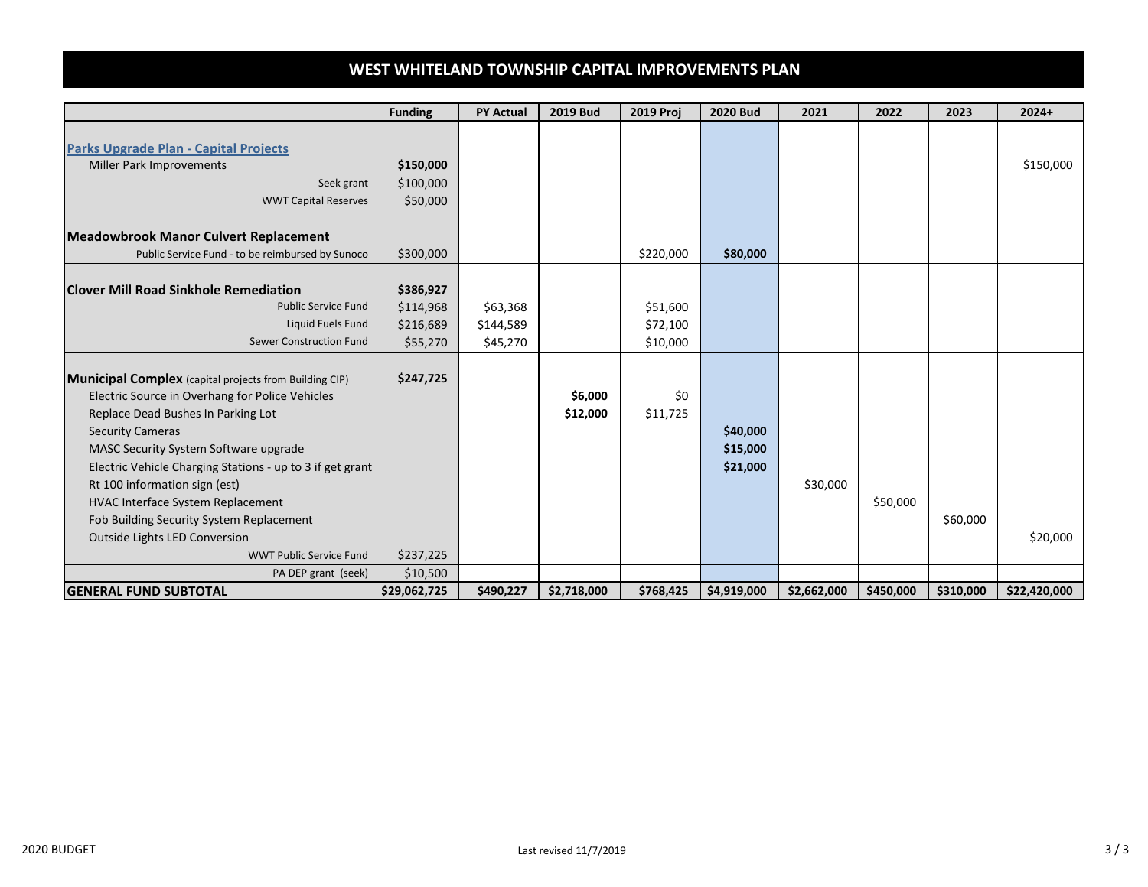## **WEST WHITELAND TOWNSHIP CAPITAL IMPROVEMENTS PLAN**

|                                                               | <b>Funding</b> | <b>PY Actual</b> | <b>2019 Bud</b> | <b>2019 Proj</b> | <b>2020 Bud</b> | 2021        | 2022      | 2023      | $2024+$      |
|---------------------------------------------------------------|----------------|------------------|-----------------|------------------|-----------------|-------------|-----------|-----------|--------------|
|                                                               |                |                  |                 |                  |                 |             |           |           |              |
| <b>Parks Upgrade Plan - Capital Projects</b>                  |                |                  |                 |                  |                 |             |           |           |              |
| <b>Miller Park Improvements</b>                               | \$150,000      |                  |                 |                  |                 |             |           |           | \$150,000    |
| Seek grant                                                    | \$100,000      |                  |                 |                  |                 |             |           |           |              |
| <b>WWT Capital Reserves</b>                                   | \$50,000       |                  |                 |                  |                 |             |           |           |              |
|                                                               |                |                  |                 |                  |                 |             |           |           |              |
| <b>Meadowbrook Manor Culvert Replacement</b>                  |                |                  |                 |                  |                 |             |           |           |              |
| Public Service Fund - to be reimbursed by Sunoco              | \$300,000      |                  |                 | \$220,000        | \$80,000        |             |           |           |              |
| <b>Clover Mill Road Sinkhole Remediation</b>                  | \$386,927      |                  |                 |                  |                 |             |           |           |              |
| <b>Public Service Fund</b>                                    | \$114,968      | \$63,368         |                 | \$51,600         |                 |             |           |           |              |
| Liquid Fuels Fund                                             | \$216,689      | \$144,589        |                 | \$72,100         |                 |             |           |           |              |
| Sewer Construction Fund                                       | \$55,270       | \$45,270         |                 | \$10,000         |                 |             |           |           |              |
|                                                               |                |                  |                 |                  |                 |             |           |           |              |
| <b>Municipal Complex</b> (capital projects from Building CIP) | \$247,725      |                  |                 |                  |                 |             |           |           |              |
| Electric Source in Overhang for Police Vehicles               |                |                  | \$6,000         | \$0              |                 |             |           |           |              |
| Replace Dead Bushes In Parking Lot                            |                |                  | \$12,000        | \$11,725         |                 |             |           |           |              |
| <b>Security Cameras</b>                                       |                |                  |                 |                  | \$40,000        |             |           |           |              |
| MASC Security System Software upgrade                         |                |                  |                 |                  | \$15,000        |             |           |           |              |
| Electric Vehicle Charging Stations - up to 3 if get grant     |                |                  |                 |                  | \$21,000        |             |           |           |              |
| Rt 100 information sign (est)                                 |                |                  |                 |                  |                 | \$30,000    |           |           |              |
| <b>HVAC Interface System Replacement</b>                      |                |                  |                 |                  |                 |             | \$50,000  |           |              |
| Fob Building Security System Replacement                      |                |                  |                 |                  |                 |             |           | \$60,000  |              |
| <b>Outside Lights LED Conversion</b>                          |                |                  |                 |                  |                 |             |           |           | \$20,000     |
| <b>WWT Public Service Fund</b>                                | \$237,225      |                  |                 |                  |                 |             |           |           |              |
| PA DEP grant (seek)                                           | \$10,500       |                  |                 |                  |                 |             |           |           |              |
| <b>GENERAL FUND SUBTOTAL</b>                                  | \$29,062,725   | \$490,227        | \$2,718,000     | \$768,425        | \$4,919,000     | \$2,662,000 | \$450,000 | \$310,000 | \$22,420,000 |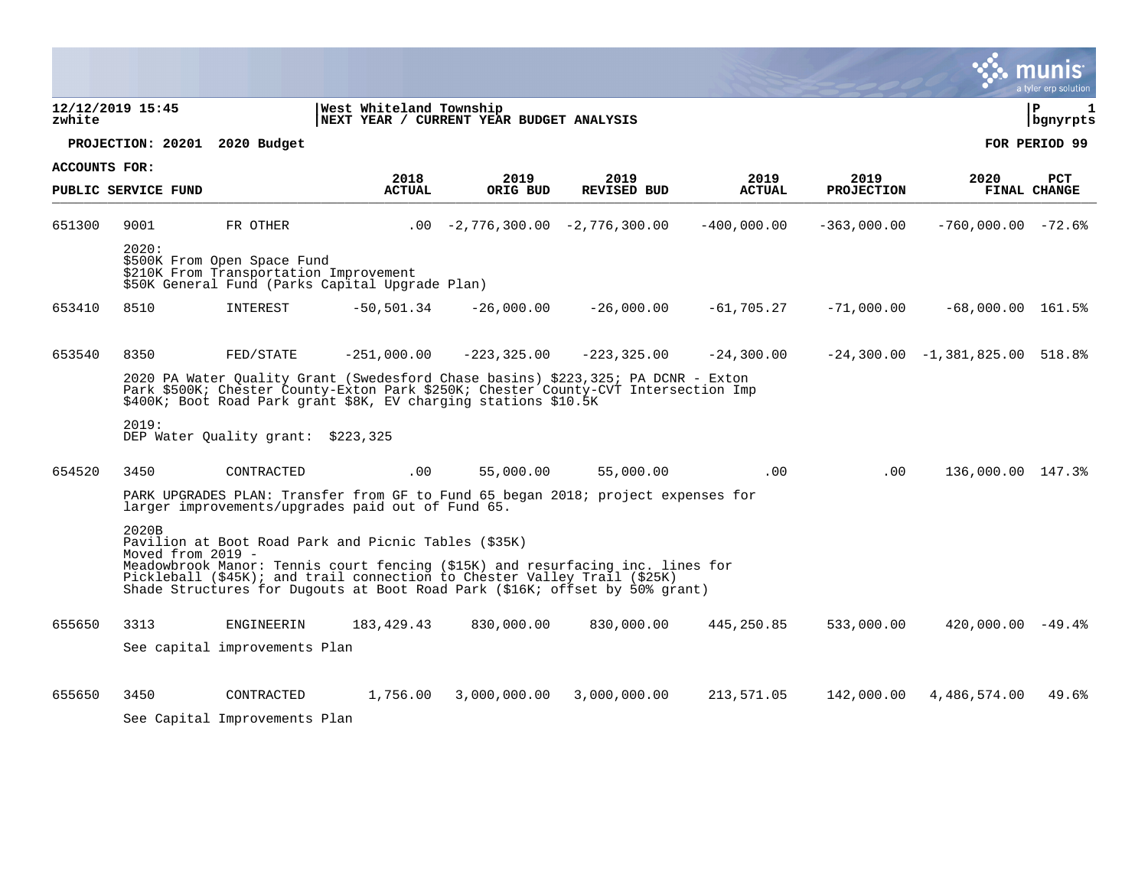|               |                                                                                                                                                                                                                                           |                                                                       |                                                                     |                                   |                                                                                                                                                                                                                                           |                       |                           |                                   | a tyler erp solution       |  |  |
|---------------|-------------------------------------------------------------------------------------------------------------------------------------------------------------------------------------------------------------------------------------------|-----------------------------------------------------------------------|---------------------------------------------------------------------|-----------------------------------|-------------------------------------------------------------------------------------------------------------------------------------------------------------------------------------------------------------------------------------------|-----------------------|---------------------------|-----------------------------------|----------------------------|--|--|
| zwhite        | 12/12/2019 15:45                                                                                                                                                                                                                          |                                                                       | West Whiteland Township<br>NEXT YEAR / CURRENT YEAR BUDGET ANALYSIS |                                   |                                                                                                                                                                                                                                           |                       |                           |                                   | ∣ P<br>1<br>  bgnyrpts     |  |  |
|               | PROJECTION: 20201                                                                                                                                                                                                                         | 2020 Budget                                                           |                                                                     |                                   |                                                                                                                                                                                                                                           |                       |                           |                                   | FOR PERIOD 99              |  |  |
| ACCOUNTS FOR: | PUBLIC SERVICE FUND                                                                                                                                                                                                                       |                                                                       | 2018<br><b>ACTUAL</b>                                               | 2019<br>ORIG BUD                  | 2019<br><b>REVISED BUD</b>                                                                                                                                                                                                                | 2019<br><b>ACTUAL</b> | 2019<br><b>PROJECTION</b> | 2020                              | PCT<br><b>FINAL CHANGE</b> |  |  |
| 651300        | 9001                                                                                                                                                                                                                                      | FR OTHER                                                              |                                                                     | $.00 -2,776,300.00 -2,776,300.00$ |                                                                                                                                                                                                                                           | $-400,000.00$         | $-363,000.00$             | $-760,000.00 - 72.6$              |                            |  |  |
|               | 2020:                                                                                                                                                                                                                                     | \$500K From Open Space Fund<br>\$210K From Transportation Improvement | \$50K General Fund (Parks Capital Upgrade Plan)                     |                                   |                                                                                                                                                                                                                                           |                       |                           |                                   |                            |  |  |
| 653410        | 8510                                                                                                                                                                                                                                      | INTEREST                                                              | $-50,501.34$                                                        | $-26,000.00$                      | $-26,000.00$                                                                                                                                                                                                                              | $-61,705.27$          | $-71,000.00$              | $-68,000.00$ $161.5%$             |                            |  |  |
| 653540        | 8350                                                                                                                                                                                                                                      | FED/STATE                                                             | $-251,000.00$                                                       | $-223, 325.00$                    | $-223, 325.00$                                                                                                                                                                                                                            | $-24, 300.00$         |                           | $-24,300.00 -1,381,825.00 518.88$ |                            |  |  |
|               | 2020 PA Water Quality Grant (Swedesford Chase basins) \$223,325; PA DCNR - Exton<br>Park \$500K; Chester County-Exton Park \$250K; Chester County-CVT Intersection Imp<br>\$400K; Boot Road Park grant \$8K, EV charging stations \$10.5K |                                                                       |                                                                     |                                   |                                                                                                                                                                                                                                           |                       |                           |                                   |                            |  |  |
|               | 2019:                                                                                                                                                                                                                                     | DEP Water Ouality grant: \$223,325                                    |                                                                     |                                   |                                                                                                                                                                                                                                           |                       |                           |                                   |                            |  |  |
| 654520        | 3450                                                                                                                                                                                                                                      | CONTRACTED                                                            | .00                                                                 | 55,000.00                         | 55,000.00                                                                                                                                                                                                                                 | $.00 \,$              | $.00 \,$                  | 136,000.00 147.3%                 |                            |  |  |
|               |                                                                                                                                                                                                                                           |                                                                       | larger improvements/upgrades paid out of Fund 65.                   |                                   | PARK UPGRADES PLAN: Transfer from GF to Fund 65 began 2018; project expenses for                                                                                                                                                          |                       |                           |                                   |                            |  |  |
|               | 2020B<br>Moved from 2019 -                                                                                                                                                                                                                |                                                                       | Pavilion at Boot Road Park and Picnic Tables (\$35K)                |                                   |                                                                                                                                                                                                                                           |                       |                           |                                   |                            |  |  |
|               |                                                                                                                                                                                                                                           |                                                                       |                                                                     |                                   | Meadowbrook Manor: Tennis court fencing (\$15K) and resurfacing inc. lines for<br>Pickleball (\$45K); and trail connection to Chester Valley Trail (\$25K)<br>Shade Structures for Dugouts at Boot Road Park (\$16K; offset by 50% grant) |                       |                           |                                   |                            |  |  |
| 655650        | 3313                                                                                                                                                                                                                                      | <b>ENGINEERIN</b>                                                     | 183, 429. 43                                                        | 830,000.00                        | 830,000.00                                                                                                                                                                                                                                | 445,250.85            | 533,000.00                | $420,000.00 - 49.4$               |                            |  |  |
|               |                                                                                                                                                                                                                                           | See capital improvements Plan                                         |                                                                     |                                   |                                                                                                                                                                                                                                           |                       |                           |                                   |                            |  |  |
| 655650        | 3450                                                                                                                                                                                                                                      | CONTRACTED                                                            | 1,756.00                                                            | 3,000,000.00                      | 3,000,000.00                                                                                                                                                                                                                              | 213,571.05            | 142,000.00                | 4,486,574.00                      | 49.6%                      |  |  |
|               |                                                                                                                                                                                                                                           | See Capital Improvements Plan                                         |                                                                     |                                   |                                                                                                                                                                                                                                           |                       |                           |                                   |                            |  |  |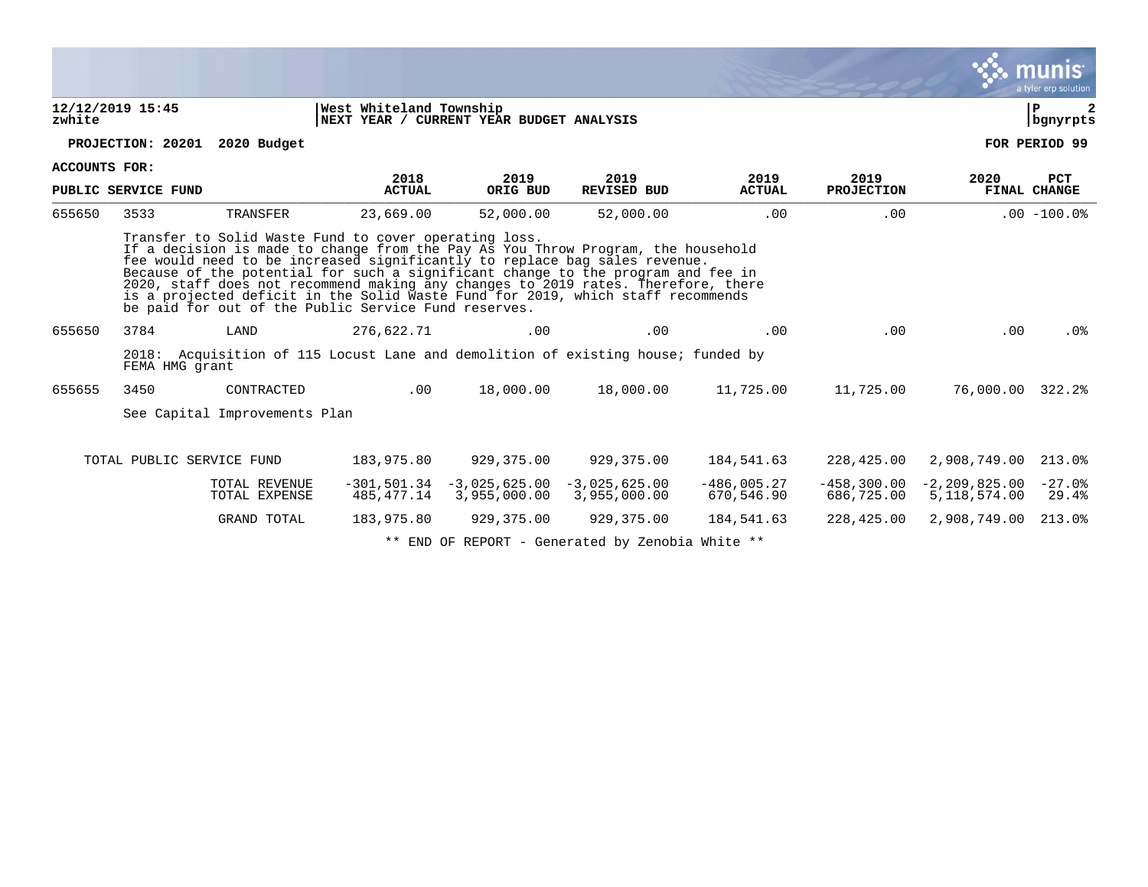|                                                                                                                                                                                                                                                                                                                                                                                                                                                                                                                                             |                           |                                |               |                                                                                  |                                 |                             |                             |                                   | munis<br>a tyler erp solution |  |
|---------------------------------------------------------------------------------------------------------------------------------------------------------------------------------------------------------------------------------------------------------------------------------------------------------------------------------------------------------------------------------------------------------------------------------------------------------------------------------------------------------------------------------------------|---------------------------|--------------------------------|---------------|----------------------------------------------------------------------------------|---------------------------------|-----------------------------|-----------------------------|-----------------------------------|-------------------------------|--|
| 12/12/2019 15:45<br>West Whiteland Township<br>NEXT YEAR / CURRENT YEAR BUDGET ANALYSIS<br>zwhite                                                                                                                                                                                                                                                                                                                                                                                                                                           |                           |                                |               |                                                                                  |                                 |                             |                             |                                   |                               |  |
|                                                                                                                                                                                                                                                                                                                                                                                                                                                                                                                                             | PROJECTION: 20201         | 2020 Budget                    |               |                                                                                  |                                 |                             |                             |                                   | FOR PERIOD 99                 |  |
| ACCOUNTS FOR:                                                                                                                                                                                                                                                                                                                                                                                                                                                                                                                               |                           |                                | 2018          | 2019                                                                             | 2019                            | 2019                        | 2019                        | 2020                              | <b>PCT</b>                    |  |
|                                                                                                                                                                                                                                                                                                                                                                                                                                                                                                                                             | PUBLIC SERVICE FUND       |                                | <b>ACTUAL</b> | ORIG BUD                                                                         | <b>REVISED BUD</b>              | <b>ACTUAL</b>               | <b>PROJECTION</b>           |                                   | FINAL CHANGE                  |  |
| 655650                                                                                                                                                                                                                                                                                                                                                                                                                                                                                                                                      | 3533                      | TRANSFER                       | 23,669.00     | 52,000.00                                                                        | 52,000.00                       | .00                         | .00                         |                                   | $.00 - 100.0%$                |  |
| Transfer to Solid Waste Fund to cover operating loss.<br>If a decision is made to change from the Pay As You Throw Program, the household<br>fee would need to be increased significantly to replace bag sales revenue.<br>Because of the potential for such a significant change to the program and fee in<br>2020, staff does not recommend making any changes to 2019 rates. Therefore, there<br>is a projected deficit in the Solid Waste Fund for 2019, which staff recommends<br>be paid for out of the Public Service Fund reserves. |                           |                                |               |                                                                                  |                                 |                             |                             |                                   |                               |  |
| 655650                                                                                                                                                                                                                                                                                                                                                                                                                                                                                                                                      | 3784                      | LAND                           | 276,622.71    | .00                                                                              | .00                             | .00                         | .00                         | .00                               | .0%                           |  |
|                                                                                                                                                                                                                                                                                                                                                                                                                                                                                                                                             | FEMA HMG grant            |                                |               | 2018: Acquisition of 115 Locust Lane and demolition of existing house; funded by |                                 |                             |                             |                                   |                               |  |
| 655655                                                                                                                                                                                                                                                                                                                                                                                                                                                                                                                                      | 3450                      | CONTRACTED                     |               | 18,000.00<br>.00                                                                 | 18,000.00                       | 11,725.00                   | 11,725.00                   | 76,000.00 322.2%                  |                               |  |
|                                                                                                                                                                                                                                                                                                                                                                                                                                                                                                                                             |                           | See Capital Improvements Plan  |               |                                                                                  |                                 |                             |                             |                                   |                               |  |
|                                                                                                                                                                                                                                                                                                                                                                                                                                                                                                                                             | TOTAL PUBLIC SERVICE FUND |                                | 183,975.80    | 929,375.00                                                                       | 929,375.00                      | 184,541.63                  | 228,425.00                  | 2,908,749.00                      | 213.0%                        |  |
|                                                                                                                                                                                                                                                                                                                                                                                                                                                                                                                                             |                           | TOTAL REVENUE<br>TOTAL EXPENSE | 485,477.14    | $-301, 501.34 -3.025.625.00$<br>3,955,000.00                                     | $-3,025,625.00$<br>3,955,000.00 | $-486,005.27$<br>670,546.90 | $-458,300.00$<br>686,725.00 | $-2, 209, 825.00$<br>5,118,574.00 | $-27.0%$<br>29.4%             |  |
|                                                                                                                                                                                                                                                                                                                                                                                                                                                                                                                                             |                           | GRAND TOTAL                    | 183,975.80    | 929,375.00                                                                       | 929,375.00                      | 184,541.63                  | 228,425.00                  | 2,908,749.00                      | 213.0%                        |  |
|                                                                                                                                                                                                                                                                                                                                                                                                                                                                                                                                             |                           |                                |               | ** END OF REPORT - Generated by Zenobia White **                                 |                                 |                             |                             |                                   |                               |  |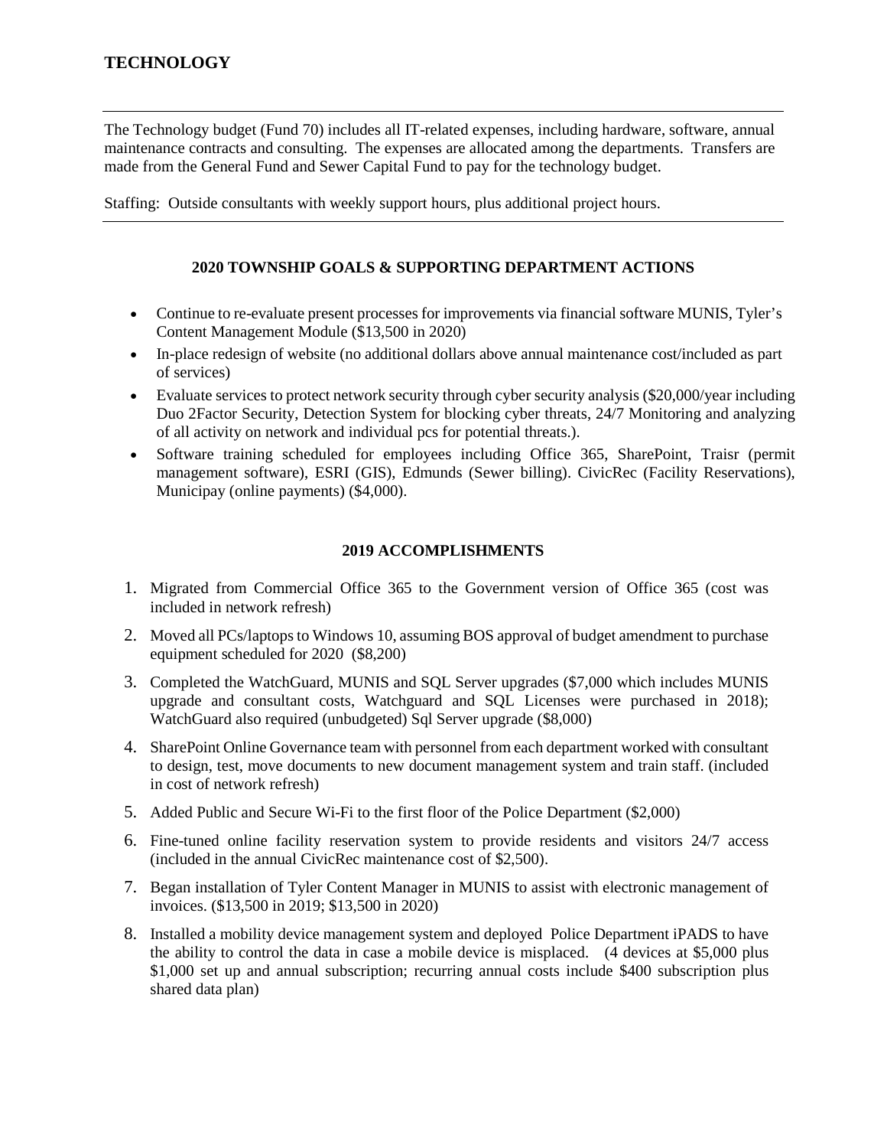The Technology budget (Fund 70) includes all IT-related expenses, including hardware, software, annual maintenance contracts and consulting. The expenses are allocated among the departments. Transfers are made from the General Fund and Sewer Capital Fund to pay for the technology budget.

Staffing: Outside consultants with weekly support hours, plus additional project hours.

## **2020 TOWNSHIP GOALS & SUPPORTING DEPARTMENT ACTIONS**

- Continue to re-evaluate present processes for improvements via financial software MUNIS, Tyler's Content Management Module (\$13,500 in 2020)
- In-place redesign of website (no additional dollars above annual maintenance cost/included as part of services)
- Evaluate services to protect network security through cyber security analysis (\$20,000/year including Duo 2Factor Security, Detection System for blocking cyber threats, 24/7 Monitoring and analyzing of all activity on network and individual pcs for potential threats.).
- Software training scheduled for employees including Office 365, SharePoint, Traisr (permit management software), ESRI (GIS), Edmunds (Sewer billing). CivicRec (Facility Reservations), Municipay (online payments) (\$4,000).

## **2019 ACCOMPLISHMENTS**

- 1. Migrated from Commercial Office 365 to the Government version of Office 365 (cost was included in network refresh)
- 2. Moved all PCs/laptops to Windows 10, assuming BOS approval of budget amendment to purchase equipment scheduled for 2020 (\$8,200)
- 3. Completed the WatchGuard, MUNIS and SQL Server upgrades (\$7,000 which includes MUNIS upgrade and consultant costs, Watchguard and SQL Licenses were purchased in 2018); WatchGuard also required (unbudgeted) Sql Server upgrade (\$8,000)
- 4. SharePoint Online Governance team with personnel from each department worked with consultant to design, test, move documents to new document management system and train staff. (included in cost of network refresh)
- 5. Added Public and Secure Wi-Fi to the first floor of the Police Department (\$2,000)
- 6. Fine-tuned online facility reservation system to provide residents and visitors 24/7 access (included in the annual CivicRec maintenance cost of \$2,500).
- 7. Began installation of Tyler Content Manager in MUNIS to assist with electronic management of invoices. (\$13,500 in 2019; \$13,500 in 2020)
- 8. Installed a mobility device management system and deployed Police Department iPADS to have the ability to control the data in case a mobile device is misplaced. (4 devices at \$5,000 plus \$1,000 set up and annual subscription; recurring annual costs include \$400 subscription plus shared data plan)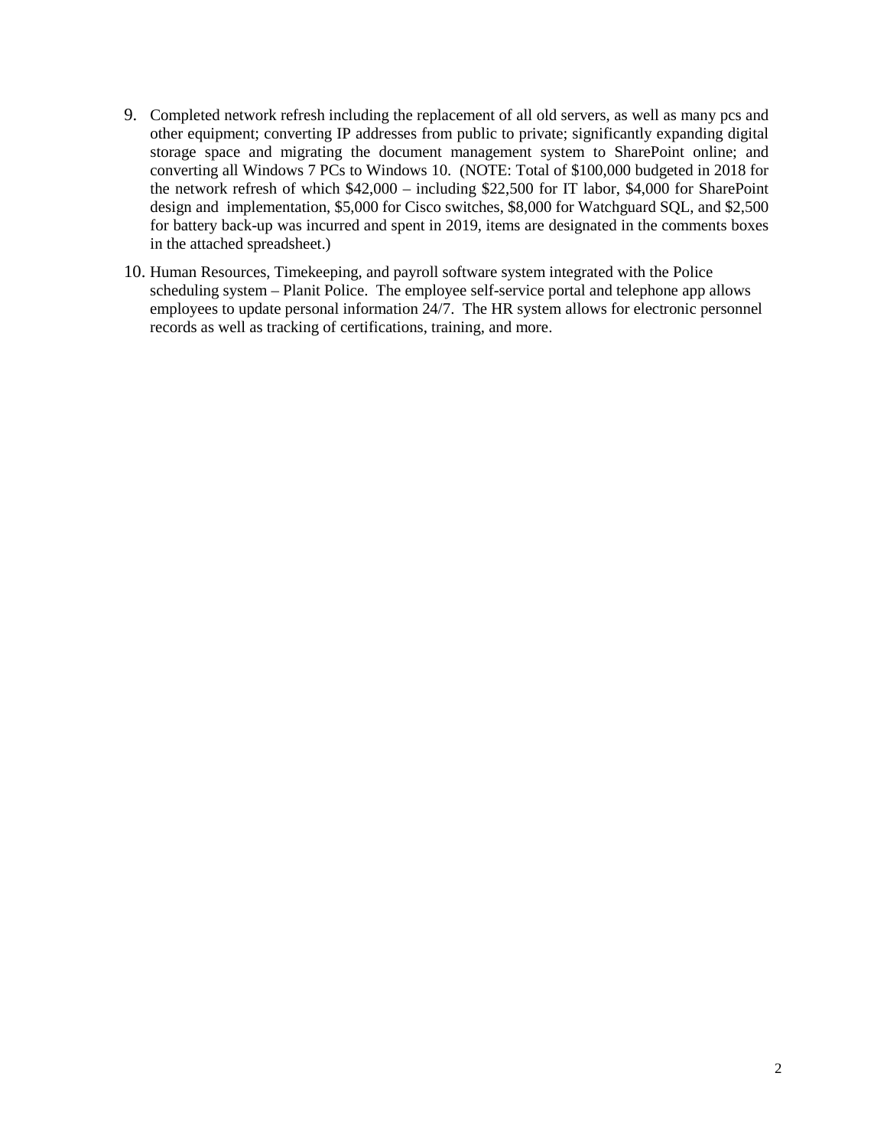- 9. Completed network refresh including the replacement of all old servers, as well as many pcs and other equipment; converting IP addresses from public to private; significantly expanding digital storage space and migrating the document management system to SharePoint online; and converting all Windows 7 PCs to Windows 10. (NOTE: Total of \$100,000 budgeted in 2018 for the network refresh of which \$42,000 – including \$22,500 for IT labor, \$4,000 for SharePoint design and implementation, \$5,000 for Cisco switches, \$8,000 for Watchguard SQL, and \$2,500 for battery back-up was incurred and spent in 2019, items are designated in the comments boxes in the attached spreadsheet.)
- 10. Human Resources, Timekeeping, and payroll software system integrated with the Police scheduling system – Planit Police. The employee self-service portal and telephone app allows employees to update personal information 24/7. The HR system allows for electronic personnel records as well as tracking of certifications, training, and more.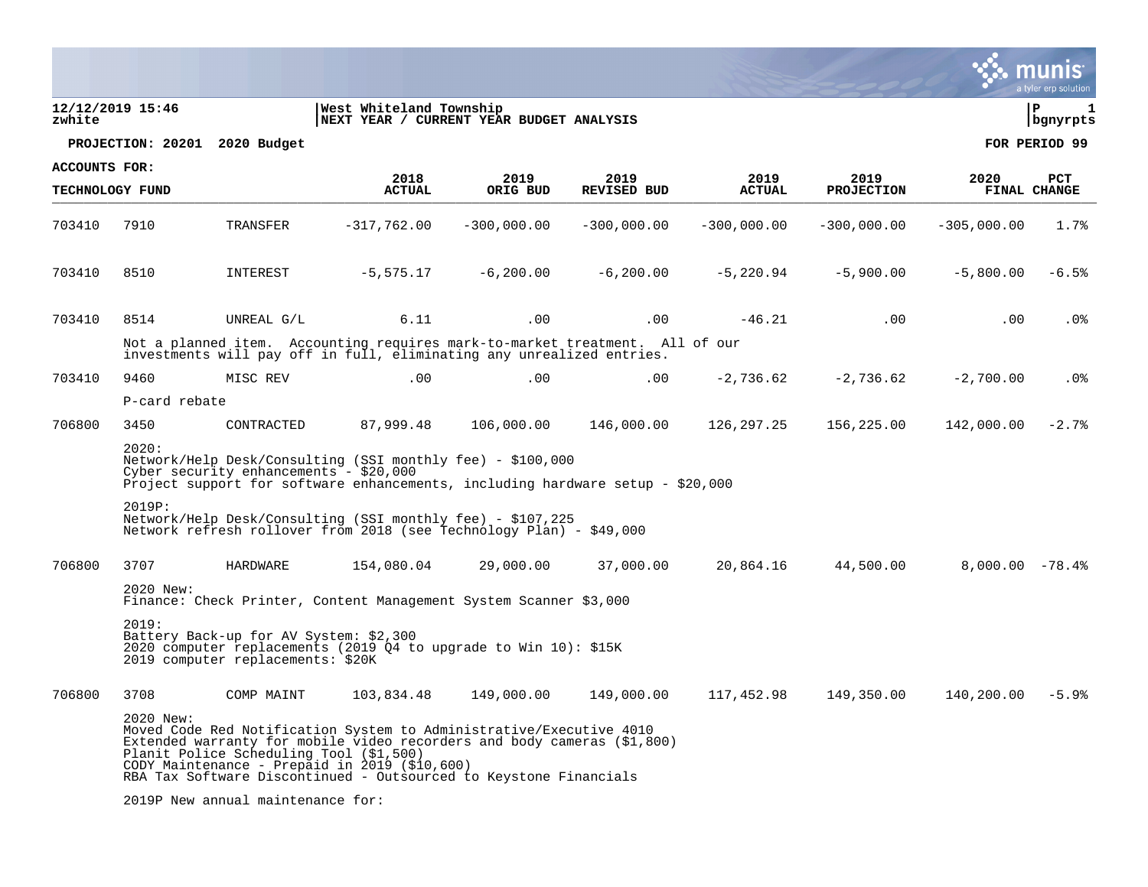|               |                                                                                                                                                                                                            |                                                                             |                                                                                                                                                                                                                                                                      |                  |                            |                       |                           |                   | a tyler erp solution |  |  |  |
|---------------|------------------------------------------------------------------------------------------------------------------------------------------------------------------------------------------------------------|-----------------------------------------------------------------------------|----------------------------------------------------------------------------------------------------------------------------------------------------------------------------------------------------------------------------------------------------------------------|------------------|----------------------------|-----------------------|---------------------------|-------------------|----------------------|--|--|--|
| zwhite        | 12/12/2019 15:46                                                                                                                                                                                           |                                                                             | West Whiteland Township<br>NEXT YEAR / CURRENT YEAR BUDGET ANALYSIS                                                                                                                                                                                                  |                  |                            |                       |                           |                   | l P<br>  bgnyrpts    |  |  |  |
|               |                                                                                                                                                                                                            | PROJECTION: 20201 2020 Budget                                               |                                                                                                                                                                                                                                                                      |                  |                            |                       |                           |                   | FOR PERIOD 99        |  |  |  |
| ACCOUNTS FOR: |                                                                                                                                                                                                            |                                                                             |                                                                                                                                                                                                                                                                      |                  |                            |                       |                           |                   |                      |  |  |  |
|               | TECHNOLOGY FUND                                                                                                                                                                                            |                                                                             | 2018<br><b>ACTUAL</b>                                                                                                                                                                                                                                                | 2019<br>ORIG BUD | 2019<br><b>REVISED BUD</b> | 2019<br><b>ACTUAL</b> | 2019<br><b>PROJECTION</b> | 2020              | PCT<br>FINAL CHANGE  |  |  |  |
| 703410        | 7910                                                                                                                                                                                                       | TRANSFER                                                                    | $-317,762.00$                                                                                                                                                                                                                                                        | $-300,000.00$    | $-300,000.00$              | $-300,000.00$         | $-300,000.00$             | $-305,000.00$     | 1.7%                 |  |  |  |
| 703410        | 8510                                                                                                                                                                                                       | INTEREST                                                                    | $-5,575.17$                                                                                                                                                                                                                                                          | $-6, 200.00$     | $-6, 200.00$               | $-5,220.94$           | $-5,900.00$               | $-5,800.00$       | $-6.5%$              |  |  |  |
| 703410        | 8514                                                                                                                                                                                                       | UNREAL G/L                                                                  | 6.11                                                                                                                                                                                                                                                                 | .00              | .00                        | $-46.21$              | .00                       | $.00 \,$          | $.0\%$               |  |  |  |
|               | Not a planned item. Accounting requires mark-to-market treatment. All of our<br>investments will pay off in full, eliminating any unrealized entries.                                                      |                                                                             |                                                                                                                                                                                                                                                                      |                  |                            |                       |                           |                   |                      |  |  |  |
| 703410        | 9460                                                                                                                                                                                                       | MISC REV                                                                    | .00                                                                                                                                                                                                                                                                  | .00              | .00                        | $-2,736.62$           | $-2,736.62$               | $-2,700.00$       | . 0%                 |  |  |  |
|               | P-card rebate                                                                                                                                                                                              |                                                                             |                                                                                                                                                                                                                                                                      |                  |                            |                       |                           |                   |                      |  |  |  |
| 706800        | 3450                                                                                                                                                                                                       | CONTRACTED                                                                  | 87,999.48                                                                                                                                                                                                                                                            | 106,000.00       | 146,000.00                 | 126,297.25            | 156,225.00                | 142,000.00        | $-2.7%$              |  |  |  |
|               | 2020:<br>Network/Help Desk/Consulting (SSI monthly fee) - \$100,000<br>Cyber security enhancements - $$20,000$<br>Project support for software enhancements, including hardware setup - \$20,000<br>2019P: |                                                                             |                                                                                                                                                                                                                                                                      |                  |                            |                       |                           |                   |                      |  |  |  |
|               |                                                                                                                                                                                                            |                                                                             | Network/Help Desk/Consulting (SSI monthly fee) - \$107,225<br>Network refresh rollover from 2018 (see Technology Plan) - \$49,000                                                                                                                                    |                  |                            |                       |                           |                   |                      |  |  |  |
| 706800        | 3707                                                                                                                                                                                                       | HARDWARE                                                                    | 154,080.04                                                                                                                                                                                                                                                           | 29,000.00        | 37,000.00                  | 20,864.16             | 44,500.00                 | $8,000.00 - 78.4$ |                      |  |  |  |
|               | 2020 New:                                                                                                                                                                                                  |                                                                             | Finance: Check Printer, Content Management System Scanner \$3,000                                                                                                                                                                                                    |                  |                            |                       |                           |                   |                      |  |  |  |
|               | 2019:                                                                                                                                                                                                      | Battery Back-up for AV System: \$2,300<br>2019 computer replacements: \$20K | 2020 computer replacements (2019 Q4 to upgrade to Win 10): \$15K                                                                                                                                                                                                     |                  |                            |                       |                           |                   |                      |  |  |  |
| 706800        | 3708                                                                                                                                                                                                       | COMP MAINT                                                                  | 103,834.48                                                                                                                                                                                                                                                           | 149,000.00       | 149,000.00                 | 117,452.98            | 149,350.00                | 140,200.00        | -5.9%                |  |  |  |
|               | 2020 New:                                                                                                                                                                                                  | Planit Police Scheduling Tool (\$1,500)                                     | Moved Code Red Notification System to Administrative/Executive 4010<br>Extended warranty for mobile video recorders and body cameras (\$1,800)<br>CODY Maintenance - Prepaid in 2019 (\$10,600)<br>RBA Tax Software Discontinued - Outsourced to Keystone Financials |                  |                            |                       |                           |                   |                      |  |  |  |
|               |                                                                                                                                                                                                            | 2019P New annual maintenance for:                                           |                                                                                                                                                                                                                                                                      |                  |                            |                       |                           |                   |                      |  |  |  |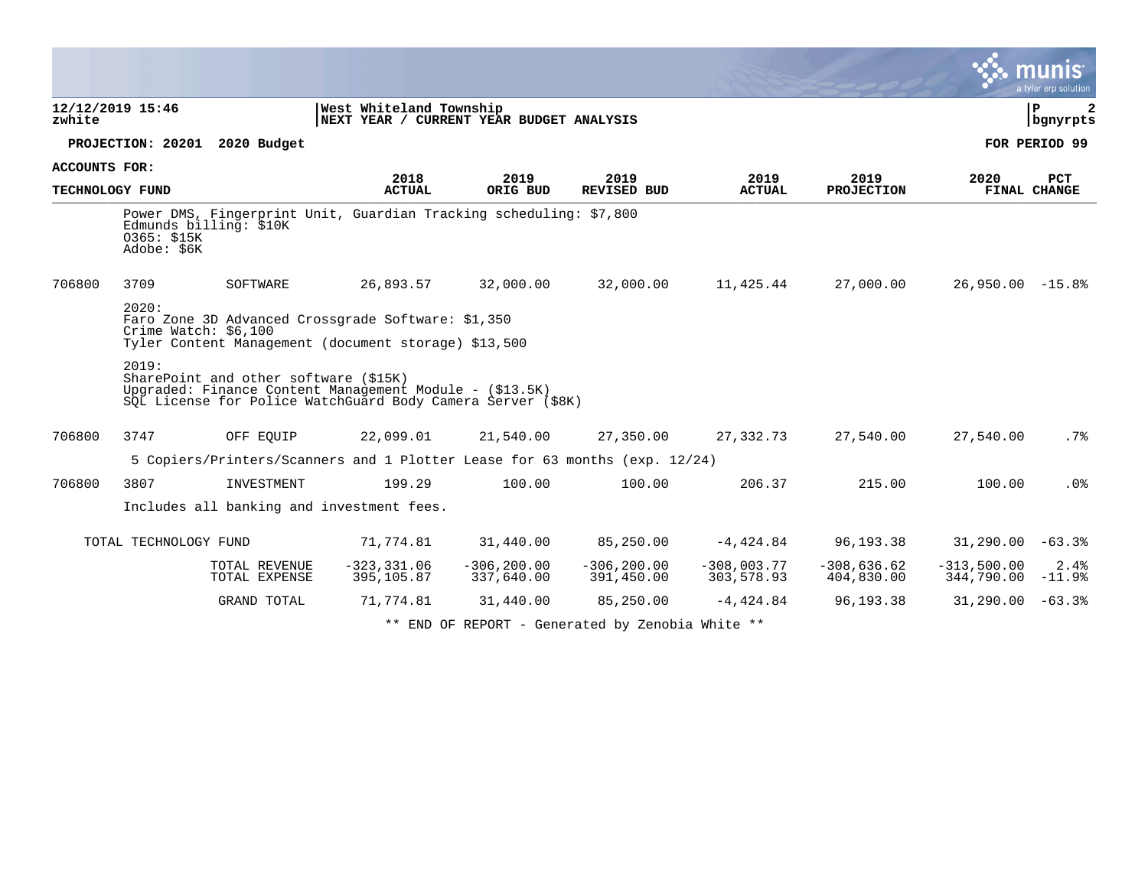|                      |                               |                                       |                                                                                                                        |                              |                                                                                                                                                                                                                                                                                                 |                             |                             |                             | munis <sup>®</sup><br>a tyler erp solution |  |  |  |
|----------------------|-------------------------------|---------------------------------------|------------------------------------------------------------------------------------------------------------------------|------------------------------|-------------------------------------------------------------------------------------------------------------------------------------------------------------------------------------------------------------------------------------------------------------------------------------------------|-----------------------------|-----------------------------|-----------------------------|--------------------------------------------|--|--|--|
| zwhite               | 12/12/2019 15:46              |                                       | West Whiteland Township<br>NEXT YEAR / CURRENT YEAR BUDGET ANALYSIS                                                    |                              |                                                                                                                                                                                                                                                                                                 |                             |                             |                             | l P<br>2<br>  bgnyrpts                     |  |  |  |
|                      |                               | PROJECTION: 20201 2020 Budget         |                                                                                                                        |                              |                                                                                                                                                                                                                                                                                                 |                             |                             |                             | FOR PERIOD 99                              |  |  |  |
| <b>ACCOUNTS FOR:</b> |                               |                                       | 2018                                                                                                                   | 2019                         | 2019                                                                                                                                                                                                                                                                                            | 2019                        | 2019                        |                             | <b>PCT</b>                                 |  |  |  |
| TECHNOLOGY FUND      |                               |                                       | <b>ACTUAL</b>                                                                                                          | ORIG BUD                     | REVISED BUD                                                                                                                                                                                                                                                                                     | <b>ACTUAL</b>               | <b>PROJECTION</b>           | 2020                        | FINAL CHANGE                               |  |  |  |
|                      | 0365: \$15K<br>Adobe: \$6K    | Edmunds billing: \$10K                | Power DMS, Fingerprint Unit, Guardian Tracking scheduling: \$7,800                                                     |                              |                                                                                                                                                                                                                                                                                                 |                             |                             |                             |                                            |  |  |  |
| 706800               | 3709                          | SOFTWARE                              | 26,893.57                                                                                                              | 32,000.00                    | 32,000.00                                                                                                                                                                                                                                                                                       | 11,425.44                   | 27,000.00                   | $26,950.00 -15.8$           |                                            |  |  |  |
|                      | 2020:<br>Crime Watch: \$6,100 |                                       | Faro Zone 3D Advanced Crossgrade Software: \$1,350<br>Tyler Content Management (document storage) \$13,500             |                              |                                                                                                                                                                                                                                                                                                 |                             |                             |                             |                                            |  |  |  |
|                      | 2019:                         | SharePoint and other software (\$15K) | Upgraded: Finance Content Management Module - (\$13.5K)<br>SQL License for Police WatchGuard Body Camera Server (\$8K) |                              |                                                                                                                                                                                                                                                                                                 |                             |                             |                             |                                            |  |  |  |
| 706800               | 3747                          | OFF EOUIP                             | 22,099.01                                                                                                              | 21,540.00                    | 27,350.00                                                                                                                                                                                                                                                                                       | 27,332.73                   | 27,540.00                   | 27,540.00                   | .7%                                        |  |  |  |
|                      |                               |                                       | 5 Copiers/Printers/Scanners and 1 Plotter Lease for 63 months (exp. 12/24)                                             |                              |                                                                                                                                                                                                                                                                                                 |                             |                             |                             |                                            |  |  |  |
| 706800               | 3807                          | INVESTMENT                            | 199.29                                                                                                                 | 100.00                       | 100.00                                                                                                                                                                                                                                                                                          | 206.37                      | 215.00                      | 100.00                      | .0%                                        |  |  |  |
|                      |                               |                                       | Includes all banking and investment fees.                                                                              |                              |                                                                                                                                                                                                                                                                                                 |                             |                             |                             |                                            |  |  |  |
|                      | TOTAL TECHNOLOGY FUND         |                                       | 71,774.81                                                                                                              | 31,440.00                    | 85,250.00                                                                                                                                                                                                                                                                                       | $-4,424.84$                 | 96,193.38                   | $31,290.00 -63.3$           |                                            |  |  |  |
|                      |                               | TOTAL REVENUE<br>TOTAL EXPENSE        | $-323, 331.06$<br>395,105.87                                                                                           | $-306, 200.00$<br>337,640.00 | $-306, 200.00$<br>391,450.00                                                                                                                                                                                                                                                                    | $-308,003.77$<br>303,578.93 | $-308,636.62$<br>404,830.00 | $-313,500.00$<br>344,790.00 | 2.4%<br>$-11.9%$                           |  |  |  |
|                      |                               | GRAND TOTAL                           | 71,774.81                                                                                                              | 31,440.00                    | 85,250.00                                                                                                                                                                                                                                                                                       | $-4,424.84$                 | 96,193.38                   | $31,290.00 -63.38$          |                                            |  |  |  |
|                      |                               |                                       |                                                                                                                        |                              | $\mathbf{u}$ at $\mathbf{u}$ and $\mathbf{u}$ and $\mathbf{u}$ and $\mathbf{u}$ and $\mathbf{u}$ and $\mathbf{u}$ and $\mathbf{u}$ and $\mathbf{u}$ and $\mathbf{u}$ and $\mathbf{u}$ and $\mathbf{u}$ and $\mathbf{u}$ and $\mathbf{u}$ and $\mathbf{u}$ and $\mathbf{u}$ and $\mathbf{u}$ and |                             |                             |                             |                                            |  |  |  |

 $\bullet$ 

\*\* END OF REPORT - Generated by Zenobia White \*\*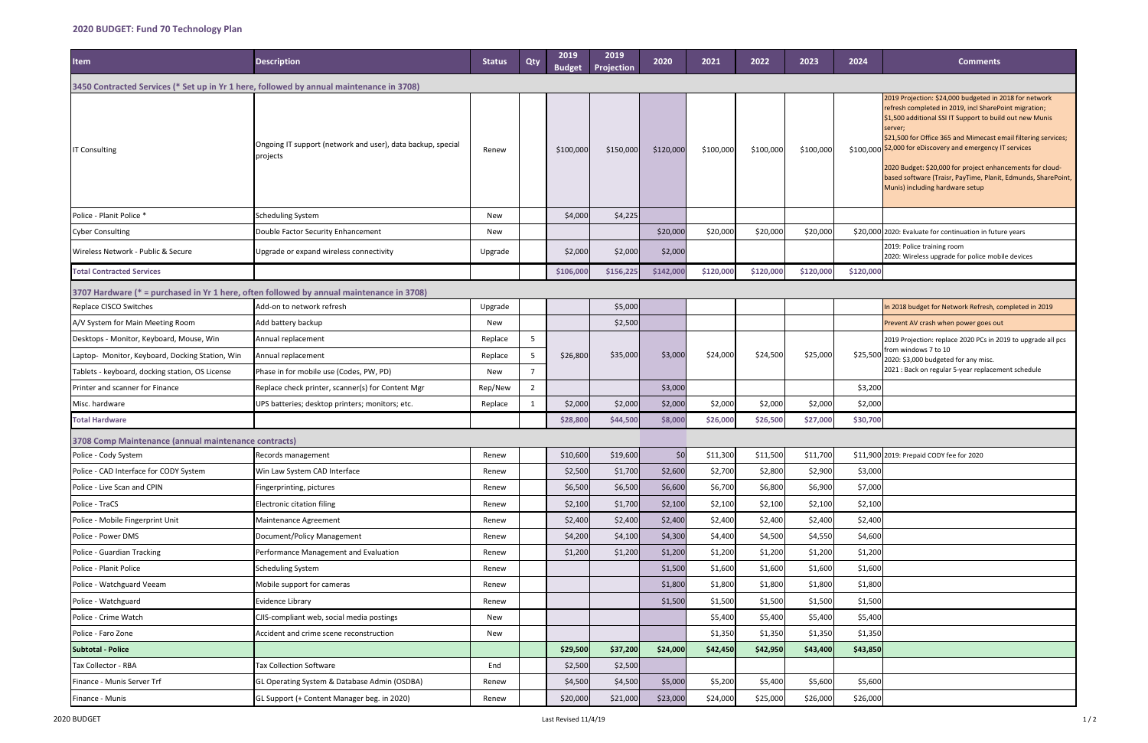| <b>Item</b>                                                                              | <b>Description</b>                                                      | <b>Status</b> | Qty            | 2019<br><b>Budget</b> | 2019<br>Projection | 2020      | 2021      | 2022      | 2023      | 2024      | <b>Comments</b>                                                                                                                                                                                                                                                                                                                                                                                                                                                               |
|------------------------------------------------------------------------------------------|-------------------------------------------------------------------------|---------------|----------------|-----------------------|--------------------|-----------|-----------|-----------|-----------|-----------|-------------------------------------------------------------------------------------------------------------------------------------------------------------------------------------------------------------------------------------------------------------------------------------------------------------------------------------------------------------------------------------------------------------------------------------------------------------------------------|
| 3450 Contracted Services (* Set up in Yr 1 here, followed by annual maintenance in 3708) |                                                                         |               |                |                       |                    |           |           |           |           |           |                                                                                                                                                                                                                                                                                                                                                                                                                                                                               |
| <b>IT Consulting</b>                                                                     | Ongoing IT support (network and user), data backup, special<br>projects | Renew         |                | \$100,000             | \$150,000          | \$120,000 | \$100,000 | \$100,000 | \$100,000 | \$100,000 | 2019 Projection: \$24,000 budgeted in 2018 for network<br>refresh completed in 2019, incl SharePoint migration;<br>\$1,500 additional SSI IT Support to build out new Munis<br>server;<br>\$21,500 for Office 365 and Mimecast email filtering services;<br>\$2,000 for eDiscovery and emergency IT services<br>2020 Budget: \$20,000 for project enhancements for cloud-<br>based software (Traisr, PayTime, Planit, Edmunds, SharePoint,<br>Munis) including hardware setup |
| Police - Planit Police *                                                                 | Scheduling System                                                       | New           |                | \$4,000               | \$4,225            |           |           |           |           |           |                                                                                                                                                                                                                                                                                                                                                                                                                                                                               |
| <b>Cyber Consulting</b>                                                                  | Double Factor Security Enhancement                                      | New           |                |                       |                    | \$20,000  | \$20,000  | \$20,000  | \$20,000  |           | \$20,000 2020: Evaluate for continuation in future years                                                                                                                                                                                                                                                                                                                                                                                                                      |
| Wireless Network - Public & Secure                                                       | Upgrade or expand wireless connectivity                                 | Upgrade       |                | \$2,000               | \$2,000            | \$2,000   |           |           |           |           | 2019: Police training room<br>2020: Wireless upgrade for police mobile devices                                                                                                                                                                                                                                                                                                                                                                                                |
| <b>Total Contracted Services</b>                                                         |                                                                         |               |                | \$106,000             | \$156,225          | \$142,000 | \$120,000 | \$120,000 | \$120,000 | \$120,000 |                                                                                                                                                                                                                                                                                                                                                                                                                                                                               |
| 3707 Hardware (* = purchased in Yr 1 here, often followed by annual maintenance in 3708) |                                                                         |               |                |                       |                    |           |           |           |           |           |                                                                                                                                                                                                                                                                                                                                                                                                                                                                               |
| Replace CISCO Switches                                                                   | Add-on to network refresh                                               | Upgrade       |                |                       | \$5,000            |           |           |           |           |           | In 2018 budget for Network Refresh, completed in 2019                                                                                                                                                                                                                                                                                                                                                                                                                         |
| A/V System for Main Meeting Room                                                         | Add battery backup                                                      | New           |                |                       | \$2,500            |           |           |           |           |           | Prevent AV crash when power goes out                                                                                                                                                                                                                                                                                                                                                                                                                                          |
| Desktops - Monitor, Keyboard, Mouse, Win                                                 | Annual replacement                                                      | Replace       | 5              |                       |                    |           |           |           |           |           | 2019 Projection: replace 2020 PCs in 2019 to upgrade all pcs                                                                                                                                                                                                                                                                                                                                                                                                                  |
| Laptop- Monitor, Keyboard, Docking Station, Win                                          | Annual replacement                                                      | Replace       | 5              | \$26,800              | \$35,000           | \$3,000   | \$24,000  | \$24,500  | \$25,000  | \$25,500  | from windows 7 to 10<br>2020: \$3,000 budgeted for any misc.                                                                                                                                                                                                                                                                                                                                                                                                                  |
| Tablets - keyboard, docking station, OS License                                          | Phase in for mobile use (Codes, PW, PD)                                 | New           | $\overline{7}$ |                       |                    |           |           |           |           |           | 2021 : Back on regular 5-year replacement schedule                                                                                                                                                                                                                                                                                                                                                                                                                            |
| Printer and scanner for Finance                                                          | Replace check printer, scanner(s) for Content Mgr                       | Rep/New       | $\overline{2}$ |                       |                    | \$3,000   |           |           |           | \$3,200   |                                                                                                                                                                                                                                                                                                                                                                                                                                                                               |
| Misc. hardware                                                                           | UPS batteries; desktop printers; monitors; etc.                         | Replace       | 1              | \$2,000               | \$2,000            | \$2,000   | \$2,000   | \$2,000   | \$2,000   | \$2,000   |                                                                                                                                                                                                                                                                                                                                                                                                                                                                               |
| <b>Total Hardware</b>                                                                    |                                                                         |               |                | \$28,800              | \$44,500           | \$8,000   | \$26,000  | \$26,500  | \$27,000  | \$30,700  |                                                                                                                                                                                                                                                                                                                                                                                                                                                                               |
| 3708 Comp Maintenance (annual maintenance contracts)                                     |                                                                         |               |                |                       |                    |           |           |           |           |           |                                                                                                                                                                                                                                                                                                                                                                                                                                                                               |
| Police - Cody System                                                                     | Records management                                                      | Renew         |                | \$10,600              | \$19,600           | \$0       | \$11,300  | \$11,500  | \$11,700  |           | \$11,900 2019: Prepaid CODY fee for 2020                                                                                                                                                                                                                                                                                                                                                                                                                                      |
| Police - CAD Interface for CODY System                                                   | Win Law System CAD Interface                                            | Renew         |                | \$2,500               | \$1,700            | \$2,600   | \$2,700   | \$2,800   | \$2,900   | \$3,000   |                                                                                                                                                                                                                                                                                                                                                                                                                                                                               |
| Police - Live Scan and CPIN                                                              | Fingerprinting, pictures                                                | Renew         |                | \$6,500               | \$6,500            | \$6,600   | \$6,700   | \$6,800   | \$6,900   | \$7,000   |                                                                                                                                                                                                                                                                                                                                                                                                                                                                               |
| Police - TraCS                                                                           | Electronic citation filing                                              | Renew         |                | \$2,100               | \$1,700            | \$2,100   | \$2,100   | \$2,100   | \$2,100   | \$2,100   |                                                                                                                                                                                                                                                                                                                                                                                                                                                                               |
| Police - Mobile Fingerprint Unit                                                         | Maintenance Agreement                                                   | Renew         |                | \$2,400               | \$2,400            | \$2,400   | \$2,400   | \$2,400   | \$2,400   | \$2,400   |                                                                                                                                                                                                                                                                                                                                                                                                                                                                               |
| Police - Power DMS                                                                       | Document/Policy Management                                              | Renew         |                | \$4,200               | \$4,100            | \$4,300   | \$4,400   | \$4,500   | \$4,550   | \$4,600   |                                                                                                                                                                                                                                                                                                                                                                                                                                                                               |
| Police - Guardian Tracking                                                               | Performance Management and Evaluation                                   | Renew         |                | \$1,200               | \$1,200            | \$1,200   | \$1,200   | \$1,200   | \$1,200   | \$1,200   |                                                                                                                                                                                                                                                                                                                                                                                                                                                                               |
| Police - Planit Police                                                                   | <b>Scheduling System</b>                                                | Renew         |                |                       |                    | \$1,500   | \$1,600   | \$1,600   | \$1,600   | \$1,600   |                                                                                                                                                                                                                                                                                                                                                                                                                                                                               |
| Police - Watchguard Veeam                                                                | Mobile support for cameras                                              | Renew         |                |                       |                    | \$1,800   | \$1,800   | \$1,800   | \$1,800   | \$1,800   |                                                                                                                                                                                                                                                                                                                                                                                                                                                                               |
| Police - Watchguard                                                                      | Evidence Library                                                        | Renew         |                |                       |                    | \$1,500   | \$1,500   | \$1,500   | \$1,500   | \$1,500   |                                                                                                                                                                                                                                                                                                                                                                                                                                                                               |
| Police - Crime Watch                                                                     | CJIS-compliant web, social media postings                               | New           |                |                       |                    |           | \$5,400   | \$5,400   | \$5,400   | \$5,400   |                                                                                                                                                                                                                                                                                                                                                                                                                                                                               |
| Police - Faro Zone                                                                       | Accident and crime scene reconstruction                                 | New           |                |                       |                    |           | \$1,350   | \$1,350   | \$1,350   | \$1,350   |                                                                                                                                                                                                                                                                                                                                                                                                                                                                               |
| <b>Subtotal - Police</b>                                                                 |                                                                         |               |                | \$29,500              | \$37,200           | \$24,000  | \$42,450  | \$42,950  | \$43,400  | \$43,850  |                                                                                                                                                                                                                                                                                                                                                                                                                                                                               |
| Tax Collector - RBA                                                                      | <b>Tax Collection Software</b>                                          | End           |                | \$2,500               | \$2,500            |           |           |           |           |           |                                                                                                                                                                                                                                                                                                                                                                                                                                                                               |
| Finance - Munis Server Trf                                                               | GL Operating System & Database Admin (OSDBA)                            | Renew         |                | \$4,500               | \$4,500            | \$5,000   | \$5,200   | \$5,400   | \$5,600   | \$5,600   |                                                                                                                                                                                                                                                                                                                                                                                                                                                                               |
| Finance - Munis                                                                          | GL Support (+ Content Manager beg. in 2020)                             | Renew         |                | \$20,000              | \$21,000           | \$23,000  | \$24,000  | \$25,000  | \$26,000  | \$26,000  |                                                                                                                                                                                                                                                                                                                                                                                                                                                                               |